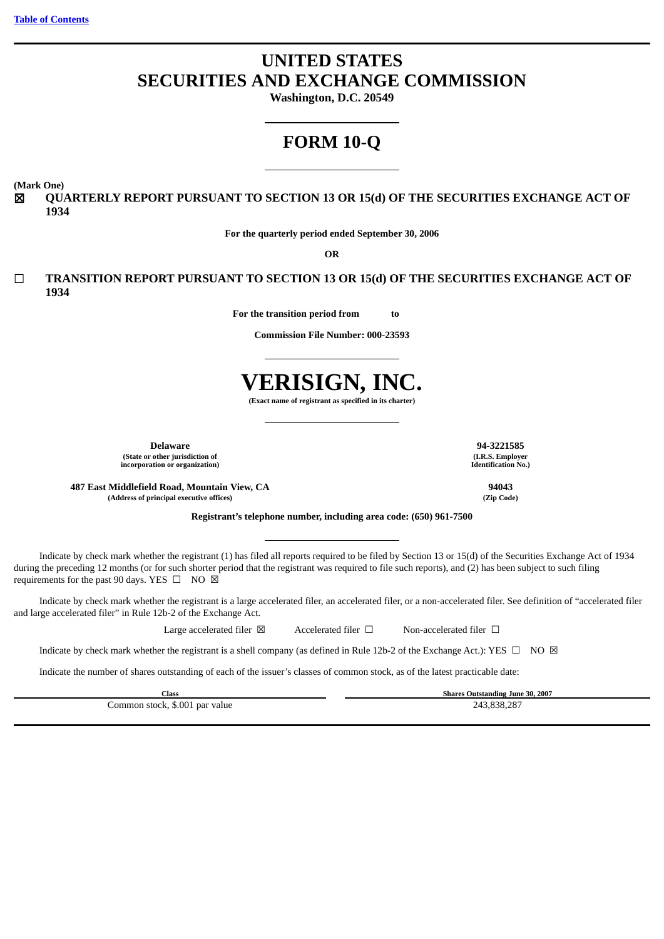# **UNITED STATES SECURITIES AND EXCHANGE COMMISSION**

**Washington, D.C. 20549**

# **FORM 10-Q**

**(Mark One)**

☒ **QUARTERLY REPORT PURSUANT TO SECTION 13 OR 15(d) OF THE SECURITIES EXCHANGE ACT OF 1934**

**For the quarterly period ended September 30, 2006**

**OR**

☐ **TRANSITION REPORT PURSUANT TO SECTION 13 OR 15(d) OF THE SECURITIES EXCHANGE ACT OF 1934**

**For the transition period from to** 

**Commission File Number: 000-23593**



**(Exact name of registrant as specified in its charter)**

**(State or other jurisdiction of incorporation or organization)**

**487 East Middlefield Road, Mountain View, CA 94043 (Address of principal executive offices) (Zip Code)**

**Registrant's telephone number, including area code: (650) 961-7500**

Indicate by check mark whether the registrant (1) has filed all reports required to be filed by Section 13 or 15(d) of the Securities Exchange Act of 1934 during the preceding 12 months (or for such shorter period that the registrant was required to file such reports), and (2) has been subject to such filing requirements for the past 90 days. YES  $\Box$  NO  $\boxtimes$ 

Indicate by check mark whether the registrant is a large accelerated filer, an accelerated filer, or a non-accelerated filer. See definition of "accelerated filer and large accelerated filer" in Rule 12b-2 of the Exchange Act.

Large accelerated filer ⊠ Accelerated filer □ Non-accelerated filer □

Indicate by check mark whether the registrant is a shell company (as defined in Rule 12b-2 of the Exchange Act.): YES  $\Box$  NO  $\boxtimes$ 

Indicate the number of shares outstanding of each of the issuer's classes of common stock, as of the latest practicable date:

**Class Shares Outstanding June 30, 2007** Common stock, \$.001 par value 243,838,287

**Delaware 94-3221585 (I.R.S. Employer Identification No.)**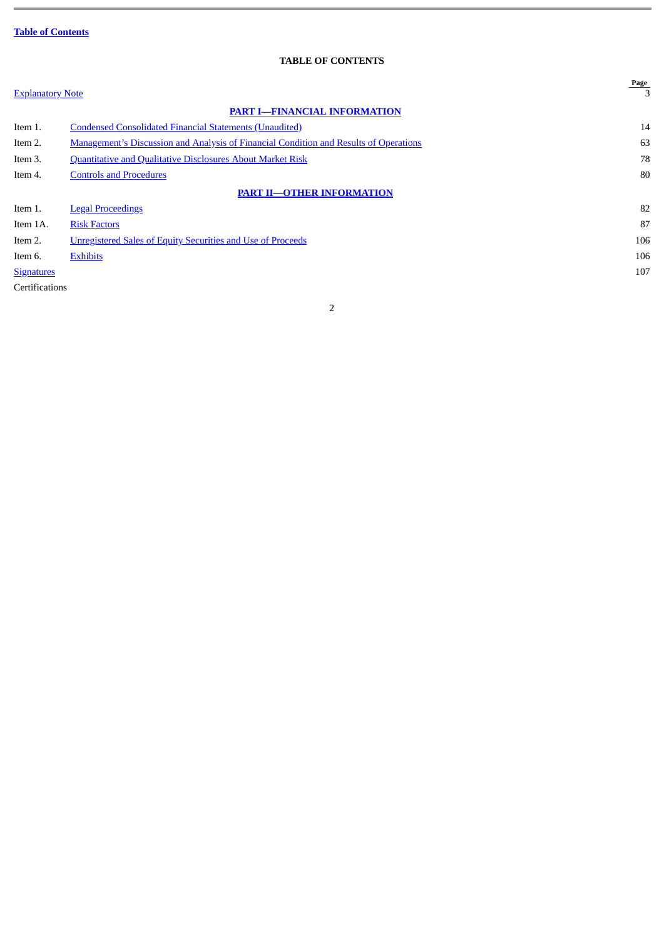## **TABLE OF CONTENTS**

<span id="page-1-0"></span>

| <b>Explanatory Note</b> |                                                                                              | Page<br>3 |
|-------------------------|----------------------------------------------------------------------------------------------|-----------|
|                         | <b>PART I-FINANCIAL INFORMATION</b>                                                          |           |
| Item 1.                 | <b>Condensed Consolidated Financial Statements (Unaudited)</b>                               | 14        |
| Item 2.                 | <b>Management's Discussion and Analysis of Financial Condition and Results of Operations</b> | 63        |
| Item 3.                 | <b>Quantitative and Qualitative Disclosures About Market Risk</b>                            | 78        |
| Item 4.                 | <b>Controls and Procedures</b>                                                               | 80        |
|                         | <b>PART II-OTHER INFORMATION</b>                                                             |           |
| Item 1.                 | <b>Legal Proceedings</b>                                                                     | 82        |
| Item 1A.                | <b>Risk Factors</b>                                                                          | 87        |
| Item 2.                 | <b>Unregistered Sales of Equity Securities and Use of Proceeds</b>                           | 106       |
| Item 6.                 | <b>Exhibits</b>                                                                              | 106       |
| <b>Signatures</b>       |                                                                                              | 107       |
| Certifications          |                                                                                              |           |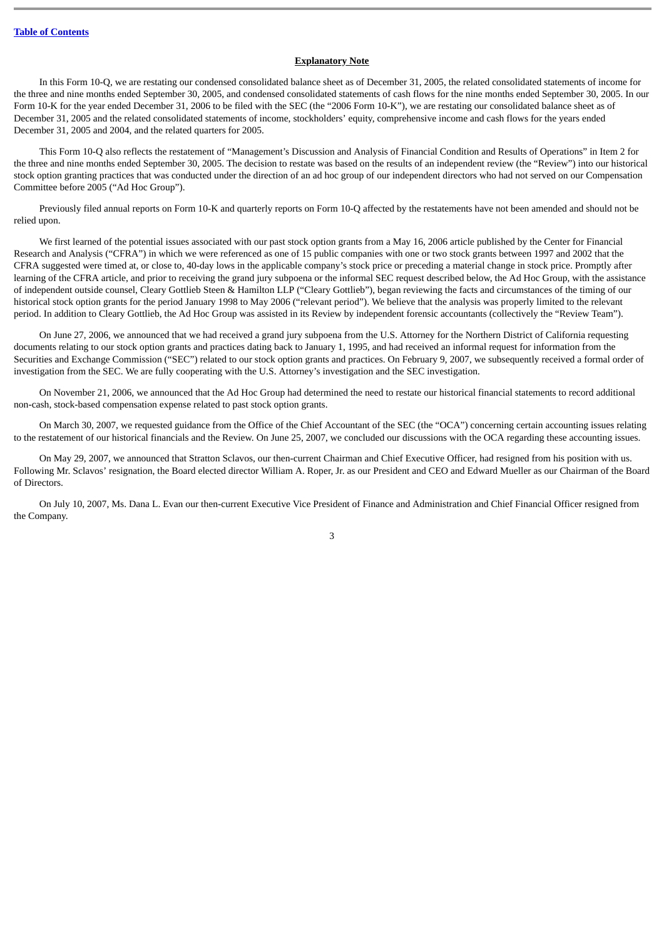## **Explanatory Note**

<span id="page-2-0"></span>In this Form 10-Q, we are restating our condensed consolidated balance sheet as of December 31, 2005, the related consolidated statements of income for the three and nine months ended September 30, 2005, and condensed consolidated statements of cash flows for the nine months ended September 30, 2005. In our Form 10-K for the year ended December 31, 2006 to be filed with the SEC (the "2006 Form 10-K"), we are restating our consolidated balance sheet as of December 31, 2005 and the related consolidated statements of income, stockholders' equity, comprehensive income and cash flows for the years ended December 31, 2005 and 2004, and the related quarters for 2005.

This Form 10-Q also reflects the restatement of "Management's Discussion and Analysis of Financial Condition and Results of Operations" in Item 2 for the three and nine months ended September 30, 2005. The decision to restate was based on the results of an independent review (the "Review") into our historical stock option granting practices that was conducted under the direction of an ad hoc group of our independent directors who had not served on our Compensation Committee before 2005 ("Ad Hoc Group").

Previously filed annual reports on Form 10-K and quarterly reports on Form 10-Q affected by the restatements have not been amended and should not be relied upon.

We first learned of the potential issues associated with our past stock option grants from a May 16, 2006 article published by the Center for Financial Research and Analysis ("CFRA") in which we were referenced as one of 15 public companies with one or two stock grants between 1997 and 2002 that the CFRA suggested were timed at, or close to, 40-day lows in the applicable company's stock price or preceding a material change in stock price. Promptly after learning of the CFRA article, and prior to receiving the grand jury subpoena or the informal SEC request described below, the Ad Hoc Group, with the assistance of independent outside counsel, Cleary Gottlieb Steen & Hamilton LLP ("Cleary Gottlieb"), began reviewing the facts and circumstances of the timing of our historical stock option grants for the period January 1998 to May 2006 ("relevant period"). We believe that the analysis was properly limited to the relevant period. In addition to Cleary Gottlieb, the Ad Hoc Group was assisted in its Review by independent forensic accountants (collectively the "Review Team").

On June 27, 2006, we announced that we had received a grand jury subpoena from the U.S. Attorney for the Northern District of California requesting documents relating to our stock option grants and practices dating back to January 1, 1995, and had received an informal request for information from the Securities and Exchange Commission ("SEC") related to our stock option grants and practices. On February 9, 2007, we subsequently received a formal order of investigation from the SEC. We are fully cooperating with the U.S. Attorney's investigation and the SEC investigation.

On November 21, 2006, we announced that the Ad Hoc Group had determined the need to restate our historical financial statements to record additional non-cash, stock-based compensation expense related to past stock option grants.

On March 30, 2007, we requested guidance from the Office of the Chief Accountant of the SEC (the "OCA") concerning certain accounting issues relating to the restatement of our historical financials and the Review. On June 25, 2007, we concluded our discussions with the OCA regarding these accounting issues.

On May 29, 2007, we announced that Stratton Sclavos, our then-current Chairman and Chief Executive Officer, had resigned from his position with us. Following Mr. Sclavos' resignation, the Board elected director William A. Roper, Jr. as our President and CEO and Edward Mueller as our Chairman of the Board of Directors.

On July 10, 2007, Ms. Dana L. Evan our then-current Executive Vice President of Finance and Administration and Chief Financial Officer resigned from the Company.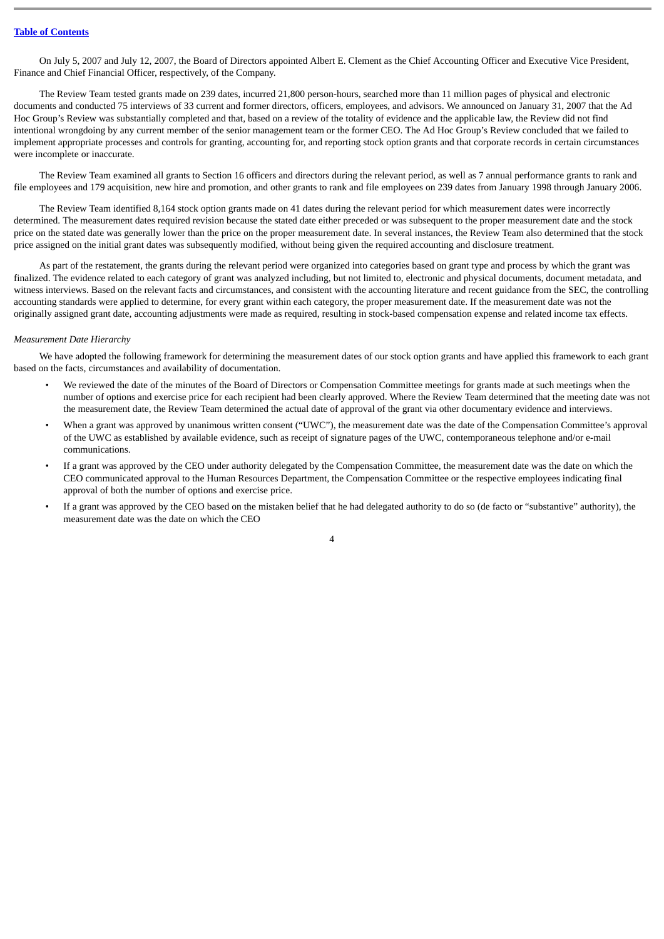On July 5, 2007 and July 12, 2007, the Board of Directors appointed Albert E. Clement as the Chief Accounting Officer and Executive Vice President, Finance and Chief Financial Officer, respectively, of the Company.

The Review Team tested grants made on 239 dates, incurred 21,800 person-hours, searched more than 11 million pages of physical and electronic documents and conducted 75 interviews of 33 current and former directors, officers, employees, and advisors. We announced on January 31, 2007 that the Ad Hoc Group's Review was substantially completed and that, based on a review of the totality of evidence and the applicable law, the Review did not find intentional wrongdoing by any current member of the senior management team or the former CEO. The Ad Hoc Group's Review concluded that we failed to implement appropriate processes and controls for granting, accounting for, and reporting stock option grants and that corporate records in certain circumstances were incomplete or inaccurate.

The Review Team examined all grants to Section 16 officers and directors during the relevant period, as well as 7 annual performance grants to rank and file employees and 179 acquisition, new hire and promotion, and other grants to rank and file employees on 239 dates from January 1998 through January 2006.

The Review Team identified 8,164 stock option grants made on 41 dates during the relevant period for which measurement dates were incorrectly determined. The measurement dates required revision because the stated date either preceded or was subsequent to the proper measurement date and the stock price on the stated date was generally lower than the price on the proper measurement date. In several instances, the Review Team also determined that the stock price assigned on the initial grant dates was subsequently modified, without being given the required accounting and disclosure treatment.

As part of the restatement, the grants during the relevant period were organized into categories based on grant type and process by which the grant was finalized. The evidence related to each category of grant was analyzed including, but not limited to, electronic and physical documents, document metadata, and witness interviews. Based on the relevant facts and circumstances, and consistent with the accounting literature and recent guidance from the SEC, the controlling accounting standards were applied to determine, for every grant within each category, the proper measurement date. If the measurement date was not the originally assigned grant date, accounting adjustments were made as required, resulting in stock-based compensation expense and related income tax effects.

#### *Measurement Date Hierarchy*

We have adopted the following framework for determining the measurement dates of our stock option grants and have applied this framework to each grant based on the facts, circumstances and availability of documentation.

- We reviewed the date of the minutes of the Board of Directors or Compensation Committee meetings for grants made at such meetings when the number of options and exercise price for each recipient had been clearly approved. Where the Review Team determined that the meeting date was not the measurement date, the Review Team determined the actual date of approval of the grant via other documentary evidence and interviews.
- When a grant was approved by unanimous written consent ("UWC"), the measurement date was the date of the Compensation Committee's approval of the UWC as established by available evidence, such as receipt of signature pages of the UWC, contemporaneous telephone and/or e-mail communications.
- If a grant was approved by the CEO under authority delegated by the Compensation Committee, the measurement date was the date on which the CEO communicated approval to the Human Resources Department, the Compensation Committee or the respective employees indicating final approval of both the number of options and exercise price.
- If a grant was approved by the CEO based on the mistaken belief that he had delegated authority to do so (de facto or "substantive" authority), the measurement date was the date on which the CEO

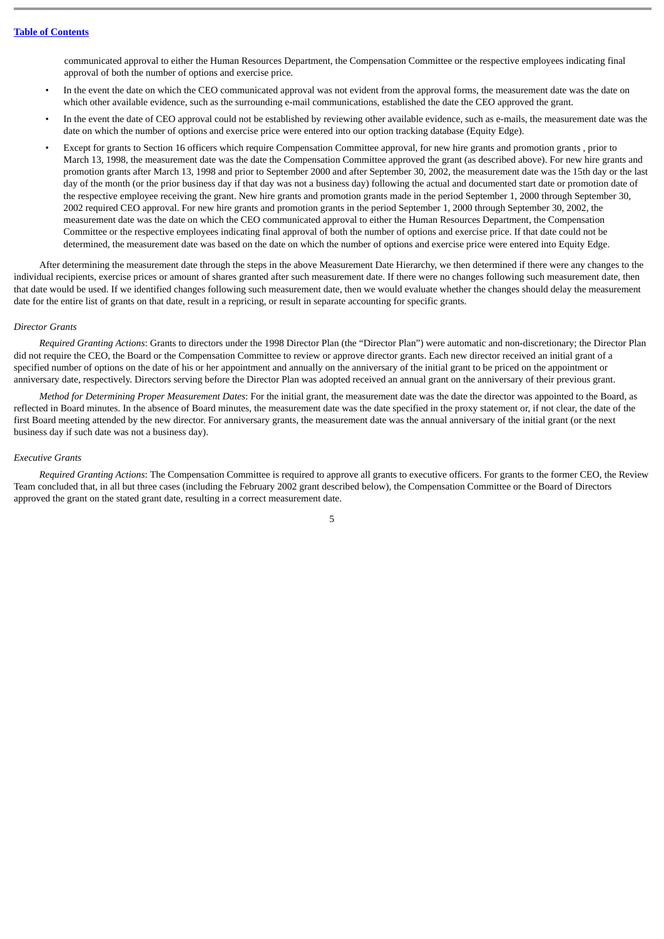communicated approval to either the Human Resources Department, the Compensation Committee or the respective employees indicating final approval of both the number of options and exercise price.

- In the event the date on which the CEO communicated approval was not evident from the approval forms, the measurement date was the date on which other available evidence, such as the surrounding e-mail communications, established the date the CEO approved the grant.
- In the event the date of CEO approval could not be established by reviewing other available evidence, such as e-mails, the measurement date was the date on which the number of options and exercise price were entered into our option tracking database (Equity Edge).
- Except for grants to Section 16 officers which require Compensation Committee approval, for new hire grants and promotion grants , prior to March 13, 1998, the measurement date was the date the Compensation Committee approved the grant (as described above). For new hire grants and promotion grants after March 13, 1998 and prior to September 2000 and after September 30, 2002, the measurement date was the 15th day or the last day of the month (or the prior business day if that day was not a business day) following the actual and documented start date or promotion date of the respective employee receiving the grant. New hire grants and promotion grants made in the period September 1, 2000 through September 30, 2002 required CEO approval. For new hire grants and promotion grants in the period September 1, 2000 through September 30, 2002, the measurement date was the date on which the CEO communicated approval to either the Human Resources Department, the Compensation Committee or the respective employees indicating final approval of both the number of options and exercise price. If that date could not be determined, the measurement date was based on the date on which the number of options and exercise price were entered into Equity Edge.

After determining the measurement date through the steps in the above Measurement Date Hierarchy, we then determined if there were any changes to the individual recipients, exercise prices or amount of shares granted after such measurement date. If there were no changes following such measurement date, then that date would be used. If we identified changes following such measurement date, then we would evaluate whether the changes should delay the measurement date for the entire list of grants on that date, result in a repricing, or result in separate accounting for specific grants.

#### *Director Grants*

*Required Granting Actions*: Grants to directors under the 1998 Director Plan (the "Director Plan") were automatic and non-discretionary; the Director Plan did not require the CEO, the Board or the Compensation Committee to review or approve director grants. Each new director received an initial grant of a specified number of options on the date of his or her appointment and annually on the anniversary of the initial grant to be priced on the appointment or anniversary date, respectively. Directors serving before the Director Plan was adopted received an annual grant on the anniversary of their previous grant.

*Method for Determining Proper Measurement Dates*: For the initial grant, the measurement date was the date the director was appointed to the Board, as reflected in Board minutes. In the absence of Board minutes, the measurement date was the date specified in the proxy statement or, if not clear, the date of the first Board meeting attended by the new director. For anniversary grants, the measurement date was the annual anniversary of the initial grant (or the next business day if such date was not a business day).

## *Executive Grants*

*Required Granting Actions*: The Compensation Committee is required to approve all grants to executive officers. For grants to the former CEO, the Review Team concluded that, in all but three cases (including the February 2002 grant described below), the Compensation Committee or the Board of Directors approved the grant on the stated grant date, resulting in a correct measurement date.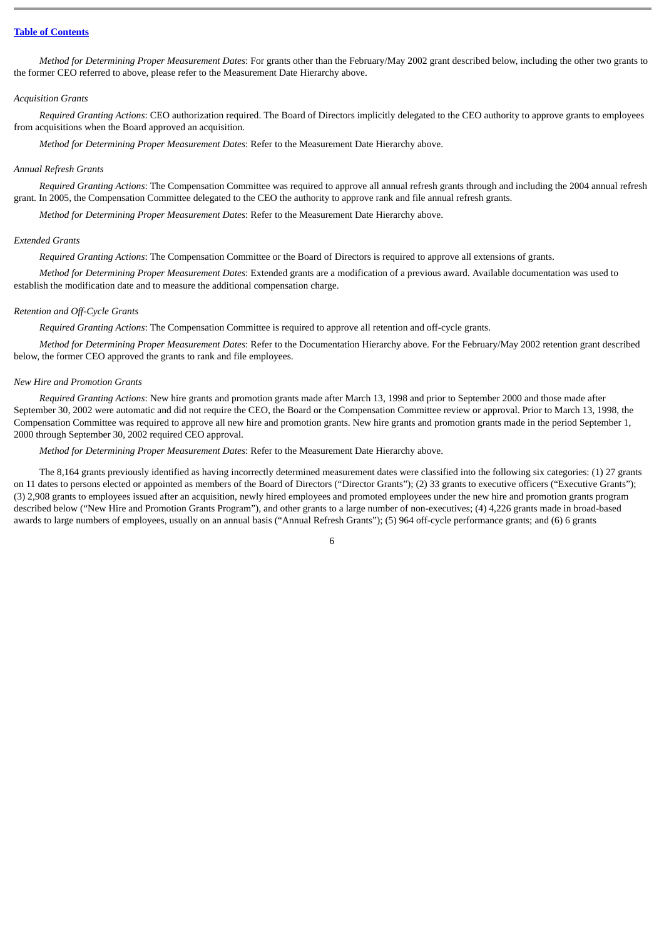#### **Table of [Contents](#page-1-0)**

*Method for Determining Proper Measurement Dates*: For grants other than the February/May 2002 grant described below, including the other two grants to the former CEO referred to above, please refer to the Measurement Date Hierarchy above.

#### *Acquisition Grants*

*Required Granting Actions*: CEO authorization required. The Board of Directors implicitly delegated to the CEO authority to approve grants to employees from acquisitions when the Board approved an acquisition.

*Method for Determining Proper Measurement Dates*: Refer to the Measurement Date Hierarchy above.

#### *Annual Refresh Grants*

*Required Granting Actions*: The Compensation Committee was required to approve all annual refresh grants through and including the 2004 annual refresh grant. In 2005, the Compensation Committee delegated to the CEO the authority to approve rank and file annual refresh grants.

*Method for Determining Proper Measurement Dates*: Refer to the Measurement Date Hierarchy above.

#### *Extended Grants*

*Required Granting Actions*: The Compensation Committee or the Board of Directors is required to approve all extensions of grants.

*Method for Determining Proper Measurement Dates*: Extended grants are a modification of a previous award. Available documentation was used to establish the modification date and to measure the additional compensation charge.

#### *Retention and Off-Cycle Grants*

*Required Granting Actions*: The Compensation Committee is required to approve all retention and off-cycle grants.

*Method for Determining Proper Measurement Dates*: Refer to the Documentation Hierarchy above. For the February/May 2002 retention grant described below, the former CEO approved the grants to rank and file employees.

#### *New Hire and Promotion Grants*

*Required Granting Actions*: New hire grants and promotion grants made after March 13, 1998 and prior to September 2000 and those made after September 30, 2002 were automatic and did not require the CEO, the Board or the Compensation Committee review or approval. Prior to March 13, 1998, the Compensation Committee was required to approve all new hire and promotion grants. New hire grants and promotion grants made in the period September 1, 2000 through September 30, 2002 required CEO approval.

*Method for Determining Proper Measurement Dates*: Refer to the Measurement Date Hierarchy above.

The 8,164 grants previously identified as having incorrectly determined measurement dates were classified into the following six categories: (1) 27 grants on 11 dates to persons elected or appointed as members of the Board of Directors ("Director Grants"); (2) 33 grants to executive officers ("Executive Grants"); (3) 2,908 grants to employees issued after an acquisition, newly hired employees and promoted employees under the new hire and promotion grants program described below ("New Hire and Promotion Grants Program"), and other grants to a large number of non-executives; (4) 4,226 grants made in broad-based awards to large numbers of employees, usually on an annual basis ("Annual Refresh Grants"); (5) 964 off-cycle performance grants; and (6) 6 grants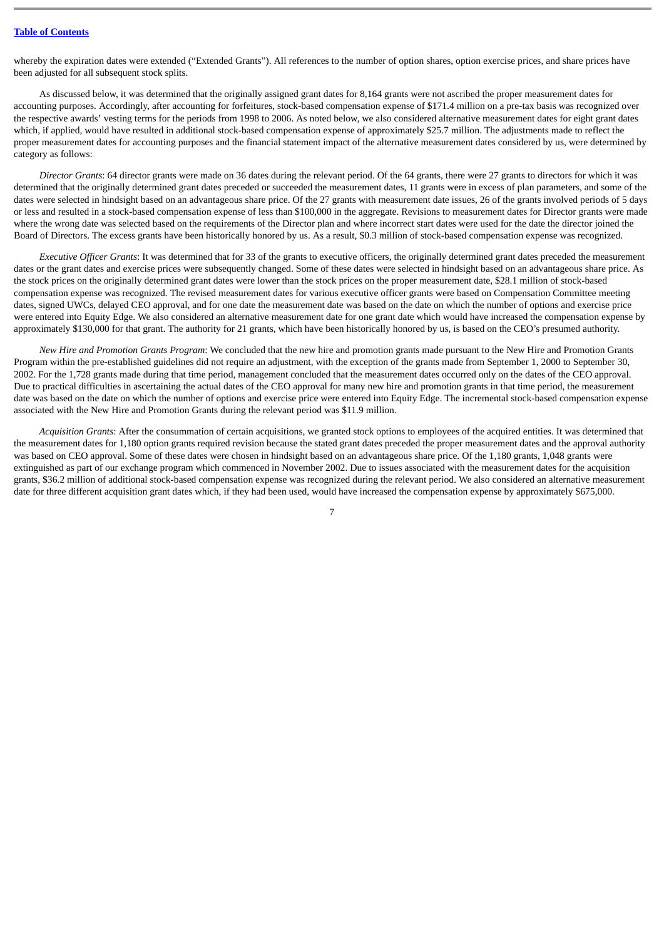whereby the expiration dates were extended ("Extended Grants"). All references to the number of option shares, option exercise prices, and share prices have been adjusted for all subsequent stock splits.

As discussed below, it was determined that the originally assigned grant dates for 8,164 grants were not ascribed the proper measurement dates for accounting purposes. Accordingly, after accounting for forfeitures, stock-based compensation expense of \$171.4 million on a pre-tax basis was recognized over the respective awards' vesting terms for the periods from 1998 to 2006. As noted below, we also considered alternative measurement dates for eight grant dates which, if applied, would have resulted in additional stock-based compensation expense of approximately \$25.7 million. The adjustments made to reflect the proper measurement dates for accounting purposes and the financial statement impact of the alternative measurement dates considered by us, were determined by category as follows:

*Director Grants*: 64 director grants were made on 36 dates during the relevant period. Of the 64 grants, there were 27 grants to directors for which it was determined that the originally determined grant dates preceded or succeeded the measurement dates, 11 grants were in excess of plan parameters, and some of the dates were selected in hindsight based on an advantageous share price. Of the 27 grants with measurement date issues, 26 of the grants involved periods of 5 days or less and resulted in a stock-based compensation expense of less than \$100,000 in the aggregate. Revisions to measurement dates for Director grants were made where the wrong date was selected based on the requirements of the Director plan and where incorrect start dates were used for the date the director joined the Board of Directors. The excess grants have been historically honored by us. As a result, \$0.3 million of stock-based compensation expense was recognized.

*Executive Officer Grants*: It was determined that for 33 of the grants to executive officers, the originally determined grant dates preceded the measurement dates or the grant dates and exercise prices were subsequently changed. Some of these dates were selected in hindsight based on an advantageous share price. As the stock prices on the originally determined grant dates were lower than the stock prices on the proper measurement date, \$28.1 million of stock-based compensation expense was recognized. The revised measurement dates for various executive officer grants were based on Compensation Committee meeting dates, signed UWCs, delayed CEO approval, and for one date the measurement date was based on the date on which the number of options and exercise price were entered into Equity Edge. We also considered an alternative measurement date for one grant date which would have increased the compensation expense by approximately \$130,000 for that grant. The authority for 21 grants, which have been historically honored by us, is based on the CEO's presumed authority.

*New Hire and Promotion Grants Program*: We concluded that the new hire and promotion grants made pursuant to the New Hire and Promotion Grants Program within the pre-established guidelines did not require an adjustment, with the exception of the grants made from September 1, 2000 to September 30, 2002. For the 1,728 grants made during that time period, management concluded that the measurement dates occurred only on the dates of the CEO approval. Due to practical difficulties in ascertaining the actual dates of the CEO approval for many new hire and promotion grants in that time period, the measurement date was based on the date on which the number of options and exercise price were entered into Equity Edge. The incremental stock-based compensation expense associated with the New Hire and Promotion Grants during the relevant period was \$11.9 million.

*Acquisition Grants*: After the consummation of certain acquisitions, we granted stock options to employees of the acquired entities. It was determined that the measurement dates for 1,180 option grants required revision because the stated grant dates preceded the proper measurement dates and the approval authority was based on CEO approval. Some of these dates were chosen in hindsight based on an advantageous share price. Of the 1,180 grants, 1,048 grants were extinguished as part of our exchange program which commenced in November 2002. Due to issues associated with the measurement dates for the acquisition grants, \$36.2 million of additional stock-based compensation expense was recognized during the relevant period. We also considered an alternative measurement date for three different acquisition grant dates which, if they had been used, would have increased the compensation expense by approximately \$675,000.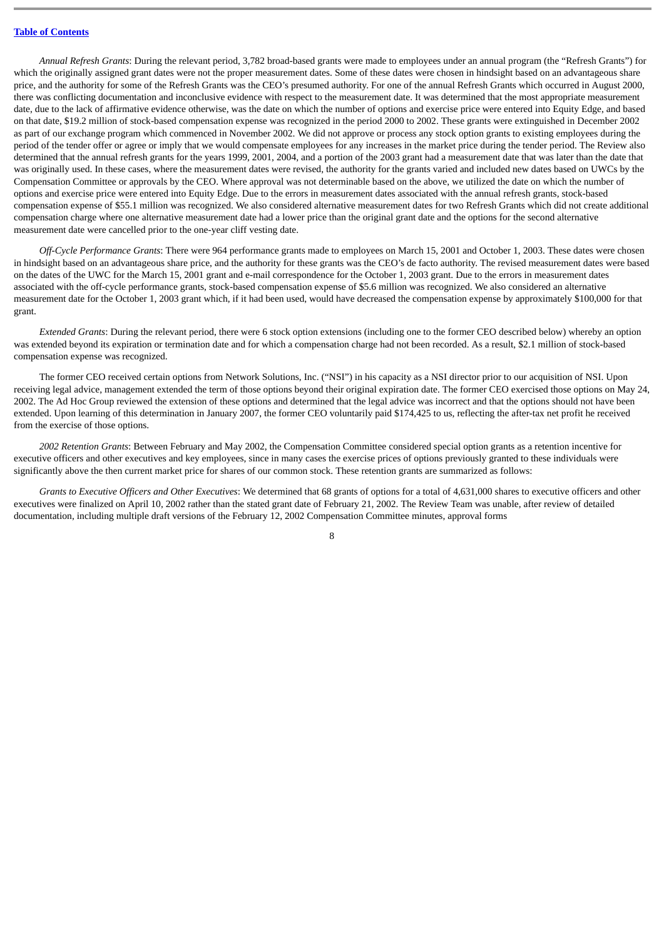## **Table of [Contents](#page-1-0)**

*Annual Refresh Grants*: During the relevant period, 3,782 broad-based grants were made to employees under an annual program (the "Refresh Grants") for which the originally assigned grant dates were not the proper measurement dates. Some of these dates were chosen in hindsight based on an advantageous share price, and the authority for some of the Refresh Grants was the CEO's presumed authority. For one of the annual Refresh Grants which occurred in August 2000, there was conflicting documentation and inconclusive evidence with respect to the measurement date. It was determined that the most appropriate measurement date, due to the lack of affirmative evidence otherwise, was the date on which the number of options and exercise price were entered into Equity Edge, and based on that date, \$19.2 million of stock-based compensation expense was recognized in the period 2000 to 2002. These grants were extinguished in December 2002 as part of our exchange program which commenced in November 2002. We did not approve or process any stock option grants to existing employees during the period of the tender offer or agree or imply that we would compensate employees for any increases in the market price during the tender period. The Review also determined that the annual refresh grants for the years 1999, 2001, 2004, and a portion of the 2003 grant had a measurement date that was later than the date that was originally used. In these cases, where the measurement dates were revised, the authority for the grants varied and included new dates based on UWCs by the Compensation Committee or approvals by the CEO. Where approval was not determinable based on the above, we utilized the date on which the number of options and exercise price were entered into Equity Edge. Due to the errors in measurement dates associated with the annual refresh grants, stock-based compensation expense of \$55.1 million was recognized. We also considered alternative measurement dates for two Refresh Grants which did not create additional compensation charge where one alternative measurement date had a lower price than the original grant date and the options for the second alternative measurement date were cancelled prior to the one-year cliff vesting date.

*Off-Cycle Performance Grants*: There were 964 performance grants made to employees on March 15, 2001 and October 1, 2003. These dates were chosen in hindsight based on an advantageous share price, and the authority for these grants was the CEO's de facto authority. The revised measurement dates were based on the dates of the UWC for the March 15, 2001 grant and e-mail correspondence for the October 1, 2003 grant. Due to the errors in measurement dates associated with the off-cycle performance grants, stock-based compensation expense of \$5.6 million was recognized. We also considered an alternative measurement date for the October 1, 2003 grant which, if it had been used, would have decreased the compensation expense by approximately \$100,000 for that grant.

*Extended Grants*: During the relevant period, there were 6 stock option extensions (including one to the former CEO described below) whereby an option was extended beyond its expiration or termination date and for which a compensation charge had not been recorded. As a result, \$2.1 million of stock-based compensation expense was recognized.

The former CEO received certain options from Network Solutions, Inc. ("NSI") in his capacity as a NSI director prior to our acquisition of NSI. Upon receiving legal advice, management extended the term of those options beyond their original expiration date. The former CEO exercised those options on May 24, 2002. The Ad Hoc Group reviewed the extension of these options and determined that the legal advice was incorrect and that the options should not have been extended. Upon learning of this determination in January 2007, the former CEO voluntarily paid \$174,425 to us, reflecting the after-tax net profit he received from the exercise of those options.

*2002 Retention Grants*: Between February and May 2002, the Compensation Committee considered special option grants as a retention incentive for executive officers and other executives and key employees, since in many cases the exercise prices of options previously granted to these individuals were significantly above the then current market price for shares of our common stock. These retention grants are summarized as follows:

*Grants to Executive Officers and Other Executives*: We determined that 68 grants of options for a total of 4,631,000 shares to executive officers and other executives were finalized on April 10, 2002 rather than the stated grant date of February 21, 2002. The Review Team was unable, after review of detailed documentation, including multiple draft versions of the February 12, 2002 Compensation Committee minutes, approval forms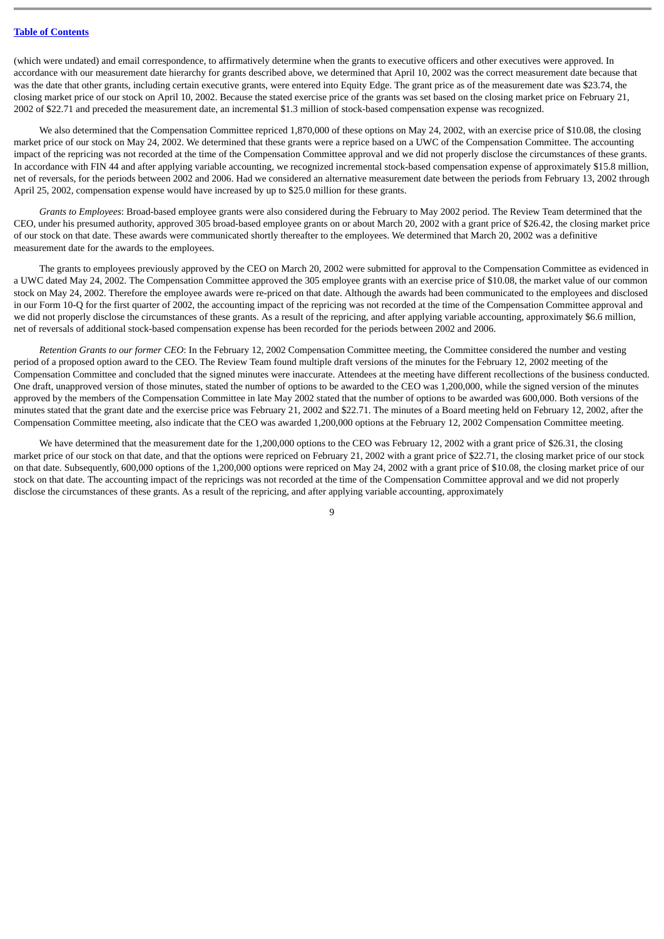(which were undated) and email correspondence, to affirmatively determine when the grants to executive officers and other executives were approved. In accordance with our measurement date hierarchy for grants described above, we determined that April 10, 2002 was the correct measurement date because that was the date that other grants, including certain executive grants, were entered into Equity Edge. The grant price as of the measurement date was \$23.74, the closing market price of our stock on April 10, 2002. Because the stated exercise price of the grants was set based on the closing market price on February 21, 2002 of \$22.71 and preceded the measurement date, an incremental \$1.3 million of stock-based compensation expense was recognized.

We also determined that the Compensation Committee repriced 1,870,000 of these options on May 24, 2002, with an exercise price of \$10.08, the closing market price of our stock on May 24, 2002. We determined that these grants were a reprice based on a UWC of the Compensation Committee. The accounting impact of the repricing was not recorded at the time of the Compensation Committee approval and we did not properly disclose the circumstances of these grants. In accordance with FIN 44 and after applying variable accounting, we recognized incremental stock-based compensation expense of approximately \$15.8 million, net of reversals, for the periods between 2002 and 2006. Had we considered an alternative measurement date between the periods from February 13, 2002 through April 25, 2002, compensation expense would have increased by up to \$25.0 million for these grants.

*Grants to Employees*: Broad-based employee grants were also considered during the February to May 2002 period. The Review Team determined that the CEO, under his presumed authority, approved 305 broad-based employee grants on or about March 20, 2002 with a grant price of \$26.42, the closing market price of our stock on that date. These awards were communicated shortly thereafter to the employees. We determined that March 20, 2002 was a definitive measurement date for the awards to the employees.

The grants to employees previously approved by the CEO on March 20, 2002 were submitted for approval to the Compensation Committee as evidenced in a UWC dated May 24, 2002. The Compensation Committee approved the 305 employee grants with an exercise price of \$10.08, the market value of our common stock on May 24, 2002. Therefore the employee awards were re-priced on that date. Although the awards had been communicated to the employees and disclosed in our Form 10-Q for the first quarter of 2002, the accounting impact of the repricing was not recorded at the time of the Compensation Committee approval and we did not properly disclose the circumstances of these grants. As a result of the repricing, and after applying variable accounting, approximately \$6.6 million, net of reversals of additional stock-based compensation expense has been recorded for the periods between 2002 and 2006.

*Retention Grants to our former CEO*: In the February 12, 2002 Compensation Committee meeting, the Committee considered the number and vesting period of a proposed option award to the CEO. The Review Team found multiple draft versions of the minutes for the February 12, 2002 meeting of the Compensation Committee and concluded that the signed minutes were inaccurate. Attendees at the meeting have different recollections of the business conducted. One draft, unapproved version of those minutes, stated the number of options to be awarded to the CEO was 1,200,000, while the signed version of the minutes approved by the members of the Compensation Committee in late May 2002 stated that the number of options to be awarded was 600,000. Both versions of the minutes stated that the grant date and the exercise price was February 21, 2002 and \$22.71. The minutes of a Board meeting held on February 12, 2002, after the Compensation Committee meeting, also indicate that the CEO was awarded 1,200,000 options at the February 12, 2002 Compensation Committee meeting.

We have determined that the measurement date for the 1,200,000 options to the CEO was February 12, 2002 with a grant price of \$26.31, the closing market price of our stock on that date, and that the options were repriced on February 21, 2002 with a grant price of \$22.71, the closing market price of our stock on that date. Subsequently, 600,000 options of the 1,200,000 options were repriced on May 24, 2002 with a grant price of \$10.08, the closing market price of our stock on that date. The accounting impact of the repricings was not recorded at the time of the Compensation Committee approval and we did not properly disclose the circumstances of these grants. As a result of the repricing, and after applying variable accounting, approximately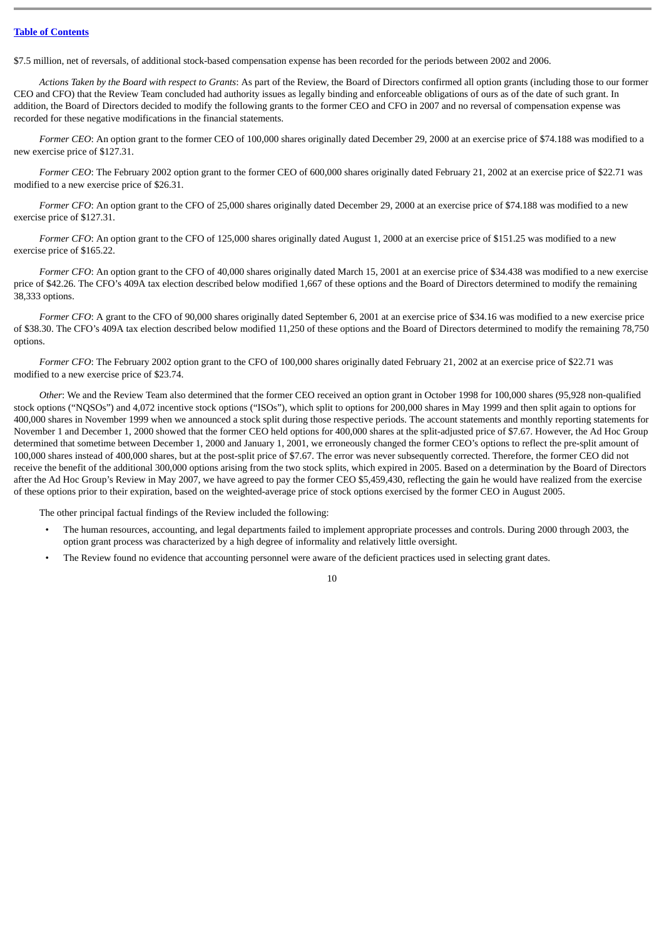#### **Table of [Contents](#page-1-0)**

\$7.5 million, net of reversals, of additional stock-based compensation expense has been recorded for the periods between 2002 and 2006.

*Actions Taken by the Board with respect to Grants*: As part of the Review, the Board of Directors confirmed all option grants (including those to our former CEO and CFO) that the Review Team concluded had authority issues as legally binding and enforceable obligations of ours as of the date of such grant. In addition, the Board of Directors decided to modify the following grants to the former CEO and CFO in 2007 and no reversal of compensation expense was recorded for these negative modifications in the financial statements.

Former CEO: An option grant to the former CEO of 100,000 shares originally dated December 29, 2000 at an exercise price of \$74.188 was modified to a new exercise price of \$127.31.

*Former CEO*: The February 2002 option grant to the former CEO of 600,000 shares originally dated February 21, 2002 at an exercise price of \$22.71 was modified to a new exercise price of \$26.31.

*Former CFO*: An option grant to the CFO of 25,000 shares originally dated December 29, 2000 at an exercise price of \$74.188 was modified to a new exercise price of \$127.31.

*Former CFO*: An option grant to the CFO of 125,000 shares originally dated August 1, 2000 at an exercise price of \$151.25 was modified to a new exercise price of \$165.22.

*Former CFO*: An option grant to the CFO of 40,000 shares originally dated March 15, 2001 at an exercise price of \$34.438 was modified to a new exercise price of \$42.26. The CFO's 409A tax election described below modified 1,667 of these options and the Board of Directors determined to modify the remaining 38,333 options.

*Former CFO*: A grant to the CFO of 90,000 shares originally dated September 6, 2001 at an exercise price of \$34.16 was modified to a new exercise price of \$38.30. The CFO's 409A tax election described below modified 11,250 of these options and the Board of Directors determined to modify the remaining 78,750 options.

*Former CFO*: The February 2002 option grant to the CFO of 100,000 shares originally dated February 21, 2002 at an exercise price of \$22.71 was modified to a new exercise price of \$23.74.

*Other*: We and the Review Team also determined that the former CEO received an option grant in October 1998 for 100,000 shares (95,928 non-qualified stock options ("NQSOs") and 4,072 incentive stock options ("ISOs"), which split to options for 200,000 shares in May 1999 and then split again to options for 400,000 shares in November 1999 when we announced a stock split during those respective periods. The account statements and monthly reporting statements for November 1 and December 1, 2000 showed that the former CEO held options for 400,000 shares at the split-adjusted price of \$7.67. However, the Ad Hoc Group determined that sometime between December 1, 2000 and January 1, 2001, we erroneously changed the former CEO's options to reflect the pre-split amount of 100,000 shares instead of 400,000 shares, but at the post-split price of \$7.67. The error was never subsequently corrected. Therefore, the former CEO did not receive the benefit of the additional 300,000 options arising from the two stock splits, which expired in 2005. Based on a determination by the Board of Directors after the Ad Hoc Group's Review in May 2007, we have agreed to pay the former CEO \$5,459,430, reflecting the gain he would have realized from the exercise of these options prior to their expiration, based on the weighted-average price of stock options exercised by the former CEO in August 2005.

The other principal factual findings of the Review included the following:

- The human resources, accounting, and legal departments failed to implement appropriate processes and controls. During 2000 through 2003, the option grant process was characterized by a high degree of informality and relatively little oversight.
- The Review found no evidence that accounting personnel were aware of the deficient practices used in selecting grant dates.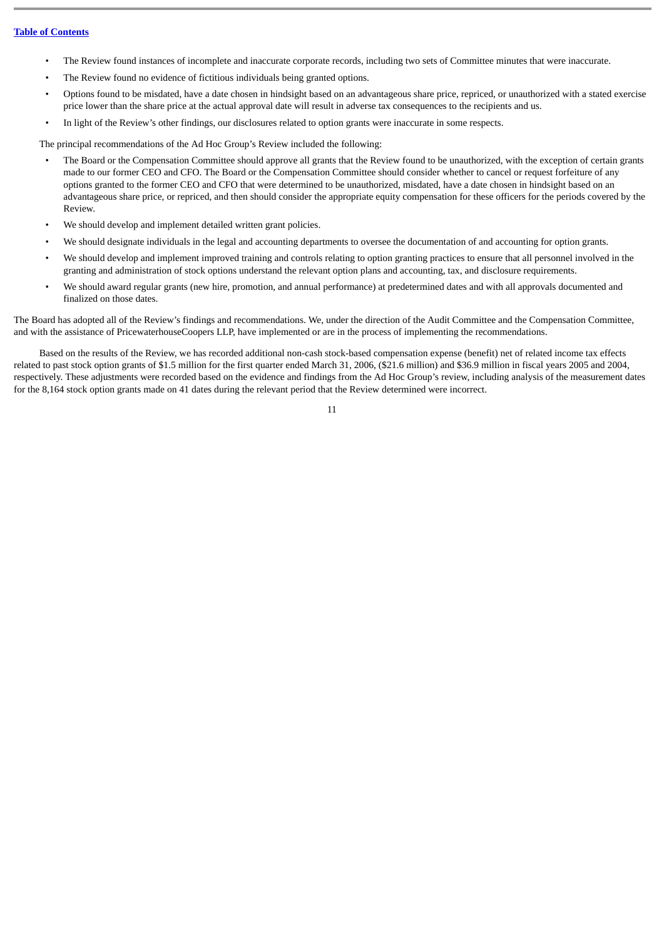- The Review found instances of incomplete and inaccurate corporate records, including two sets of Committee minutes that were inaccurate.
- The Review found no evidence of fictitious individuals being granted options.
- Options found to be misdated, have a date chosen in hindsight based on an advantageous share price, repriced, or unauthorized with a stated exercise price lower than the share price at the actual approval date will result in adverse tax consequences to the recipients and us.
- In light of the Review's other findings, our disclosures related to option grants were inaccurate in some respects.

The principal recommendations of the Ad Hoc Group's Review included the following:

- The Board or the Compensation Committee should approve all grants that the Review found to be unauthorized, with the exception of certain grants made to our former CEO and CFO. The Board or the Compensation Committee should consider whether to cancel or request forfeiture of any options granted to the former CEO and CFO that were determined to be unauthorized, misdated, have a date chosen in hindsight based on an advantageous share price, or repriced, and then should consider the appropriate equity compensation for these officers for the periods covered by the Review.
- We should develop and implement detailed written grant policies.
- We should designate individuals in the legal and accounting departments to oversee the documentation of and accounting for option grants.
- We should develop and implement improved training and controls relating to option granting practices to ensure that all personnel involved in the granting and administration of stock options understand the relevant option plans and accounting, tax, and disclosure requirements.
- We should award regular grants (new hire, promotion, and annual performance) at predetermined dates and with all approvals documented and finalized on those dates.

The Board has adopted all of the Review's findings and recommendations. We, under the direction of the Audit Committee and the Compensation Committee, and with the assistance of PricewaterhouseCoopers LLP, have implemented or are in the process of implementing the recommendations.

Based on the results of the Review, we has recorded additional non-cash stock-based compensation expense (benefit) net of related income tax effects related to past stock option grants of \$1.5 million for the first quarter ended March 31, 2006, (\$21.6 million) and \$36.9 million in fiscal years 2005 and 2004, respectively. These adjustments were recorded based on the evidence and findings from the Ad Hoc Group's review, including analysis of the measurement dates for the 8,164 stock option grants made on 41 dates during the relevant period that the Review determined were incorrect.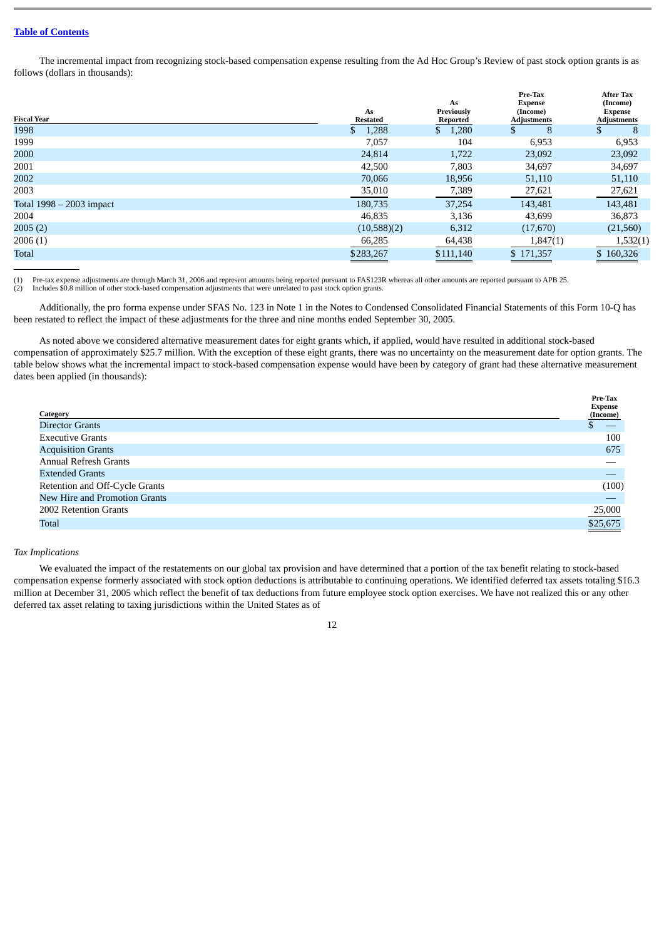## **Table of [Contents](#page-1-0)**

The incremental impact from recognizing stock-based compensation expense resulting from the Ad Hoc Group's Review of past stock option grants is as follows (dollars in thousands):

| <b>Fiscal Year</b>       | As<br><b>Restated</b> | As<br>Previously<br>Reported | Pre-Tax<br><b>Expense</b><br>(Income)<br><b>Adjustments</b> | <b>After Tax</b><br>(Income)<br><b>Expense</b><br><b>Adjustments</b> |  |
|--------------------------|-----------------------|------------------------------|-------------------------------------------------------------|----------------------------------------------------------------------|--|
| 1998                     | 1,288<br>S.           | 1,280<br>S.                  | 8                                                           | 8                                                                    |  |
| 1999                     | 7,057                 | 104                          | 6,953                                                       | 6,953                                                                |  |
| 2000                     | 24,814                | 1,722                        | 23,092                                                      | 23,092                                                               |  |
| 2001                     | 42,500                | 7,803                        | 34,697                                                      | 34,697                                                               |  |
| 2002                     | 70,066                | 18,956                       | 51,110                                                      | 51,110                                                               |  |
| 2003                     | 35,010                | 7,389                        | 27,621                                                      | 27,621                                                               |  |
| Total 1998 – 2003 impact | 180,735               | 37,254                       | 143,481                                                     | 143,481                                                              |  |
| 2004                     | 46,835                | 3,136                        | 43.699                                                      | 36,873                                                               |  |
| 2005(2)                  | (10,588)(2)           | 6,312                        | (17,670)                                                    | (21, 560)                                                            |  |
| 2006(1)                  | 66,285                | 64,438                       | 1,847(1)                                                    | 1,532(1)                                                             |  |
| <b>Total</b>             | \$283,267             | \$111,140                    | \$171,357                                                   | \$160,326                                                            |  |

(1) Pre-tax expense adjustments are through March 31, 2006 and represent amounts being reported pursuant to FAS123R whereas all other amounts are reported pursuant to APB 25. (2) Includes \$0.8 million of other stock-based compensation adjustments that were unrelated to past stock option grants.

Additionally, the pro forma expense under SFAS No. 123 in Note 1 in the Notes to Condensed Consolidated Financial Statements of this Form 10-Q has been restated to reflect the impact of these adjustments for the three and nine months ended September 30, 2005.

As noted above we considered alternative measurement dates for eight grants which, if applied, would have resulted in additional stock-based compensation of approximately \$25.7 million. With the exception of these eight grants, there was no uncertainty on the measurement date for option grants. The table below shows what the incremental impact to stock-based compensation expense would have been by category of grant had these alternative measurement dates been applied (in thousands):

| Category                       | Pre-Tax<br><b>Expense</b><br>(Income) |
|--------------------------------|---------------------------------------|
| <b>Director Grants</b>         |                                       |
| <b>Executive Grants</b>        | 100                                   |
| <b>Acquisition Grants</b>      | 675                                   |
| <b>Annual Refresh Grants</b>   |                                       |
| <b>Extended Grants</b>         |                                       |
| Retention and Off-Cycle Grants | (100)                                 |
| New Hire and Promotion Grants  |                                       |
| 2002 Retention Grants          | 25,000                                |
| <b>Total</b>                   | \$25,675                              |

#### *Tax Implications*

We evaluated the impact of the restatements on our global tax provision and have determined that a portion of the tax benefit relating to stock-based compensation expense formerly associated with stock option deductions is attributable to continuing operations. We identified deferred tax assets totaling \$16.3 million at December 31, 2005 which reflect the benefit of tax deductions from future employee stock option exercises. We have not realized this or any other deferred tax asset relating to taxing jurisdictions within the United States as of

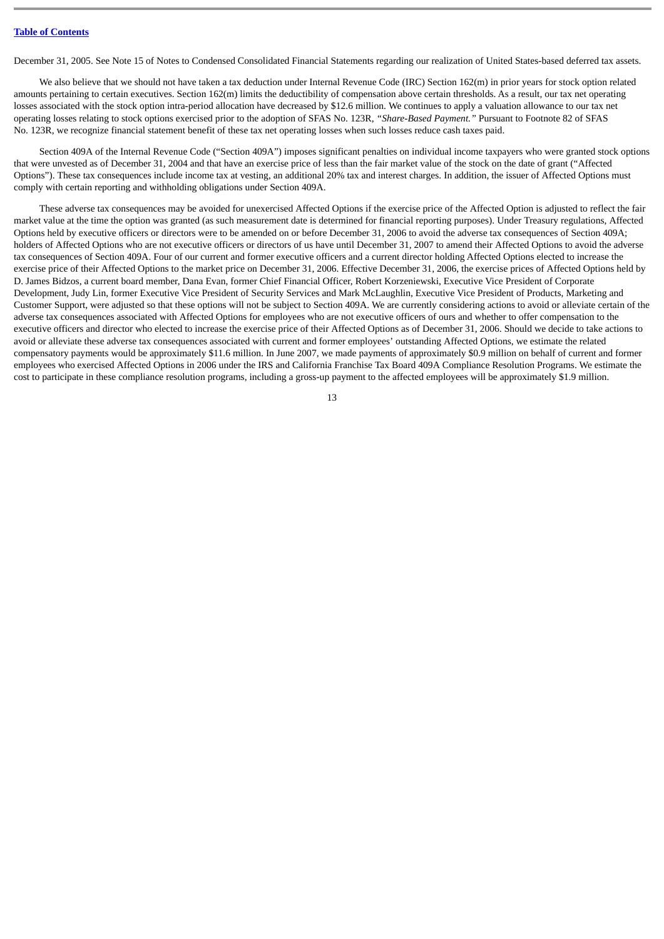December 31, 2005. See Note 15 of Notes to Condensed Consolidated Financial Statements regarding our realization of United States-based deferred tax assets.

We also believe that we should not have taken a tax deduction under Internal Revenue Code (IRC) Section 162(m) in prior years for stock option related amounts pertaining to certain executives. Section 162(m) limits the deductibility of compensation above certain thresholds. As a result, our tax net operating losses associated with the stock option intra-period allocation have decreased by \$12.6 million. We continues to apply a valuation allowance to our tax net operating losses relating to stock options exercised prior to the adoption of SFAS No. 123R, *"Share-Based Payment."* Pursuant to Footnote 82 of SFAS No. 123R, we recognize financial statement benefit of these tax net operating losses when such losses reduce cash taxes paid.

Section 409A of the Internal Revenue Code ("Section 409A") imposes significant penalties on individual income taxpayers who were granted stock options that were unvested as of December 31, 2004 and that have an exercise price of less than the fair market value of the stock on the date of grant ("Affected Options"). These tax consequences include income tax at vesting, an additional 20% tax and interest charges. In addition, the issuer of Affected Options must comply with certain reporting and withholding obligations under Section 409A.

These adverse tax consequences may be avoided for unexercised Affected Options if the exercise price of the Affected Option is adjusted to reflect the fair market value at the time the option was granted (as such measurement date is determined for financial reporting purposes). Under Treasury regulations, Affected Options held by executive officers or directors were to be amended on or before December 31, 2006 to avoid the adverse tax consequences of Section 409A; holders of Affected Options who are not executive officers or directors of us have until December 31, 2007 to amend their Affected Options to avoid the adverse tax consequences of Section 409A. Four of our current and former executive officers and a current director holding Affected Options elected to increase the exercise price of their Affected Options to the market price on December 31, 2006. Effective December 31, 2006, the exercise prices of Affected Options held by D. James Bidzos, a current board member, Dana Evan, former Chief Financial Officer, Robert Korzeniewski, Executive Vice President of Corporate Development, Judy Lin, former Executive Vice President of Security Services and Mark McLaughlin, Executive Vice President of Products, Marketing and Customer Support, were adjusted so that these options will not be subject to Section 409A. We are currently considering actions to avoid or alleviate certain of the adverse tax consequences associated with Affected Options for employees who are not executive officers of ours and whether to offer compensation to the executive officers and director who elected to increase the exercise price of their Affected Options as of December 31, 2006. Should we decide to take actions to avoid or alleviate these adverse tax consequences associated with current and former employees' outstanding Affected Options, we estimate the related compensatory payments would be approximately \$11.6 million. In June 2007, we made payments of approximately \$0.9 million on behalf of current and former employees who exercised Affected Options in 2006 under the IRS and California Franchise Tax Board 409A Compliance Resolution Programs. We estimate the cost to participate in these compliance resolution programs, including a gross-up payment to the affected employees will be approximately \$1.9 million.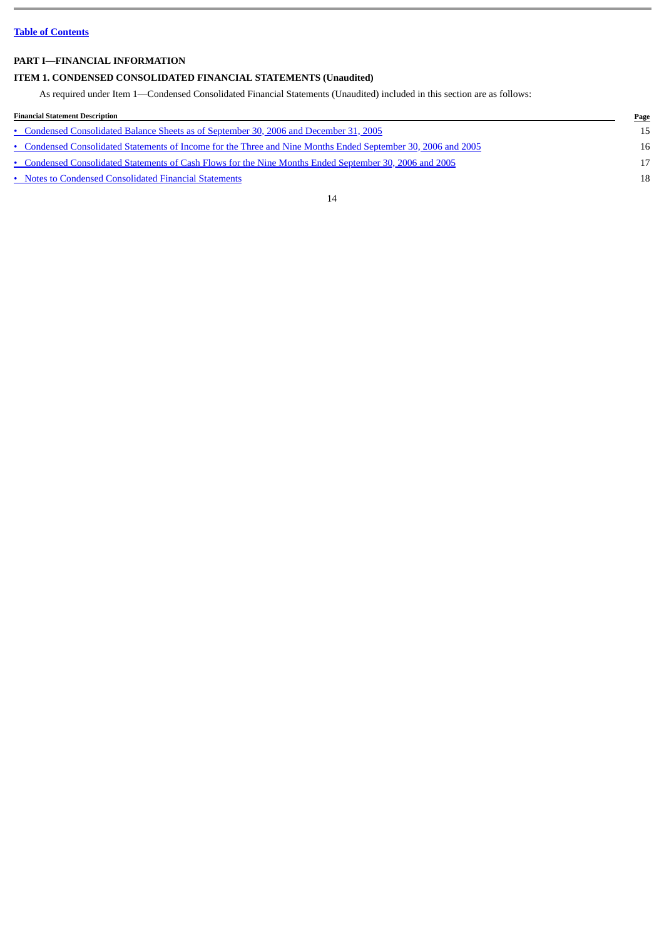## <span id="page-13-0"></span>**PART I—FINANCIAL INFORMATION**

## <span id="page-13-1"></span>**ITEM 1. CONDENSED CONSOLIDATED FINANCIAL STATEMENTS (Unaudited)**

As required under Item 1—Condensed Consolidated Financial Statements (Unaudited) included in this section are as follows:

| <b>Financial Statement Description</b>                                                                        | Page |
|---------------------------------------------------------------------------------------------------------------|------|
| • Condensed Consolidated Balance Sheets as of September 30, 2006 and December 31, 2005                        | 15   |
| • Condensed Consolidated Statements of Income for the Three and Nine Months Ended September 30, 2006 and 2005 | 16   |
| • Condensed Consolidated Statements of Cash Flows for the Nine Months Ended September 30, 2006 and 2005       | 17   |
| • Notes to Condensed Consolidated Financial Statements                                                        | 18   |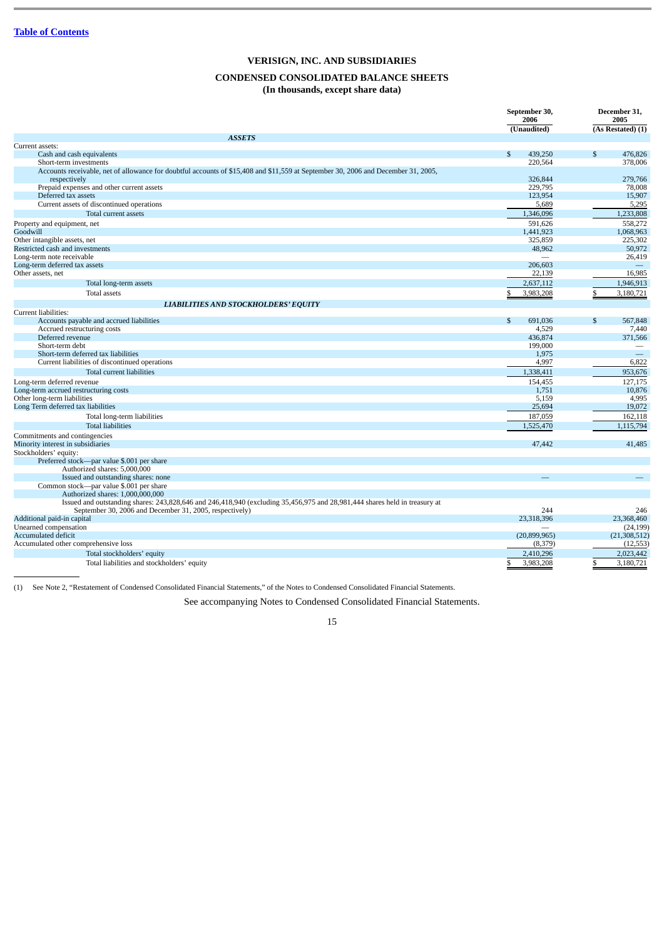## **CONDENSED CONSOLIDATED BALANCE SHEETS (In thousands, except share data)**

<span id="page-14-0"></span>

|                                                                                                                                   | September 30,<br>2006   | December 31,<br>2005 |  |
|-----------------------------------------------------------------------------------------------------------------------------------|-------------------------|----------------------|--|
|                                                                                                                                   | (Unaudited)             | (As Restated) (1)    |  |
| <b>ASSETS</b>                                                                                                                     |                         |                      |  |
| Current assets:                                                                                                                   |                         |                      |  |
| Cash and cash equivalents                                                                                                         | $\mathbb{S}$<br>439.250 | \$<br>476,826        |  |
| Short-term investments                                                                                                            | 220,564                 | 378,006              |  |
| Accounts receivable, net of allowance for doubtful accounts of \$15,408 and \$11,559 at September 30, 2006 and December 31, 2005, |                         |                      |  |
| respectively                                                                                                                      | 326,844                 | 279,766              |  |
| Prepaid expenses and other current assets<br>Deferred tax assets                                                                  | 229,795<br>123,954      | 78,008               |  |
| Current assets of discontinued operations                                                                                         | 5,689                   | 15,907<br>5,295      |  |
|                                                                                                                                   |                         |                      |  |
| Total current assets                                                                                                              | 1,346,096               | 1,233,808            |  |
| Property and equipment, net                                                                                                       | 591.626                 | 558.272              |  |
| Goodwill                                                                                                                          | 1,441,923               | 1,068,963            |  |
| Other intangible assets, net                                                                                                      | 325,859                 | 225,302              |  |
| Restricted cash and investments                                                                                                   | 48,962                  | 50,972               |  |
| Long-term note receivable                                                                                                         |                         | 26,419               |  |
| Long-term deferred tax assets                                                                                                     | 206,603                 |                      |  |
| Other assets, net                                                                                                                 | 22,139                  | 16,985               |  |
| Total long-term assets                                                                                                            | 2,637,112               | 1,946,913            |  |
| <b>Total assets</b>                                                                                                               | 3,983,208               | 3,180,721            |  |
| <b>LIABILITIES AND STOCKHOLDERS' EQUITY</b>                                                                                       |                         |                      |  |
| Current liabilities:                                                                                                              |                         |                      |  |
| Accounts payable and accrued liabilities                                                                                          | $\mathbb{S}$<br>691.036 | \$<br>567,848        |  |
| Accrued restructuring costs                                                                                                       | 4,529                   | 7,440                |  |
| Deferred revenue                                                                                                                  | 436,874                 | 371,566              |  |
| Short-term debt                                                                                                                   | 199.000                 |                      |  |
| Short-term deferred tax liabilities                                                                                               | 1,975                   |                      |  |
| Current liabilities of discontinued operations                                                                                    | 4,997                   | 6,822                |  |
| Total current liabilities                                                                                                         | 1,338,411               | 953,676              |  |
| Long-term deferred revenue                                                                                                        | 154,455                 | 127,175              |  |
| Long-term accrued restructuring costs                                                                                             | 1,751                   | 10,876               |  |
| Other long-term liabilities                                                                                                       | 5,159                   | 4,995                |  |
| Long Term deferred tax liabilities                                                                                                | 25,694                  | 19,072               |  |
| Total long-term liabilities                                                                                                       | 187,059                 | 162,118              |  |
| <b>Total liabilities</b>                                                                                                          | 1,525,470               | 1,115,794            |  |
| Commitments and contingencies                                                                                                     |                         |                      |  |
| Minority interest in subsidiaries                                                                                                 | 47,442                  | 41.485               |  |
| Stockholders' equity:                                                                                                             |                         |                      |  |
| Preferred stock-par value \$.001 per share                                                                                        |                         |                      |  |
| Authorized shares: 5,000,000                                                                                                      |                         |                      |  |
| Issued and outstanding shares: none                                                                                               |                         |                      |  |
| Common stock--- par value \$.001 per share                                                                                        |                         |                      |  |
| Authorized shares: 1,000,000,000                                                                                                  |                         |                      |  |
| Issued and outstanding shares: 243,828,646 and 246,418,940 (excluding 35,456,975 and 28,981,444 shares held in treasury at        |                         |                      |  |
| September 30, 2006 and December 31, 2005, respectively)                                                                           | 244                     | 246                  |  |
| Additional paid-in capital                                                                                                        | 23.318.396              | 23,368,460           |  |
| Unearned compensation                                                                                                             |                         | (24, 199)            |  |
| <b>Accumulated deficit</b>                                                                                                        | (20,899,965)            | (21, 308, 512)       |  |
| Accumulated other comprehensive loss                                                                                              | (8,379)                 | (12, 553)            |  |
| Total stockholders' equity                                                                                                        | 2,410,296               | 2,023,442            |  |
| Total liabilities and stockholders' equity                                                                                        | 3,983,208<br>\$         | 3,180,721<br>\$      |  |

(1) See Note 2, "Restatement of Condensed Consolidated Financial Statements," of the Notes to Condensed Consolidated Financial Statements.

See accompanying Notes to Condensed Consolidated Financial Statements.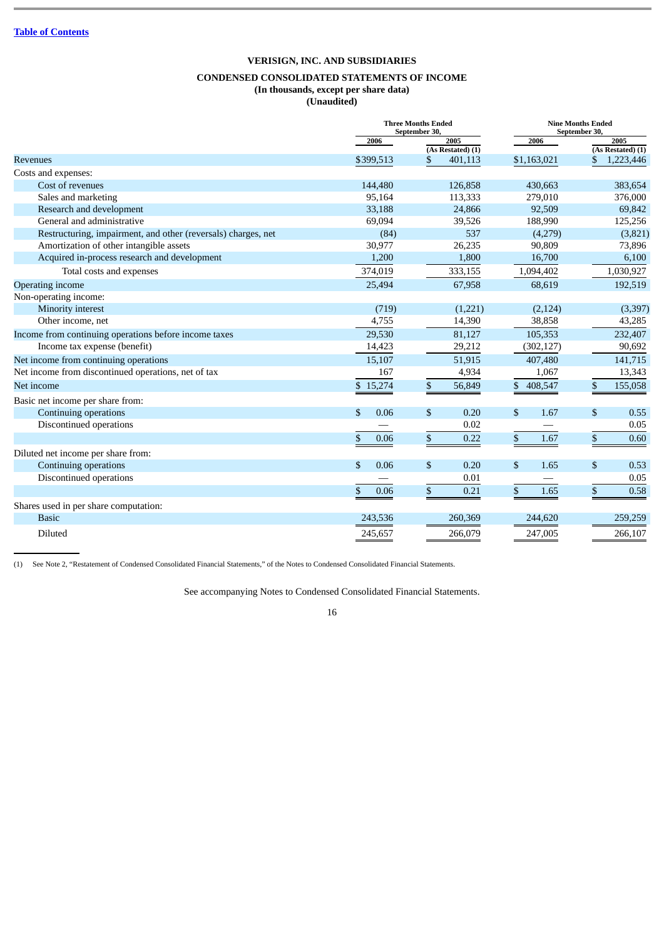## **CONDENSED CONSOLIDATED STATEMENTS OF INCOME**

| (In thousands, except per share data) |  |
|---------------------------------------|--|
| (Unaudited)                           |  |
|                                       |  |

<span id="page-15-0"></span>

|                                                               |                       | <b>Three Months Ended</b><br>September 30, | <b>Nine Months Ended</b><br>September 30, |                          |  |  |
|---------------------------------------------------------------|-----------------------|--------------------------------------------|-------------------------------------------|--------------------------|--|--|
|                                                               | 2006                  | 2005                                       | 2006                                      | 2005                     |  |  |
|                                                               |                       | (As Restated) (1)                          |                                           | $(As$ Restated $)$ $(1)$ |  |  |
| <b>Revenues</b>                                               | \$399,513             | \$<br>401,113                              | \$1,163,021                               | 1,223,446                |  |  |
| Costs and expenses:                                           |                       |                                            |                                           |                          |  |  |
| Cost of revenues                                              | 144,480               | 126,858                                    | 430.663                                   | 383.654                  |  |  |
| Sales and marketing                                           | 95,164                | 113,333                                    | 279,010                                   | 376,000                  |  |  |
| Research and development                                      | 33,188                | 24,866                                     | 92,509                                    | 69,842                   |  |  |
| General and administrative                                    | 69,094                | 39,526                                     | 188,990                                   | 125,256                  |  |  |
| Restructuring, impairment, and other (reversals) charges, net | (84)                  | 537                                        | (4,279)                                   | (3,821)                  |  |  |
| Amortization of other intangible assets                       | 30,977                | 26,235                                     | 90,809                                    | 73,896                   |  |  |
| Acquired in-process research and development                  | 1,200                 | 1,800                                      | 16,700                                    | 6,100                    |  |  |
| Total costs and expenses                                      | 374,019               | 333,155                                    | 1,094,402                                 | 1,030,927                |  |  |
| <b>Operating income</b>                                       | 25,494                | 67,958                                     | 68,619                                    | 192,519                  |  |  |
| Non-operating income:                                         |                       |                                            |                                           |                          |  |  |
| Minority interest                                             | (719)                 | (1,221)                                    | (2, 124)                                  | (3,397)                  |  |  |
| Other income, net                                             | 4,755                 | 14,390                                     | 38,858                                    | 43,285                   |  |  |
| Income from continuing operations before income taxes         | 29,530                | 81,127                                     | 105,353                                   | 232,407                  |  |  |
| Income tax expense (benefit)                                  | 14,423                | 29,212                                     | (302, 127)                                | 90,692                   |  |  |
| Net income from continuing operations                         | 15,107                | 51,915                                     | 407,480                                   | 141,715                  |  |  |
| Net income from discontinued operations, net of tax           | 167                   | 4,934                                      | 1,067                                     | 13,343                   |  |  |
| Net income                                                    | \$15,274              | \$<br>56,849                               | \$408,547                                 | \$<br>155,058            |  |  |
| Basic net income per share from:                              |                       |                                            |                                           |                          |  |  |
| Continuing operations                                         | \$<br>0.06            | \$<br>0.20                                 | \$<br>1.67                                | \$<br>0.55               |  |  |
| Discontinued operations                                       |                       | 0.02                                       |                                           | 0.05                     |  |  |
|                                                               | \$<br>0.06            | \$<br>0.22                                 | \$<br>1.67                                | $\$$<br>0.60             |  |  |
| Diluted net income per share from:                            |                       |                                            |                                           |                          |  |  |
| Continuing operations                                         | $\mathbf{\$}$<br>0.06 | $\mathbb{S}$<br>0.20                       | \$<br>1.65                                | \$<br>0.53               |  |  |
| Discontinued operations                                       |                       | 0.01                                       |                                           | 0.05                     |  |  |
|                                                               | \$<br>0.06            | \$<br>0.21                                 | \$<br>1.65                                | \$<br>0.58               |  |  |
| Shares used in per share computation:                         |                       |                                            |                                           |                          |  |  |
| <b>Basic</b>                                                  | 243,536               | 260,369                                    | 244,620                                   | 259,259                  |  |  |
| Diluted                                                       | 245,657               | 266,079                                    | 247,005                                   | 266,107                  |  |  |
|                                                               |                       |                                            |                                           |                          |  |  |

(1) See Note 2, "Restatement of Condensed Consolidated Financial Statements," of the Notes to Condensed Consolidated Financial Statements.

See accompanying Notes to Condensed Consolidated Financial Statements.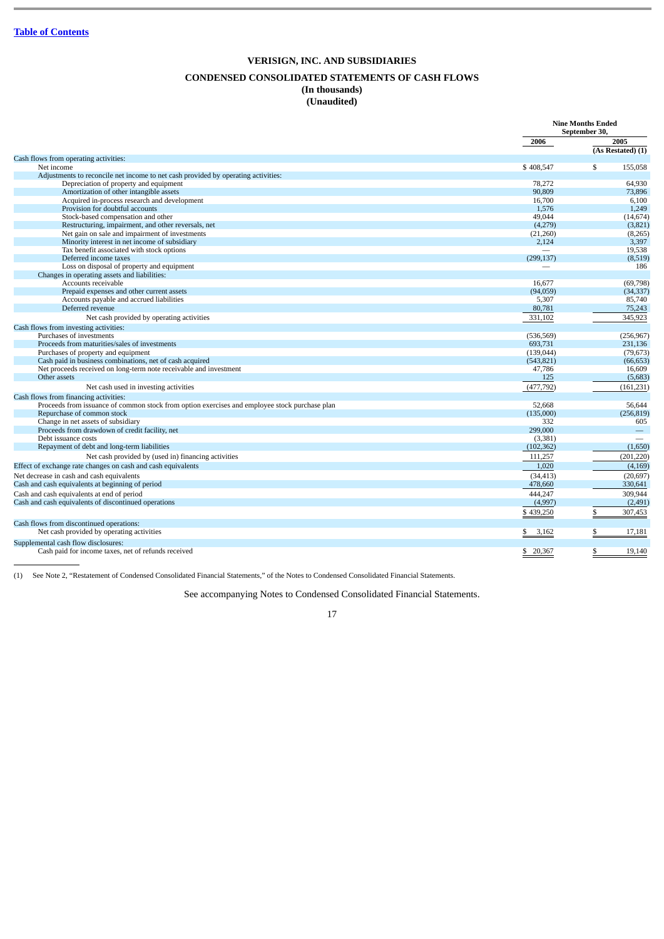## **VERISIGN, INC. AND SUBSIDIARIES CONDENSED CONSOLIDATED STATEMENTS OF CASH FLOWS (In thousands) (Unaudited)**

<span id="page-16-0"></span>

|                                                                                               |                          | <b>Nine Months Ended</b><br>September 30, |
|-----------------------------------------------------------------------------------------------|--------------------------|-------------------------------------------|
|                                                                                               | 2006                     | 2005                                      |
|                                                                                               |                          | (As Restated) (1)                         |
| Cash flows from operating activities:                                                         |                          |                                           |
| Net income                                                                                    | \$408,547                | \$<br>155,058                             |
| Adjustments to reconcile net income to net cash provided by operating activities:             |                          |                                           |
| Depreciation of property and equipment                                                        | 78,272                   | 64,930                                    |
| Amortization of other intangible assets                                                       | 90.809                   | 73,896                                    |
| Acquired in-process research and development                                                  | 16,700                   | 6,100                                     |
| Provision for doubtful accounts                                                               | 1,576                    | 1,249                                     |
| Stock-based compensation and other                                                            | 49,044                   | (14, 674)                                 |
| Restructuring, impairment, and other reversals, net                                           | (4,279)                  | (3,821)                                   |
| Net gain on sale and impairment of investments                                                | (21,260)                 | (8, 265)                                  |
| Minority interest in net income of subsidiary<br>Tax benefit associated with stock options    | 2,124                    | 3,397                                     |
|                                                                                               | $\overline{\phantom{a}}$ | 19,538                                    |
| Deferred income taxes                                                                         | (299, 137)               | (8,519)<br>186                            |
| Loss on disposal of property and equipment<br>Changes in operating assets and liabilities:    |                          |                                           |
| Accounts receivable                                                                           | 16.677                   | (69,798)                                  |
| Prepaid expenses and other current assets                                                     | (94,059)                 | (34, 337)                                 |
| Accounts payable and accrued liabilities                                                      | 5,307                    | 85,740                                    |
| Deferred revenue                                                                              | 80,781                   | 75,243                                    |
|                                                                                               |                          |                                           |
| Net cash provided by operating activities                                                     | 331,102                  | 345,923                                   |
| Cash flows from investing activities:                                                         |                          |                                           |
| Purchases of investments                                                                      | (536, 569)               | (256, 967)                                |
| Proceeds from maturities/sales of investments                                                 | 693.731                  | 231.136                                   |
| Purchases of property and equipment                                                           | (139, 044)               | (79, 673)                                 |
| Cash paid in business combinations, net of cash acquired                                      | (543, 821)               | (66, 653)                                 |
| Net proceeds received on long-term note receivable and investment                             | 47,786                   | 16,609                                    |
| Other assets                                                                                  | 125                      | (5,683)                                   |
| Net cash used in investing activities                                                         | (477, 792)               | (161, 231)                                |
| Cash flows from financing activities:                                                         |                          |                                           |
| Proceeds from issuance of common stock from option exercises and employee stock purchase plan | 52,668                   | 56,644                                    |
| Repurchase of common stock                                                                    | (135,000)                | (256, 819)                                |
| Change in net assets of subsidiary                                                            | 332                      | 605                                       |
| Proceeds from drawdown of credit facility, net                                                | 299,000                  |                                           |
| Debt issuance costs                                                                           | (3,381)                  |                                           |
| Repayment of debt and long-term liabilities                                                   | (102, 362)               | (1,650)                                   |
| Net cash provided by (used in) financing activities                                           | 111,257                  | (201, 220)                                |
| Effect of exchange rate changes on cash and cash equivalents                                  | 1,020                    | (4, 169)                                  |
| Net decrease in cash and cash equivalents                                                     | (34, 413)                | (20, 697)                                 |
| Cash and cash equivalents at beginning of period                                              | 478,660                  | 330,641                                   |
| Cash and cash equivalents at end of period                                                    | 444.247                  | 309.944                                   |
| Cash and cash equivalents of discontinued operations                                          | (4,997)                  | (2, 491)                                  |
|                                                                                               |                          |                                           |
|                                                                                               | \$439,250                | \$<br>307,453                             |
| Cash flows from discontinued operations:                                                      |                          |                                           |
| Net cash provided by operating activities                                                     | 3,162<br>S,              | 17,181                                    |
| Supplemental cash flow disclosures:                                                           |                          |                                           |
| Cash paid for income taxes, net of refunds received                                           | \$20,367                 | 19,140                                    |
|                                                                                               |                          |                                           |

(1) See Note 2, "Restatement of Condensed Consolidated Financial Statements," of the Notes to Condensed Consolidated Financial Statements.

See accompanying Notes to Condensed Consolidated Financial Statements.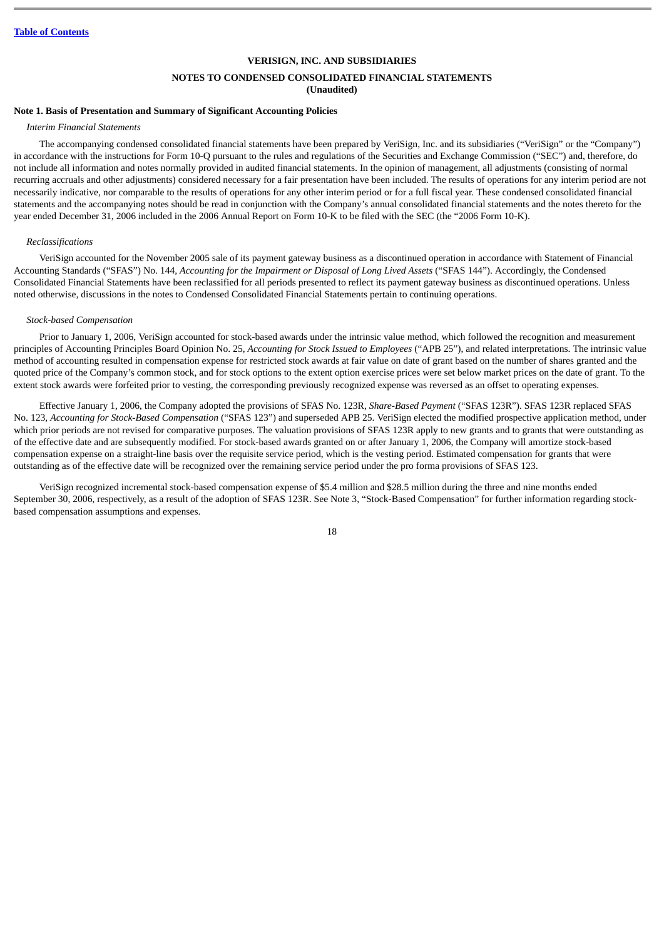## **VERISIGN, INC. AND SUBSIDIARIES NOTES TO CONDENSED CONSOLIDATED FINANCIAL STATEMENTS (Unaudited)**

## <span id="page-17-0"></span>**Note 1. Basis of Presentation and Summary of Significant Accounting Policies**

#### *Interim Financial Statements*

The accompanying condensed consolidated financial statements have been prepared by VeriSign, Inc. and its subsidiaries ("VeriSign" or the "Company") in accordance with the instructions for Form 10-Q pursuant to the rules and regulations of the Securities and Exchange Commission ("SEC") and, therefore, do not include all information and notes normally provided in audited financial statements. In the opinion of management, all adjustments (consisting of normal recurring accruals and other adjustments) considered necessary for a fair presentation have been included. The results of operations for any interim period are not necessarily indicative, nor comparable to the results of operations for any other interim period or for a full fiscal year. These condensed consolidated financial statements and the accompanying notes should be read in conjunction with the Company's annual consolidated financial statements and the notes thereto for the year ended December 31, 2006 included in the 2006 Annual Report on Form 10-K to be filed with the SEC (the "2006 Form 10-K).

#### *Reclassifications*

VeriSign accounted for the November 2005 sale of its payment gateway business as a discontinued operation in accordance with Statement of Financial Accounting Standards ("SFAS") No. 144, *Accounting for the Impairment or Disposal of Long Lived Assets* ("SFAS 144"). Accordingly, the Condensed Consolidated Financial Statements have been reclassified for all periods presented to reflect its payment gateway business as discontinued operations. Unless noted otherwise, discussions in the notes to Condensed Consolidated Financial Statements pertain to continuing operations.

#### *Stock-based Compensation*

Prior to January 1, 2006, VeriSign accounted for stock-based awards under the intrinsic value method, which followed the recognition and measurement principles of Accounting Principles Board Opinion No. 25, *Accounting for Stock Issued to Employees* ("APB 25"), and related interpretations. The intrinsic value method of accounting resulted in compensation expense for restricted stock awards at fair value on date of grant based on the number of shares granted and the quoted price of the Company's common stock, and for stock options to the extent option exercise prices were set below market prices on the date of grant. To the extent stock awards were forfeited prior to vesting, the corresponding previously recognized expense was reversed as an offset to operating expenses.

Effective January 1, 2006, the Company adopted the provisions of SFAS No. 123R, *Share-Based Payment* ("SFAS 123R"). SFAS 123R replaced SFAS No. 123, *Accounting for Stock-Based Compensation* ("SFAS 123") and superseded APB 25. VeriSign elected the modified prospective application method, under which prior periods are not revised for comparative purposes. The valuation provisions of SFAS 123R apply to new grants and to grants that were outstanding as of the effective date and are subsequently modified. For stock-based awards granted on or after January 1, 2006, the Company will amortize stock-based compensation expense on a straight-line basis over the requisite service period, which is the vesting period. Estimated compensation for grants that were outstanding as of the effective date will be recognized over the remaining service period under the pro forma provisions of SFAS 123.

VeriSign recognized incremental stock-based compensation expense of \$5.4 million and \$28.5 million during the three and nine months ended September 30, 2006, respectively, as a result of the adoption of SFAS 123R. See Note 3, "Stock-Based Compensation" for further information regarding stockbased compensation assumptions and expenses.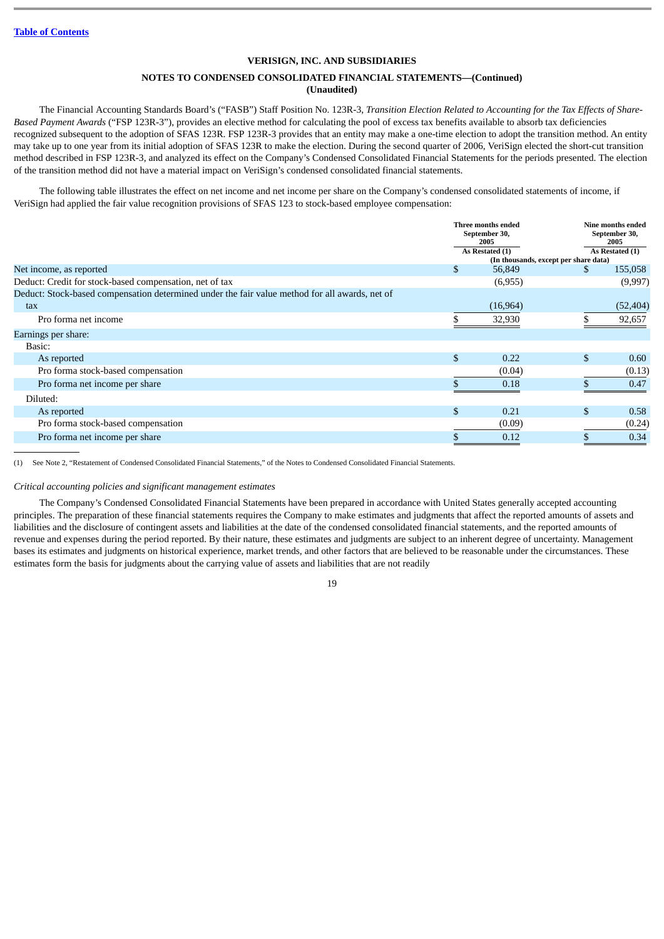## **NOTES TO CONDENSED CONSOLIDATED FINANCIAL STATEMENTS—(Continued) (Unaudited)**

The Financial Accounting Standards Board's ("FASB") Staff Position No. 123R-3, *Transition Election Related to Accounting for the Tax Effects of Share-Based Payment Awards* ("FSP 123R-3"), provides an elective method for calculating the pool of excess tax benefits available to absorb tax deficiencies recognized subsequent to the adoption of SFAS 123R. FSP 123R-3 provides that an entity may make a one-time election to adopt the transition method. An entity may take up to one year from its initial adoption of SFAS 123R to make the election. During the second quarter of 2006, VeriSign elected the short-cut transition method described in FSP 123R-3, and analyzed its effect on the Company's Condensed Consolidated Financial Statements for the periods presented. The election of the transition method did not have a material impact on VeriSign's condensed consolidated financial statements.

The following table illustrates the effect on net income and net income per share on the Company's condensed consolidated statements of income, if VeriSign had applied the fair value recognition provisions of SFAS 123 to stock-based employee compensation:

|                                                                                                |    | Three months ended<br>September 30,<br>2005<br>As Restated (1) |    | <b>Nine months ended</b><br>September 30,<br>2005 |  |
|------------------------------------------------------------------------------------------------|----|----------------------------------------------------------------|----|---------------------------------------------------|--|
|                                                                                                |    |                                                                |    | As Restated (1)                                   |  |
|                                                                                                |    | (In thousands, except per share data)                          |    |                                                   |  |
| Net income, as reported                                                                        | \$ | 56,849                                                         | S. | 155,058                                           |  |
| Deduct: Credit for stock-based compensation, net of tax                                        |    | (6,955)                                                        |    | (9,997)                                           |  |
| Deduct: Stock-based compensation determined under the fair value method for all awards, net of |    |                                                                |    |                                                   |  |
| tax                                                                                            |    | (16,964)                                                       |    | (52, 404)                                         |  |
| Pro forma net income                                                                           |    | 32,930                                                         |    | 92,657                                            |  |
| Earnings per share:                                                                            |    |                                                                |    |                                                   |  |
| Basic:                                                                                         |    |                                                                |    |                                                   |  |
| As reported                                                                                    | \$ | 0.22                                                           | \$ | 0.60                                              |  |
| Pro forma stock-based compensation                                                             |    | (0.04)                                                         |    | (0.13)                                            |  |
| Pro forma net income per share                                                                 |    | 0.18                                                           |    | 0.47                                              |  |
| Diluted:                                                                                       |    |                                                                |    |                                                   |  |
| As reported                                                                                    | \$ | 0.21                                                           | \$ | 0.58                                              |  |
| Pro forma stock-based compensation                                                             |    | (0.09)                                                         |    | (0.24)                                            |  |
| Pro forma net income per share                                                                 |    | 0.12                                                           |    | 0.34                                              |  |
|                                                                                                |    |                                                                |    |                                                   |  |

(1) See Note 2, "Restatement of Condensed Consolidated Financial Statements," of the Notes to Condensed Consolidated Financial Statements.

*Critical accounting policies and significant management estimates*

The Company's Condensed Consolidated Financial Statements have been prepared in accordance with United States generally accepted accounting principles. The preparation of these financial statements requires the Company to make estimates and judgments that affect the reported amounts of assets and liabilities and the disclosure of contingent assets and liabilities at the date of the condensed consolidated financial statements, and the reported amounts of revenue and expenses during the period reported. By their nature, these estimates and judgments are subject to an inherent degree of uncertainty. Management bases its estimates and judgments on historical experience, market trends, and other factors that are believed to be reasonable under the circumstances. These estimates form the basis for judgments about the carrying value of assets and liabilities that are not readily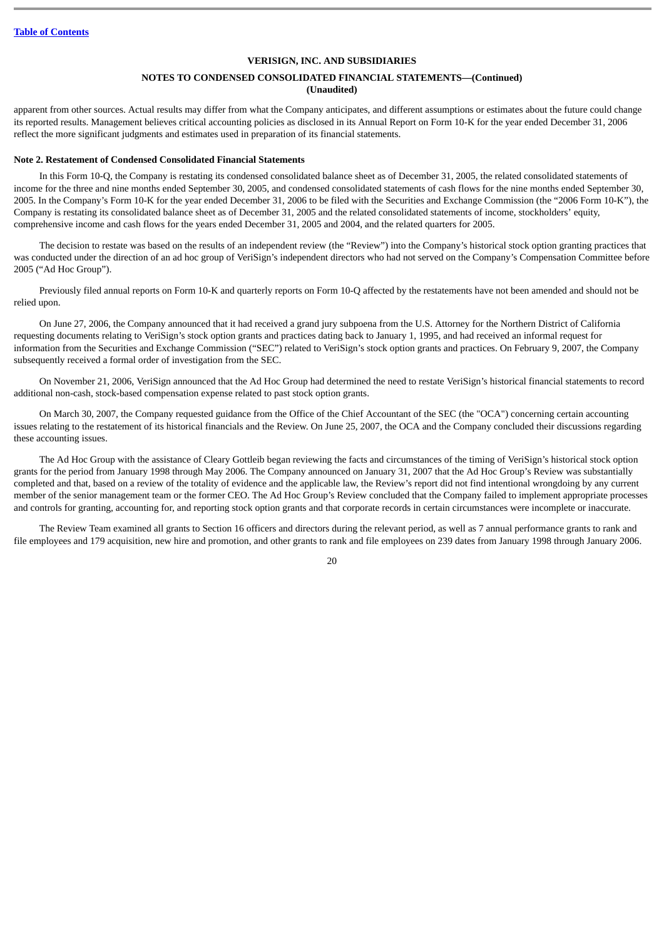## **NOTES TO CONDENSED CONSOLIDATED FINANCIAL STATEMENTS—(Continued) (Unaudited)**

apparent from other sources. Actual results may differ from what the Company anticipates, and different assumptions or estimates about the future could change its reported results. Management believes critical accounting policies as disclosed in its Annual Report on Form 10-K for the year ended December 31, 2006 reflect the more significant judgments and estimates used in preparation of its financial statements.

#### **Note 2. Restatement of Condensed Consolidated Financial Statements**

In this Form 10-Q, the Company is restating its condensed consolidated balance sheet as of December 31, 2005, the related consolidated statements of income for the three and nine months ended September 30, 2005, and condensed consolidated statements of cash flows for the nine months ended September 30, 2005. In the Company's Form 10-K for the year ended December 31, 2006 to be filed with the Securities and Exchange Commission (the "2006 Form 10-K"), the Company is restating its consolidated balance sheet as of December 31, 2005 and the related consolidated statements of income, stockholders' equity, comprehensive income and cash flows for the years ended December 31, 2005 and 2004, and the related quarters for 2005.

The decision to restate was based on the results of an independent review (the "Review") into the Company's historical stock option granting practices that was conducted under the direction of an ad hoc group of VeriSign's independent directors who had not served on the Company's Compensation Committee before 2005 ("Ad Hoc Group").

Previously filed annual reports on Form 10-K and quarterly reports on Form 10-Q affected by the restatements have not been amended and should not be relied upon.

On June 27, 2006, the Company announced that it had received a grand jury subpoena from the U.S. Attorney for the Northern District of California requesting documents relating to VeriSign's stock option grants and practices dating back to January 1, 1995, and had received an informal request for information from the Securities and Exchange Commission ("SEC") related to VeriSign's stock option grants and practices. On February 9, 2007, the Company subsequently received a formal order of investigation from the SEC.

On November 21, 2006, VeriSign announced that the Ad Hoc Group had determined the need to restate VeriSign's historical financial statements to record additional non-cash, stock-based compensation expense related to past stock option grants.

On March 30, 2007, the Company requested guidance from the Office of the Chief Accountant of the SEC (the "OCA") concerning certain accounting issues relating to the restatement of its historical financials and the Review. On June 25, 2007, the OCA and the Company concluded their discussions regarding these accounting issues.

The Ad Hoc Group with the assistance of Cleary Gottleib began reviewing the facts and circumstances of the timing of VeriSign's historical stock option grants for the period from January 1998 through May 2006. The Company announced on January 31, 2007 that the Ad Hoc Group's Review was substantially completed and that, based on a review of the totality of evidence and the applicable law, the Review's report did not find intentional wrongdoing by any current member of the senior management team or the former CEO. The Ad Hoc Group's Review concluded that the Company failed to implement appropriate processes and controls for granting, accounting for, and reporting stock option grants and that corporate records in certain circumstances were incomplete or inaccurate.

The Review Team examined all grants to Section 16 officers and directors during the relevant period, as well as 7 annual performance grants to rank and file employees and 179 acquisition, new hire and promotion, and other grants to rank and file employees on 239 dates from January 1998 through January 2006.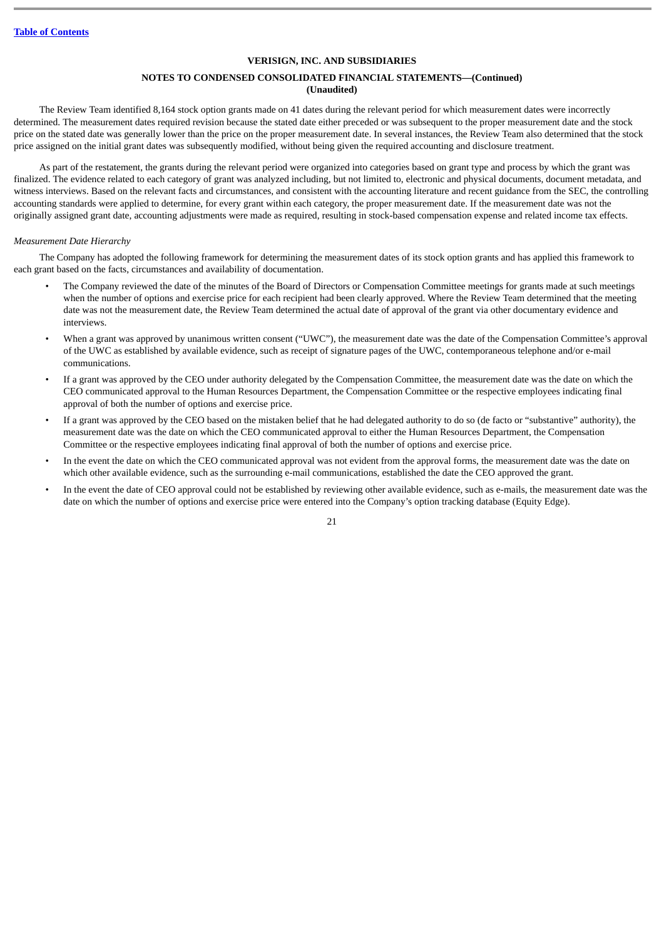## **NOTES TO CONDENSED CONSOLIDATED FINANCIAL STATEMENTS—(Continued) (Unaudited)**

The Review Team identified 8,164 stock option grants made on 41 dates during the relevant period for which measurement dates were incorrectly determined. The measurement dates required revision because the stated date either preceded or was subsequent to the proper measurement date and the stock price on the stated date was generally lower than the price on the proper measurement date. In several instances, the Review Team also determined that the stock price assigned on the initial grant dates was subsequently modified, without being given the required accounting and disclosure treatment.

As part of the restatement, the grants during the relevant period were organized into categories based on grant type and process by which the grant was finalized. The evidence related to each category of grant was analyzed including, but not limited to, electronic and physical documents, document metadata, and witness interviews. Based on the relevant facts and circumstances, and consistent with the accounting literature and recent guidance from the SEC, the controlling accounting standards were applied to determine, for every grant within each category, the proper measurement date. If the measurement date was not the originally assigned grant date, accounting adjustments were made as required, resulting in stock-based compensation expense and related income tax effects.

#### *Measurement Date Hierarchy*

The Company has adopted the following framework for determining the measurement dates of its stock option grants and has applied this framework to each grant based on the facts, circumstances and availability of documentation.

- The Company reviewed the date of the minutes of the Board of Directors or Compensation Committee meetings for grants made at such meetings when the number of options and exercise price for each recipient had been clearly approved. Where the Review Team determined that the meeting date was not the measurement date, the Review Team determined the actual date of approval of the grant via other documentary evidence and interviews.
- When a grant was approved by unanimous written consent ("UWC"), the measurement date was the date of the Compensation Committee's approval of the UWC as established by available evidence, such as receipt of signature pages of the UWC, contemporaneous telephone and/or e-mail communications.
- If a grant was approved by the CEO under authority delegated by the Compensation Committee, the measurement date was the date on which the CEO communicated approval to the Human Resources Department, the Compensation Committee or the respective employees indicating final approval of both the number of options and exercise price.
- If a grant was approved by the CEO based on the mistaken belief that he had delegated authority to do so (de facto or "substantive" authority), the measurement date was the date on which the CEO communicated approval to either the Human Resources Department, the Compensation Committee or the respective employees indicating final approval of both the number of options and exercise price.
- In the event the date on which the CEO communicated approval was not evident from the approval forms, the measurement date was the date on which other available evidence, such as the surrounding e-mail communications, established the date the CEO approved the grant.
- In the event the date of CEO approval could not be established by reviewing other available evidence, such as e-mails, the measurement date was the date on which the number of options and exercise price were entered into the Company's option tracking database (Equity Edge).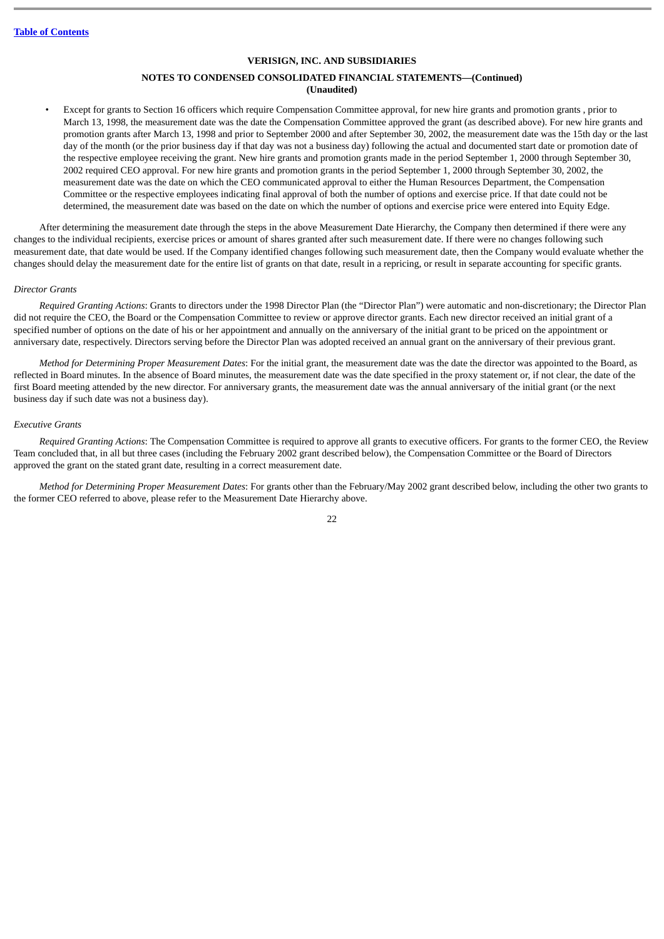## **NOTES TO CONDENSED CONSOLIDATED FINANCIAL STATEMENTS—(Continued) (Unaudited)**

• Except for grants to Section 16 officers which require Compensation Committee approval, for new hire grants and promotion grants , prior to March 13, 1998, the measurement date was the date the Compensation Committee approved the grant (as described above). For new hire grants and promotion grants after March 13, 1998 and prior to September 2000 and after September 30, 2002, the measurement date was the 15th day or the last day of the month (or the prior business day if that day was not a business day) following the actual and documented start date or promotion date of the respective employee receiving the grant. New hire grants and promotion grants made in the period September 1, 2000 through September 30, 2002 required CEO approval. For new hire grants and promotion grants in the period September 1, 2000 through September 30, 2002, the measurement date was the date on which the CEO communicated approval to either the Human Resources Department, the Compensation Committee or the respective employees indicating final approval of both the number of options and exercise price. If that date could not be determined, the measurement date was based on the date on which the number of options and exercise price were entered into Equity Edge.

After determining the measurement date through the steps in the above Measurement Date Hierarchy, the Company then determined if there were any changes to the individual recipients, exercise prices or amount of shares granted after such measurement date. If there were no changes following such measurement date, that date would be used. If the Company identified changes following such measurement date, then the Company would evaluate whether the changes should delay the measurement date for the entire list of grants on that date, result in a repricing, or result in separate accounting for specific grants.

#### *Director Grants*

*Required Granting Actions*: Grants to directors under the 1998 Director Plan (the "Director Plan") were automatic and non-discretionary; the Director Plan did not require the CEO, the Board or the Compensation Committee to review or approve director grants. Each new director received an initial grant of a specified number of options on the date of his or her appointment and annually on the anniversary of the initial grant to be priced on the appointment or anniversary date, respectively. Directors serving before the Director Plan was adopted received an annual grant on the anniversary of their previous grant.

*Method for Determining Proper Measurement Dates*: For the initial grant, the measurement date was the date the director was appointed to the Board, as reflected in Board minutes. In the absence of Board minutes, the measurement date was the date specified in the proxy statement or, if not clear, the date of the first Board meeting attended by the new director. For anniversary grants, the measurement date was the annual anniversary of the initial grant (or the next business day if such date was not a business day).

#### *Executive Grants*

*Required Granting Actions*: The Compensation Committee is required to approve all grants to executive officers. For grants to the former CEO, the Review Team concluded that, in all but three cases (including the February 2002 grant described below), the Compensation Committee or the Board of Directors approved the grant on the stated grant date, resulting in a correct measurement date.

*Method for Determining Proper Measurement Dates*: For grants other than the February/May 2002 grant described below, including the other two grants to the former CEO referred to above, please refer to the Measurement Date Hierarchy above.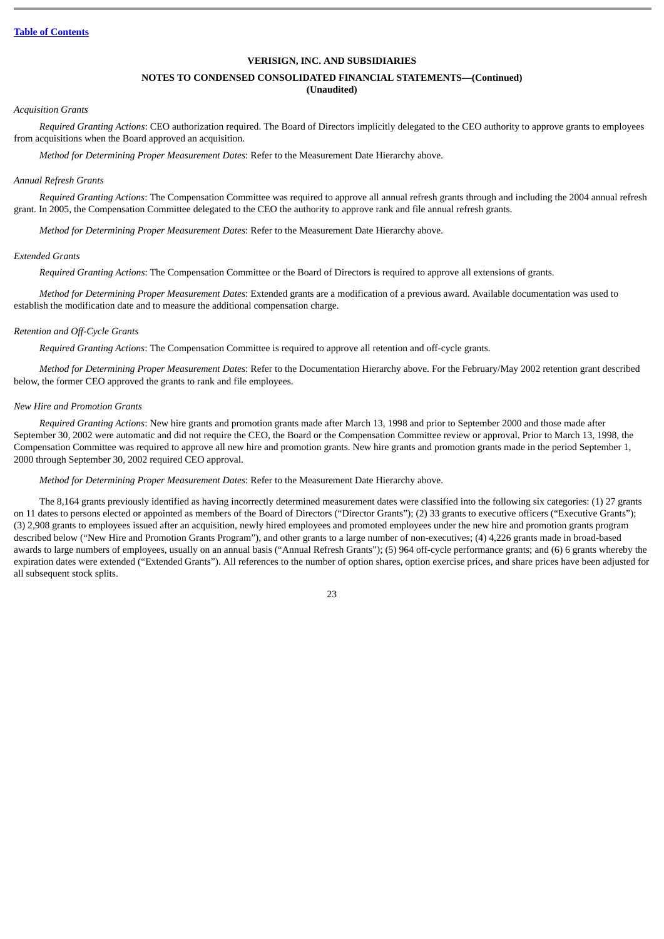## **NOTES TO CONDENSED CONSOLIDATED FINANCIAL STATEMENTS—(Continued)**

## **(Unaudited)**

#### *Acquisition Grants*

*Required Granting Actions*: CEO authorization required. The Board of Directors implicitly delegated to the CEO authority to approve grants to employees from acquisitions when the Board approved an acquisition.

*Method for Determining Proper Measurement Dates*: Refer to the Measurement Date Hierarchy above.

#### *Annual Refresh Grants*

*Required Granting Actions*: The Compensation Committee was required to approve all annual refresh grants through and including the 2004 annual refresh grant. In 2005, the Compensation Committee delegated to the CEO the authority to approve rank and file annual refresh grants.

*Method for Determining Proper Measurement Dates*: Refer to the Measurement Date Hierarchy above.

#### *Extended Grants*

*Required Granting Actions*: The Compensation Committee or the Board of Directors is required to approve all extensions of grants.

*Method for Determining Proper Measurement Dates*: Extended grants are a modification of a previous award. Available documentation was used to establish the modification date and to measure the additional compensation charge.

#### *Retention and Off-Cycle Grants*

*Required Granting Actions*: The Compensation Committee is required to approve all retention and off-cycle grants.

*Method for Determining Proper Measurement Dates*: Refer to the Documentation Hierarchy above. For the February/May 2002 retention grant described below, the former CEO approved the grants to rank and file employees.

#### *New Hire and Promotion Grants*

*Required Granting Actions*: New hire grants and promotion grants made after March 13, 1998 and prior to September 2000 and those made after September 30, 2002 were automatic and did not require the CEO, the Board or the Compensation Committee review or approval. Prior to March 13, 1998, the Compensation Committee was required to approve all new hire and promotion grants. New hire grants and promotion grants made in the period September 1, 2000 through September 30, 2002 required CEO approval.

*Method for Determining Proper Measurement Dates*: Refer to the Measurement Date Hierarchy above.

The 8,164 grants previously identified as having incorrectly determined measurement dates were classified into the following six categories: (1) 27 grants on 11 dates to persons elected or appointed as members of the Board of Directors ("Director Grants"); (2) 33 grants to executive officers ("Executive Grants"); (3) 2,908 grants to employees issued after an acquisition, newly hired employees and promoted employees under the new hire and promotion grants program described below ("New Hire and Promotion Grants Program"), and other grants to a large number of non-executives; (4) 4,226 grants made in broad-based awards to large numbers of employees, usually on an annual basis ("Annual Refresh Grants"); (5) 964 off-cycle performance grants; and (6) 6 grants whereby the expiration dates were extended ("Extended Grants"). All references to the number of option shares, option exercise prices, and share prices have been adjusted for all subsequent stock splits.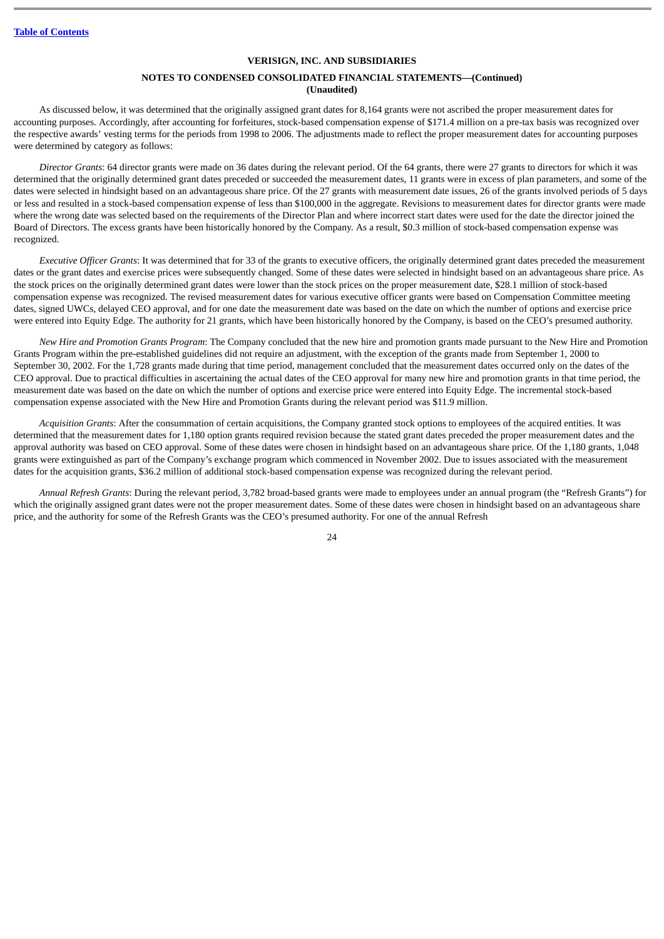## **NOTES TO CONDENSED CONSOLIDATED FINANCIAL STATEMENTS—(Continued) (Unaudited)**

As discussed below, it was determined that the originally assigned grant dates for 8,164 grants were not ascribed the proper measurement dates for accounting purposes. Accordingly, after accounting for forfeitures, stock-based compensation expense of \$171.4 million on a pre-tax basis was recognized over the respective awards' vesting terms for the periods from 1998 to 2006. The adjustments made to reflect the proper measurement dates for accounting purposes were determined by category as follows:

*Director Grants*: 64 director grants were made on 36 dates during the relevant period. Of the 64 grants, there were 27 grants to directors for which it was determined that the originally determined grant dates preceded or succeeded the measurement dates, 11 grants were in excess of plan parameters, and some of the dates were selected in hindsight based on an advantageous share price. Of the 27 grants with measurement date issues, 26 of the grants involved periods of 5 days or less and resulted in a stock-based compensation expense of less than \$100,000 in the aggregate. Revisions to measurement dates for director grants were made where the wrong date was selected based on the requirements of the Director Plan and where incorrect start dates were used for the date the director joined the Board of Directors. The excess grants have been historically honored by the Company. As a result, \$0.3 million of stock-based compensation expense was recognized.

*Executive Officer Grants*: It was determined that for 33 of the grants to executive officers, the originally determined grant dates preceded the measurement dates or the grant dates and exercise prices were subsequently changed. Some of these dates were selected in hindsight based on an advantageous share price. As the stock prices on the originally determined grant dates were lower than the stock prices on the proper measurement date, \$28.1 million of stock-based compensation expense was recognized. The revised measurement dates for various executive officer grants were based on Compensation Committee meeting dates, signed UWCs, delayed CEO approval, and for one date the measurement date was based on the date on which the number of options and exercise price were entered into Equity Edge. The authority for 21 grants, which have been historically honored by the Company, is based on the CEO's presumed authority.

*New Hire and Promotion Grants Program*: The Company concluded that the new hire and promotion grants made pursuant to the New Hire and Promotion Grants Program within the pre-established guidelines did not require an adjustment, with the exception of the grants made from September 1, 2000 to September 30, 2002. For the 1,728 grants made during that time period, management concluded that the measurement dates occurred only on the dates of the CEO approval. Due to practical difficulties in ascertaining the actual dates of the CEO approval for many new hire and promotion grants in that time period, the measurement date was based on the date on which the number of options and exercise price were entered into Equity Edge. The incremental stock-based compensation expense associated with the New Hire and Promotion Grants during the relevant period was \$11.9 million.

*Acquisition Grants*: After the consummation of certain acquisitions, the Company granted stock options to employees of the acquired entities. It was determined that the measurement dates for 1,180 option grants required revision because the stated grant dates preceded the proper measurement dates and the approval authority was based on CEO approval. Some of these dates were chosen in hindsight based on an advantageous share price. Of the 1,180 grants, 1,048 grants were extinguished as part of the Company's exchange program which commenced in November 2002. Due to issues associated with the measurement dates for the acquisition grants, \$36.2 million of additional stock-based compensation expense was recognized during the relevant period.

*Annual Refresh Grants*: During the relevant period, 3,782 broad-based grants were made to employees under an annual program (the "Refresh Grants") for which the originally assigned grant dates were not the proper measurement dates. Some of these dates were chosen in hindsight based on an advantageous share price, and the authority for some of the Refresh Grants was the CEO's presumed authority. For one of the annual Refresh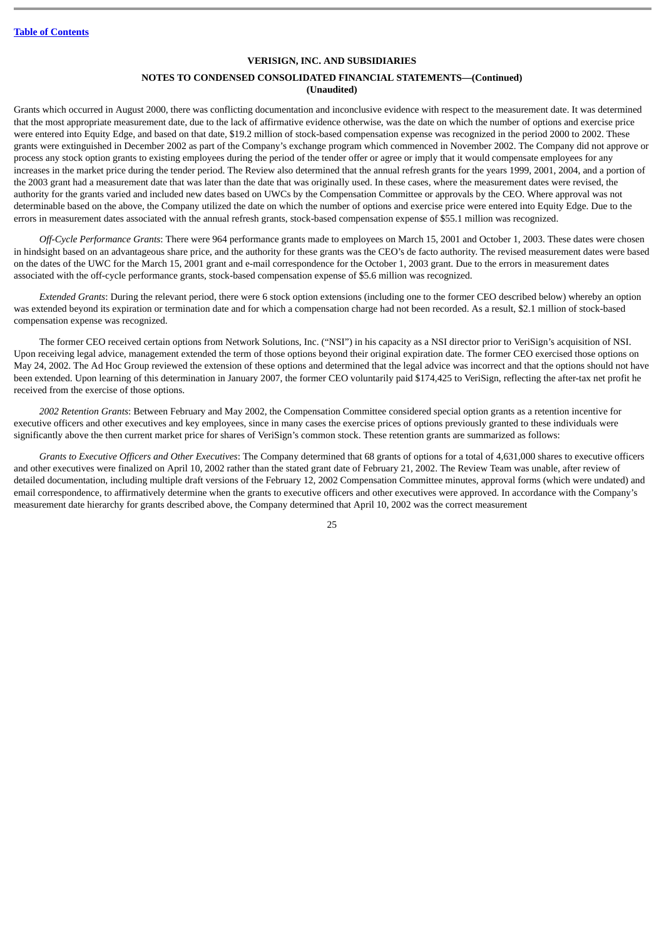## **NOTES TO CONDENSED CONSOLIDATED FINANCIAL STATEMENTS—(Continued) (Unaudited)**

Grants which occurred in August 2000, there was conflicting documentation and inconclusive evidence with respect to the measurement date. It was determined that the most appropriate measurement date, due to the lack of affirmative evidence otherwise, was the date on which the number of options and exercise price were entered into Equity Edge, and based on that date, \$19.2 million of stock-based compensation expense was recognized in the period 2000 to 2002. These grants were extinguished in December 2002 as part of the Company's exchange program which commenced in November 2002. The Company did not approve or process any stock option grants to existing employees during the period of the tender offer or agree or imply that it would compensate employees for any increases in the market price during the tender period. The Review also determined that the annual refresh grants for the years 1999, 2001, 2004, and a portion of the 2003 grant had a measurement date that was later than the date that was originally used. In these cases, where the measurement dates were revised, the authority for the grants varied and included new dates based on UWCs by the Compensation Committee or approvals by the CEO. Where approval was not determinable based on the above, the Company utilized the date on which the number of options and exercise price were entered into Equity Edge. Due to the errors in measurement dates associated with the annual refresh grants, stock-based compensation expense of \$55.1 million was recognized.

*Off-Cycle Performance Grants*: There were 964 performance grants made to employees on March 15, 2001 and October 1, 2003. These dates were chosen in hindsight based on an advantageous share price, and the authority for these grants was the CEO's de facto authority. The revised measurement dates were based on the dates of the UWC for the March 15, 2001 grant and e-mail correspondence for the October 1, 2003 grant. Due to the errors in measurement dates associated with the off-cycle performance grants, stock-based compensation expense of \$5.6 million was recognized.

*Extended Grants*: During the relevant period, there were 6 stock option extensions (including one to the former CEO described below) whereby an option was extended beyond its expiration or termination date and for which a compensation charge had not been recorded. As a result, \$2.1 million of stock-based compensation expense was recognized.

The former CEO received certain options from Network Solutions, Inc. ("NSI") in his capacity as a NSI director prior to VeriSign's acquisition of NSI. Upon receiving legal advice, management extended the term of those options beyond their original expiration date. The former CEO exercised those options on May 24, 2002. The Ad Hoc Group reviewed the extension of these options and determined that the legal advice was incorrect and that the options should not have been extended. Upon learning of this determination in January 2007, the former CEO voluntarily paid \$174,425 to VeriSign, reflecting the after-tax net profit he received from the exercise of those options.

*2002 Retention Grants*: Between February and May 2002, the Compensation Committee considered special option grants as a retention incentive for executive officers and other executives and key employees, since in many cases the exercise prices of options previously granted to these individuals were significantly above the then current market price for shares of VeriSign's common stock. These retention grants are summarized as follows:

*Grants to Executive Officers and Other Executives*: The Company determined that 68 grants of options for a total of 4,631,000 shares to executive officers and other executives were finalized on April 10, 2002 rather than the stated grant date of February 21, 2002. The Review Team was unable, after review of detailed documentation, including multiple draft versions of the February 12, 2002 Compensation Committee minutes, approval forms (which were undated) and email correspondence, to affirmatively determine when the grants to executive officers and other executives were approved. In accordance with the Company's measurement date hierarchy for grants described above, the Company determined that April 10, 2002 was the correct measurement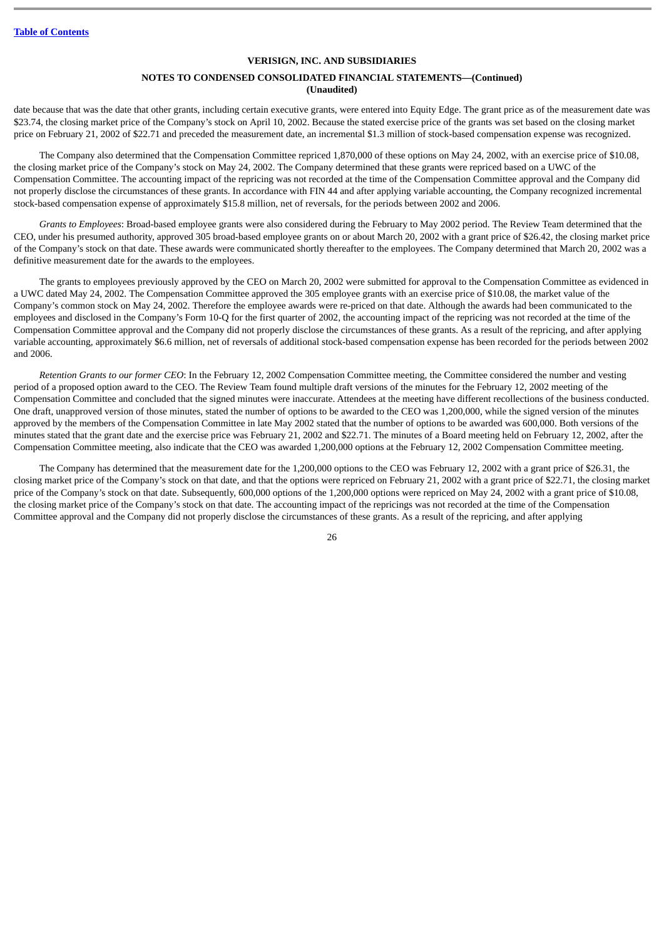## **NOTES TO CONDENSED CONSOLIDATED FINANCIAL STATEMENTS—(Continued) (Unaudited)**

date because that was the date that other grants, including certain executive grants, were entered into Equity Edge. The grant price as of the measurement date was \$23.74, the closing market price of the Company's stock on April 10, 2002. Because the stated exercise price of the grants was set based on the closing market price on February 21, 2002 of \$22.71 and preceded the measurement date, an incremental \$1.3 million of stock-based compensation expense was recognized.

The Company also determined that the Compensation Committee repriced 1,870,000 of these options on May 24, 2002, with an exercise price of \$10.08, the closing market price of the Company's stock on May 24, 2002. The Company determined that these grants were repriced based on a UWC of the Compensation Committee. The accounting impact of the repricing was not recorded at the time of the Compensation Committee approval and the Company did not properly disclose the circumstances of these grants. In accordance with FIN 44 and after applying variable accounting, the Company recognized incremental stock-based compensation expense of approximately \$15.8 million, net of reversals, for the periods between 2002 and 2006.

*Grants to Employees*: Broad-based employee grants were also considered during the February to May 2002 period. The Review Team determined that the CEO, under his presumed authority, approved 305 broad-based employee grants on or about March 20, 2002 with a grant price of \$26.42, the closing market price of the Company's stock on that date. These awards were communicated shortly thereafter to the employees. The Company determined that March 20, 2002 was a definitive measurement date for the awards to the employees.

The grants to employees previously approved by the CEO on March 20, 2002 were submitted for approval to the Compensation Committee as evidenced in a UWC dated May 24, 2002. The Compensation Committee approved the 305 employee grants with an exercise price of \$10.08, the market value of the Company's common stock on May 24, 2002. Therefore the employee awards were re-priced on that date. Although the awards had been communicated to the employees and disclosed in the Company's Form 10-Q for the first quarter of 2002, the accounting impact of the repricing was not recorded at the time of the Compensation Committee approval and the Company did not properly disclose the circumstances of these grants. As a result of the repricing, and after applying variable accounting, approximately \$6.6 million, net of reversals of additional stock-based compensation expense has been recorded for the periods between 2002 and 2006.

*Retention Grants to our former CEO*: In the February 12, 2002 Compensation Committee meeting, the Committee considered the number and vesting period of a proposed option award to the CEO. The Review Team found multiple draft versions of the minutes for the February 12, 2002 meeting of the Compensation Committee and concluded that the signed minutes were inaccurate. Attendees at the meeting have different recollections of the business conducted. One draft, unapproved version of those minutes, stated the number of options to be awarded to the CEO was 1,200,000, while the signed version of the minutes approved by the members of the Compensation Committee in late May 2002 stated that the number of options to be awarded was 600,000. Both versions of the minutes stated that the grant date and the exercise price was February 21, 2002 and \$22.71. The minutes of a Board meeting held on February 12, 2002, after the Compensation Committee meeting, also indicate that the CEO was awarded 1,200,000 options at the February 12, 2002 Compensation Committee meeting.

The Company has determined that the measurement date for the 1,200,000 options to the CEO was February 12, 2002 with a grant price of \$26.31, the closing market price of the Company's stock on that date, and that the options were repriced on February 21, 2002 with a grant price of \$22.71, the closing market price of the Company's stock on that date. Subsequently, 600,000 options of the 1,200,000 options were repriced on May 24, 2002 with a grant price of \$10.08, the closing market price of the Company's stock on that date. The accounting impact of the repricings was not recorded at the time of the Compensation Committee approval and the Company did not properly disclose the circumstances of these grants. As a result of the repricing, and after applying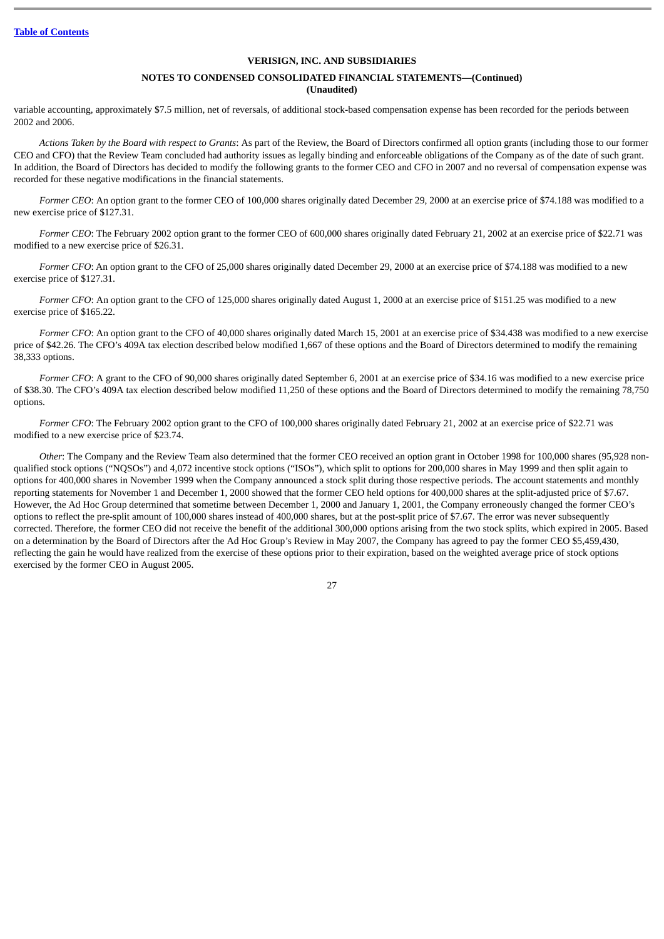## **NOTES TO CONDENSED CONSOLIDATED FINANCIAL STATEMENTS—(Continued) (Unaudited)**

variable accounting, approximately \$7.5 million, net of reversals, of additional stock-based compensation expense has been recorded for the periods between 2002 and 2006.

*Actions Taken by the Board with respect to Grants*: As part of the Review, the Board of Directors confirmed all option grants (including those to our former CEO and CFO) that the Review Team concluded had authority issues as legally binding and enforceable obligations of the Company as of the date of such grant. In addition, the Board of Directors has decided to modify the following grants to the former CEO and CFO in 2007 and no reversal of compensation expense was recorded for these negative modifications in the financial statements.

Former CEO: An option grant to the former CEO of 100,000 shares originally dated December 29, 2000 at an exercise price of \$74.188 was modified to a new exercise price of \$127.31.

*Former CEO*: The February 2002 option grant to the former CEO of 600,000 shares originally dated February 21, 2002 at an exercise price of \$22.71 was modified to a new exercise price of \$26.31.

*Former CFO*: An option grant to the CFO of 25,000 shares originally dated December 29, 2000 at an exercise price of \$74.188 was modified to a new exercise price of \$127.31.

*Former CFO*: An option grant to the CFO of 125,000 shares originally dated August 1, 2000 at an exercise price of \$151.25 was modified to a new exercise price of \$165.22.

*Former CFO*: An option grant to the CFO of 40,000 shares originally dated March 15, 2001 at an exercise price of \$34.438 was modified to a new exercise price of \$42.26. The CFO's 409A tax election described below modified 1,667 of these options and the Board of Directors determined to modify the remaining 38,333 options.

*Former CFO*: A grant to the CFO of 90,000 shares originally dated September 6, 2001 at an exercise price of \$34.16 was modified to a new exercise price of \$38.30. The CFO's 409A tax election described below modified 11,250 of these options and the Board of Directors determined to modify the remaining 78,750 options.

*Former CFO*: The February 2002 option grant to the CFO of 100,000 shares originally dated February 21, 2002 at an exercise price of \$22.71 was modified to a new exercise price of \$23.74.

*Other*: The Company and the Review Team also determined that the former CEO received an option grant in October 1998 for 100,000 shares (95,928 nonqualified stock options ("NQSOs") and 4,072 incentive stock options ("ISOs"), which split to options for 200,000 shares in May 1999 and then split again to options for 400,000 shares in November 1999 when the Company announced a stock split during those respective periods. The account statements and monthly reporting statements for November 1 and December 1, 2000 showed that the former CEO held options for 400,000 shares at the split-adjusted price of \$7.67. However, the Ad Hoc Group determined that sometime between December 1, 2000 and January 1, 2001, the Company erroneously changed the former CEO's options to reflect the pre-split amount of 100,000 shares instead of 400,000 shares, but at the post-split price of \$7.67. The error was never subsequently corrected. Therefore, the former CEO did not receive the benefit of the additional 300,000 options arising from the two stock splits, which expired in 2005. Based on a determination by the Board of Directors after the Ad Hoc Group's Review in May 2007, the Company has agreed to pay the former CEO \$5,459,430, reflecting the gain he would have realized from the exercise of these options prior to their expiration, based on the weighted average price of stock options exercised by the former CEO in August 2005.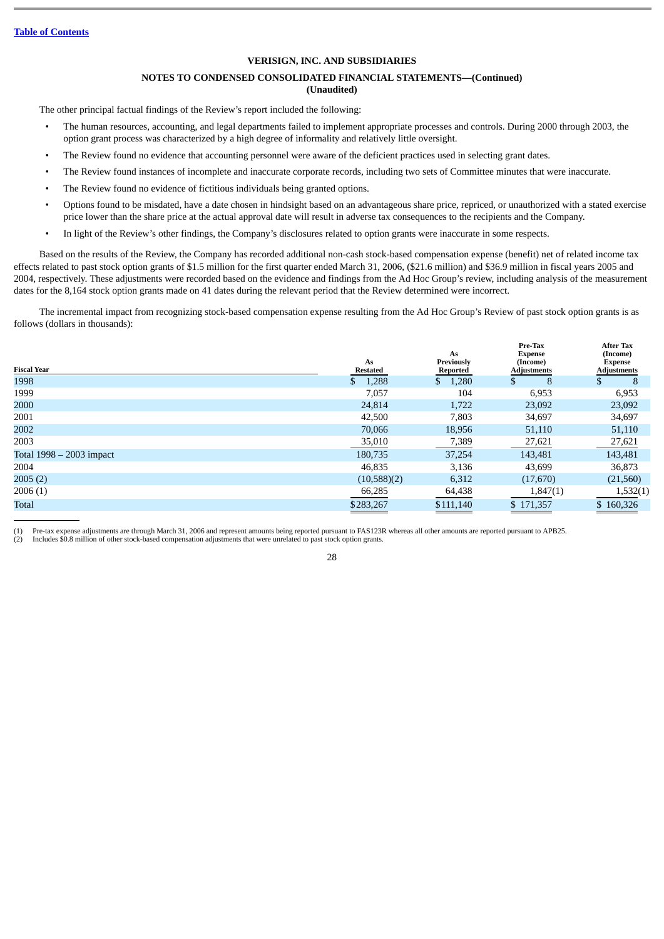## **NOTES TO CONDENSED CONSOLIDATED FINANCIAL STATEMENTS—(Continued)**

**(Unaudited)**

The other principal factual findings of the Review's report included the following:

- The human resources, accounting, and legal departments failed to implement appropriate processes and controls. During 2000 through 2003, the option grant process was characterized by a high degree of informality and relatively little oversight.
- The Review found no evidence that accounting personnel were aware of the deficient practices used in selecting grant dates.
- The Review found instances of incomplete and inaccurate corporate records, including two sets of Committee minutes that were inaccurate.
- The Review found no evidence of fictitious individuals being granted options.
- Options found to be misdated, have a date chosen in hindsight based on an advantageous share price, repriced, or unauthorized with a stated exercise price lower than the share price at the actual approval date will result in adverse tax consequences to the recipients and the Company.
- In light of the Review's other findings, the Company's disclosures related to option grants were inaccurate in some respects.

Based on the results of the Review, the Company has recorded additional non-cash stock-based compensation expense (benefit) net of related income tax effects related to past stock option grants of \$1.5 million for the first quarter ended March 31, 2006, (\$21.6 million) and \$36.9 million in fiscal years 2005 and 2004, respectively. These adjustments were recorded based on the evidence and findings from the Ad Hoc Group's review, including analysis of the measurement dates for the 8,164 stock option grants made on 41 dates during the relevant period that the Review determined were incorrect.

The incremental impact from recognizing stock-based compensation expense resulting from the Ad Hoc Group's Review of past stock option grants is as follows (dollars in thousands):

| <b>Fiscal Year</b>       | As<br>Restated | As<br>Previously<br>Reported | Pre-Tax<br><b>Expense</b><br>(Income)<br><b>Adjustments</b> | <b>After Tax</b><br>(Income)<br><b>Expense</b><br><b>Adjustments</b> |
|--------------------------|----------------|------------------------------|-------------------------------------------------------------|----------------------------------------------------------------------|
| 1998                     | \$<br>1,288    | \$1,280                      | 8                                                           | 8                                                                    |
| 1999                     | 7,057          | 104                          | 6,953                                                       | 6,953                                                                |
| 2000                     | 24,814         | 1,722                        | 23,092                                                      | 23,092                                                               |
| 2001                     | 42,500         | 7,803                        | 34,697                                                      | 34,697                                                               |
| 2002                     | 70,066         | 18,956                       | 51,110                                                      | 51,110                                                               |
| 2003                     | 35,010         | 7,389                        | 27,621                                                      | 27,621                                                               |
| Total 1998 – 2003 impact | 180,735        | 37,254                       | 143,481                                                     | 143,481                                                              |
| 2004                     | 46,835         | 3,136                        | 43,699                                                      | 36,873                                                               |
| 2005(2)                  | (10,588)(2)    | 6,312                        | (17,670)                                                    | (21, 560)                                                            |
| 2006(1)                  | 66,285         | 64,438                       | 1,847(1)                                                    | 1,532(1)                                                             |
| <b>Total</b>             | \$283,267      | \$111,140                    | \$171,357                                                   | \$160,326                                                            |

(1) Pre-tax expense adjustments are through March 31, 2006 and represent amounts being reported pursuant to FAS123R whereas all other amounts are reported pursuant to APB25.

(2) Includes \$0.8 million of other stock-based compensation adjustments that were unrelated to past stock option grants.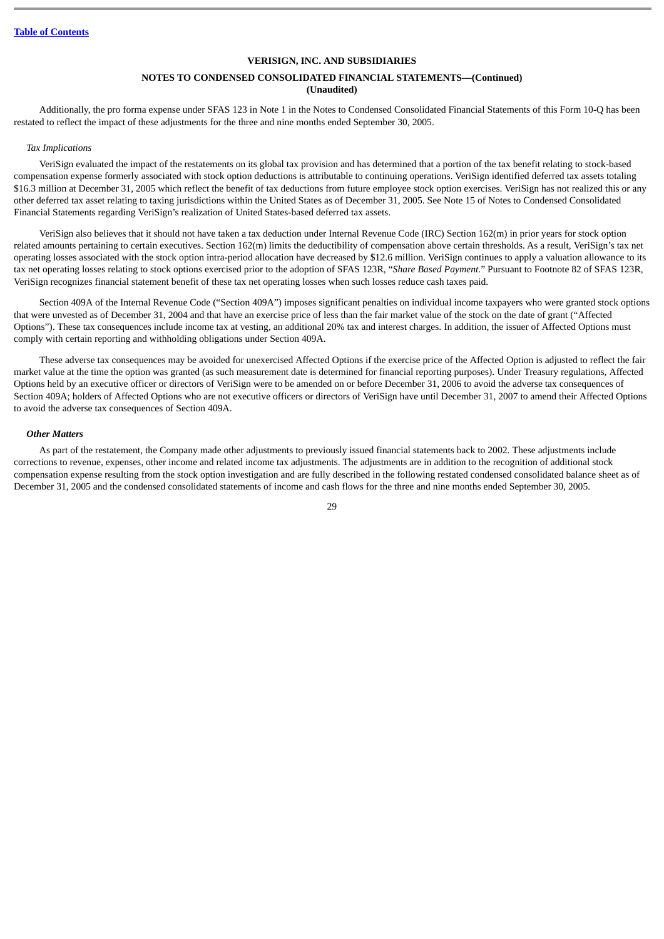## **NOTES TO CONDENSED CONSOLIDATED FINANCIAL STATEMENTS—(Continued) (Unaudited)**

Additionally, the pro forma expense under SFAS 123 in Note 1 in the Notes to Condensed Consolidated Financial Statements of this Form 10-Q has been restated to reflect the impact of these adjustments for the three and nine months ended September 30, 2005.

#### *Tax Implications*

VeriSign evaluated the impact of the restatements on its global tax provision and has determined that a portion of the tax benefit relating to stock-based compensation expense formerly associated with stock option deductions is attributable to continuing operations. VeriSign identified deferred tax assets totaling \$16.3 million at December 31, 2005 which reflect the benefit of tax deductions from future employee stock option exercises. VeriSign has not realized this or any other deferred tax asset relating to taxing jurisdictions within the United States as of December 31, 2005. See Note 15 of Notes to Condensed Consolidated Financial Statements regarding VeriSign's realization of United States-based deferred tax assets.

VeriSign also believes that it should not have taken a tax deduction under Internal Revenue Code (IRC) Section 162(m) in prior years for stock option related amounts pertaining to certain executives. Section 162(m) limits the deductibility of compensation above certain thresholds. As a result, VeriSign's tax net operating losses associated with the stock option intra-period allocation have decreased by \$12.6 million. VeriSign continues to apply a valuation allowance to its tax net operating losses relating to stock options exercised prior to the adoption of SFAS 123R, "*Share Based Payment*." Pursuant to Footnote 82 of SFAS 123R, VeriSign recognizes financial statement benefit of these tax net operating losses when such losses reduce cash taxes paid.

Section 409A of the Internal Revenue Code ("Section 409A") imposes significant penalties on individual income taxpayers who were granted stock options that were unvested as of December 31, 2004 and that have an exercise price of less than the fair market value of the stock on the date of grant ("Affected Options"). These tax consequences include income tax at vesting, an additional 20% tax and interest charges. In addition, the issuer of Affected Options must comply with certain reporting and withholding obligations under Section 409A.

These adverse tax consequences may be avoided for unexercised Affected Options if the exercise price of the Affected Option is adjusted to reflect the fair market value at the time the option was granted (as such measurement date is determined for financial reporting purposes). Under Treasury regulations, Affected Options held by an executive officer or directors of VeriSign were to be amended on or before December 31, 2006 to avoid the adverse tax consequences of Section 409A; holders of Affected Options who are not executive officers or directors of VeriSign have until December 31, 2007 to amend their Affected Options to avoid the adverse tax consequences of Section 409A.

#### *Other Matters*

As part of the restatement, the Company made other adjustments to previously issued financial statements back to 2002. These adjustments include corrections to revenue, expenses, other income and related income tax adjustments. The adjustments are in addition to the recognition of additional stock compensation expense resulting from the stock option investigation and are fully described in the following restated condensed consolidated balance sheet as of December 31, 2005 and the condensed consolidated statements of income and cash flows for the three and nine months ended September 30, 2005.

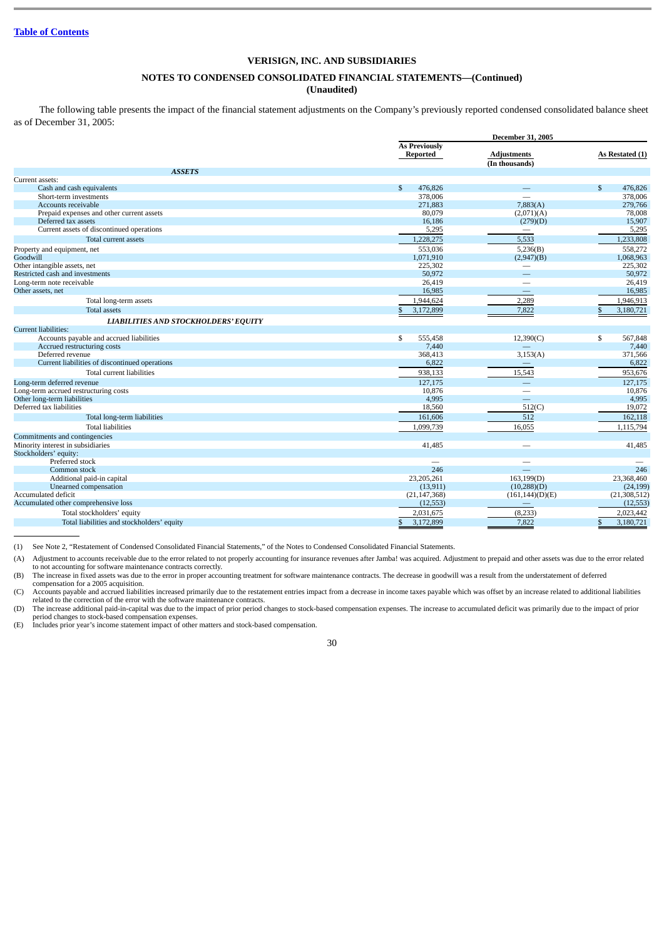## **NOTES TO CONDENSED CONSOLIDATED FINANCIAL STATEMENTS—(Continued)**

**(Unaudited)**

The following table presents the impact of the financial statement adjustments on the Company's previously reported condensed consolidated balance sheet as of December 31, 2005:

|                                                                  | <b>December 31, 2005</b>         |                                              |                                    |  |  |
|------------------------------------------------------------------|----------------------------------|----------------------------------------------|------------------------------------|--|--|
|                                                                  | <b>As Previously</b><br>Reported | <b>Adiustments</b><br>(In thousands)         | As Restated (1)                    |  |  |
| <b>ASSETS</b>                                                    |                                  |                                              |                                    |  |  |
| Current assets:                                                  |                                  |                                              |                                    |  |  |
| Cash and cash equivalents                                        | 476,826<br>\$<br>378,006         |                                              | $\mathbb{S}$<br>476,826<br>378,006 |  |  |
| Short-term investments                                           |                                  | 7,883(A)                                     |                                    |  |  |
| Accounts receivable                                              | 271,883                          |                                              | 279,766                            |  |  |
| Prepaid expenses and other current assets<br>Deferred tax assets | 80,079<br>16,186                 | (2,071)(A)                                   | 78,008<br>15,907                   |  |  |
| Current assets of discontinued operations                        | 5,295                            | (279)(D)<br>$\qquad \qquad$                  | 5,295                              |  |  |
|                                                                  |                                  |                                              |                                    |  |  |
| Total current assets                                             | 1,228,275                        | 5,533                                        | 1,233,808                          |  |  |
| Property and equipment, net                                      | 553,036                          | 5,236(B)                                     | 558,272                            |  |  |
| Goodwill                                                         | 1,071,910                        | (2,947)(B)                                   | 1,068,963                          |  |  |
| Other intangible assets, net                                     | 225,302                          | $\overline{\phantom{m}}$                     | 225,302                            |  |  |
| Restricted cash and investments                                  | 50,972                           |                                              | 50,972                             |  |  |
| Long-term note receivable                                        | 26,419                           |                                              | 26,419                             |  |  |
| Other assets, net                                                | 16,985                           |                                              | 16,985                             |  |  |
| Total long-term assets                                           | 1.944.624                        | 2,289                                        | 1,946,913                          |  |  |
| <b>Total assets</b>                                              | 3,172,899<br>\$                  | 7,822                                        | 3,180,721<br>$\mathbb{S}$          |  |  |
| LIABILITIES AND STOCKHOLDERS' EQUITY                             |                                  |                                              |                                    |  |  |
| <b>Current liabilities:</b>                                      |                                  |                                              |                                    |  |  |
| Accounts payable and accrued liabilities                         | \$<br>555,458                    | 12,390(C)                                    | \$<br>567,848                      |  |  |
| Accrued restructuring costs                                      | 7,440                            |                                              | 7,440                              |  |  |
| Deferred revenue                                                 | 368,413                          | 3,153(A)                                     | 371,566                            |  |  |
| Current liabilities of discontinued operations                   | 6,822                            | $\qquad \qquad \longleftarrow$               | 6,822                              |  |  |
| Total current liabilities                                        | 938,133                          | 15,543                                       | 953,676                            |  |  |
| Long-term deferred revenue                                       | 127,175                          |                                              | 127,175                            |  |  |
| Long-term accrued restructuring costs                            | 10,876                           |                                              | 10,876                             |  |  |
| Other long-term liabilities                                      | 4,995                            | $\equiv$                                     | 4,995                              |  |  |
| Deferred tax liabilities                                         | 18,560                           | 512(C)                                       | 19,072                             |  |  |
| Total long-term liabilities                                      | 161,606                          | 512                                          | 162,118                            |  |  |
| <b>Total liabilities</b>                                         | 1,099,739                        | 16,055                                       | 1,115,794                          |  |  |
| Commitments and contingencies                                    |                                  |                                              |                                    |  |  |
| Minority interest in subsidiaries                                | 41,485                           |                                              | 41,485                             |  |  |
| Stockholders' equity:                                            |                                  |                                              |                                    |  |  |
| Preferred stock                                                  |                                  |                                              |                                    |  |  |
| Common stock                                                     | 246                              |                                              | 246                                |  |  |
| Additional paid-in capital                                       | 23,205,261                       | 163, 199(D)                                  | 23,368,460                         |  |  |
| Unearned compensation                                            | (13, 911)                        | (10,288)(D)                                  | (24, 199)                          |  |  |
| Accumulated deficit                                              | (21, 147, 368)                   |                                              | (21, 308, 512)                     |  |  |
| Accumulated other comprehensive loss                             | (12, 553)                        | (161, 144)(D)(E)<br>$\qquad \qquad - \qquad$ | (12, 553)                          |  |  |
|                                                                  |                                  |                                              |                                    |  |  |
| Total stockholders' equity                                       | 2,031,675                        | (8,233)                                      | 2,023,442                          |  |  |
| Total liabilities and stockholders' equity                       | 3,172,899<br>\$                  | 7,822                                        | 3,180,721<br>\$                    |  |  |

(1) See Note 2, "Restatement of Condensed Consolidated Financial Statements," of the Notes to Condensed Consolidated Financial Statements.

(A) Adjustment to accounts receivable due to the error related to not properly accounting for insurance revenues after Jamba! was acquired. Adjustment to prepaid and other assets was due to the error related to not accounting for software maintenance contracts correctly.

(B) The increase in fixed assets was due to the error in proper accounting treatment for software maintenance contracts. The decrease in goodwill was a result from the understatement of deferred

compensation for a 2005 acquisition.<br>(C) Accounts payable and accrued liabilities increased primarily due to the restatement entries impact from a decrease in income taxes payable which was offset by an increase related to related to the correction of the error with the software maintenance contracts.

(D) The increase additional paid-in-capital was due to the impact of prior period changes to stock-based compensation expenses. The increase to accumulated deficit was primarily due to the impact of prior period changes to

(E) Includes prior year's income statement impact of other matters and stock-based compensation.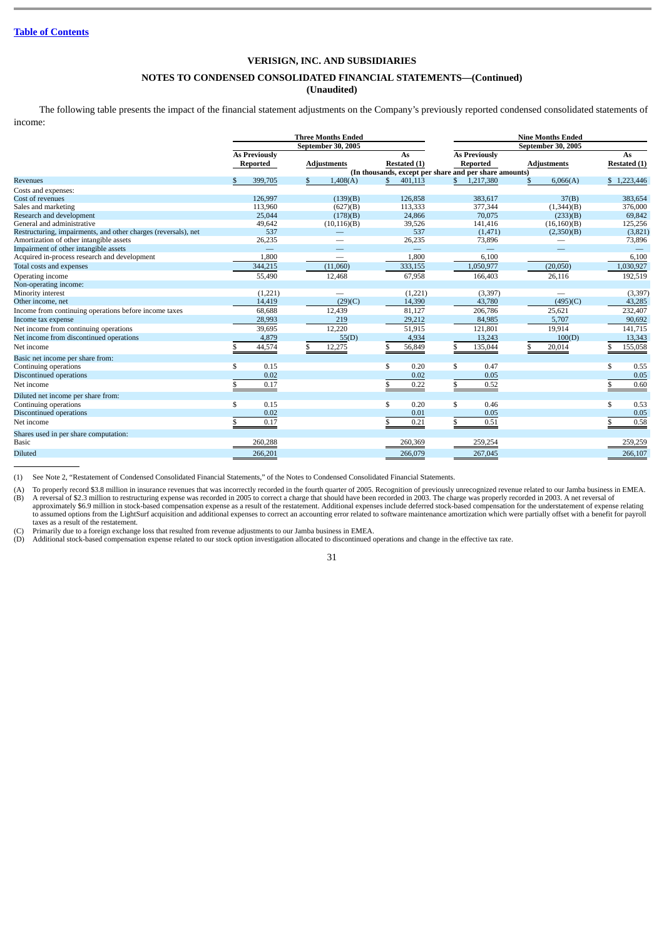## **NOTES TO CONDENSED CONSOLIDATED FINANCIAL STATEMENTS—(Continued)**

## **(Unaudited)**

The following table presents the impact of the financial statement adjustments on the Company's previously reported condensed consolidated statements of income:

|                                                                | <b>Three Months Ended</b> |    |                          |    |                          |    | <b>Nine Months Ended</b>                               |    |                    |    |              |
|----------------------------------------------------------------|---------------------------|----|--------------------------|----|--------------------------|----|--------------------------------------------------------|----|--------------------|----|--------------|
|                                                                |                           |    | September 30, 2005       |    |                          |    | September 30, 2005                                     |    |                    |    |              |
|                                                                | <b>As Previously</b>      |    |                          |    | As                       |    | <b>As Previously</b>                                   |    |                    |    | As           |
|                                                                | Reported                  |    | <b>Adjustments</b>       |    | Restated (1)             |    | Reported                                               |    | <b>Adjustments</b> |    | Restated (1) |
|                                                                |                           |    |                          |    |                          |    | (In thousands, except per share and per share amounts) |    |                    |    |              |
| Revenues                                                       | 399,705                   | S  | 1,408(A)                 |    | 401,113                  |    | 1,217,380                                              | \$ | 6,066(A)           |    | \$1,223,446  |
| Costs and expenses:                                            |                           |    |                          |    |                          |    |                                                        |    |                    |    |              |
| Cost of revenues                                               | 126,997                   |    | (139)(B)                 |    | 126,858                  |    | 383,617                                                |    | 37(B)              |    | 383,654      |
| Sales and marketing                                            | 113,960                   |    | (627)(B)                 |    | 113,333                  |    | 377,344                                                |    | (1,344)(B)         |    | 376,000      |
| Research and development                                       | 25,044                    |    | (178)(B)                 |    | 24,866                   |    | 70,075                                                 |    | (233)(B)           |    | 69,842       |
| General and administrative                                     | 49,642                    |    | (10, 116)(B)             |    | 39,526                   |    | 141,416                                                |    | (16,160)(B)        |    | 125,256      |
| Restructuring, impairments, and other charges (reversals), net | 537                       |    |                          |    | 537                      |    | (1, 471)                                               |    | (2,350)(B)         |    | (3,821)      |
| Amortization of other intangible assets                        | 26,235                    |    |                          |    | 26,235                   |    | 73,896                                                 |    |                    |    | 73,896       |
| Impairment of other intangible assets                          |                           |    |                          |    | $\overline{\phantom{0}}$ |    |                                                        |    |                    |    |              |
| Acquired in-process research and development                   | 1,800                     |    | $\overline{\phantom{0}}$ |    | 1,800                    |    | 6,100                                                  |    |                    |    | 6,100        |
| Total costs and expenses                                       | 344,215                   |    | (11,060)                 |    | 333,155                  |    | 1,050,977                                              |    | (20,050)           |    | 1,030,927    |
| Operating income                                               | 55,490                    |    | 12,468                   |    | 67,958                   |    | 166,403                                                |    | 26,116             |    | 192,519      |
| Non-operating income:                                          |                           |    |                          |    |                          |    |                                                        |    |                    |    |              |
| Minority interest                                              | (1,221)                   |    |                          |    | (1,221)                  |    | (3, 397)                                               |    |                    |    | (3, 397)     |
| Other income, net                                              | 14,419                    |    | (29)(C)                  |    | 14,390                   |    | 43,780                                                 |    | (495)(C)           |    | 43,285       |
| Income from continuing operations before income taxes          | 68,688                    |    | 12,439                   |    | 81,127                   |    | 206,786                                                |    | 25,621             |    | 232,407      |
| Income tax expense                                             | 28,993                    |    | 219                      |    | 29,212                   |    | 84,985                                                 |    | 5,707              |    | 90,692       |
| Net income from continuing operations                          | 39,695                    |    | 12.220                   |    | 51,915                   |    | 121,801                                                |    | 19,914             |    | 141,715      |
| Net income from discontinued operations                        | 4,879                     |    | 55(D)                    |    | 4,934                    |    | 13,243                                                 |    | 100(D)             |    | 13,343       |
| Net income                                                     | 44,574                    | \$ | 12,275                   |    | 56,849                   |    | 135,044                                                | \$ | 20,014             |    | 155,058      |
| Basic net income per share from:                               |                           |    |                          |    |                          |    |                                                        |    |                    |    |              |
| Continuing operations                                          | \$<br>0.15                |    |                          | \$ | 0.20                     | \$ | 0.47                                                   |    |                    | \$ | 0.55         |
| <b>Discontinued operations</b>                                 | 0.02                      |    |                          |    | 0.02                     |    | 0.05                                                   |    |                    |    | 0.05         |
| Net income                                                     | 0.17                      |    |                          |    | 0.22                     | \$ | 0.52                                                   |    |                    |    | 0.60         |
| Diluted net income per share from:                             |                           |    |                          |    |                          |    |                                                        |    |                    |    |              |
| Continuing operations                                          | \$<br>0.15                |    |                          | \$ | 0.20                     | \$ | 0.46                                                   |    |                    | \$ | 0.53         |
| <b>Discontinued operations</b>                                 | 0.02                      |    |                          |    | 0.01                     |    | 0.05                                                   |    |                    |    | 0.05         |
| Net income                                                     | 0.17                      |    |                          |    | 0.21                     |    | 0.51                                                   |    |                    |    | 0.58         |
| Shares used in per share computation:                          |                           |    |                          |    |                          |    |                                                        |    |                    |    |              |
| <b>Basic</b>                                                   | 260,288                   |    |                          |    | 260,369                  |    | 259,254                                                |    |                    |    | 259,259      |
| <b>Diluted</b>                                                 | 266,201                   |    |                          |    | 266,079                  |    | 267,045                                                |    |                    |    | 266,107      |
|                                                                |                           |    |                          |    |                          |    |                                                        |    |                    |    |              |

(1) See Note 2, "Restatement of Condensed Consolidated Financial Statements," of the Notes to Condensed Consolidated Financial Statements.

(A) To properly record \$3.8 million in insurance revenues that was incorrectly recorded in the fourth quarter of 2005. Recognition of previously unrecognized revenue related to our Jamba business in EMEA.<br>(B) A reversal of For expense to restructuring expense was recorded in 2005 to correct a charge that should have been recorded in 2003. The charge was properly recorded in 2003. A net reversal of the charge was properly recorded in 2003. A

approximately \$6.9 million in stock-based compensation expense as a result of the restatement. Additional expenses include deferred stock-based compensation for the understatement of expense relating<br>to assumed options fro taxes as a result of the restatement.

(C) Primarily due to a foreign exchange loss that resulted from revenue adjustments to our Jamba business in EMEA.<br>(D) Additional stock-based compensation expense related to our stock option investigation allocated to disc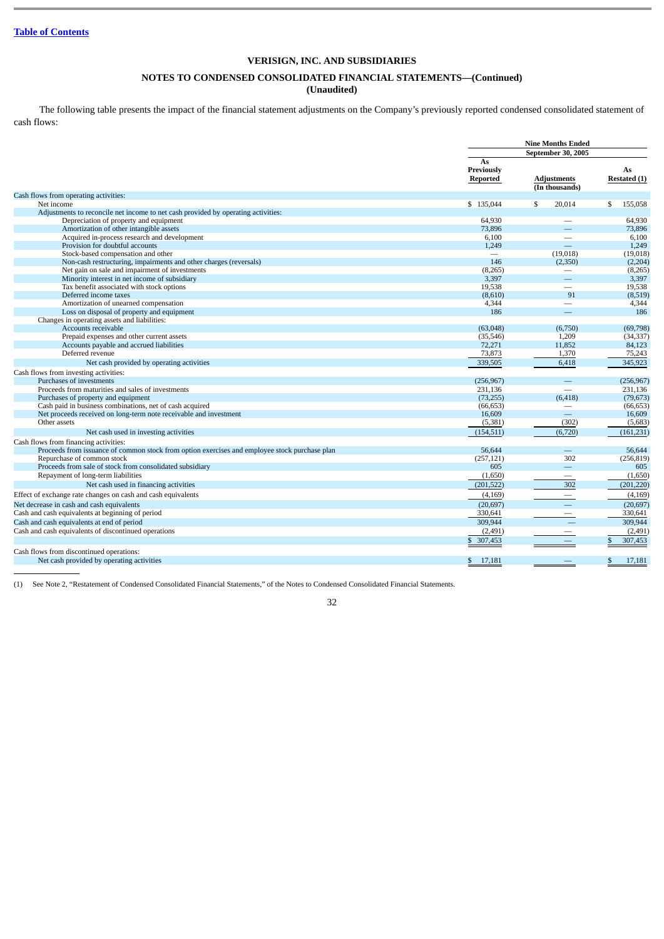## **NOTES TO CONDENSED CONSOLIDATED FINANCIAL STATEMENTS—(Continued)**

## **(Unaudited)**

The following table presents the impact of the financial statement adjustments on the Company's previously reported condensed consolidated statement of cash flows:

|                                                                                                                             |                              | <b>Nine Months Ended</b>             |                      |  |  |
|-----------------------------------------------------------------------------------------------------------------------------|------------------------------|--------------------------------------|----------------------|--|--|
|                                                                                                                             |                              | September 30, 2005                   |                      |  |  |
|                                                                                                                             | As<br>Previously<br>Reported | <b>Adjustments</b><br>(In thousands) | As<br>Restated (1)   |  |  |
| Cash flows from operating activities:                                                                                       |                              |                                      |                      |  |  |
| Net income                                                                                                                  | \$135,044                    | 20,014<br>\$                         | 155,058<br>\$        |  |  |
| Adjustments to reconcile net income to net cash provided by operating activities:                                           |                              |                                      |                      |  |  |
| Depreciation of property and equipment                                                                                      | 64.930                       | $\overline{\phantom{0}}$             | 64,930               |  |  |
| Amortization of other intangible assets                                                                                     | 73,896                       | $\overline{\phantom{0}}$             | 73,896               |  |  |
| Acquired in-process research and development                                                                                | 6,100                        | $\overline{\phantom{0}}$             | 6,100                |  |  |
| Provision for doubtful accounts                                                                                             | 1,249                        | $\qquad \qquad -$                    | 1,249                |  |  |
| Stock-based compensation and other                                                                                          |                              | (19,018)                             | (19,018)             |  |  |
| Non-cash restructuring, impairments and other charges (reversals)                                                           | 146                          | (2,350)                              | (2, 204)             |  |  |
| Net gain on sale and impairment of investments<br>Minority interest in net income of subsidiary                             | (8, 265)<br>3,397            | $\overline{\phantom{m}}$             | (8, 265)<br>3,397    |  |  |
| Tax benefit associated with stock options                                                                                   | 19,538                       | $\frac{1}{2}$                        | 19,538               |  |  |
| Deferred income taxes                                                                                                       | (8,610)                      | 91                                   | (8,519)              |  |  |
| Amortization of unearned compensation                                                                                       | 4,344                        |                                      | 4,344                |  |  |
| Loss on disposal of property and equipment                                                                                  | 186                          | $\equiv$                             | 186                  |  |  |
| Changes in operating assets and liabilities:                                                                                |                              |                                      |                      |  |  |
| Accounts receivable                                                                                                         | (63,048)                     | (6,750)                              | (69,798)             |  |  |
| Prepaid expenses and other current assets                                                                                   | (35, 546)                    | 1.209                                | (34, 337)            |  |  |
| Accounts payable and accrued liabilities                                                                                    | 72,271                       | 11,852                               | 84,123               |  |  |
| Deferred revenue                                                                                                            | 73,873                       | 1,370                                | 75,243               |  |  |
| Net cash provided by operating activities                                                                                   | 339,505                      | 6,418                                | 345,923              |  |  |
|                                                                                                                             |                              |                                      |                      |  |  |
| Cash flows from investing activities:<br>Purchases of investments                                                           |                              | $\qquad \qquad -$                    |                      |  |  |
| Proceeds from maturities and sales of investments                                                                           | (256, 967)<br>231,136        |                                      | (256,967)<br>231,136 |  |  |
| Purchases of property and equipment                                                                                         | (73, 255)                    | (6, 418)                             | (79, 673)            |  |  |
| Cash paid in business combinations, net of cash acquired                                                                    | (66, 653)                    | $\qquad \qquad$                      | (66, 653)            |  |  |
| Net proceeds received on long-term note receivable and investment                                                           | 16,609                       | $\equiv$                             | 16,609               |  |  |
| Other assets                                                                                                                | (5,381)                      | (302)                                | (5,683)              |  |  |
| Net cash used in investing activities                                                                                       | (154, 511)                   | (6, 720)                             | (161, 231)           |  |  |
|                                                                                                                             |                              |                                      |                      |  |  |
| Cash flows from financing activities:                                                                                       |                              |                                      |                      |  |  |
| Proceeds from issuance of common stock from option exercises and employee stock purchase plan<br>Repurchase of common stock | 56,644<br>(257, 121)         | $\equiv$<br>302                      | 56,644<br>(256, 819) |  |  |
| Proceeds from sale of stock from consolidated subsidiary                                                                    | 605                          | $\equiv$                             | 605                  |  |  |
| Repayment of long-term liabilities                                                                                          | (1,650)                      | $\qquad \qquad -$                    | (1,650)              |  |  |
|                                                                                                                             |                              |                                      |                      |  |  |
| Net cash used in financing activities                                                                                       | (201, 522)                   | 302                                  | (201, 220)           |  |  |
| Effect of exchange rate changes on cash and cash equivalents                                                                | (4, 169)                     | $\overline{\phantom{a}}$             | (4,169)              |  |  |
| Net decrease in cash and cash equivalents                                                                                   | (20, 697)                    | $\equiv$                             | (20, 697)            |  |  |
| Cash and cash equivalents at beginning of period                                                                            | 330,641                      | $\overline{\phantom{m}}$             | 330,641              |  |  |
| Cash and cash equivalents at end of period                                                                                  | 309,944                      |                                      | 309,944              |  |  |
| Cash and cash equivalents of discontinued operations                                                                        | (2, 491)                     |                                      | (2, 491)             |  |  |
|                                                                                                                             | \$<br>307,453                |                                      | 307,453              |  |  |
| Cash flows from discontinued operations:                                                                                    |                              |                                      |                      |  |  |
| Net cash provided by operating activities                                                                                   | \$<br>17,181                 |                                      | \$<br>17.181         |  |  |
|                                                                                                                             |                              |                                      |                      |  |  |

(1) See Note 2, "Restatement of Condensed Consolidated Financial Statements," of the Notes to Condensed Consolidated Financial Statements.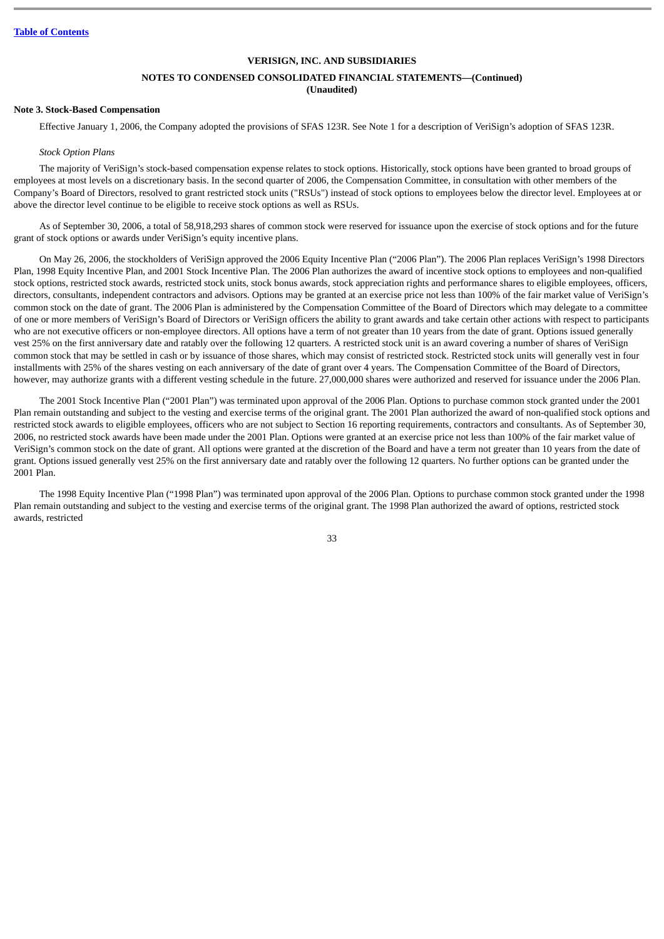## **NOTES TO CONDENSED CONSOLIDATED FINANCIAL STATEMENTS—(Continued)**

## **(Unaudited)**

#### **Note 3. Stock-Based Compensation**

Effective January 1, 2006, the Company adopted the provisions of SFAS 123R. See Note 1 for a description of VeriSign's adoption of SFAS 123R.

#### *Stock Option Plans*

The majority of VeriSign's stock-based compensation expense relates to stock options. Historically, stock options have been granted to broad groups of employees at most levels on a discretionary basis. In the second quarter of 2006, the Compensation Committee, in consultation with other members of the Company's Board of Directors, resolved to grant restricted stock units ("RSUs") instead of stock options to employees below the director level. Employees at or above the director level continue to be eligible to receive stock options as well as RSUs.

As of September 30, 2006, a total of 58,918,293 shares of common stock were reserved for issuance upon the exercise of stock options and for the future grant of stock options or awards under VeriSign's equity incentive plans.

On May 26, 2006, the stockholders of VeriSign approved the 2006 Equity Incentive Plan ("2006 Plan"). The 2006 Plan replaces VeriSign's 1998 Directors Plan, 1998 Equity Incentive Plan, and 2001 Stock Incentive Plan. The 2006 Plan authorizes the award of incentive stock options to employees and non-qualified stock options, restricted stock awards, restricted stock units, stock bonus awards, stock appreciation rights and performance shares to eligible employees, officers, directors, consultants, independent contractors and advisors. Options may be granted at an exercise price not less than 100% of the fair market value of VeriSign's common stock on the date of grant. The 2006 Plan is administered by the Compensation Committee of the Board of Directors which may delegate to a committee of one or more members of VeriSign's Board of Directors or VeriSign officers the ability to grant awards and take certain other actions with respect to participants who are not executive officers or non-employee directors. All options have a term of not greater than 10 years from the date of grant. Options issued generally vest 25% on the first anniversary date and ratably over the following 12 quarters. A restricted stock unit is an award covering a number of shares of VeriSign common stock that may be settled in cash or by issuance of those shares, which may consist of restricted stock. Restricted stock units will generally vest in four installments with 25% of the shares vesting on each anniversary of the date of grant over 4 years. The Compensation Committee of the Board of Directors, however, may authorize grants with a different vesting schedule in the future. 27,000,000 shares were authorized and reserved for issuance under the 2006 Plan.

The 2001 Stock Incentive Plan ("2001 Plan") was terminated upon approval of the 2006 Plan. Options to purchase common stock granted under the 2001 Plan remain outstanding and subject to the vesting and exercise terms of the original grant. The 2001 Plan authorized the award of non-qualified stock options and restricted stock awards to eligible employees, officers who are not subject to Section 16 reporting requirements, contractors and consultants. As of September 30, 2006, no restricted stock awards have been made under the 2001 Plan. Options were granted at an exercise price not less than 100% of the fair market value of VeriSign's common stock on the date of grant. All options were granted at the discretion of the Board and have a term not greater than 10 years from the date of grant. Options issued generally vest 25% on the first anniversary date and ratably over the following 12 quarters. No further options can be granted under the 2001 Plan.

The 1998 Equity Incentive Plan ("1998 Plan") was terminated upon approval of the 2006 Plan. Options to purchase common stock granted under the 1998 Plan remain outstanding and subject to the vesting and exercise terms of the original grant. The 1998 Plan authorized the award of options, restricted stock awards, restricted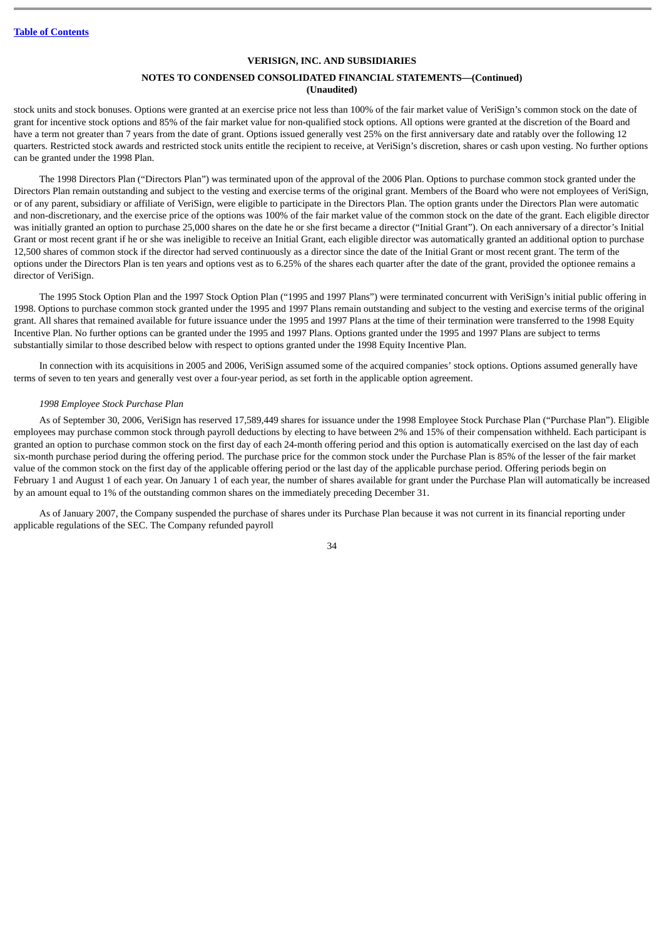## **NOTES TO CONDENSED CONSOLIDATED FINANCIAL STATEMENTS—(Continued) (Unaudited)**

stock units and stock bonuses. Options were granted at an exercise price not less than 100% of the fair market value of VeriSign's common stock on the date of grant for incentive stock options and 85% of the fair market value for non-qualified stock options. All options were granted at the discretion of the Board and have a term not greater than 7 years from the date of grant. Options issued generally vest 25% on the first anniversary date and ratably over the following 12 quarters. Restricted stock awards and restricted stock units entitle the recipient to receive, at VeriSign's discretion, shares or cash upon vesting. No further options can be granted under the 1998 Plan.

The 1998 Directors Plan ("Directors Plan") was terminated upon of the approval of the 2006 Plan. Options to purchase common stock granted under the Directors Plan remain outstanding and subject to the vesting and exercise terms of the original grant. Members of the Board who were not employees of VeriSign, or of any parent, subsidiary or affiliate of VeriSign, were eligible to participate in the Directors Plan. The option grants under the Directors Plan were automatic and non-discretionary, and the exercise price of the options was 100% of the fair market value of the common stock on the date of the grant. Each eligible director was initially granted an option to purchase 25,000 shares on the date he or she first became a director ("Initial Grant"). On each anniversary of a director's Initial Grant or most recent grant if he or she was ineligible to receive an Initial Grant, each eligible director was automatically granted an additional option to purchase 12,500 shares of common stock if the director had served continuously as a director since the date of the Initial Grant or most recent grant. The term of the options under the Directors Plan is ten years and options vest as to 6.25% of the shares each quarter after the date of the grant, provided the optionee remains a director of VeriSign.

The 1995 Stock Option Plan and the 1997 Stock Option Plan ("1995 and 1997 Plans") were terminated concurrent with VeriSign's initial public offering in 1998. Options to purchase common stock granted under the 1995 and 1997 Plans remain outstanding and subject to the vesting and exercise terms of the original grant. All shares that remained available for future issuance under the 1995 and 1997 Plans at the time of their termination were transferred to the 1998 Equity Incentive Plan. No further options can be granted under the 1995 and 1997 Plans. Options granted under the 1995 and 1997 Plans are subject to terms substantially similar to those described below with respect to options granted under the 1998 Equity Incentive Plan.

In connection with its acquisitions in 2005 and 2006, VeriSign assumed some of the acquired companies' stock options. Options assumed generally have terms of seven to ten years and generally vest over a four-year period, as set forth in the applicable option agreement.

#### *1998 Employee Stock Purchase Plan*

As of September 30, 2006, VeriSign has reserved 17,589,449 shares for issuance under the 1998 Employee Stock Purchase Plan ("Purchase Plan"). Eligible employees may purchase common stock through payroll deductions by electing to have between 2% and 15% of their compensation withheld. Each participant is granted an option to purchase common stock on the first day of each 24-month offering period and this option is automatically exercised on the last day of each six-month purchase period during the offering period. The purchase price for the common stock under the Purchase Plan is 85% of the lesser of the fair market value of the common stock on the first day of the applicable offering period or the last day of the applicable purchase period. Offering periods begin on February 1 and August 1 of each year. On January 1 of each year, the number of shares available for grant under the Purchase Plan will automatically be increased by an amount equal to 1% of the outstanding common shares on the immediately preceding December 31.

As of January 2007, the Company suspended the purchase of shares under its Purchase Plan because it was not current in its financial reporting under applicable regulations of the SEC. The Company refunded payroll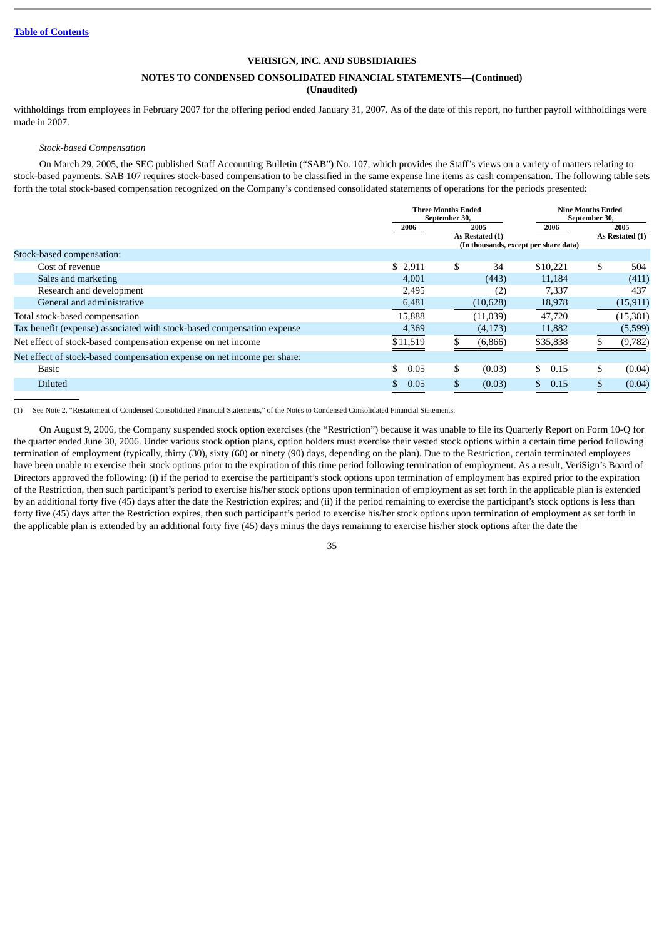## **NOTES TO CONDENSED CONSOLIDATED FINANCIAL STATEMENTS—(Continued)**

**(Unaudited)**

withholdings from employees in February 2007 for the offering period ended January 31, 2007. As of the date of this report, no further payroll withholdings were made in 2007.

#### *Stock-based Compensation*

On March 29, 2005, the SEC published Staff Accounting Bulletin ("SAB") No. 107, which provides the Staff's views on a variety of matters relating to stock-based payments. SAB 107 requires stock-based compensation to be classified in the same expense line items as cash compensation. The following table sets forth the total stock-based compensation recognized on the Company's condensed consolidated statements of operations for the periods presented:

|                                                                         |          | <b>Three Months Ended</b><br>September 30, |                         | <b>Nine Months Ended</b><br>September 30,     |     |                         |
|-------------------------------------------------------------------------|----------|--------------------------------------------|-------------------------|-----------------------------------------------|-----|-------------------------|
|                                                                         | 2006     |                                            | 2005<br>As Restated (1) | 2006<br>(In thousands, except per share data) |     | 2005<br>As Restated (1) |
| Stock-based compensation:                                               |          |                                            |                         |                                               |     |                         |
| Cost of revenue                                                         | \$2,911  | \$                                         | 34                      | \$10.221                                      | \$. | 504                     |
| Sales and marketing                                                     | 4,001    |                                            | (443)                   | 11,184                                        |     | (411)                   |
| Research and development                                                | 2,495    |                                            | (2)                     | 7.337                                         |     | 437                     |
| General and administrative                                              | 6,481    |                                            | (10,628)                | 18,978                                        |     | (15, 911)               |
| Total stock-based compensation                                          | 15.888   |                                            | (11.039)                | 47,720                                        |     | (15, 381)               |
| Tax benefit (expense) associated with stock-based compensation expense  | 4,369    |                                            | (4,173)                 | 11,882                                        |     | (5,599)                 |
| Net effect of stock-based compensation expense on net income            | \$11,519 |                                            | (6,866)                 | \$35,838                                      |     | (9,782)                 |
| Net effect of stock-based compensation expense on net income per share: |          |                                            |                         |                                               |     |                         |
| <b>Basic</b>                                                            | 0.05     | \$                                         | (0.03)                  | 0.15                                          |     | (0.04)                  |
| <b>Diluted</b>                                                          | 0.05     |                                            | (0.03)                  | 0.15                                          |     | (0.04)                  |

(1) See Note 2, "Restatement of Condensed Consolidated Financial Statements," of the Notes to Condensed Consolidated Financial Statements.

On August 9, 2006, the Company suspended stock option exercises (the "Restriction") because it was unable to file its Quarterly Report on Form 10-Q for the quarter ended June 30, 2006. Under various stock option plans, option holders must exercise their vested stock options within a certain time period following termination of employment (typically, thirty (30), sixty (60) or ninety (90) days, depending on the plan). Due to the Restriction, certain terminated employees have been unable to exercise their stock options prior to the expiration of this time period following termination of employment. As a result, VeriSign's Board of Directors approved the following: (i) if the period to exercise the participant's stock options upon termination of employment has expired prior to the expiration of the Restriction, then such participant's period to exercise his/her stock options upon termination of employment as set forth in the applicable plan is extended by an additional forty five (45) days after the date the Restriction expires; and (ii) if the period remaining to exercise the participant's stock options is less than forty five (45) days after the Restriction expires, then such participant's period to exercise his/her stock options upon termination of employment as set forth in the applicable plan is extended by an additional forty five (45) days minus the days remaining to exercise his/her stock options after the date the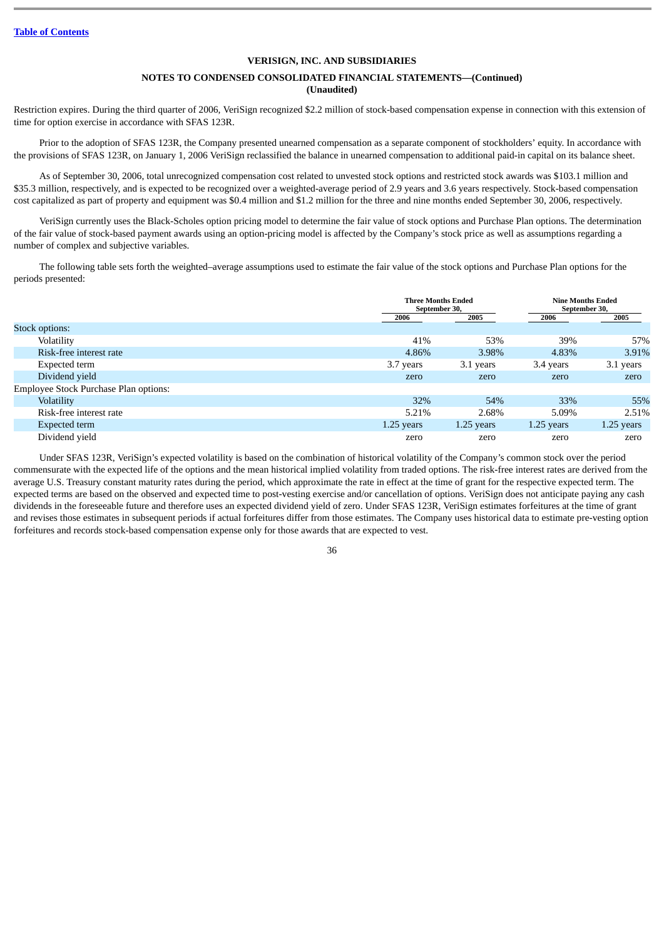## **NOTES TO CONDENSED CONSOLIDATED FINANCIAL STATEMENTS—(Continued) (Unaudited)**

Restriction expires. During the third quarter of 2006, VeriSign recognized \$2.2 million of stock-based compensation expense in connection with this extension of time for option exercise in accordance with SFAS 123R.

Prior to the adoption of SFAS 123R, the Company presented unearned compensation as a separate component of stockholders' equity. In accordance with the provisions of SFAS 123R, on January 1, 2006 VeriSign reclassified the balance in unearned compensation to additional paid-in capital on its balance sheet.

As of September 30, 2006, total unrecognized compensation cost related to unvested stock options and restricted stock awards was \$103.1 million and \$35.3 million, respectively, and is expected to be recognized over a weighted-average period of 2.9 years and 3.6 years respectively. Stock-based compensation cost capitalized as part of property and equipment was \$0.4 million and \$1.2 million for the three and nine months ended September 30, 2006, respectively.

VeriSign currently uses the Black-Scholes option pricing model to determine the fair value of stock options and Purchase Plan options. The determination of the fair value of stock-based payment awards using an option-pricing model is affected by the Company's stock price as well as assumptions regarding a number of complex and subjective variables.

The following table sets forth the weighted–average assumptions used to estimate the fair value of the stock options and Purchase Plan options for the periods presented:

|                                       | <b>Three Months Ended</b><br>September 30, |              | <b>Nine Months Ended</b><br>September 30, |            |
|---------------------------------------|--------------------------------------------|--------------|-------------------------------------------|------------|
|                                       | 2006                                       | 2005         | 2006                                      | 2005       |
| Stock options:                        |                                            |              |                                           |            |
| Volatility                            | 41%                                        | 53%          | 39%                                       | 57%        |
| Risk-free interest rate               | 4.86%                                      | 3.98%        | 4.83%                                     | 3.91%      |
| Expected term                         | 3.7 years                                  | 3.1 years    | 3.4 years                                 | 3.1 years  |
| Dividend yield                        | zero                                       | zero         | zero                                      | zero       |
| Employee Stock Purchase Plan options: |                                            |              |                                           |            |
| Volatility                            | 32%                                        | 54%          | 33%                                       | 55%        |
| Risk-free interest rate               | 5.21%                                      | 2.68%        | 5.09%                                     | 2.51%      |
| Expected term                         | $1.25$ years                               | $1.25$ years | $1.25$ years                              | 1.25 years |
| Dividend yield                        | zero                                       | zero         | zero                                      | zero       |

Under SFAS 123R, VeriSign's expected volatility is based on the combination of historical volatility of the Company's common stock over the period commensurate with the expected life of the options and the mean historical implied volatility from traded options. The risk-free interest rates are derived from the average U.S. Treasury constant maturity rates during the period, which approximate the rate in effect at the time of grant for the respective expected term. The expected terms are based on the observed and expected time to post-vesting exercise and/or cancellation of options. VeriSign does not anticipate paying any cash dividends in the foreseeable future and therefore uses an expected dividend yield of zero. Under SFAS 123R, VeriSign estimates forfeitures at the time of grant and revises those estimates in subsequent periods if actual forfeitures differ from those estimates. The Company uses historical data to estimate pre-vesting option forfeitures and records stock-based compensation expense only for those awards that are expected to vest.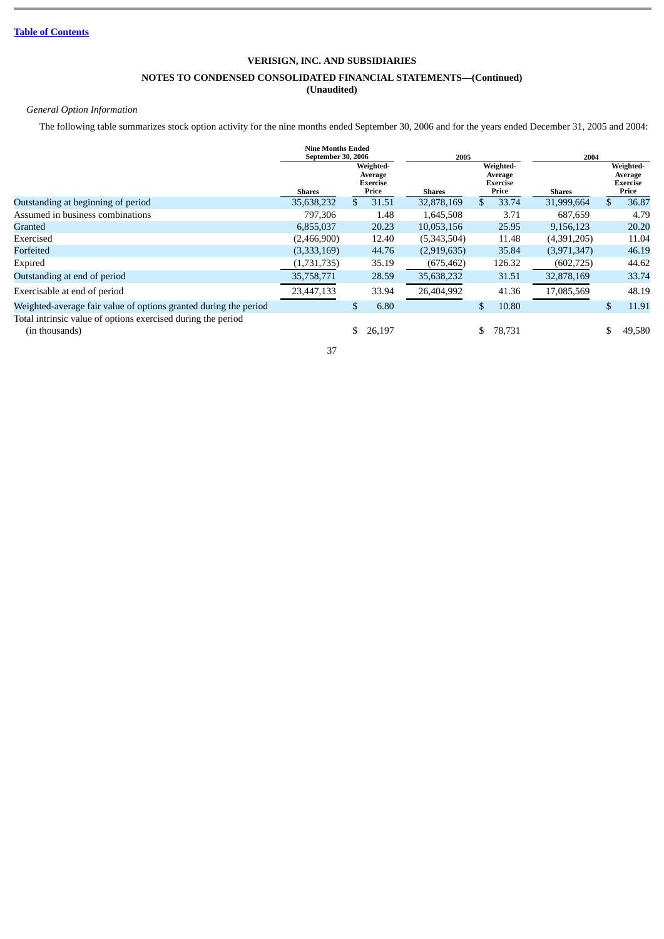# **NOTES TO CONDENSED CONSOLIDATED FINANCIAL STATEMENTS—(Continued)**

# **(Unaudited)**

# *General Option Information*

The following table summarizes stock option activity for the nine months ended September 30, 2006 and for the years ended December 31, 2005 and 2004:

|                                                                                | <b>Nine Months Ended</b><br>September 30, 2006 |    |                                           | 2005          |              | 2004                                      |               |              |                                           |
|--------------------------------------------------------------------------------|------------------------------------------------|----|-------------------------------------------|---------------|--------------|-------------------------------------------|---------------|--------------|-------------------------------------------|
|                                                                                | Shares                                         |    | Weighted-<br>Average<br>Exercise<br>Price | <b>Shares</b> |              | Weighted-<br>Average<br>Exercise<br>Price | <b>Shares</b> |              | Weighted-<br>Average<br>Exercise<br>Price |
| Outstanding at beginning of period                                             | 35,638,232                                     | \$ | 31.51                                     | 32,878,169    | $\mathbf{s}$ | 33.74                                     | 31,999,664    | $\mathbf{s}$ | 36.87                                     |
| Assumed in business combinations                                               | 797,306                                        |    | 1.48                                      | 1,645,508     |              | 3.71                                      | 687,659       |              | 4.79                                      |
| Granted                                                                        | 6,855,037                                      |    | 20.23                                     | 10,053,156    |              | 25.95                                     | 9,156,123     |              | 20.20                                     |
| Exercised                                                                      | (2,466,900)                                    |    | 12.40                                     | (5,343,504)   |              | 11.48                                     | (4,391,205)   |              | 11.04                                     |
| Forfeited                                                                      | (3,333,169)                                    |    | 44.76                                     | (2,919,635)   |              | 35.84                                     | (3,971,347)   |              | 46.19                                     |
| Expired                                                                        | (1,731,735)                                    |    | 35.19                                     | (675, 462)    |              | 126.32                                    | (602, 725)    |              | 44.62                                     |
| Outstanding at end of period                                                   | 35,758,771                                     |    | 28.59                                     | 35,638,232    |              | 31.51                                     | 32,878,169    |              | 33.74                                     |
| Exercisable at end of period                                                   | 23,447,133                                     |    | 33.94                                     | 26,404,992    |              | 41.36                                     | 17,085,569    |              | 48.19                                     |
| Weighted-average fair value of options granted during the period               |                                                | \$ | 6.80                                      |               | \$           | 10.80                                     |               | \$.          | 11.91                                     |
| Total intrinsic value of options exercised during the period<br>(in thousands) |                                                | \$ | 26,197                                    |               | \$.          | 78,731                                    |               |              | 49,580                                    |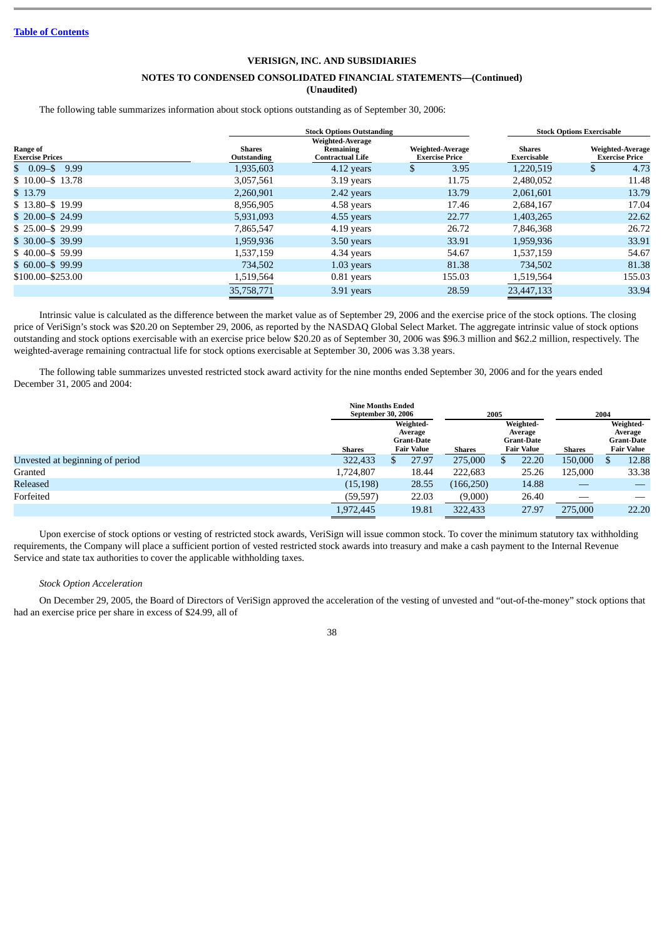# **NOTES TO CONDENSED CONSOLIDATED FINANCIAL STATEMENTS—(Continued)**

**(Unaudited)**

The following table summarizes information about stock options outstanding as of September 30, 2006:

|                                    |                       |                                                   | <b>Stock Options Exercisable</b> |                                                                           |                  |                                           |
|------------------------------------|-----------------------|---------------------------------------------------|----------------------------------|---------------------------------------------------------------------------|------------------|-------------------------------------------|
| Range of<br><b>Exercise Prices</b> | Shares<br>Outstanding | Weighted-Average<br>Remaining<br>Contractual Life |                                  | Weighted-Average<br><b>Shares</b><br><b>Exercise Price</b><br>Exercisable |                  | Weighted-Average<br><b>Exercise Price</b> |
| 9.99<br>$$0.09 - $$                | 1,935,603             | 4.12 years                                        | S                                | 3.95<br>1,220,519                                                         |                  | 4.73                                      |
| \$10.00 - \$13.78                  | 3,057,561             | 3.19 years                                        |                                  | 11.75<br>2,480,052                                                        | 11.48            |                                           |
| \$13.79                            | 2,260,901             | 2.42 years                                        |                                  | 13.79<br>2,061,601                                                        | 13.79            |                                           |
| $$13.80 - $19.99$                  | 8,956,905             | 4.58 years                                        |                                  | 17.46<br>2,684,167                                                        | 17.04            |                                           |
| $$20.00 - $24.99$                  | 5,931,093             | 4.55 years                                        |                                  | 22.77<br>1,403,265                                                        | 22.62            |                                           |
| $$25.00 - $29.99$                  | 7,865,547             | 4.19 years                                        |                                  | 26.72<br>7,846,368                                                        | 26.72            |                                           |
| $$30.00 - $39.99$                  | 1,959,936             | 3.50 years                                        |                                  | 33.91<br>1,959,936                                                        | 33.91            |                                           |
| $$40.00 - $59.99$                  | 1,537,159             | 4.34 years                                        |                                  | 54.67<br>1,537,159                                                        | 54.67            |                                           |
| $$60.00 - $99.99$                  | 734,502               | $1.03$ years                                      |                                  | 81.38                                                                     | 81.38<br>734,502 |                                           |
| \$100.00 - \$253.00                | 1,519,564             | $0.81$ years                                      |                                  | 155.03<br>1,519,564                                                       | 155.03           |                                           |
|                                    | 35,758,771            | 3.91 years                                        |                                  | 28.59<br>23.447.133                                                       | 33.94            |                                           |

Intrinsic value is calculated as the difference between the market value as of September 29, 2006 and the exercise price of the stock options. The closing price of VeriSign's stock was \$20.20 on September 29, 2006, as reported by the NASDAQ Global Select Market. The aggregate intrinsic value of stock options outstanding and stock options exercisable with an exercise price below \$20.20 as of September 30, 2006 was \$96.3 million and \$62.2 million, respectively. The weighted-average remaining contractual life for stock options exercisable at September 30, 2006 was 3.38 years.

The following table summarizes unvested restricted stock award activity for the nine months ended September 30, 2006 and for the years ended December 31, 2005 and 2004:

|                                 |               | <b>Nine Months Ended</b><br>September 30, 2006                 |       |            | 2005 |       |         |               |       |                                                                |               |  |                                                                |
|---------------------------------|---------------|----------------------------------------------------------------|-------|------------|------|-------|---------|---------------|-------|----------------------------------------------------------------|---------------|--|----------------------------------------------------------------|
|                                 | <b>Shares</b> | Weighted-<br>Average<br><b>Grant-Date</b><br><b>Fair Value</b> |       |            |      |       |         | <b>Shares</b> |       | Weighted-<br>Average<br><b>Grant-Date</b><br><b>Fair Value</b> | <b>Shares</b> |  | Weighted-<br>Average<br><b>Grant-Date</b><br><b>Fair Value</b> |
| Unvested at beginning of period | 322,433       |                                                                | 27.97 | 275,000    |      | 22.20 | 150,000 |               | 12.88 |                                                                |               |  |                                                                |
| Granted                         | 1,724,807     |                                                                | 18.44 | 222,683    |      | 25.26 | 125,000 |               | 33.38 |                                                                |               |  |                                                                |
| Released                        | (15, 198)     |                                                                | 28.55 | (166, 250) |      | 14.88 |         |               |       |                                                                |               |  |                                                                |
| Forfeited                       | (59, 597)     |                                                                | 22.03 | (9,000)    |      | 26.40 |         |               |       |                                                                |               |  |                                                                |
|                                 | 1,972,445     |                                                                | 19.81 | 322,433    |      | 27.97 | 275,000 |               | 22.20 |                                                                |               |  |                                                                |

Upon exercise of stock options or vesting of restricted stock awards, VeriSign will issue common stock. To cover the minimum statutory tax withholding requirements, the Company will place a sufficient portion of vested restricted stock awards into treasury and make a cash payment to the Internal Revenue Service and state tax authorities to cover the applicable withholding taxes.

#### *Stock Option Acceleration*

On December 29, 2005, the Board of Directors of VeriSign approved the acceleration of the vesting of unvested and "out-of-the-money" stock options that had an exercise price per share in excess of \$24.99, all of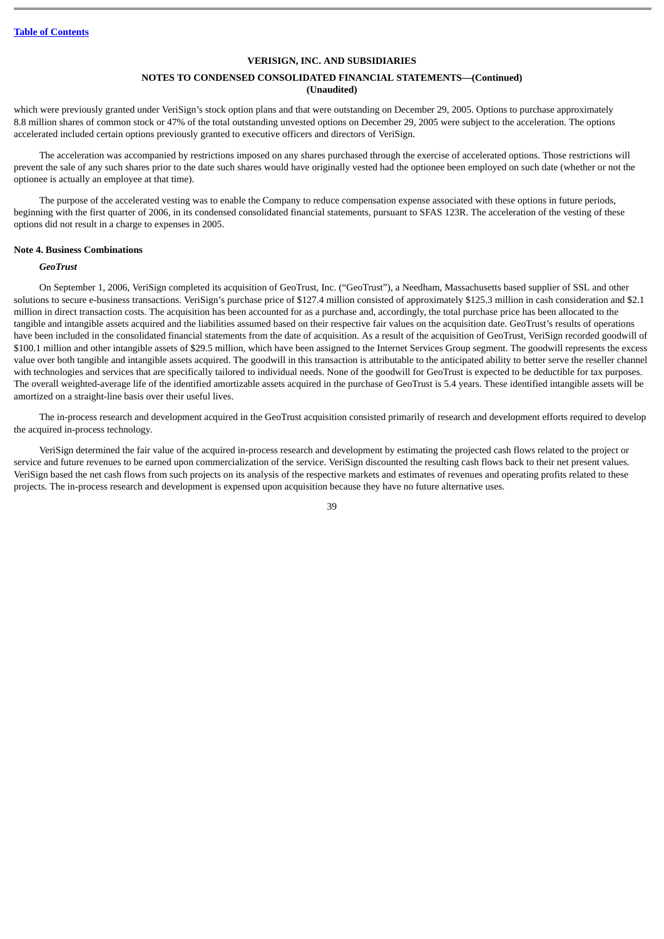### **NOTES TO CONDENSED CONSOLIDATED FINANCIAL STATEMENTS—(Continued) (Unaudited)**

which were previously granted under VeriSign's stock option plans and that were outstanding on December 29, 2005. Options to purchase approximately 8.8 million shares of common stock or 47% of the total outstanding unvested options on December 29, 2005 were subject to the acceleration. The options accelerated included certain options previously granted to executive officers and directors of VeriSign.

The acceleration was accompanied by restrictions imposed on any shares purchased through the exercise of accelerated options. Those restrictions will prevent the sale of any such shares prior to the date such shares would have originally vested had the optionee been employed on such date (whether or not the optionee is actually an employee at that time).

The purpose of the accelerated vesting was to enable the Company to reduce compensation expense associated with these options in future periods, beginning with the first quarter of 2006, in its condensed consolidated financial statements, pursuant to SFAS 123R. The acceleration of the vesting of these options did not result in a charge to expenses in 2005.

#### **Note 4. Business Combinations**

## *GeoTrust*

On September 1, 2006, VeriSign completed its acquisition of GeoTrust, Inc. ("GeoTrust"), a Needham, Massachusetts based supplier of SSL and other solutions to secure e-business transactions. VeriSign's purchase price of \$127.4 million consisted of approximately \$125.3 million in cash consideration and \$2.1 million in direct transaction costs. The acquisition has been accounted for as a purchase and, accordingly, the total purchase price has been allocated to the tangible and intangible assets acquired and the liabilities assumed based on their respective fair values on the acquisition date. GeoTrust's results of operations have been included in the consolidated financial statements from the date of acquisition. As a result of the acquisition of GeoTrust, VeriSign recorded goodwill of \$100.1 million and other intangible assets of \$29.5 million, which have been assigned to the Internet Services Group segment. The goodwill represents the excess value over both tangible and intangible assets acquired. The goodwill in this transaction is attributable to the anticipated ability to better serve the reseller channel with technologies and services that are specifically tailored to individual needs. None of the goodwill for GeoTrust is expected to be deductible for tax purposes. The overall weighted-average life of the identified amortizable assets acquired in the purchase of GeoTrust is 5.4 years. These identified intangible assets will be amortized on a straight-line basis over their useful lives.

The in-process research and development acquired in the GeoTrust acquisition consisted primarily of research and development efforts required to develop the acquired in-process technology.

VeriSign determined the fair value of the acquired in-process research and development by estimating the projected cash flows related to the project or service and future revenues to be earned upon commercialization of the service. VeriSign discounted the resulting cash flows back to their net present values. VeriSign based the net cash flows from such projects on its analysis of the respective markets and estimates of revenues and operating profits related to these projects. The in-process research and development is expensed upon acquisition because they have no future alternative uses.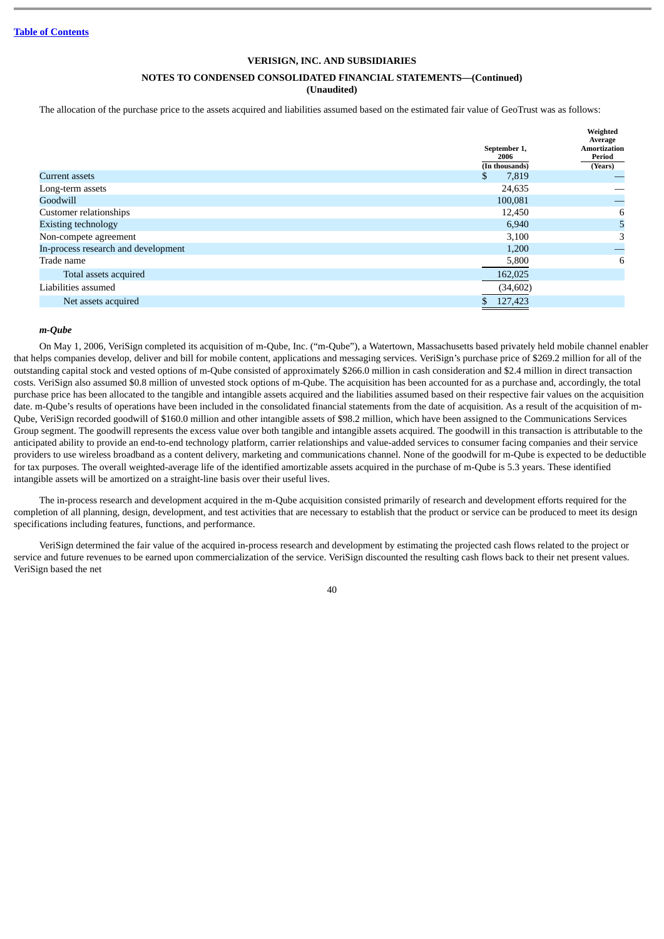# **NOTES TO CONDENSED CONSOLIDATED FINANCIAL STATEMENTS—(Continued)**

**(Unaudited)**

The allocation of the purchase price to the assets acquired and liabilities assumed based on the estimated fair value of GeoTrust was as follows:

|                                     | September 1,<br>2006 | Weighted<br>Average<br><b>Amortization</b><br>Period |  |
|-------------------------------------|----------------------|------------------------------------------------------|--|
|                                     | (In thousands)       | (Years)                                              |  |
| Current assets                      | \$<br>7,819          |                                                      |  |
| Long-term assets                    | 24,635               |                                                      |  |
| Goodwill                            | 100,081              |                                                      |  |
| Customer relationships              | 12,450               | 6                                                    |  |
| <b>Existing technology</b>          | 6,940                | 5                                                    |  |
| Non-compete agreement               | 3,100                | 3                                                    |  |
| In-process research and development | 1,200                |                                                      |  |
| Trade name                          | 5,800                | 6                                                    |  |
| Total assets acquired               | 162,025              |                                                      |  |
| Liabilities assumed                 | (34, 602)            |                                                      |  |
| Net assets acquired                 | \$<br>127,423        |                                                      |  |
|                                     |                      |                                                      |  |

#### *m-Qube*

On May 1, 2006, VeriSign completed its acquisition of m-Qube, Inc. ("m-Qube"), a Watertown, Massachusetts based privately held mobile channel enabler that helps companies develop, deliver and bill for mobile content, applications and messaging services. VeriSign's purchase price of \$269.2 million for all of the outstanding capital stock and vested options of m-Qube consisted of approximately \$266.0 million in cash consideration and \$2.4 million in direct transaction costs. VeriSign also assumed \$0.8 million of unvested stock options of m-Qube. The acquisition has been accounted for as a purchase and, accordingly, the total purchase price has been allocated to the tangible and intangible assets acquired and the liabilities assumed based on their respective fair values on the acquisition date. m-Qube's results of operations have been included in the consolidated financial statements from the date of acquisition. As a result of the acquisition of m-Qube, VeriSign recorded goodwill of \$160.0 million and other intangible assets of \$98.2 million, which have been assigned to the Communications Services Group segment. The goodwill represents the excess value over both tangible and intangible assets acquired. The goodwill in this transaction is attributable to the anticipated ability to provide an end-to-end technology platform, carrier relationships and value-added services to consumer facing companies and their service providers to use wireless broadband as a content delivery, marketing and communications channel. None of the goodwill for m-Qube is expected to be deductible for tax purposes. The overall weighted-average life of the identified amortizable assets acquired in the purchase of m-Qube is 5.3 years. These identified intangible assets will be amortized on a straight-line basis over their useful lives.

The in-process research and development acquired in the m-Qube acquisition consisted primarily of research and development efforts required for the completion of all planning, design, development, and test activities that are necessary to establish that the product or service can be produced to meet its design specifications including features, functions, and performance.

VeriSign determined the fair value of the acquired in-process research and development by estimating the projected cash flows related to the project or service and future revenues to be earned upon commercialization of the service. VeriSign discounted the resulting cash flows back to their net present values. VeriSign based the net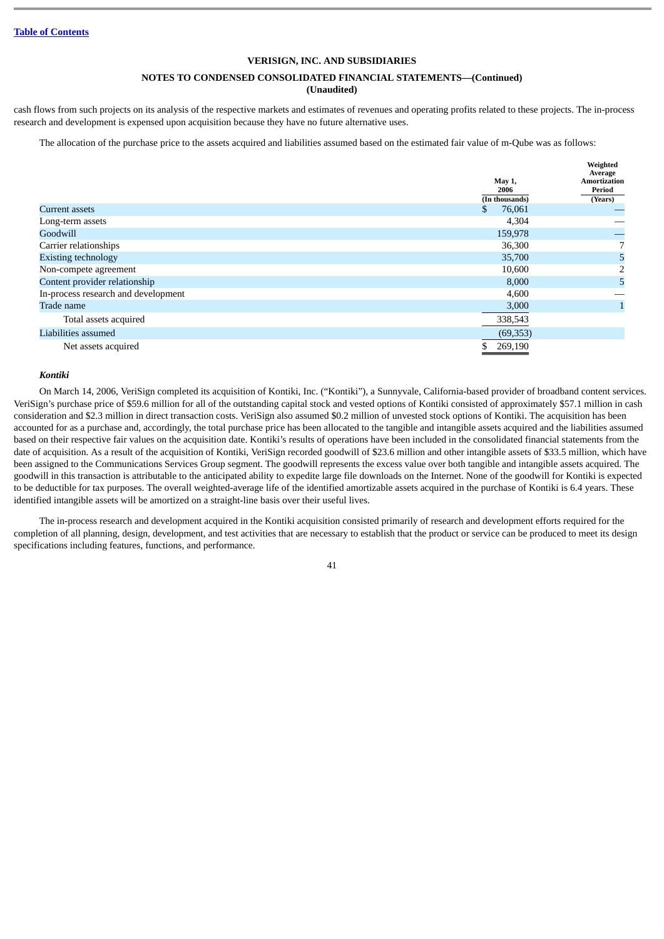# **NOTES TO CONDENSED CONSOLIDATED FINANCIAL STATEMENTS—(Continued)**

# **(Unaudited)**

cash flows from such projects on its analysis of the respective markets and estimates of revenues and operating profits related to these projects. The in-process research and development is expensed upon acquisition because they have no future alternative uses.

The allocation of the purchase price to the assets acquired and liabilities assumed based on the estimated fair value of m-Qube was as follows:

|                                     | May 1,<br>2006<br>(In thousands) | Weighted<br>Average<br><b>Amortization</b><br>Period<br>(Years) |
|-------------------------------------|----------------------------------|-----------------------------------------------------------------|
| Current assets                      | 76,061<br>S                      |                                                                 |
| Long-term assets                    | 4,304                            |                                                                 |
| Goodwill                            | 159,978                          |                                                                 |
| Carrier relationships               | 36,300                           | 7                                                               |
| <b>Existing technology</b>          | 35,700                           | 5                                                               |
| Non-compete agreement               | 10,600                           | 2                                                               |
| Content provider relationship       | 8,000                            | 5                                                               |
| In-process research and development | 4,600                            |                                                                 |
| Trade name                          | 3,000                            |                                                                 |
| Total assets acquired               | 338,543                          |                                                                 |
| Liabilities assumed                 | (69, 353)                        |                                                                 |
| Net assets acquired                 | 269,190                          |                                                                 |

#### *Kontiki*

On March 14, 2006, VeriSign completed its acquisition of Kontiki, Inc. ("Kontiki"), a Sunnyvale, California-based provider of broadband content services. VeriSign's purchase price of \$59.6 million for all of the outstanding capital stock and vested options of Kontiki consisted of approximately \$57.1 million in cash consideration and \$2.3 million in direct transaction costs. VeriSign also assumed \$0.2 million of unvested stock options of Kontiki. The acquisition has been accounted for as a purchase and, accordingly, the total purchase price has been allocated to the tangible and intangible assets acquired and the liabilities assumed based on their respective fair values on the acquisition date. Kontiki's results of operations have been included in the consolidated financial statements from the date of acquisition. As a result of the acquisition of Kontiki, VeriSign recorded goodwill of \$23.6 million and other intangible assets of \$33.5 million, which have been assigned to the Communications Services Group segment. The goodwill represents the excess value over both tangible and intangible assets acquired. The goodwill in this transaction is attributable to the anticipated ability to expedite large file downloads on the Internet. None of the goodwill for Kontiki is expected to be deductible for tax purposes. The overall weighted-average life of the identified amortizable assets acquired in the purchase of Kontiki is 6.4 years. These identified intangible assets will be amortized on a straight-line basis over their useful lives.

The in-process research and development acquired in the Kontiki acquisition consisted primarily of research and development efforts required for the completion of all planning, design, development, and test activities that are necessary to establish that the product or service can be produced to meet its design specifications including features, functions, and performance.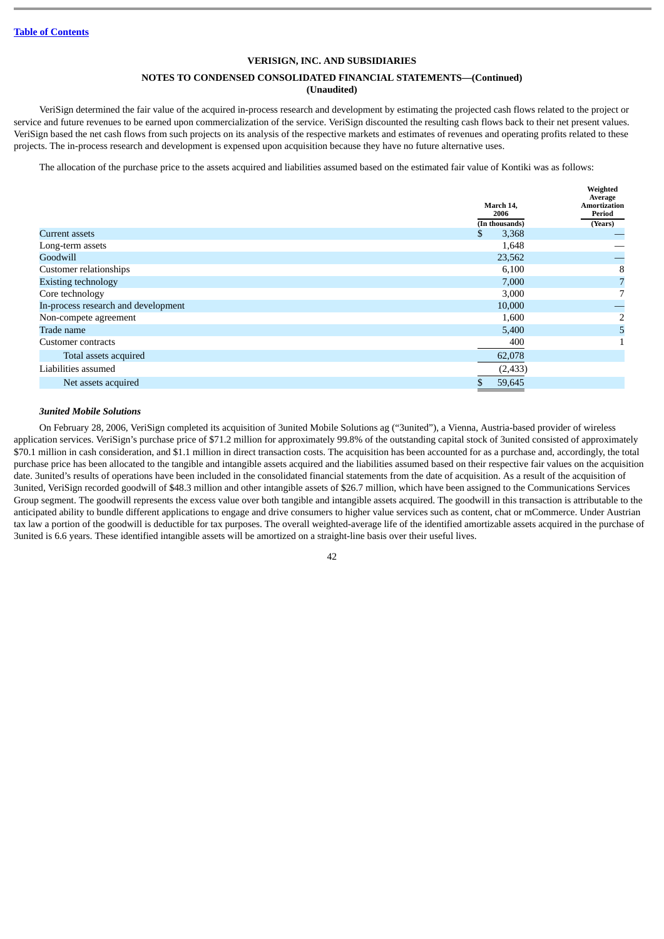### **NOTES TO CONDENSED CONSOLIDATED FINANCIAL STATEMENTS—(Continued) (Unaudited)**

VeriSign determined the fair value of the acquired in-process research and development by estimating the projected cash flows related to the project or service and future revenues to be earned upon commercialization of the service. VeriSign discounted the resulting cash flows back to their net present values. VeriSign based the net cash flows from such projects on its analysis of the respective markets and estimates of revenues and operating profits related to these projects. The in-process research and development is expensed upon acquisition because they have no future alternative uses.

The allocation of the purchase price to the assets acquired and liabilities assumed based on the estimated fair value of Kontiki was as follows:

|                                     | March 14,<br>2006 | Weighted<br>Average<br>Amortization<br>Period |
|-------------------------------------|-------------------|-----------------------------------------------|
|                                     | (In thousands)    | (Years)                                       |
| Current assets                      | 3,368<br>S        |                                               |
| Long-term assets                    | 1,648             |                                               |
| Goodwill                            | 23,562            |                                               |
| <b>Customer relationships</b>       | 6,100             | 8                                             |
| <b>Existing technology</b>          | 7,000             | 7                                             |
| Core technology                     | 3,000             |                                               |
| In-process research and development | 10,000            |                                               |
| Non-compete agreement               | 1,600             | 2                                             |
| Trade name                          | 5,400             | 5                                             |
| Customer contracts                  | 400               |                                               |
| Total assets acquired               | 62,078            |                                               |
| Liabilities assumed                 | (2, 433)          |                                               |
| Net assets acquired                 | \$<br>59,645      |                                               |

### *3united Mobile Solutions*

On February 28, 2006, VeriSign completed its acquisition of 3united Mobile Solutions ag ("3united"), a Vienna, Austria-based provider of wireless application services. VeriSign's purchase price of \$71.2 million for approximately 99.8% of the outstanding capital stock of 3united consisted of approximately \$70.1 million in cash consideration, and \$1.1 million in direct transaction costs. The acquisition has been accounted for as a purchase and, accordingly, the total purchase price has been allocated to the tangible and intangible assets acquired and the liabilities assumed based on their respective fair values on the acquisition date. 3united's results of operations have been included in the consolidated financial statements from the date of acquisition. As a result of the acquisition of 3united, VeriSign recorded goodwill of \$48.3 million and other intangible assets of \$26.7 million, which have been assigned to the Communications Services Group segment. The goodwill represents the excess value over both tangible and intangible assets acquired. The goodwill in this transaction is attributable to the anticipated ability to bundle different applications to engage and drive consumers to higher value services such as content, chat or mCommerce. Under Austrian tax law a portion of the goodwill is deductible for tax purposes. The overall weighted-average life of the identified amortizable assets acquired in the purchase of 3united is 6.6 years. These identified intangible assets will be amortized on a straight-line basis over their useful lives.

<sup>42</sup>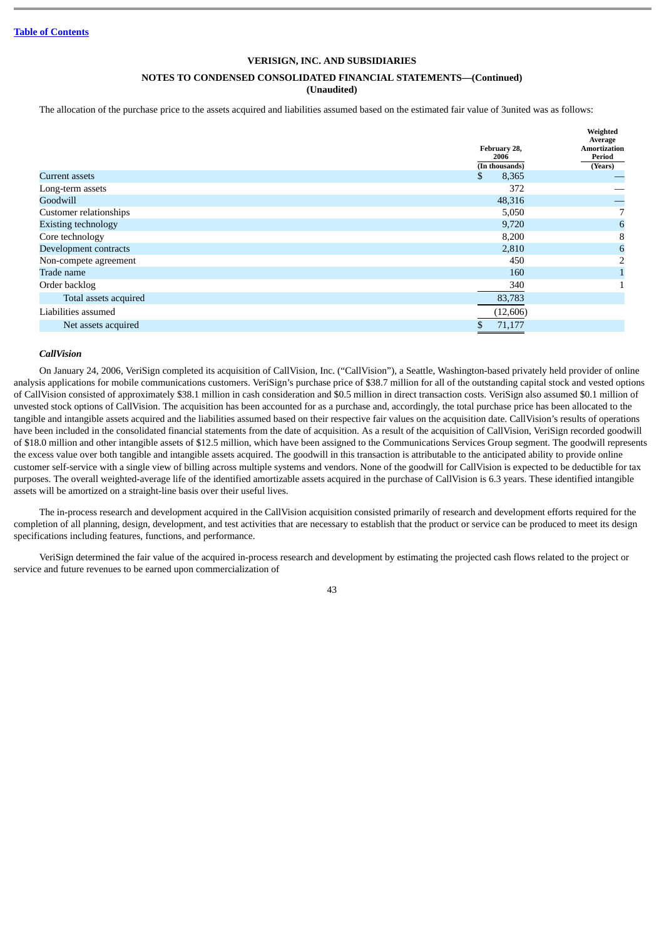# **NOTES TO CONDENSED CONSOLIDATED FINANCIAL STATEMENTS—(Continued)**

**(Unaudited)**

The allocation of the purchase price to the assets acquired and liabilities assumed based on the estimated fair value of 3united was as follows:

|                            | February 28,<br>2006 | Weighted<br>Average<br>Amortization<br>Period |
|----------------------------|----------------------|-----------------------------------------------|
|                            | (In thousands)       | (Years)                                       |
| Current assets             | 8,365<br>S           |                                               |
| Long-term assets           | 372                  |                                               |
| Goodwill                   | 48,316               |                                               |
| Customer relationships     | 5,050                | 7                                             |
| <b>Existing technology</b> | 9,720                | 6                                             |
| Core technology            | 8,200                | 8                                             |
| Development contracts      | 2,810                | $6\phantom{1}6$                               |
| Non-compete agreement      | 450                  | 2                                             |
| Trade name                 | 160                  |                                               |
| Order backlog              | 340                  |                                               |
| Total assets acquired      | 83,783               |                                               |
| Liabilities assumed        | (12,606)             |                                               |
| Net assets acquired        | 71,177               |                                               |
|                            |                      |                                               |

### *CallVision*

On January 24, 2006, VeriSign completed its acquisition of CallVision, Inc. ("CallVision"), a Seattle, Washington-based privately held provider of online analysis applications for mobile communications customers. VeriSign's purchase price of \$38.7 million for all of the outstanding capital stock and vested options of CallVision consisted of approximately \$38.1 million in cash consideration and \$0.5 million in direct transaction costs. VeriSign also assumed \$0.1 million of unvested stock options of CallVision. The acquisition has been accounted for as a purchase and, accordingly, the total purchase price has been allocated to the tangible and intangible assets acquired and the liabilities assumed based on their respective fair values on the acquisition date. CallVision's results of operations have been included in the consolidated financial statements from the date of acquisition. As a result of the acquisition of CallVision, VeriSign recorded goodwill of \$18.0 million and other intangible assets of \$12.5 million, which have been assigned to the Communications Services Group segment. The goodwill represents the excess value over both tangible and intangible assets acquired. The goodwill in this transaction is attributable to the anticipated ability to provide online customer self-service with a single view of billing across multiple systems and vendors. None of the goodwill for CallVision is expected to be deductible for tax purposes. The overall weighted-average life of the identified amortizable assets acquired in the purchase of CallVision is 6.3 years. These identified intangible assets will be amortized on a straight-line basis over their useful lives.

The in-process research and development acquired in the CallVision acquisition consisted primarily of research and development efforts required for the completion of all planning, design, development, and test activities that are necessary to establish that the product or service can be produced to meet its design specifications including features, functions, and performance.

VeriSign determined the fair value of the acquired in-process research and development by estimating the projected cash flows related to the project or service and future revenues to be earned upon commercialization of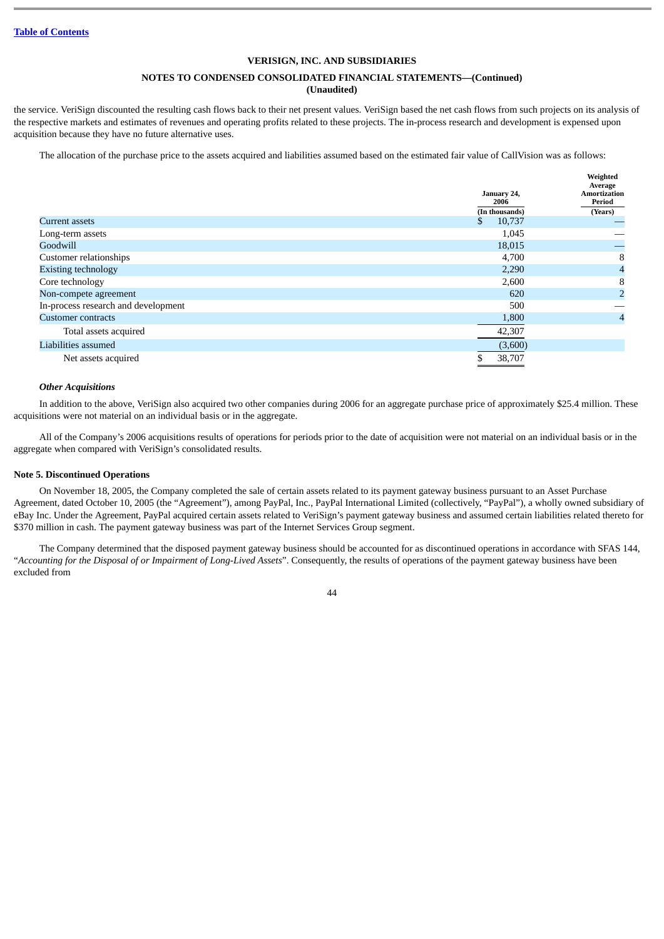# **NOTES TO CONDENSED CONSOLIDATED FINANCIAL STATEMENTS—(Continued)**

# **(Unaudited)**

the service. VeriSign discounted the resulting cash flows back to their net present values. VeriSign based the net cash flows from such projects on its analysis of the respective markets and estimates of revenues and operating profits related to these projects. The in-process research and development is expensed upon acquisition because they have no future alternative uses.

The allocation of the purchase price to the assets acquired and liabilities assumed based on the estimated fair value of CallVision was as follows:

**Weighted**

|                                     | January 24,<br>2006 | weighteu<br>Average<br><b>Amortization</b><br>Period |
|-------------------------------------|---------------------|------------------------------------------------------|
|                                     | (In thousands)      | (Years)                                              |
| Current assets                      | 10,737<br>S.        |                                                      |
| Long-term assets                    | 1,045               |                                                      |
| Goodwill                            | 18,015              |                                                      |
| <b>Customer relationships</b>       | 4,700               | 8                                                    |
| <b>Existing technology</b>          | 2,290               | 4                                                    |
| Core technology                     | 2,600               | 8                                                    |
| Non-compete agreement               | 620                 | 2                                                    |
| In-process research and development | 500                 |                                                      |
| <b>Customer contracts</b>           | 1,800               | 4                                                    |
| Total assets acquired               | 42,307              |                                                      |
| Liabilities assumed                 | (3,600)             |                                                      |
| Net assets acquired                 | 38,707              |                                                      |

#### *Other Acquisitions*

In addition to the above, VeriSign also acquired two other companies during 2006 for an aggregate purchase price of approximately \$25.4 million. These acquisitions were not material on an individual basis or in the aggregate.

All of the Company's 2006 acquisitions results of operations for periods prior to the date of acquisition were not material on an individual basis or in the aggregate when compared with VeriSign's consolidated results.

#### **Note 5. Discontinued Operations**

On November 18, 2005, the Company completed the sale of certain assets related to its payment gateway business pursuant to an Asset Purchase Agreement, dated October 10, 2005 (the "Agreement"), among PayPal, Inc., PayPal International Limited (collectively, "PayPal"), a wholly owned subsidiary of eBay Inc. Under the Agreement, PayPal acquired certain assets related to VeriSign's payment gateway business and assumed certain liabilities related thereto for \$370 million in cash. The payment gateway business was part of the Internet Services Group segment.

The Company determined that the disposed payment gateway business should be accounted for as discontinued operations in accordance with SFAS 144, "*Accounting for the Disposal of or Impairment of Long-Lived Assets*". Consequently, the results of operations of the payment gateway business have been excluded from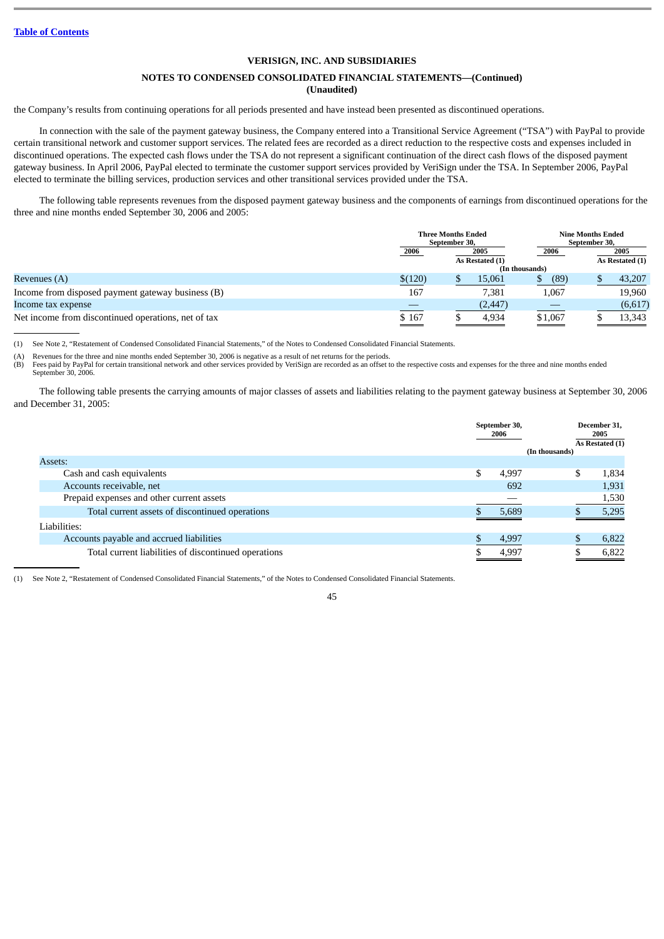# **NOTES TO CONDENSED CONSOLIDATED FINANCIAL STATEMENTS—(Continued) (Unaudited)**

the Company's results from continuing operations for all periods presented and have instead been presented as discontinued operations.

In connection with the sale of the payment gateway business, the Company entered into a Transitional Service Agreement ("TSA") with PayPal to provide certain transitional network and customer support services. The related fees are recorded as a direct reduction to the respective costs and expenses included in discontinued operations. The expected cash flows under the TSA do not represent a significant continuation of the direct cash flows of the disposed payment gateway business. In April 2006, PayPal elected to terminate the customer support services provided by VeriSign under the TSA. In September 2006, PayPal elected to terminate the billing services, production services and other transitional services provided under the TSA.

The following table represents revenues from the disposed payment gateway business and the components of earnings from discontinued operations for the three and nine months ended September 30, 2006 and 2005:

|                                                     | <b>Three Months Ended</b><br>September 30, |                 |                |         | September 30,   | <b>Nine Months Ended</b> |  |  |
|-----------------------------------------------------|--------------------------------------------|-----------------|----------------|---------|-----------------|--------------------------|--|--|
|                                                     | 2006                                       | 2005            |                | 2006    |                 | 2005                     |  |  |
|                                                     |                                            | As Restated (1) | (In thousands) |         | As Restated (1) |                          |  |  |
| Revenues (A)                                        | \$(120)                                    |                 | 15,061         | (89)    |                 | 43,207                   |  |  |
| Income from disposed payment gateway business (B)   | 167                                        |                 | 7,381          | 1,067   |                 | 19,960                   |  |  |
| Income tax expense                                  |                                            |                 | (2, 447)       |         |                 | (6,617)                  |  |  |
| Net income from discontinued operations, net of tax | $\frac{$167}{}$                            |                 | 4,934          | \$1,067 |                 | 13,343                   |  |  |

(1) See Note 2, "Restatement of Condensed Consolidated Financial Statements," of the Notes to Condensed Consolidated Financial Statements.

(A) Revenues for the three and nine months ended September 30, 2006 is negative as a result of net returns for the periods.

(B) Fees paid by PayPal for certain transitional network and other services provided by VeriSign are recorded as an offset to the respective costs and expenses for the three and nine months ended September 30, 2006.

The following table presents the carrying amounts of major classes of assets and liabilities relating to the payment gateway business at September 30, 2006 and December 31, 2005:

|                                                      | September 30,<br>2006 | (In thousands) | December 31,<br>2005<br>As Restated (1) |
|------------------------------------------------------|-----------------------|----------------|-----------------------------------------|
| Assets:                                              |                       |                |                                         |
| Cash and cash equivalents                            | \$<br>4,997           | \$             | 1,834                                   |
| Accounts receivable, net                             | 692                   |                | 1,931                                   |
| Prepaid expenses and other current assets            |                       |                | 1,530                                   |
| Total current assets of discontinued operations      | 5.689                 |                | 5,295                                   |
| Liabilities:                                         |                       |                |                                         |
| Accounts payable and accrued liabilities             | 4,997                 |                | 6,822                                   |
| Total current liabilities of discontinued operations | 4.997                 |                | 6.822                                   |

(1) See Note 2, "Restatement of Condensed Consolidated Financial Statements," of the Notes to Condensed Consolidated Financial Statements.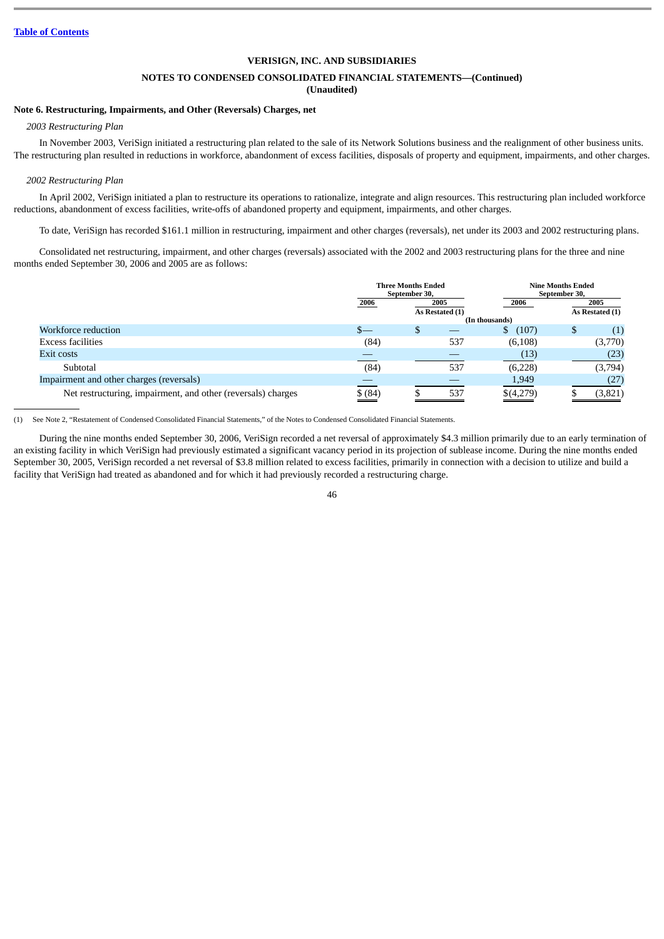# **NOTES TO CONDENSED CONSOLIDATED FINANCIAL STATEMENTS—(Continued)**

# **(Unaudited)**

# **Note 6. Restructuring, Impairments, and Other (Reversals) Charges, net**

# *2003 Restructuring Plan*

In November 2003, VeriSign initiated a restructuring plan related to the sale of its Network Solutions business and the realignment of other business units. The restructuring plan resulted in reductions in workforce, abandonment of excess facilities, disposals of property and equipment, impairments, and other charges.

#### *2002 Restructuring Plan*

In April 2002, VeriSign initiated a plan to restructure its operations to rationalize, integrate and align resources. This restructuring plan included workforce reductions, abandonment of excess facilities, write-offs of abandoned property and equipment, impairments, and other charges.

To date, VeriSign has recorded \$161.1 million in restructuring, impairment and other charges (reversals), net under its 2003 and 2002 restructuring plans.

Consolidated net restructuring, impairment, and other charges (reversals) associated with the 2002 and 2003 restructuring plans for the three and nine months ended September 30, 2006 and 2005 are as follows:

|                                                              | <b>Three Months Ended</b><br>September 30, |      |     |                | <b>Nine Months Ended</b><br>September 30, |                 |
|--------------------------------------------------------------|--------------------------------------------|------|-----|----------------|-------------------------------------------|-----------------|
|                                                              | 2006                                       | 2005 |     | 2006           |                                           | 2005            |
|                                                              | As Restated (1)                            |      |     | (In thousands) |                                           | As Restated (1) |
| Workforce reduction                                          | S—                                         | D    |     | (107)<br>Φ     | S                                         | (1)             |
| <b>Excess facilities</b>                                     | (84)                                       |      | 537 | (6, 108)       |                                           | (3,770)         |
| Exit costs                                                   |                                            |      |     | (13)           |                                           | (23)            |
| Subtotal                                                     | (84)                                       |      | 537 | (6,228)        |                                           | (3,794)         |
| Impairment and other charges (reversals)                     |                                            |      |     | 1,949          |                                           | (27             |
| Net restructuring, impairment, and other (reversals) charges | $\frac{$(84)}{4}$                          |      | 537 | \$(4,279)      |                                           | (3,821)         |

(1) See Note 2, "Restatement of Condensed Consolidated Financial Statements," of the Notes to Condensed Consolidated Financial Statements.

During the nine months ended September 30, 2006, VeriSign recorded a net reversal of approximately \$4.3 million primarily due to an early termination of an existing facility in which VeriSign had previously estimated a significant vacancy period in its projection of sublease income. During the nine months ended September 30, 2005, VeriSign recorded a net reversal of \$3.8 million related to excess facilities, primarily in connection with a decision to utilize and build a facility that VeriSign had treated as abandoned and for which it had previously recorded a restructuring charge.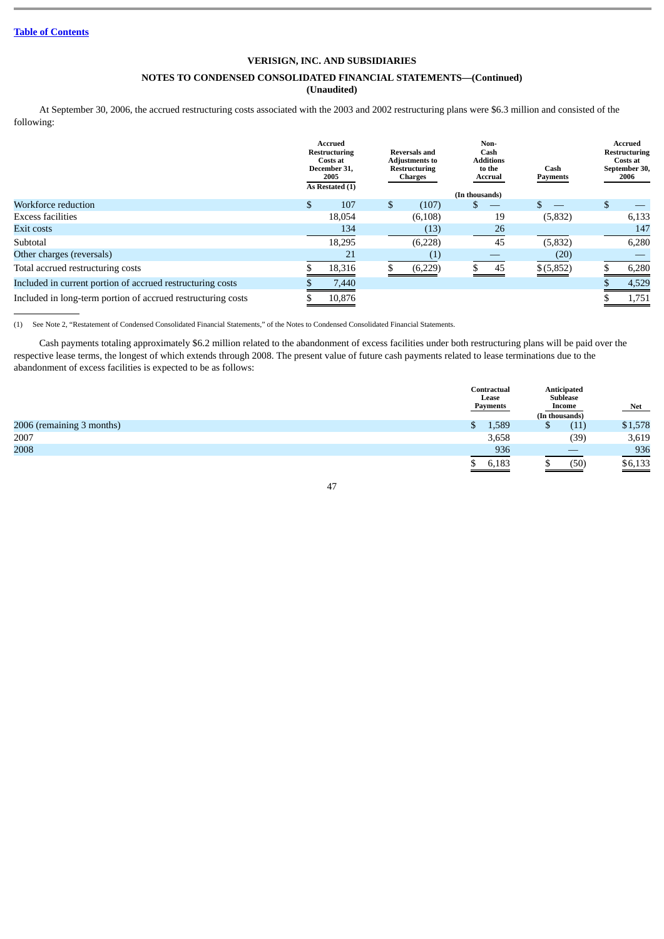# **NOTES TO CONDENSED CONSOLIDATED FINANCIAL STATEMENTS—(Continued)**

**(Unaudited)**

At September 30, 2006, the accrued restructuring costs associated with the 2003 and 2002 restructuring plans were \$6.3 million and consisted of the following:

|                                                              |    | <b>Accrued</b><br>Restructuring<br>Costs at<br>December 31.<br>2005<br>As Restated (1) |     | <b>Reversals and</b><br><b>Adjustments to</b><br>Restructuring<br>Charges |                | Non-<br>Cash<br><b>Additions</b><br>to the<br>Accrual | Cash<br><b>Payments</b> | Accrued<br><b>Restructuring</b><br>Costs at<br>September 30,<br>2006 |
|--------------------------------------------------------------|----|----------------------------------------------------------------------------------------|-----|---------------------------------------------------------------------------|----------------|-------------------------------------------------------|-------------------------|----------------------------------------------------------------------|
| Workforce reduction                                          | \$ | 107                                                                                    | \$. | (107)                                                                     | (In thousands) |                                                       |                         | \$                                                                   |
| <b>Excess facilities</b>                                     |    | 18,054                                                                                 |     | (6, 108)                                                                  |                | 19                                                    | (5, 832)                | 6,133                                                                |
| Exit costs                                                   |    | 134                                                                                    |     | (13)                                                                      |                | 26                                                    |                         | 147                                                                  |
| Subtotal                                                     |    | 18,295                                                                                 |     | (6,228)                                                                   |                | 45                                                    | (5, 832)                | 6,280                                                                |
| Other charges (reversals)                                    |    | 21                                                                                     |     |                                                                           |                |                                                       | (20)                    |                                                                      |
| Total accrued restructuring costs                            |    | 18,316                                                                                 |     | (6,229)                                                                   |                | 45                                                    | \$ (5,852)              | 6,280                                                                |
| Included in current portion of accrued restructuring costs   |    | 7,440                                                                                  |     |                                                                           |                |                                                       |                         | 4,529                                                                |
| Included in long-term portion of accrued restructuring costs |    | 10.876                                                                                 |     |                                                                           |                |                                                       |                         | 1,751                                                                |

(1) See Note 2, "Restatement of Condensed Consolidated Financial Statements," of the Notes to Condensed Consolidated Financial Statements.

Cash payments totaling approximately \$6.2 million related to the abandonment of excess facilities under both restructuring plans will be paid over the respective lease terms, the longest of which extends through 2008. The present value of future cash payments related to lease terminations due to the abandonment of excess facilities is expected to be as follows:

|                           | Contractual<br>Lease<br>Payments  | Anticipated<br><b>Sublease</b><br>Income<br>(In thousands) | Net     |
|---------------------------|-----------------------------------|------------------------------------------------------------|---------|
| 2006 (remaining 3 months) | 1,589                             | (11)<br>τυ                                                 | \$1,578 |
| 2007                      | 3,658                             | (39)                                                       | 3,619   |
| 2008                      | 936                               |                                                            | 936     |
|                           | 6,183<br>$\overline{\phantom{a}}$ | (50)                                                       | \$6,133 |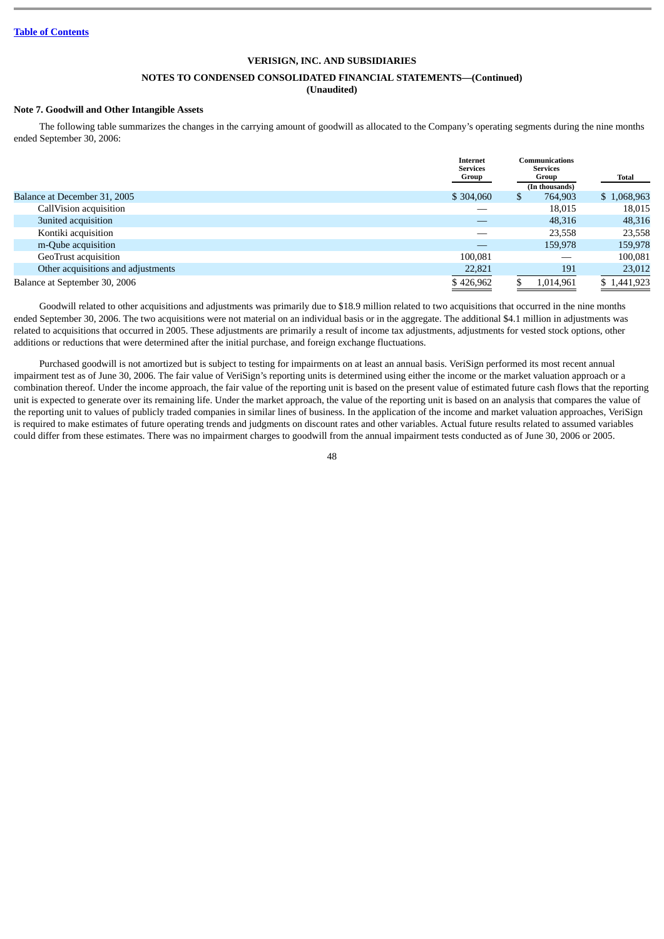## **NOTES TO CONDENSED CONSOLIDATED FINANCIAL STATEMENTS—(Continued)**

**(Unaudited)**

### **Note 7. Goodwill and Other Intangible Assets**

The following table summarizes the changes in the carrying amount of goodwill as allocated to the Company's operating segments during the nine months ended September 30, 2006:

|                                    | Internet<br><b>Services</b><br>Group |     | Communications<br><b>Services</b><br>Group<br>(In thousands) | Total       |
|------------------------------------|--------------------------------------|-----|--------------------------------------------------------------|-------------|
| Balance at December 31, 2005       | \$304,060                            | \$. | 764,903                                                      | \$1,068,963 |
| CallVision acquisition             |                                      |     | 18,015                                                       | 18,015      |
| 3united acquisition                |                                      |     | 48,316                                                       | 48,316      |
| Kontiki acquisition                |                                      |     | 23,558                                                       | 23,558      |
| m-Qube acquisition                 |                                      |     | 159,978                                                      | 159,978     |
| GeoTrust acquisition               | 100,081                              |     |                                                              | 100,081     |
| Other acquisitions and adjustments | 22,821                               |     | 191                                                          | 23,012      |
| Balance at September 30, 2006      | \$426,962                            |     | 1,014,961                                                    | \$1,441,923 |

Goodwill related to other acquisitions and adjustments was primarily due to \$18.9 million related to two acquisitions that occurred in the nine months ended September 30, 2006. The two acquisitions were not material on an individual basis or in the aggregate. The additional \$4.1 million in adjustments was related to acquisitions that occurred in 2005. These adjustments are primarily a result of income tax adjustments, adjustments for vested stock options, other additions or reductions that were determined after the initial purchase, and foreign exchange fluctuations.

Purchased goodwill is not amortized but is subject to testing for impairments on at least an annual basis. VeriSign performed its most recent annual impairment test as of June 30, 2006. The fair value of VeriSign's reporting units is determined using either the income or the market valuation approach or a combination thereof. Under the income approach, the fair value of the reporting unit is based on the present value of estimated future cash flows that the reporting unit is expected to generate over its remaining life. Under the market approach, the value of the reporting unit is based on an analysis that compares the value of the reporting unit to values of publicly traded companies in similar lines of business. In the application of the income and market valuation approaches, VeriSign is required to make estimates of future operating trends and judgments on discount rates and other variables. Actual future results related to assumed variables could differ from these estimates. There was no impairment charges to goodwill from the annual impairment tests conducted as of June 30, 2006 or 2005.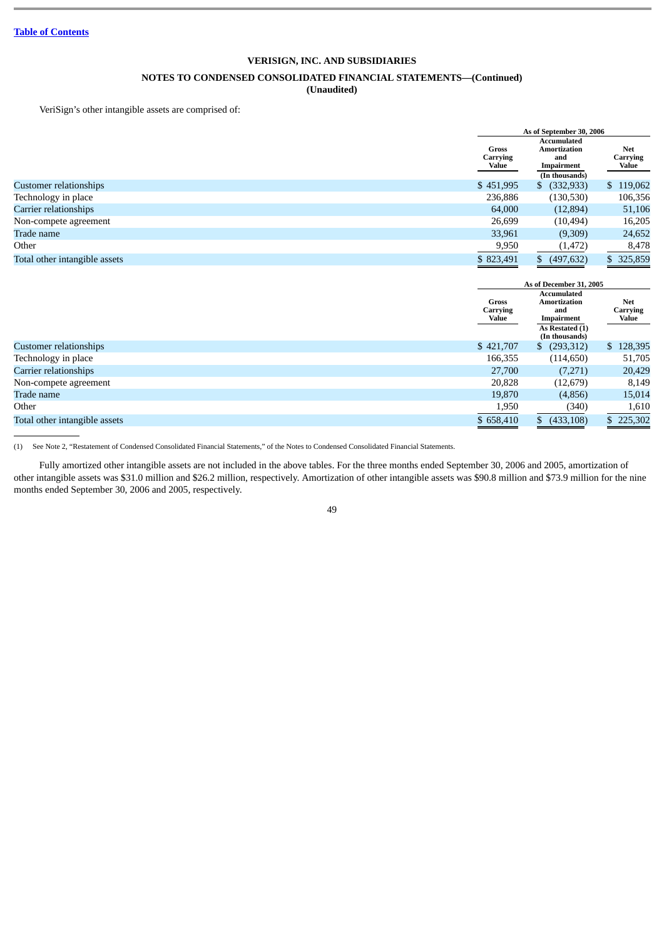# **NOTES TO CONDENSED CONSOLIDATED FINANCIAL STATEMENTS—(Continued)**

# **(Unaudited)**

VeriSign's other intangible assets are comprised of:

| As of September 30, 2006          |                                  |                     |  |  |
|-----------------------------------|----------------------------------|---------------------|--|--|
|                                   | <b>Accumulated</b><br><b>Net</b> |                     |  |  |
| <b>Gross</b><br>Carrying<br>Value | and<br>Impairment                |                     |  |  |
|                                   | (In thousands)                   |                     |  |  |
| \$451,995                         | (332, 933)<br>\$                 | \$119,062           |  |  |
| 236,886                           | (130,530)                        | 106,356             |  |  |
| 64,000                            | (12,894)                         | 51,106              |  |  |
| 26,699                            | (10, 494)                        | 16,205              |  |  |
| 33,961                            | (9,309)                          | 24,652              |  |  |
| 9,950                             | (1, 472)                         | 8,478               |  |  |
| \$823,491                         | (497, 632)<br>\$.                | \$ 325,859          |  |  |
|                                   |                                  | <b>Amortization</b> |  |  |

|                               | As of December 31, 2005           |                                                                                                     |                                 |
|-------------------------------|-----------------------------------|-----------------------------------------------------------------------------------------------------|---------------------------------|
|                               | <b>Gross</b><br>Carrying<br>Value | <b>Accumulated</b><br><b>Amortization</b><br>and<br>Impairment<br>As Restated (1)<br>(In thousands) | <b>Net</b><br>Carrying<br>Value |
| Customer relationships        | \$421,707                         | (293,312)<br>S.                                                                                     | \$128,395                       |
| Technology in place           | 166,355                           | (114, 650)                                                                                          | 51,705                          |
| Carrier relationships         | 27,700                            | (7,271)                                                                                             | 20,429                          |
| Non-compete agreement         | 20,828                            | (12,679)                                                                                            | 8,149                           |
| Trade name                    | 19,870                            | (4,856)                                                                                             | 15,014                          |
| Other                         | 1,950                             | (340)                                                                                               | 1,610                           |
| Total other intangible assets | \$658,410                         | (433, 108)<br>\$.                                                                                   | \$225,302                       |

(1) See Note 2, "Restatement of Condensed Consolidated Financial Statements," of the Notes to Condensed Consolidated Financial Statements.

Fully amortized other intangible assets are not included in the above tables. For the three months ended September 30, 2006 and 2005, amortization of other intangible assets was \$31.0 million and \$26.2 million, respectively. Amortization of other intangible assets was \$90.8 million and \$73.9 million for the nine months ended September 30, 2006 and 2005, respectively.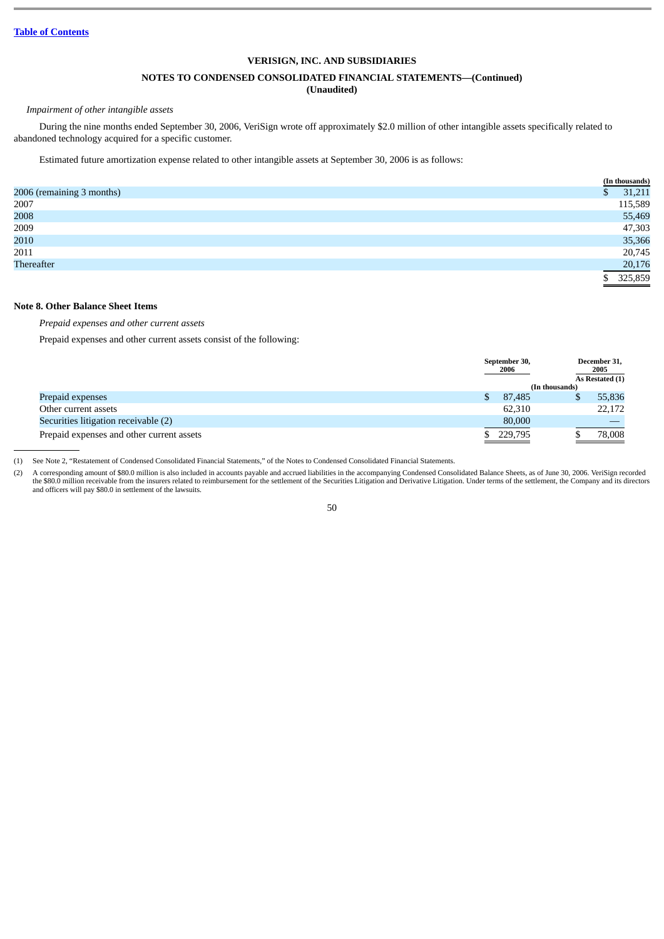#### **NOTES TO CONDENSED CONSOLIDATED FINANCIAL STATEMENTS—(Continued)**

# **(Unaudited)**

#### *Impairment of other intangible assets*

During the nine months ended September 30, 2006, VeriSign wrote off approximately \$2.0 million of other intangible assets specifically related to abandoned technology acquired for a specific customer.

Estimated future amortization expense related to other intangible assets at September 30, 2006 is as follows:

|                           | (In thousands) |
|---------------------------|----------------|
| 2006 (remaining 3 months) | 31,211         |
| 2007                      | 115,589        |
| 2008                      | 55,469         |
| 2009                      | 47,303         |
| 2010                      | 35,366         |
| 2011                      | 20,745         |
| Thereafter                | 20,176         |
|                           | 325,859        |

### **Note 8. Other Balance Sheet Items**

*Prepaid expenses and other current assets*

Prepaid expenses and other current assets consist of the following:

|                                           | September 30,<br>2006 |                | December 31,<br>2005<br>As Restated (1) |
|-------------------------------------------|-----------------------|----------------|-----------------------------------------|
|                                           |                       | (In thousands) |                                         |
| Prepaid expenses                          | 87,485                |                | 55,836                                  |
| Other current assets                      | 62,310                |                | 22,172                                  |
| Securities litigation receivable (2)      | 80,000                |                |                                         |
| Prepaid expenses and other current assets | 229,795               |                | 78,008                                  |

(1) See Note 2, "Restatement of Condensed Consolidated Financial Statements," of the Notes to Condensed Consolidated Financial Statements.

(2) A corresponding amount of \$80.0 million is also included in accounts payable and accrued liabilities in the accompanying Condensed Consolidated Balance Sheets, as of June 30, 2006. VeriSign recorded the \$80.0 million receivable from the insurers related to reimbursement for the settlement of the Securities Litigation and Derivative Litigation. Under terms of the settlement, the Company and its directors<br>and officers w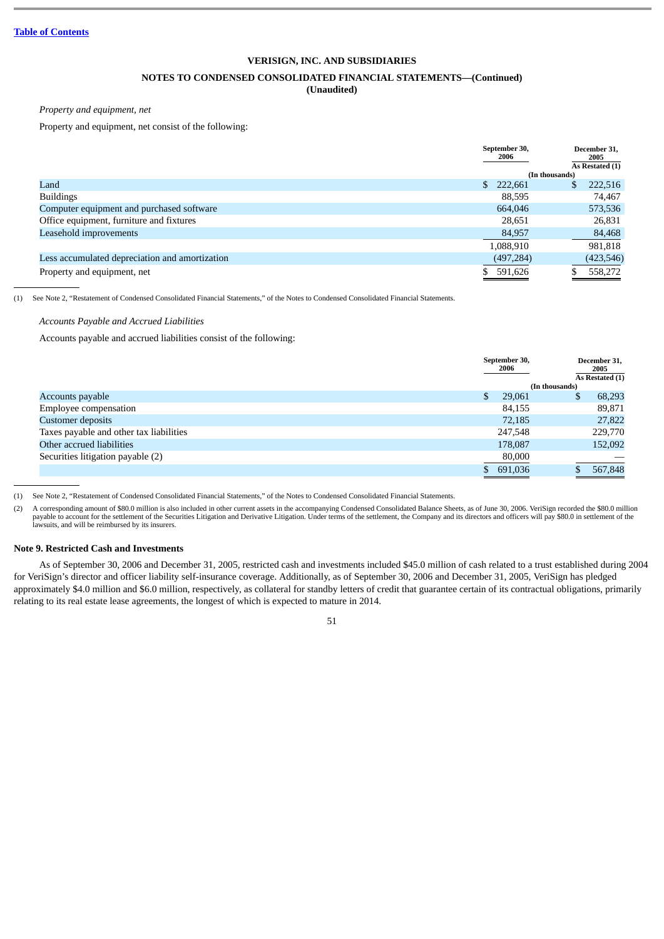### **NOTES TO CONDENSED CONSOLIDATED FINANCIAL STATEMENTS—(Continued)**

# **(Unaudited)**

*Property and equipment, net*

Property and equipment, net consist of the following:

|                                                | September 30,<br>2006 | December 31.<br>2005<br>As Restated (1) |
|------------------------------------------------|-----------------------|-----------------------------------------|
|                                                |                       | (In thousands)                          |
| Land                                           | 222,661<br>S.         | 222,516<br>S                            |
| <b>Buildings</b>                               | 88.595                | 74,467                                  |
| Computer equipment and purchased software      | 664,046               | 573,536                                 |
| Office equipment, furniture and fixtures       | 28,651                | 26,831                                  |
| Leasehold improvements                         | 84,957                | 84,468                                  |
|                                                | 1,088,910             | 981,818                                 |
| Less accumulated depreciation and amortization | (497, 284)            | (423, 546)                              |
| Property and equipment, net                    | 591,626               | 558,272                                 |

(1) See Note 2, "Restatement of Condensed Consolidated Financial Statements," of the Notes to Condensed Consolidated Financial Statements.

#### *Accounts Payable and Accrued Liabilities*

Accounts payable and accrued liabilities consist of the following:

|                                         | September 30,<br>2006 | December 31,<br>2005<br>As Restated (1) |
|-----------------------------------------|-----------------------|-----------------------------------------|
|                                         |                       | (In thousands)                          |
| Accounts payable                        | 29,061                | 68,293<br>S                             |
| <b>Employee compensation</b>            | 84,155                | 89,871                                  |
| <b>Customer deposits</b>                | 72,185                | 27,822                                  |
| Taxes payable and other tax liabilities | 247,548               | 229,770                                 |
| Other accrued liabilities               | 178,087               | 152,092                                 |
| Securities litigation payable (2)       | 80,000                |                                         |
|                                         | \$691,036             | 567,848                                 |
|                                         |                       |                                         |

(1) See Note 2, "Restatement of Condensed Consolidated Financial Statements," of the Notes to Condensed Consolidated Financial Statements.

(2) A corresponding amount of \$80.0 million is also included in other current assets in the accompanying Condensed Consolidated Balance Sheets, as of June 30, 2006. VeriSign recorded the \$80.0 million payable to account fo lawsuits, and will be reimbursed by its insurers.

#### **Note 9. Restricted Cash and Investments**

As of September 30, 2006 and December 31, 2005, restricted cash and investments included \$45.0 million of cash related to a trust established during 2004 for VeriSign's director and officer liability self-insurance coverage. Additionally, as of September 30, 2006 and December 31, 2005, VeriSign has pledged approximately \$4.0 million and \$6.0 million, respectively, as collateral for standby letters of credit that guarantee certain of its contractual obligations, primarily relating to its real estate lease agreements, the longest of which is expected to mature in 2014.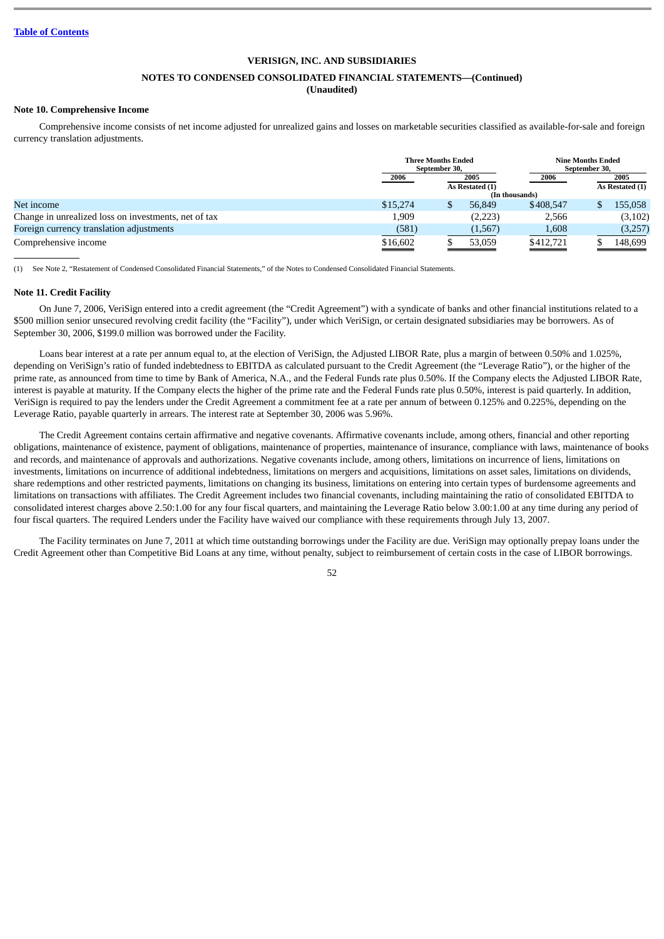### **NOTES TO CONDENSED CONSOLIDATED FINANCIAL STATEMENTS—(Continued)**

# **(Unaudited)**

# **Note 10. Comprehensive Income**

Comprehensive income consists of net income adjusted for unrealized gains and losses on marketable securities classified as available-for-sale and foreign currency translation adjustments.

|                                                      |          | <b>Three Months Ended</b><br>September 30, |          |                | <b>Nine Months Ended</b><br>September 30, |                         |
|------------------------------------------------------|----------|--------------------------------------------|----------|----------------|-------------------------------------------|-------------------------|
|                                                      | 2006     | 2005<br>As Restated (1)                    |          | 2006           |                                           | 2005<br>As Restated (1) |
|                                                      |          |                                            |          | (In thousands) |                                           |                         |
| Net income                                           | \$15,274 |                                            | 56,849   | \$408,547      |                                           | 155,058                 |
| Change in unrealized loss on investments, net of tax | 1,909    |                                            | (2,223)  | 2,566          |                                           | (3,102)                 |
| Foreign currency translation adjustments             | (581)    |                                            | (1, 567) | 1,608          |                                           | (3,257)                 |
| Comprehensive income                                 | \$16,602 |                                            | 53,059   | \$412,721      |                                           | 148,699                 |

(1) See Note 2, "Restatement of Condensed Consolidated Financial Statements," of the Notes to Condensed Consolidated Financial Statements.

#### **Note 11. Credit Facility**

On June 7, 2006, VeriSign entered into a credit agreement (the "Credit Agreement") with a syndicate of banks and other financial institutions related to a \$500 million senior unsecured revolving credit facility (the "Facility"), under which VeriSign, or certain designated subsidiaries may be borrowers. As of September 30, 2006, \$199.0 million was borrowed under the Facility.

Loans bear interest at a rate per annum equal to, at the election of VeriSign, the Adjusted LIBOR Rate, plus a margin of between 0.50% and 1.025%, depending on VeriSign's ratio of funded indebtedness to EBITDA as calculated pursuant to the Credit Agreement (the "Leverage Ratio"), or the higher of the prime rate, as announced from time to time by Bank of America, N.A., and the Federal Funds rate plus 0.50%. If the Company elects the Adjusted LIBOR Rate, interest is payable at maturity. If the Company elects the higher of the prime rate and the Federal Funds rate plus 0.50%, interest is paid quarterly. In addition, VeriSign is required to pay the lenders under the Credit Agreement a commitment fee at a rate per annum of between 0.125% and 0.225%, depending on the Leverage Ratio, payable quarterly in arrears. The interest rate at September 30, 2006 was 5.96%.

The Credit Agreement contains certain affirmative and negative covenants. Affirmative covenants include, among others, financial and other reporting obligations, maintenance of existence, payment of obligations, maintenance of properties, maintenance of insurance, compliance with laws, maintenance of books and records, and maintenance of approvals and authorizations. Negative covenants include, among others, limitations on incurrence of liens, limitations on investments, limitations on incurrence of additional indebtedness, limitations on mergers and acquisitions, limitations on asset sales, limitations on dividends, share redemptions and other restricted payments, limitations on changing its business, limitations on entering into certain types of burdensome agreements and limitations on transactions with affiliates. The Credit Agreement includes two financial covenants, including maintaining the ratio of consolidated EBITDA to consolidated interest charges above 2.50:1.00 for any four fiscal quarters, and maintaining the Leverage Ratio below 3.00:1.00 at any time during any period of four fiscal quarters. The required Lenders under the Facility have waived our compliance with these requirements through July 13, 2007.

The Facility terminates on June 7, 2011 at which time outstanding borrowings under the Facility are due. VeriSign may optionally prepay loans under the Credit Agreement other than Competitive Bid Loans at any time, without penalty, subject to reimbursement of certain costs in the case of LIBOR borrowings.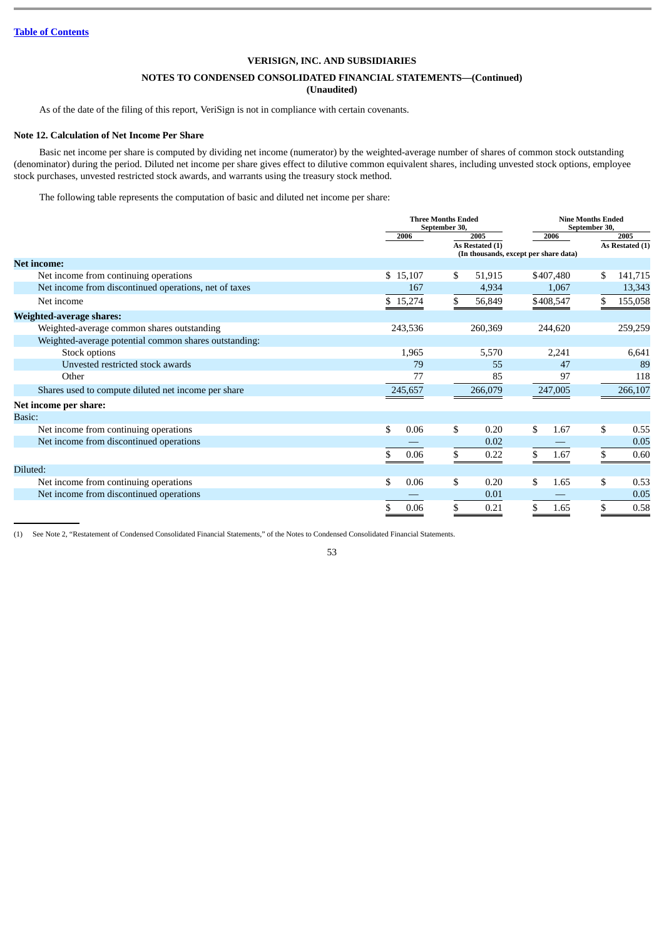# **NOTES TO CONDENSED CONSOLIDATED FINANCIAL STATEMENTS—(Continued)**

**(Unaudited)**

As of the date of the filing of this report, VeriSign is not in compliance with certain covenants.

## **Note 12. Calculation of Net Income Per Share**

Basic net income per share is computed by dividing net income (numerator) by the weighted-average number of shares of common stock outstanding (denominator) during the period. Diluted net income per share gives effect to dilutive common equivalent shares, including unvested stock options, employee stock purchases, unvested restricted stock awards, and warrants using the treasury stock method.

The following table represents the computation of basic and diluted net income per share:

|                                                       |            | <b>Three Months Ended</b><br>September 30, |                                               | <b>Nine Months Ended</b><br>September 30, |  |
|-------------------------------------------------------|------------|--------------------------------------------|-----------------------------------------------|-------------------------------------------|--|
|                                                       | 2006       | 2005<br>As Restated (1)                    | 2006<br>(In thousands, except per share data) | 2005<br>As Restated (1)                   |  |
| <b>Net income:</b>                                    |            |                                            |                                               |                                           |  |
| Net income from continuing operations                 | \$15,107   | 51,915<br>\$                               | \$407,480                                     | 141,715<br>\$                             |  |
| Net income from discontinued operations, net of taxes | 167        | 4,934                                      | 1,067                                         | 13,343                                    |  |
| Net income                                            | \$15,274   | 56,849                                     | \$408,547                                     | 155,058                                   |  |
| Weighted-average shares:                              |            |                                            |                                               |                                           |  |
| Weighted-average common shares outstanding            | 243,536    | 260,369                                    | 244,620                                       | 259,259                                   |  |
| Weighted-average potential common shares outstanding: |            |                                            |                                               |                                           |  |
| Stock options                                         | 1,965      | 5,570                                      | 2,241                                         | 6,641                                     |  |
| Unvested restricted stock awards                      | 79         | 55                                         | 47                                            | 89                                        |  |
| Other                                                 | 77         | 85                                         | 97                                            | 118                                       |  |
| Shares used to compute diluted net income per share   | 245,657    | 266,079                                    | 247,005                                       | 266,107                                   |  |
| Net income per share:                                 |            |                                            |                                               |                                           |  |
| Basic:                                                |            |                                            |                                               |                                           |  |
| Net income from continuing operations                 | \$<br>0.06 | \$<br>0.20                                 | 1.67<br>\$                                    | \$<br>0.55                                |  |
| Net income from discontinued operations               |            | 0.02                                       |                                               | 0.05                                      |  |
|                                                       | 0.06       | \$<br>0.22                                 | 1.67                                          | 0.60                                      |  |
| Diluted:                                              |            |                                            |                                               |                                           |  |
| Net income from continuing operations                 | \$<br>0.06 | \$<br>0.20                                 | 1.65<br>\$                                    | \$<br>0.53                                |  |
| Net income from discontinued operations               |            | 0.01                                       |                                               | 0.05                                      |  |
|                                                       | 0.06       | 0.21<br>\$                                 | 1.65                                          | 0.58                                      |  |

(1) See Note 2, "Restatement of Condensed Consolidated Financial Statements," of the Notes to Condensed Consolidated Financial Statements.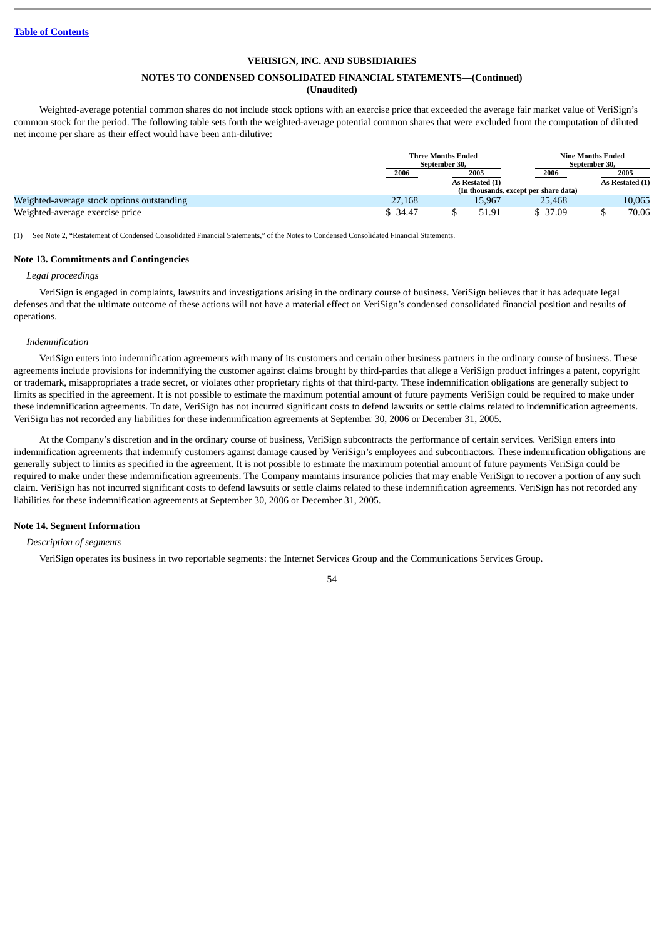# **NOTES TO CONDENSED CONSOLIDATED FINANCIAL STATEMENTS—(Continued)**

# **(Unaudited)**

Weighted-average potential common shares do not include stock options with an exercise price that exceeded the average fair market value of VeriSign's common stock for the period. The following table sets forth the weighted-average potential common shares that were excluded from the computation of diluted net income per share as their effect would have been anti-dilutive:

|                                            |              | <b>Three Months Ended</b><br>September 30, |                 |                                       | <b>Nine Months Ended</b><br>September 30, |                 |
|--------------------------------------------|--------------|--------------------------------------------|-----------------|---------------------------------------|-------------------------------------------|-----------------|
|                                            | 2006<br>2005 |                                            |                 | 2006                                  |                                           | 2005            |
|                                            |              |                                            | As Restated (1) |                                       |                                           | As Restated (1) |
|                                            |              |                                            |                 | (In thousands, except per share data) |                                           |                 |
| Weighted-average stock options outstanding | 27,168       |                                            | 15.967          | 25,468                                |                                           | 10,065          |
| Weighted-average exercise price            | \$ 34.47     |                                            | 51.91           | \$ 37.09                              |                                           | 70.06           |

(1) See Note 2, "Restatement of Condensed Consolidated Financial Statements," of the Notes to Condensed Consolidated Financial Statements.

#### **Note 13. Commitments and Contingencies**

#### *Legal proceedings*

VeriSign is engaged in complaints, lawsuits and investigations arising in the ordinary course of business. VeriSign believes that it has adequate legal defenses and that the ultimate outcome of these actions will not have a material effect on VeriSign's condensed consolidated financial position and results of operations.

#### *Indemnification*

VeriSign enters into indemnification agreements with many of its customers and certain other business partners in the ordinary course of business. These agreements include provisions for indemnifying the customer against claims brought by third-parties that allege a VeriSign product infringes a patent, copyright or trademark, misappropriates a trade secret, or violates other proprietary rights of that third-party. These indemnification obligations are generally subject to limits as specified in the agreement. It is not possible to estimate the maximum potential amount of future payments VeriSign could be required to make under these indemnification agreements. To date, VeriSign has not incurred significant costs to defend lawsuits or settle claims related to indemnification agreements. VeriSign has not recorded any liabilities for these indemnification agreements at September 30, 2006 or December 31, 2005.

At the Company's discretion and in the ordinary course of business, VeriSign subcontracts the performance of certain services. VeriSign enters into indemnification agreements that indemnify customers against damage caused by VeriSign's employees and subcontractors. These indemnification obligations are generally subject to limits as specified in the agreement. It is not possible to estimate the maximum potential amount of future payments VeriSign could be required to make under these indemnification agreements. The Company maintains insurance policies that may enable VeriSign to recover a portion of any such claim. VeriSign has not incurred significant costs to defend lawsuits or settle claims related to these indemnification agreements. VeriSign has not recorded any liabilities for these indemnification agreements at September 30, 2006 or December 31, 2005.

#### **Note 14. Segment Information**

*Description of segments*

VeriSign operates its business in two reportable segments: the Internet Services Group and the Communications Services Group.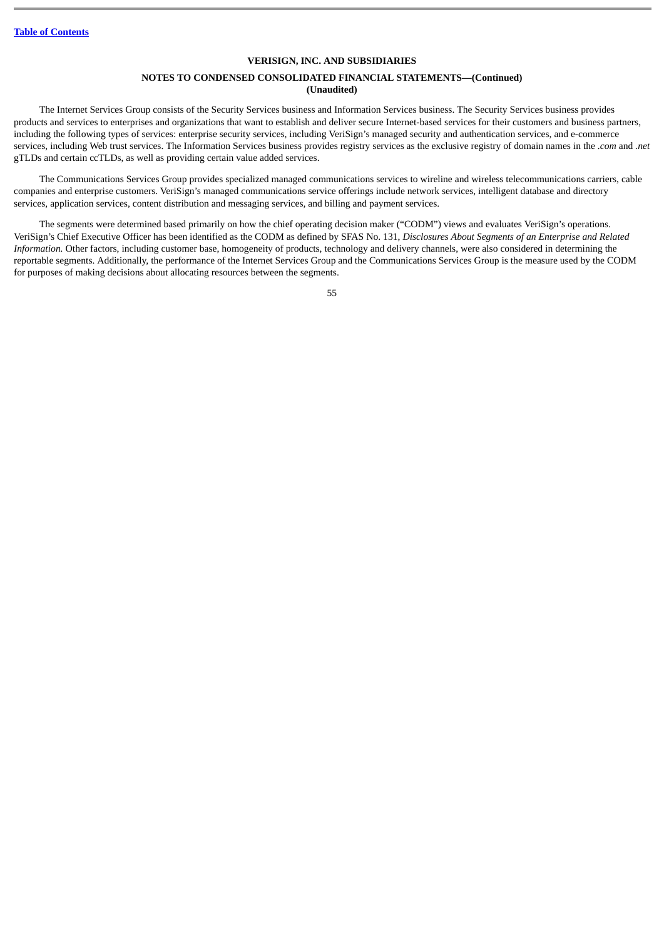# **NOTES TO CONDENSED CONSOLIDATED FINANCIAL STATEMENTS—(Continued) (Unaudited)**

The Internet Services Group consists of the Security Services business and Information Services business. The Security Services business provides products and services to enterprises and organizations that want to establish and deliver secure Internet-based services for their customers and business partners, including the following types of services: enterprise security services, including VeriSign's managed security and authentication services, and e-commerce services, including Web trust services. The Information Services business provides registry services as the exclusive registry of domain names in the *.com* and *.net* gTLDs and certain ccTLDs, as well as providing certain value added services.

The Communications Services Group provides specialized managed communications services to wireline and wireless telecommunications carriers, cable companies and enterprise customers. VeriSign's managed communications service offerings include network services, intelligent database and directory services, application services, content distribution and messaging services, and billing and payment services.

The segments were determined based primarily on how the chief operating decision maker ("CODM") views and evaluates VeriSign's operations. VeriSign's Chief Executive Officer has been identified as the CODM as defined by SFAS No. 131, *Disclosures About Segments of an Enterprise and Related Information.* Other factors, including customer base, homogeneity of products, technology and delivery channels, were also considered in determining the reportable segments. Additionally, the performance of the Internet Services Group and the Communications Services Group is the measure used by the CODM for purposes of making decisions about allocating resources between the segments.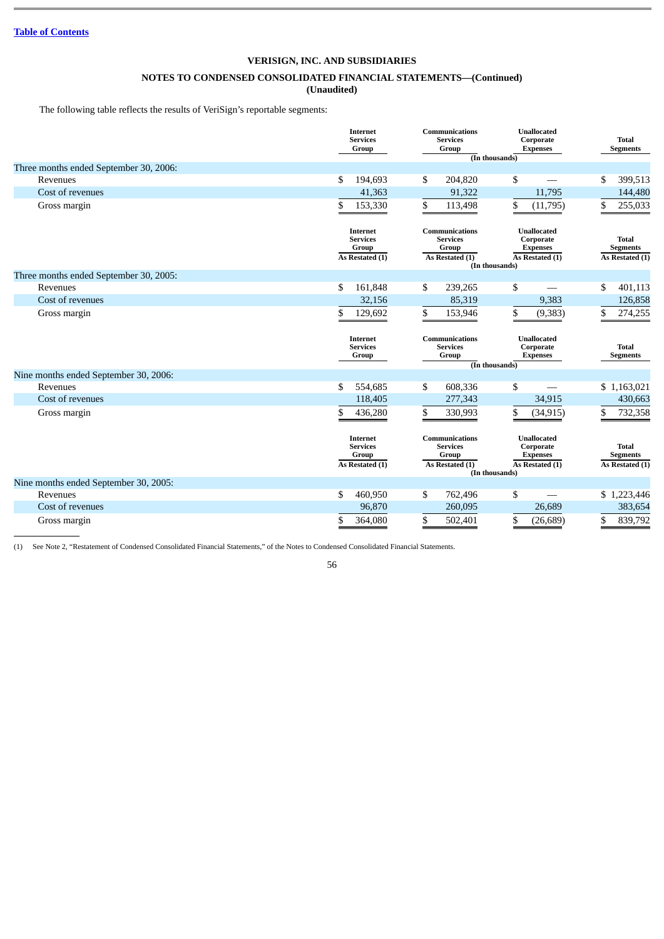# **NOTES TO CONDENSED CONSOLIDATED FINANCIAL STATEMENTS—(Continued)**

**(Unaudited)**

The following table reflects the results of VeriSign's reportable segments:

|                                        | Internet<br><b>Services</b><br>Group                    | Communications<br><b>Services</b><br>Group                    | <b>Unallocated</b><br>Corporate<br><b>Expenses</b><br>(In thousands)                    | <b>Total</b><br><b>Segments</b>                    |
|----------------------------------------|---------------------------------------------------------|---------------------------------------------------------------|-----------------------------------------------------------------------------------------|----------------------------------------------------|
| Three months ended September 30, 2006: |                                                         |                                                               |                                                                                         |                                                    |
| Revenues                               | \$<br>194,693                                           | \$<br>204,820                                                 | \$                                                                                      | 399,513<br>\$                                      |
| Cost of revenues                       | 41,363                                                  | 91,322                                                        | 11,795                                                                                  | 144,480                                            |
| Gross margin                           | \$<br>153,330                                           | \$<br>113,498                                                 | \$<br>(11,795)                                                                          | 255,033<br>\$                                      |
|                                        | Internet<br><b>Services</b><br>Group<br>As Restated (1) | Communications<br><b>Services</b><br>Group<br>As Restated (1) | <b>Unallocated</b><br>Corporate<br><b>Expenses</b><br>As Restated (1)                   | <b>Total</b><br><b>Segments</b><br>As Restated (1) |
|                                        |                                                         |                                                               | (In thousands)                                                                          |                                                    |
| Three months ended September 30, 2005: |                                                         |                                                               |                                                                                         |                                                    |
| Revenues                               | \$<br>161,848                                           | \$<br>239,265                                                 | \$                                                                                      | \$<br>401,113                                      |
| Cost of revenues                       | 32,156                                                  | 85,319                                                        | 9,383                                                                                   | 126,858                                            |
| Gross margin                           | \$<br>129,692                                           | \$<br>153,946                                                 | \$<br>(9, 383)                                                                          | \$<br>274,255                                      |
|                                        |                                                         |                                                               |                                                                                         |                                                    |
|                                        | Internet<br><b>Services</b><br>Group                    | <b>Communications</b><br><b>Services</b><br>Group             | <b>Unallocated</b><br>Corporate<br><b>Expenses</b>                                      | <b>Total</b><br><b>Segments</b>                    |
| Nine months ended September 30, 2006:  |                                                         |                                                               | (In thousands)                                                                          |                                                    |
| Revenues                               | \$<br>554,685                                           | \$<br>608,336                                                 | \$                                                                                      | \$1,163,021                                        |
| Cost of revenues                       | 118,405                                                 | 277,343                                                       | 34,915                                                                                  | 430,663                                            |
| Gross margin                           | \$<br>436,280                                           | \$<br>330,993                                                 | \$<br>(34, 915)                                                                         | \$<br>732,358                                      |
|                                        | Internet<br><b>Services</b><br>Group<br>As Restated (1) | Communications<br><b>Services</b><br>Group<br>As Restated (1) | <b>Unallocated</b><br>Corporate<br><b>Expenses</b><br>As Restated (1)<br>(In thousands) | <b>Total</b><br><b>Segments</b><br>As Restated (1) |
| Nine months ended September 30, 2005:  |                                                         |                                                               |                                                                                         |                                                    |
| Revenues                               | \$<br>460,950                                           | \$<br>762,496                                                 | \$                                                                                      | \$1,223,446                                        |
| Cost of revenues                       | 96,870                                                  | 260,095                                                       | 26,689                                                                                  | 383,654                                            |

(1) See Note 2, "Restatement of Condensed Consolidated Financial Statements," of the Notes to Condensed Consolidated Financial Statements.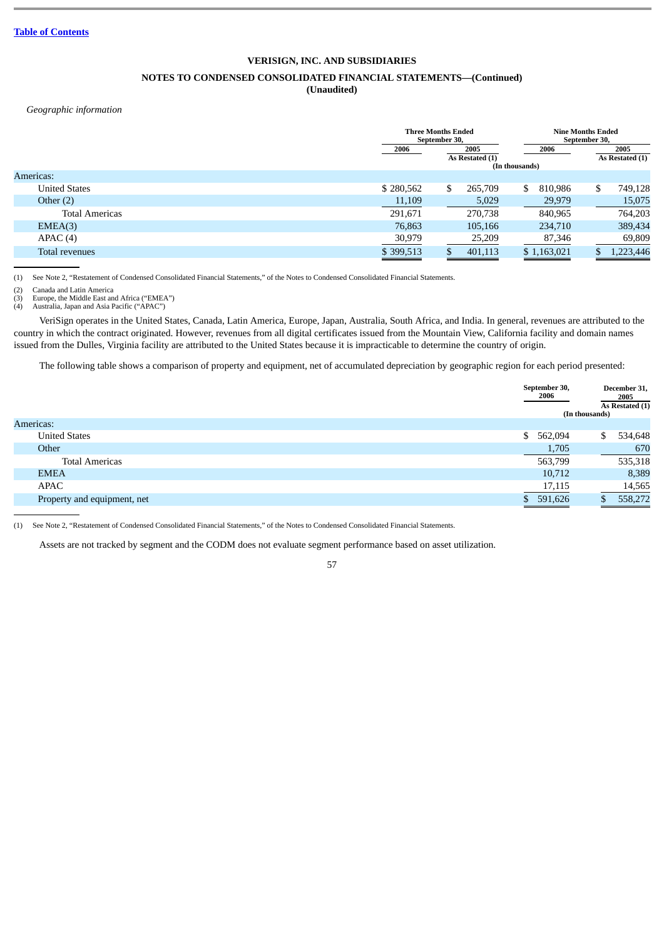# **VERISIGN, INC. AND SUBSIDIARIES NOTES TO CONDENSED CONSOLIDATED FINANCIAL STATEMENTS—(Continued)**

### **(Unaudited)**

# *Geographic information*

|                       |           | <b>Three Months Ended</b><br>September 30, |         |                | <b>Nine Months Ended</b><br>September 30, |     |                         |
|-----------------------|-----------|--------------------------------------------|---------|----------------|-------------------------------------------|-----|-------------------------|
|                       | 2006      | 2005<br>As Restated (1)                    |         | 2006           |                                           |     | 2005<br>As Restated (1) |
|                       |           |                                            |         | (In thousands) |                                           |     |                         |
| Americas:             |           |                                            |         |                |                                           |     |                         |
| <b>United States</b>  | \$280,562 | \$                                         | 265,709 | \$             | 810,986                                   | \$  | 749,128                 |
| Other $(2)$           | 11,109    |                                            | 5,029   |                | 29,979                                    |     | 15,075                  |
| <b>Total Americas</b> | 291.671   |                                            | 270.738 |                | 840,965                                   |     | 764,203                 |
| EMEA(3)               | 76,863    |                                            | 105,166 |                | 234,710                                   |     | 389,434                 |
| APAC(4)               | 30,979    |                                            | 25,209  |                | 87,346                                    |     | 69,809                  |
| Total revenues        | \$399,513 | S.                                         | 401,113 |                | \$1,163,021                               | \$. | 1,223,446               |
|                       |           |                                            |         |                |                                           |     |                         |

(1) See Note 2, "Restatement of Condensed Consolidated Financial Statements," of the Notes to Condensed Consolidated Financial Statements.

(2) Canada and Latin America (3) Europe, the Middle East and Africa ("EMEA") (4) Australia, Japan and Asia Pacific ("APAC")

VeriSign operates in the United States, Canada, Latin America, Europe, Japan, Australia, South Africa, and India. In general, revenues are attributed to the country in which the contract originated. However, revenues from all digital certificates issued from the Mountain View, California facility and domain names issued from the Dulles, Virginia facility are attributed to the United States because it is impracticable to determine the country of origin.

The following table shows a comparison of property and equipment, net of accumulated depreciation by geographic region for each period presented:

|                             | September 30,<br>2006 | December 31,<br>2005<br>As Restated (1)<br>(In thousands) |
|-----------------------------|-----------------------|-----------------------------------------------------------|
| Americas:                   |                       |                                                           |
| <b>United States</b>        | 562,094<br>\$         | 534,648                                                   |
| Other                       | 1,705                 | 670                                                       |
| <b>Total Americas</b>       | 563,799               | 535,318                                                   |
| <b>EMEA</b>                 | 10,712                | 8,389                                                     |
| APAC                        | 17,115                | 14,565                                                    |
| Property and equipment, net | 591,626               | 558,272                                                   |
|                             |                       |                                                           |

(1) See Note 2, "Restatement of Condensed Consolidated Financial Statements," of the Notes to Condensed Consolidated Financial Statements.

Assets are not tracked by segment and the CODM does not evaluate segment performance based on asset utilization.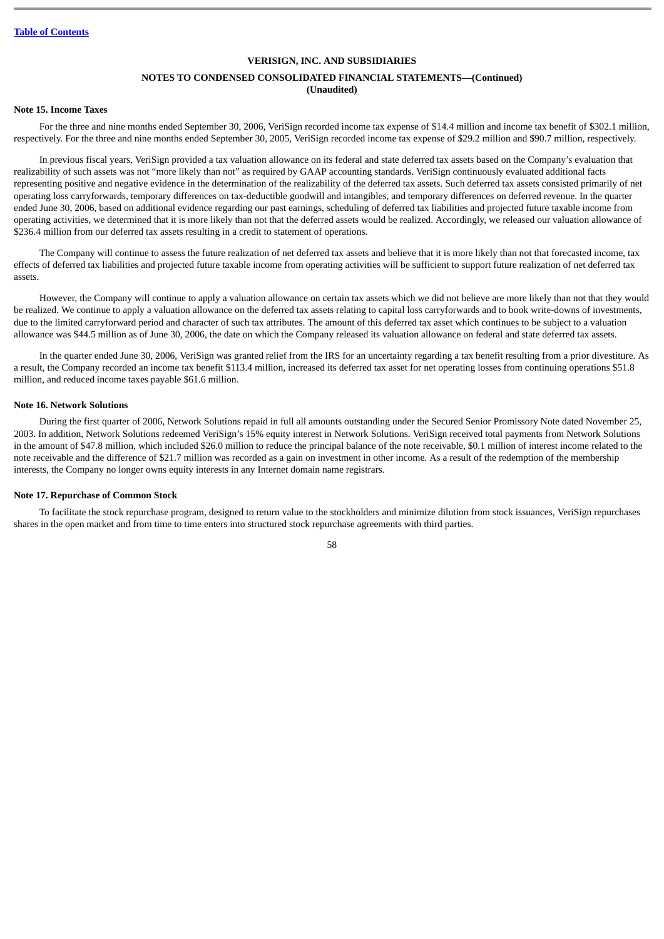#### **NOTES TO CONDENSED CONSOLIDATED FINANCIAL STATEMENTS—(Continued) (Unaudited)**

### **Note 15. Income Taxes**

For the three and nine months ended September 30, 2006, VeriSign recorded income tax expense of \$14.4 million and income tax benefit of \$302.1 million, respectively. For the three and nine months ended September 30, 2005, VeriSign recorded income tax expense of \$29.2 million and \$90.7 million, respectively.

In previous fiscal years, VeriSign provided a tax valuation allowance on its federal and state deferred tax assets based on the Company's evaluation that realizability of such assets was not "more likely than not" as required by GAAP accounting standards. VeriSign continuously evaluated additional facts representing positive and negative evidence in the determination of the realizability of the deferred tax assets. Such deferred tax assets consisted primarily of net operating loss carryforwards, temporary differences on tax-deductible goodwill and intangibles, and temporary differences on deferred revenue. In the quarter ended June 30, 2006, based on additional evidence regarding our past earnings, scheduling of deferred tax liabilities and projected future taxable income from operating activities, we determined that it is more likely than not that the deferred assets would be realized. Accordingly, we released our valuation allowance of \$236.4 million from our deferred tax assets resulting in a credit to statement of operations.

The Company will continue to assess the future realization of net deferred tax assets and believe that it is more likely than not that forecasted income, tax effects of deferred tax liabilities and projected future taxable income from operating activities will be sufficient to support future realization of net deferred tax assets.

However, the Company will continue to apply a valuation allowance on certain tax assets which we did not believe are more likely than not that they would be realized. We continue to apply a valuation allowance on the deferred tax assets relating to capital loss carryforwards and to book write-downs of investments, due to the limited carryforward period and character of such tax attributes. The amount of this deferred tax asset which continues to be subject to a valuation allowance was \$44.5 million as of June 30, 2006, the date on which the Company released its valuation allowance on federal and state deferred tax assets.

In the quarter ended June 30, 2006, VeriSign was granted relief from the IRS for an uncertainty regarding a tax benefit resulting from a prior divestiture. As a result, the Company recorded an income tax benefit \$113.4 million, increased its deferred tax asset for net operating losses from continuing operations \$51.8 million, and reduced income taxes payable \$61.6 million.

#### **Note 16. Network Solutions**

During the first quarter of 2006, Network Solutions repaid in full all amounts outstanding under the Secured Senior Promissory Note dated November 25, 2003. In addition, Network Solutions redeemed VeriSign's 15% equity interest in Network Solutions. VeriSign received total payments from Network Solutions in the amount of \$47.8 million, which included \$26.0 million to reduce the principal balance of the note receivable, \$0.1 million of interest income related to the note receivable and the difference of \$21.7 million was recorded as a gain on investment in other income. As a result of the redemption of the membership interests, the Company no longer owns equity interests in any Internet domain name registrars.

#### **Note 17. Repurchase of Common Stock**

To facilitate the stock repurchase program, designed to return value to the stockholders and minimize dilution from stock issuances, VeriSign repurchases shares in the open market and from time to time enters into structured stock repurchase agreements with third parties.

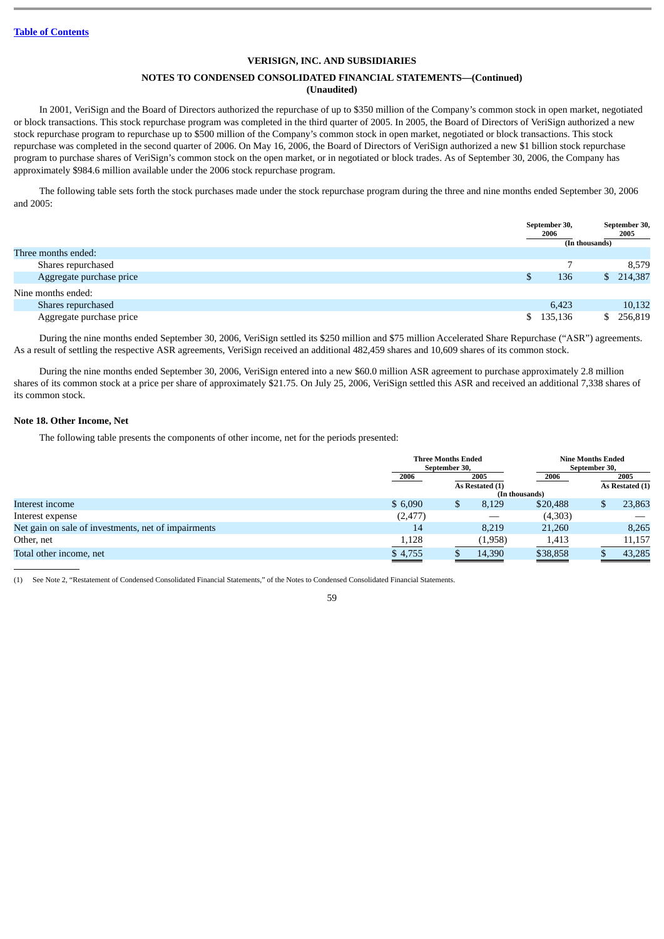# **NOTES TO CONDENSED CONSOLIDATED FINANCIAL STATEMENTS—(Continued) (Unaudited)**

In 2001, VeriSign and the Board of Directors authorized the repurchase of up to \$350 million of the Company's common stock in open market, negotiated or block transactions. This stock repurchase program was completed in the third quarter of 2005. In 2005, the Board of Directors of VeriSign authorized a new stock repurchase program to repurchase up to \$500 million of the Company's common stock in open market, negotiated or block transactions. This stock repurchase was completed in the second quarter of 2006. On May 16, 2006, the Board of Directors of VeriSign authorized a new \$1 billion stock repurchase program to purchase shares of VeriSign's common stock on the open market, or in negotiated or block trades. As of September 30, 2006, the Company has approximately \$984.6 million available under the 2006 stock repurchase program.

The following table sets forth the stock purchases made under the stock repurchase program during the three and nine months ended September 30, 2006 and 2005:

|                          |    | September 30,<br>2006 |                | September 30,<br>2005 |
|--------------------------|----|-----------------------|----------------|-----------------------|
|                          |    |                       | (In thousands) |                       |
| Three months ended:      |    |                       |                |                       |
| Shares repurchased       |    |                       |                | 8,579                 |
| Aggregate purchase price |    | 136                   | \$.            | 214,387               |
| Nine months ended:       |    |                       |                |                       |
| Shares repurchased       |    | 6,423                 |                | 10,132                |
| Aggregate purchase price | S. | 135,136               |                | 256,819               |

During the nine months ended September 30, 2006, VeriSign settled its \$250 million and \$75 million Accelerated Share Repurchase ("ASR") agreements. As a result of settling the respective ASR agreements, VeriSign received an additional 482,459 shares and 10,609 shares of its common stock.

During the nine months ended September 30, 2006, VeriSign entered into a new \$60.0 million ASR agreement to purchase approximately 2.8 million shares of its common stock at a price per share of approximately \$21.75. On July 25, 2006, VeriSign settled this ASR and received an additional 7,338 shares of its common stock.

# **Note 18. Other Income, Net**

The following table presents the components of other income, net for the periods presented:

|                                                     |                              | <b>Three Months Ended</b><br>September 30, |                 |                | <b>Nine Months Ended</b><br>September 30, |                 |
|-----------------------------------------------------|------------------------------|--------------------------------------------|-----------------|----------------|-------------------------------------------|-----------------|
|                                                     | 2006                         |                                            | 2005            | 2006           |                                           | 2005            |
|                                                     |                              |                                            | As Restated (1) | (In thousands) |                                           | As Restated (1) |
| Interest income                                     | \$6,090                      | D                                          | 8,129           | \$20,488       |                                           | 23,863          |
| Interest expense                                    | (2, 477)                     |                                            |                 | (4,303)        |                                           |                 |
| Net gain on sale of investments, net of impairments | 14                           |                                            | 8.219           | 21,260         |                                           | 8,265           |
| Other, net                                          | 1,128                        |                                            | (1,958)         | 1,413          |                                           | 11,157          |
| Total other income, net                             | \$4,755<br>$\equiv$ $\equiv$ |                                            | 14,390          | \$38,858       |                                           | 43,285          |

(1) See Note 2, "Restatement of Condensed Consolidated Financial Statements," of the Notes to Condensed Consolidated Financial Statements.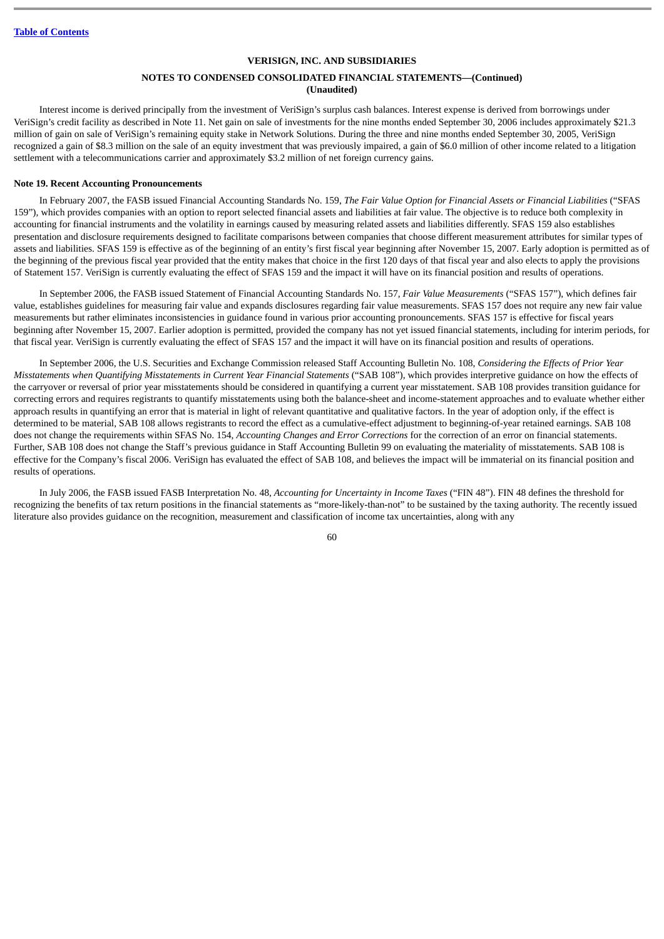### **NOTES TO CONDENSED CONSOLIDATED FINANCIAL STATEMENTS—(Continued) (Unaudited)**

Interest income is derived principally from the investment of VeriSign's surplus cash balances. Interest expense is derived from borrowings under VeriSign's credit facility as described in Note 11. Net gain on sale of investments for the nine months ended September 30, 2006 includes approximately \$21.3 million of gain on sale of VeriSign's remaining equity stake in Network Solutions. During the three and nine months ended September 30, 2005, VeriSign recognized a gain of \$8.3 million on the sale of an equity investment that was previously impaired, a gain of \$6.0 million of other income related to a litigation settlement with a telecommunications carrier and approximately \$3.2 million of net foreign currency gains.

#### **Note 19. Recent Accounting Pronouncements**

In February 2007, the FASB issued Financial Accounting Standards No. 159, *The Fair Value Option for Financial Assets or Financial Liabilities* ("SFAS 159")*,* which provides companies with an option to report selected financial assets and liabilities at fair value. The objective is to reduce both complexity in accounting for financial instruments and the volatility in earnings caused by measuring related assets and liabilities differently. SFAS 159 also establishes presentation and disclosure requirements designed to facilitate comparisons between companies that choose different measurement attributes for similar types of assets and liabilities. SFAS 159 is effective as of the beginning of an entity's first fiscal year beginning after November 15, 2007. Early adoption is permitted as of the beginning of the previous fiscal year provided that the entity makes that choice in the first 120 days of that fiscal year and also elects to apply the provisions of Statement 157. VeriSign is currently evaluating the effect of SFAS 159 and the impact it will have on its financial position and results of operations.

In September 2006, the FASB issued Statement of Financial Accounting Standards No. 157, *Fair Value Measurements* ("SFAS 157"), which defines fair value, establishes guidelines for measuring fair value and expands disclosures regarding fair value measurements. SFAS 157 does not require any new fair value measurements but rather eliminates inconsistencies in guidance found in various prior accounting pronouncements. SFAS 157 is effective for fiscal years beginning after November 15, 2007. Earlier adoption is permitted, provided the company has not yet issued financial statements, including for interim periods, for that fiscal year. VeriSign is currently evaluating the effect of SFAS 157 and the impact it will have on its financial position and results of operations.

In September 2006, the U.S. Securities and Exchange Commission released Staff Accounting Bulletin No. 108, *Considering the Effects of Prior Year Misstatements when Quantifying Misstatements in Current Year Financial Statements* ("SAB 108"), which provides interpretive guidance on how the effects of the carryover or reversal of prior year misstatements should be considered in quantifying a current year misstatement. SAB 108 provides transition guidance for correcting errors and requires registrants to quantify misstatements using both the balance-sheet and income-statement approaches and to evaluate whether either approach results in quantifying an error that is material in light of relevant quantitative and qualitative factors. In the year of adoption only, if the effect is determined to be material, SAB 108 allows registrants to record the effect as a cumulative-effect adjustment to beginning-of-year retained earnings. SAB 108 does not change the requirements within SFAS No. 154, *Accounting Changes and Error Corrections* for the correction of an error on financial statements. Further, SAB 108 does not change the Staff's previous guidance in Staff Accounting Bulletin 99 on evaluating the materiality of misstatements. SAB 108 is effective for the Company's fiscal 2006. VeriSign has evaluated the effect of SAB 108, and believes the impact will be immaterial on its financial position and results of operations.

In July 2006, the FASB issued FASB Interpretation No. 48, *Accounting for Uncertainty in Income Taxes* ("FIN 48"). FIN 48 defines the threshold for recognizing the benefits of tax return positions in the financial statements as "more-likely-than-not" to be sustained by the taxing authority. The recently issued literature also provides guidance on the recognition, measurement and classification of income tax uncertainties, along with any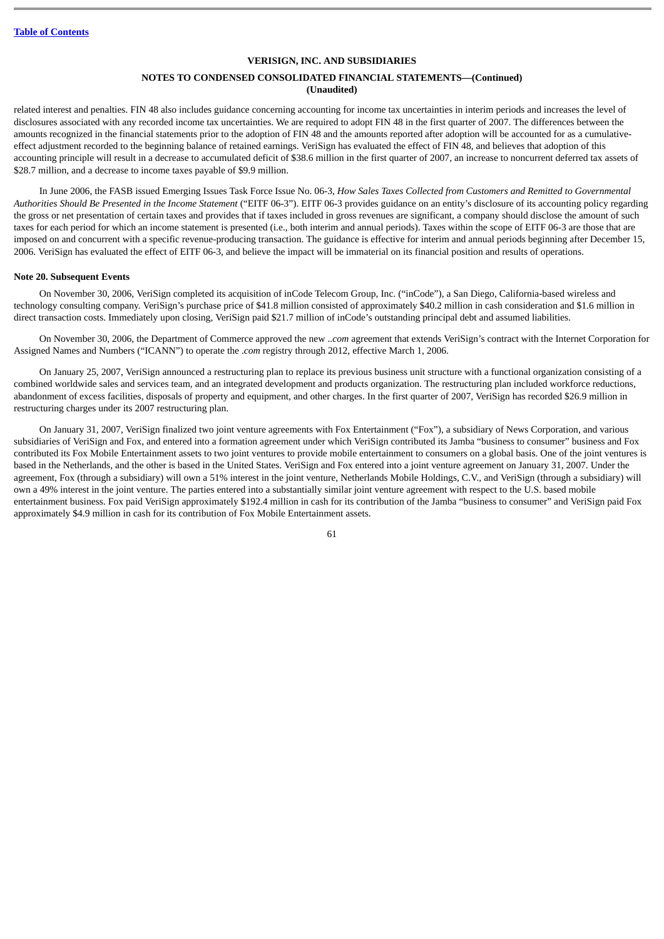### **NOTES TO CONDENSED CONSOLIDATED FINANCIAL STATEMENTS—(Continued) (Unaudited)**

related interest and penalties. FIN 48 also includes guidance concerning accounting for income tax uncertainties in interim periods and increases the level of disclosures associated with any recorded income tax uncertainties. We are required to adopt FIN 48 in the first quarter of 2007. The differences between the amounts recognized in the financial statements prior to the adoption of FIN 48 and the amounts reported after adoption will be accounted for as a cumulativeeffect adjustment recorded to the beginning balance of retained earnings. VeriSign has evaluated the effect of FIN 48, and believes that adoption of this accounting principle will result in a decrease to accumulated deficit of \$38.6 million in the first quarter of 2007, an increase to noncurrent deferred tax assets of \$28.7 million, and a decrease to income taxes payable of \$9.9 million.

In June 2006, the FASB issued Emerging Issues Task Force Issue No. 06-3, *How Sales Taxes Collected from Customers and Remitted to Governmental Authorities Should Be Presented in the Income Statement* ("EITF 06-3"). EITF 06-3 provides guidance on an entity's disclosure of its accounting policy regarding the gross or net presentation of certain taxes and provides that if taxes included in gross revenues are significant, a company should disclose the amount of such taxes for each period for which an income statement is presented (i.e., both interim and annual periods). Taxes within the scope of EITF 06-3 are those that are imposed on and concurrent with a specific revenue-producing transaction. The guidance is effective for interim and annual periods beginning after December 15, 2006. VeriSign has evaluated the effect of EITF 06-3, and believe the impact will be immaterial on its financial position and results of operations.

#### **Note 20. Subsequent Events**

On November 30, 2006, VeriSign completed its acquisition of inCode Telecom Group, Inc. ("inCode"), a San Diego, California-based wireless and technology consulting company. VeriSign's purchase price of \$41.8 million consisted of approximately \$40.2 million in cash consideration and \$1.6 million in direct transaction costs. Immediately upon closing, VeriSign paid \$21.7 million of inCode's outstanding principal debt and assumed liabilities.

On November 30, 2006, the Department of Commerce approved the new ..*com* agreement that extends VeriSign's contract with the Internet Corporation for Assigned Names and Numbers ("ICANN") to operate the .*com* registry through 2012, effective March 1, 2006.

On January 25, 2007, VeriSign announced a restructuring plan to replace its previous business unit structure with a functional organization consisting of a combined worldwide sales and services team, and an integrated development and products organization. The restructuring plan included workforce reductions, abandonment of excess facilities, disposals of property and equipment, and other charges. In the first quarter of 2007, VeriSign has recorded \$26.9 million in restructuring charges under its 2007 restructuring plan.

On January 31, 2007, VeriSign finalized two joint venture agreements with Fox Entertainment ("Fox"), a subsidiary of News Corporation, and various subsidiaries of VeriSign and Fox, and entered into a formation agreement under which VeriSign contributed its Jamba "business to consumer" business and Fox contributed its Fox Mobile Entertainment assets to two joint ventures to provide mobile entertainment to consumers on a global basis. One of the joint ventures is based in the Netherlands, and the other is based in the United States. VeriSign and Fox entered into a joint venture agreement on January 31, 2007. Under the agreement, Fox (through a subsidiary) will own a 51% interest in the joint venture, Netherlands Mobile Holdings, C.V., and VeriSign (through a subsidiary) will own a 49% interest in the joint venture. The parties entered into a substantially similar joint venture agreement with respect to the U.S. based mobile entertainment business. Fox paid VeriSign approximately \$192.4 million in cash for its contribution of the Jamba "business to consumer" and VeriSign paid Fox approximately \$4.9 million in cash for its contribution of Fox Mobile Entertainment assets.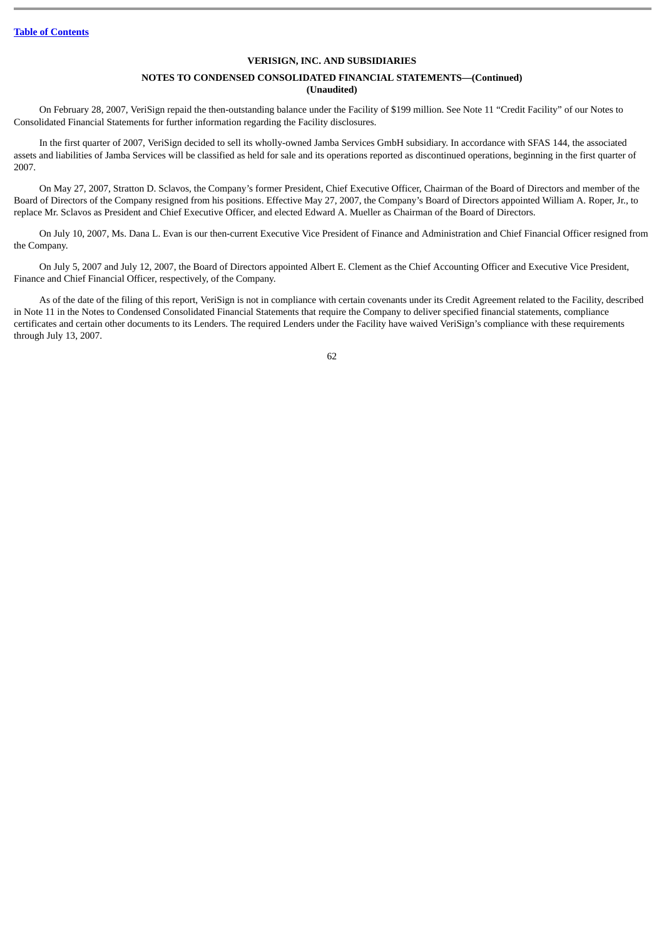### **NOTES TO CONDENSED CONSOLIDATED FINANCIAL STATEMENTS—(Continued) (Unaudited)**

On February 28, 2007, VeriSign repaid the then-outstanding balance under the Facility of \$199 million. See Note 11 "Credit Facility" of our Notes to Consolidated Financial Statements for further information regarding the Facility disclosures.

In the first quarter of 2007, VeriSign decided to sell its wholly-owned Jamba Services GmbH subsidiary. In accordance with SFAS 144, the associated assets and liabilities of Jamba Services will be classified as held for sale and its operations reported as discontinued operations, beginning in the first quarter of 2007.

On May 27, 2007, Stratton D. Sclavos, the Company's former President, Chief Executive Officer, Chairman of the Board of Directors and member of the Board of Directors of the Company resigned from his positions. Effective May 27, 2007, the Company's Board of Directors appointed William A. Roper, Jr., to replace Mr. Sclavos as President and Chief Executive Officer, and elected Edward A. Mueller as Chairman of the Board of Directors.

On July 10, 2007, Ms. Dana L. Evan is our then-current Executive Vice President of Finance and Administration and Chief Financial Officer resigned from the Company.

On July 5, 2007 and July 12, 2007, the Board of Directors appointed Albert E. Clement as the Chief Accounting Officer and Executive Vice President, Finance and Chief Financial Officer, respectively, of the Company.

As of the date of the filing of this report, VeriSign is not in compliance with certain covenants under its Credit Agreement related to the Facility, described in Note 11 in the Notes to Condensed Consolidated Financial Statements that require the Company to deliver specified financial statements, compliance certificates and certain other documents to its Lenders. The required Lenders under the Facility have waived VeriSign's compliance with these requirements through July 13, 2007.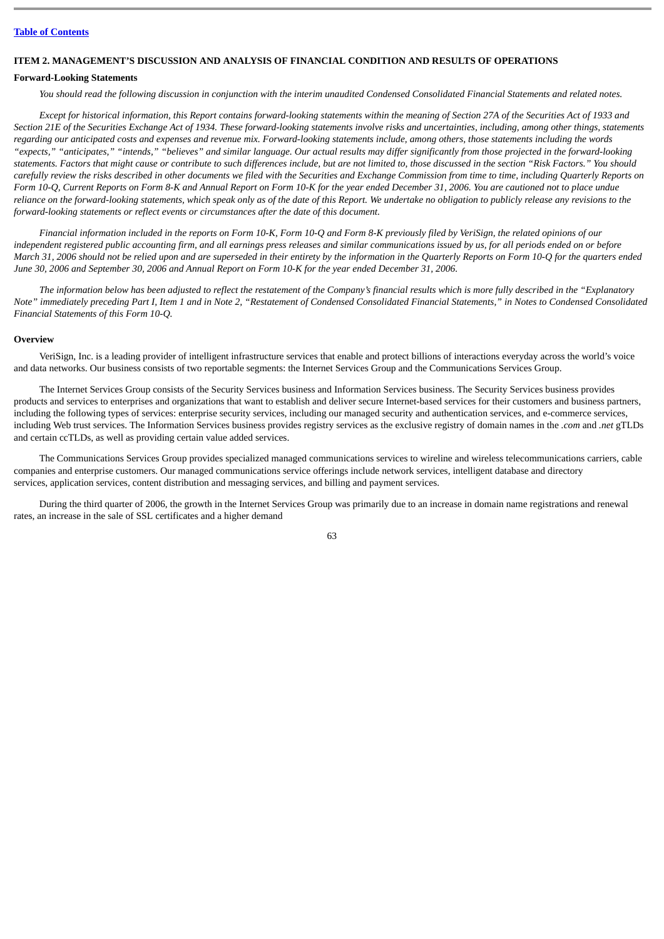#### **ITEM 2. MANAGEMENT'S DISCUSSION AND ANALYSIS OF FINANCIAL CONDITION AND RESULTS OF OPERATIONS**

#### **Forward-Looking Statements**

*You should read the following discussion in conjunction with the interim unaudited Condensed Consolidated Financial Statements and related notes.*

*Except for historical information, this Report contains forward-looking statements within the meaning of Section 27A of the Securities Act of 1933 and Section 21E of the Securities Exchange Act of 1934. These forward-looking statements involve risks and uncertainties, including, among other things, statements regarding our anticipated costs and expenses and revenue mix. Forward-looking statements include, among others, those statements including the words "expects," "anticipates," "intends," "believes" and similar language. Our actual results may differ significantly from those projected in the forward-looking statements. Factors that might cause or contribute to such differences include, but are not limited to, those discussed in the section "Risk Factors." You should carefully review the risks described in other documents we filed with the Securities and Exchange Commission from time to time, including Quarterly Reports on Form 10-Q, Current Reports on Form 8-K and Annual Report on Form 10-K for the year ended December 31, 2006. You are cautioned not to place undue reliance on the forward-looking statements, which speak only as of the date of this Report. We undertake no obligation to publicly release any revisions to the forward-looking statements or reflect events or circumstances after the date of this document.*

*Financial information included in the reports on Form 10-K, Form 10-Q and Form 8-K previously filed by VeriSign, the related opinions of our independent registered public accounting firm, and all earnings press releases and similar communications issued by us, for all periods ended on or before March 31, 2006 should not be relied upon and are superseded in their entirety by the information in the Quarterly Reports on Form 10-Q for the quarters ended June 30, 2006 and September 30, 2006 and Annual Report on Form 10-K for the year ended December 31, 2006.*

*The information below has been adjusted to reflect the restatement of the Company's financial results which is more fully described in the "Explanatory Note" immediately preceding Part I, Item 1 and in Note 2, "Restatement of Condensed Consolidated Financial Statements," in Notes to Condensed Consolidated Financial Statements of this Form 10-Q.*

#### **Overview**

VeriSign, Inc. is a leading provider of intelligent infrastructure services that enable and protect billions of interactions everyday across the world's voice and data networks. Our business consists of two reportable segments: the Internet Services Group and the Communications Services Group.

The Internet Services Group consists of the Security Services business and Information Services business. The Security Services business provides products and services to enterprises and organizations that want to establish and deliver secure Internet-based services for their customers and business partners, including the following types of services: enterprise security services, including our managed security and authentication services, and e-commerce services, including Web trust services. The Information Services business provides registry services as the exclusive registry of domain names in the *.com* and *.net* gTLDs and certain ccTLDs, as well as providing certain value added services.

The Communications Services Group provides specialized managed communications services to wireline and wireless telecommunications carriers, cable companies and enterprise customers. Our managed communications service offerings include network services, intelligent database and directory services, application services, content distribution and messaging services, and billing and payment services.

During the third quarter of 2006, the growth in the Internet Services Group was primarily due to an increase in domain name registrations and renewal rates, an increase in the sale of SSL certificates and a higher demand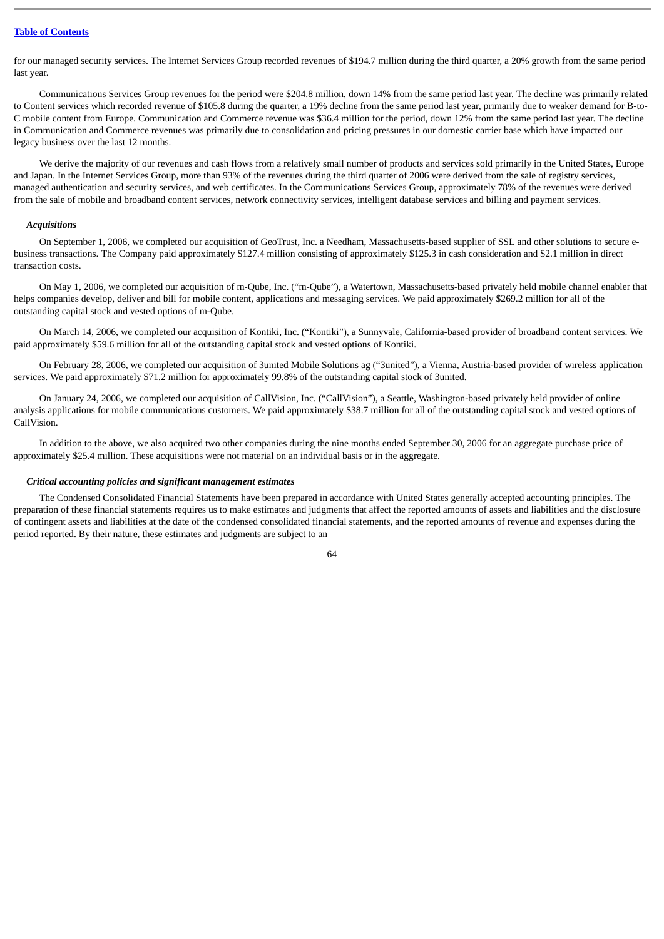for our managed security services. The Internet Services Group recorded revenues of \$194.7 million during the third quarter, a 20% growth from the same period last year.

Communications Services Group revenues for the period were \$204.8 million, down 14% from the same period last year. The decline was primarily related to Content services which recorded revenue of \$105.8 during the quarter, a 19% decline from the same period last year, primarily due to weaker demand for B-to-C mobile content from Europe. Communication and Commerce revenue was \$36.4 million for the period, down 12% from the same period last year. The decline in Communication and Commerce revenues was primarily due to consolidation and pricing pressures in our domestic carrier base which have impacted our legacy business over the last 12 months.

We derive the majority of our revenues and cash flows from a relatively small number of products and services sold primarily in the United States, Europe and Japan. In the Internet Services Group, more than 93% of the revenues during the third quarter of 2006 were derived from the sale of registry services, managed authentication and security services, and web certificates. In the Communications Services Group, approximately 78% of the revenues were derived from the sale of mobile and broadband content services, network connectivity services, intelligent database services and billing and payment services.

#### *Acquisitions*

On September 1, 2006, we completed our acquisition of GeoTrust, Inc. a Needham, Massachusetts-based supplier of SSL and other solutions to secure ebusiness transactions. The Company paid approximately \$127.4 million consisting of approximately \$125.3 in cash consideration and \$2.1 million in direct transaction costs.

On May 1, 2006, we completed our acquisition of m-Qube, Inc. ("m-Qube"), a Watertown, Massachusetts-based privately held mobile channel enabler that helps companies develop, deliver and bill for mobile content, applications and messaging services. We paid approximately \$269.2 million for all of the outstanding capital stock and vested options of m-Qube.

On March 14, 2006, we completed our acquisition of Kontiki, Inc. ("Kontiki"), a Sunnyvale, California-based provider of broadband content services. We paid approximately \$59.6 million for all of the outstanding capital stock and vested options of Kontiki.

On February 28, 2006, we completed our acquisition of 3united Mobile Solutions ag ("3united"), a Vienna, Austria-based provider of wireless application services. We paid approximately \$71.2 million for approximately 99.8% of the outstanding capital stock of 3united.

On January 24, 2006, we completed our acquisition of CallVision, Inc. ("CallVision"), a Seattle, Washington-based privately held provider of online analysis applications for mobile communications customers. We paid approximately \$38.7 million for all of the outstanding capital stock and vested options of CallVision.

In addition to the above, we also acquired two other companies during the nine months ended September 30, 2006 for an aggregate purchase price of approximately \$25.4 million. These acquisitions were not material on an individual basis or in the aggregate.

#### *Critical accounting policies and significant management estimates*

The Condensed Consolidated Financial Statements have been prepared in accordance with United States generally accepted accounting principles. The preparation of these financial statements requires us to make estimates and judgments that affect the reported amounts of assets and liabilities and the disclosure of contingent assets and liabilities at the date of the condensed consolidated financial statements, and the reported amounts of revenue and expenses during the period reported. By their nature, these estimates and judgments are subject to an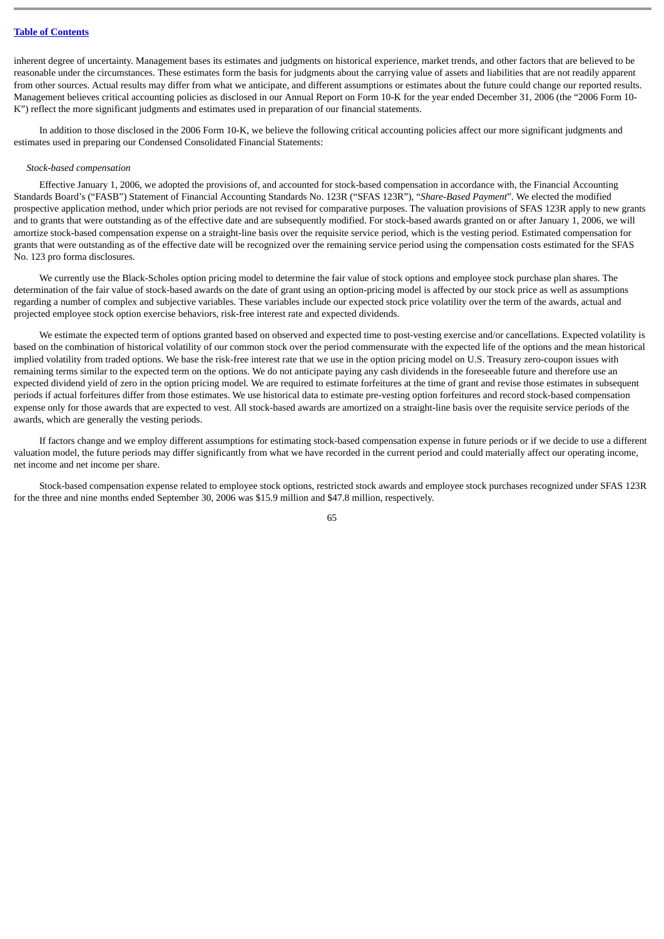inherent degree of uncertainty. Management bases its estimates and judgments on historical experience, market trends, and other factors that are believed to be reasonable under the circumstances. These estimates form the basis for judgments about the carrying value of assets and liabilities that are not readily apparent from other sources. Actual results may differ from what we anticipate, and different assumptions or estimates about the future could change our reported results. Management believes critical accounting policies as disclosed in our Annual Report on Form 10-K for the year ended December 31, 2006 (the "2006 Form 10- K") reflect the more significant judgments and estimates used in preparation of our financial statements.

In addition to those disclosed in the 2006 Form 10-K, we believe the following critical accounting policies affect our more significant judgments and estimates used in preparing our Condensed Consolidated Financial Statements:

#### *Stock-based compensation*

Effective January 1, 2006, we adopted the provisions of, and accounted for stock-based compensation in accordance with, the Financial Accounting Standards Board's ("FASB") Statement of Financial Accounting Standards No. 123R ("SFAS 123R"), "*Share-Based Payment*". We elected the modified prospective application method, under which prior periods are not revised for comparative purposes. The valuation provisions of SFAS 123R apply to new grants and to grants that were outstanding as of the effective date and are subsequently modified. For stock-based awards granted on or after January 1, 2006, we will amortize stock-based compensation expense on a straight-line basis over the requisite service period, which is the vesting period. Estimated compensation for grants that were outstanding as of the effective date will be recognized over the remaining service period using the compensation costs estimated for the SFAS No. 123 pro forma disclosures.

We currently use the Black-Scholes option pricing model to determine the fair value of stock options and employee stock purchase plan shares. The determination of the fair value of stock-based awards on the date of grant using an option-pricing model is affected by our stock price as well as assumptions regarding a number of complex and subjective variables. These variables include our expected stock price volatility over the term of the awards, actual and projected employee stock option exercise behaviors, risk-free interest rate and expected dividends.

We estimate the expected term of options granted based on observed and expected time to post-vesting exercise and/or cancellations. Expected volatility is based on the combination of historical volatility of our common stock over the period commensurate with the expected life of the options and the mean historical implied volatility from traded options. We base the risk-free interest rate that we use in the option pricing model on U.S. Treasury zero-coupon issues with remaining terms similar to the expected term on the options. We do not anticipate paying any cash dividends in the foreseeable future and therefore use an expected dividend yield of zero in the option pricing model. We are required to estimate forfeitures at the time of grant and revise those estimates in subsequent periods if actual forfeitures differ from those estimates. We use historical data to estimate pre-vesting option forfeitures and record stock-based compensation expense only for those awards that are expected to vest. All stock-based awards are amortized on a straight-line basis over the requisite service periods of the awards, which are generally the vesting periods.

If factors change and we employ different assumptions for estimating stock-based compensation expense in future periods or if we decide to use a different valuation model, the future periods may differ significantly from what we have recorded in the current period and could materially affect our operating income, net income and net income per share.

Stock-based compensation expense related to employee stock options, restricted stock awards and employee stock purchases recognized under SFAS 123R for the three and nine months ended September 30, 2006 was \$15.9 million and \$47.8 million, respectively.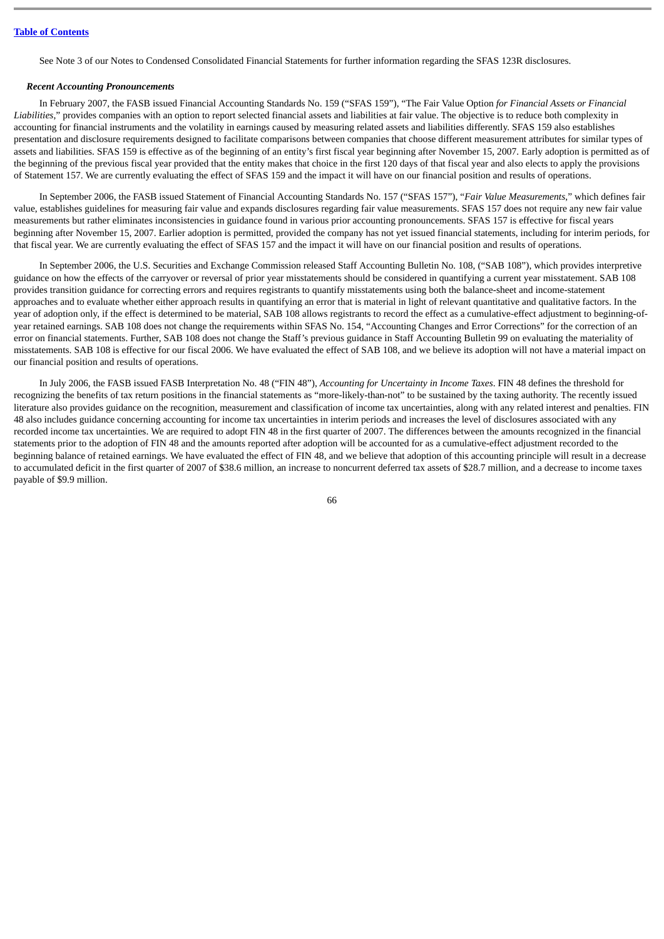See Note 3 of our Notes to Condensed Consolidated Financial Statements for further information regarding the SFAS 123R disclosures.

#### *Recent Accounting Pronouncements*

In February 2007, the FASB issued Financial Accounting Standards No. 159 ("SFAS 159"), "The Fair Value Option *for Financial Assets or Financial Liabilities*," provides companies with an option to report selected financial assets and liabilities at fair value. The objective is to reduce both complexity in accounting for financial instruments and the volatility in earnings caused by measuring related assets and liabilities differently. SFAS 159 also establishes presentation and disclosure requirements designed to facilitate comparisons between companies that choose different measurement attributes for similar types of assets and liabilities. SFAS 159 is effective as of the beginning of an entity's first fiscal year beginning after November 15, 2007. Early adoption is permitted as of the beginning of the previous fiscal year provided that the entity makes that choice in the first 120 days of that fiscal year and also elects to apply the provisions of Statement 157. We are currently evaluating the effect of SFAS 159 and the impact it will have on our financial position and results of operations.

In September 2006, the FASB issued Statement of Financial Accounting Standards No. 157 ("SFAS 157"), "*Fair Value Measurements*," which defines fair value, establishes guidelines for measuring fair value and expands disclosures regarding fair value measurements. SFAS 157 does not require any new fair value measurements but rather eliminates inconsistencies in guidance found in various prior accounting pronouncements. SFAS 157 is effective for fiscal years beginning after November 15, 2007. Earlier adoption is permitted, provided the company has not yet issued financial statements, including for interim periods, for that fiscal year. We are currently evaluating the effect of SFAS 157 and the impact it will have on our financial position and results of operations.

In September 2006, the U.S. Securities and Exchange Commission released Staff Accounting Bulletin No. 108, ("SAB 108"), which provides interpretive guidance on how the effects of the carryover or reversal of prior year misstatements should be considered in quantifying a current year misstatement. SAB 108 provides transition guidance for correcting errors and requires registrants to quantify misstatements using both the balance-sheet and income-statement approaches and to evaluate whether either approach results in quantifying an error that is material in light of relevant quantitative and qualitative factors. In the year of adoption only, if the effect is determined to be material, SAB 108 allows registrants to record the effect as a cumulative-effect adjustment to beginning-ofyear retained earnings. SAB 108 does not change the requirements within SFAS No. 154, "Accounting Changes and Error Corrections" for the correction of an error on financial statements. Further, SAB 108 does not change the Staff's previous guidance in Staff Accounting Bulletin 99 on evaluating the materiality of misstatements. SAB 108 is effective for our fiscal 2006. We have evaluated the effect of SAB 108, and we believe its adoption will not have a material impact on our financial position and results of operations.

In July 2006, the FASB issued FASB Interpretation No. 48 ("FIN 48"), *Accounting for Uncertainty in Income Taxes*. FIN 48 defines the threshold for recognizing the benefits of tax return positions in the financial statements as "more-likely-than-not" to be sustained by the taxing authority. The recently issued literature also provides guidance on the recognition, measurement and classification of income tax uncertainties, along with any related interest and penalties. FIN 48 also includes guidance concerning accounting for income tax uncertainties in interim periods and increases the level of disclosures associated with any recorded income tax uncertainties. We are required to adopt FIN 48 in the first quarter of 2007. The differences between the amounts recognized in the financial statements prior to the adoption of FIN 48 and the amounts reported after adoption will be accounted for as a cumulative-effect adjustment recorded to the beginning balance of retained earnings. We have evaluated the effect of FIN 48, and we believe that adoption of this accounting principle will result in a decrease to accumulated deficit in the first quarter of 2007 of \$38.6 million, an increase to noncurrent deferred tax assets of \$28.7 million, and a decrease to income taxes payable of \$9.9 million.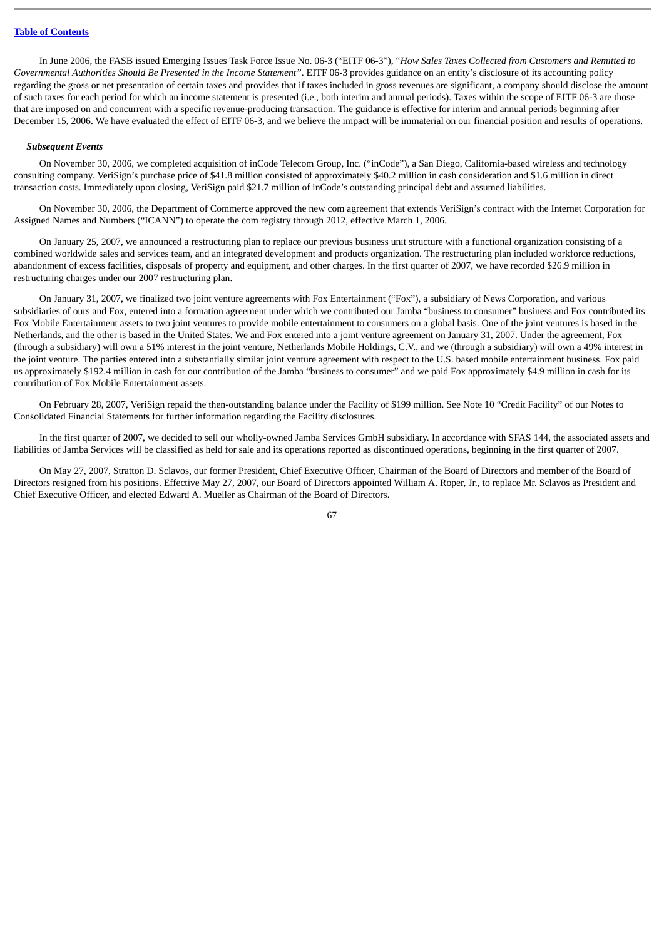In June 2006, the FASB issued Emerging Issues Task Force Issue No. 06-3 ("EITF 06-3"), "*How Sales Taxes Collected from Customers and Remitted to Governmental Authorities Should Be Presented in the Income Statement"*. EITF 06-3 provides guidance on an entity's disclosure of its accounting policy regarding the gross or net presentation of certain taxes and provides that if taxes included in gross revenues are significant, a company should disclose the amount of such taxes for each period for which an income statement is presented (i.e., both interim and annual periods). Taxes within the scope of EITF 06-3 are those that are imposed on and concurrent with a specific revenue-producing transaction. The guidance is effective for interim and annual periods beginning after December 15, 2006. We have evaluated the effect of EITF 06-3, and we believe the impact will be immaterial on our financial position and results of operations.

#### *Subsequent Events*

On November 30, 2006, we completed acquisition of inCode Telecom Group, Inc. ("inCode"), a San Diego, California-based wireless and technology consulting company. VeriSign's purchase price of \$41.8 million consisted of approximately \$40.2 million in cash consideration and \$1.6 million in direct transaction costs. Immediately upon closing, VeriSign paid \$21.7 million of inCode's outstanding principal debt and assumed liabilities.

On November 30, 2006, the Department of Commerce approved the new com agreement that extends VeriSign's contract with the Internet Corporation for Assigned Names and Numbers ("ICANN") to operate the com registry through 2012, effective March 1, 2006.

On January 25, 2007, we announced a restructuring plan to replace our previous business unit structure with a functional organization consisting of a combined worldwide sales and services team, and an integrated development and products organization. The restructuring plan included workforce reductions, abandonment of excess facilities, disposals of property and equipment, and other charges. In the first quarter of 2007, we have recorded \$26.9 million in restructuring charges under our 2007 restructuring plan.

On January 31, 2007, we finalized two joint venture agreements with Fox Entertainment ("Fox"), a subsidiary of News Corporation, and various subsidiaries of ours and Fox, entered into a formation agreement under which we contributed our Jamba "business to consumer" business and Fox contributed its Fox Mobile Entertainment assets to two joint ventures to provide mobile entertainment to consumers on a global basis. One of the joint ventures is based in the Netherlands, and the other is based in the United States. We and Fox entered into a joint venture agreement on January 31, 2007. Under the agreement, Fox (through a subsidiary) will own a 51% interest in the joint venture, Netherlands Mobile Holdings, C.V., and we (through a subsidiary) will own a 49% interest in the joint venture. The parties entered into a substantially similar joint venture agreement with respect to the U.S. based mobile entertainment business. Fox paid us approximately \$192.4 million in cash for our contribution of the Jamba "business to consumer" and we paid Fox approximately \$4.9 million in cash for its contribution of Fox Mobile Entertainment assets.

On February 28, 2007, VeriSign repaid the then-outstanding balance under the Facility of \$199 million. See Note 10 "Credit Facility" of our Notes to Consolidated Financial Statements for further information regarding the Facility disclosures.

In the first quarter of 2007, we decided to sell our wholly-owned Jamba Services GmbH subsidiary. In accordance with SFAS 144, the associated assets and liabilities of Jamba Services will be classified as held for sale and its operations reported as discontinued operations, beginning in the first quarter of 2007.

On May 27, 2007, Stratton D. Sclavos, our former President, Chief Executive Officer, Chairman of the Board of Directors and member of the Board of Directors resigned from his positions. Effective May 27, 2007, our Board of Directors appointed William A. Roper, Jr., to replace Mr. Sclavos as President and Chief Executive Officer, and elected Edward A. Mueller as Chairman of the Board of Directors.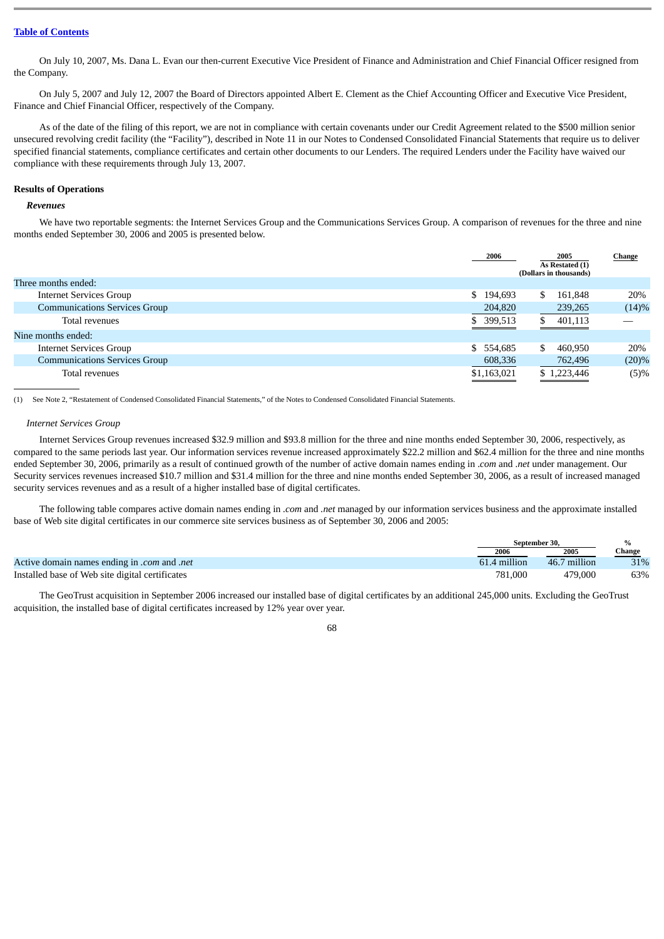On July 10, 2007, Ms. Dana L. Evan our then-current Executive Vice President of Finance and Administration and Chief Financial Officer resigned from the Company.

On July 5, 2007 and July 12, 2007 the Board of Directors appointed Albert E. Clement as the Chief Accounting Officer and Executive Vice President, Finance and Chief Financial Officer, respectively of the Company.

As of the date of the filing of this report, we are not in compliance with certain covenants under our Credit Agreement related to the \$500 million senior unsecured revolving credit facility (the "Facility"), described in Note 11 in our Notes to Condensed Consolidated Financial Statements that require us to deliver specified financial statements, compliance certificates and certain other documents to our Lenders. The required Lenders under the Facility have waived our compliance with these requirements through July 13, 2007.

#### **Results of Operations**

#### *Revenues*

We have two reportable segments: the Internet Services Group and the Communications Services Group. A comparison of revenues for the three and nine months ended September 30, 2006 and 2005 is presented below.

|                                      | 2006        | 2005<br>As Restated (1)<br>(Dollars in thousands) | Change |
|--------------------------------------|-------------|---------------------------------------------------|--------|
| Three months ended:                  |             |                                                   |        |
| <b>Internet Services Group</b>       | \$194,693   | \$<br>161,848                                     | 20%    |
| <b>Communications Services Group</b> | 204,820     | 239,265                                           | (14)%  |
| Total revenues                       | \$ 399,513  | 401,113                                           |        |
| Nine months ended:                   |             |                                                   |        |
| <b>Internet Services Group</b>       | \$554,685   | \$<br>460,950                                     | 20%    |
| <b>Communications Services Group</b> | 608,336     | 762,496                                           | (20)%  |
| Total revenues                       | \$1,163,021 | \$1,223,446                                       | (5)%   |

(1) See Note 2, "Restatement of Condensed Consolidated Financial Statements," of the Notes to Condensed Consolidated Financial Statements.

#### *Internet Services Group*

Internet Services Group revenues increased \$32.9 million and \$93.8 million for the three and nine months ended September 30, 2006, respectively, as compared to the same periods last year. Our information services revenue increased approximately \$22.2 million and \$62.4 million for the three and nine months ended September 30, 2006, primarily as a result of continued growth of the number of active domain names ending in .*com* and .*net* under management. Our Security services revenues increased \$10.7 million and \$31.4 million for the three and nine months ended September 30, 2006, as a result of increased managed security services revenues and as a result of a higher installed base of digital certificates.

The following table compares active domain names ending in *.com* and *.net* managed by our information services business and the approximate installed base of Web site digital certificates in our commerce site services business as of September 30, 2006 and 2005:

|                                                    | September 30. |              | $\frac{0}{0}$ |
|----------------------------------------------------|---------------|--------------|---------------|
|                                                    | 2006          | 2005         | Change        |
| <i>Active domain names ending in .com and .net</i> | 61.4 million  | 46.7 million | 31%           |
| Installed base of Web site digital certificates    | 781.000       | 479,000      | 63%           |

The GeoTrust acquisition in September 2006 increased our installed base of digital certificates by an additional 245,000 units. Excluding the GeoTrust acquisition, the installed base of digital certificates increased by 12% year over year.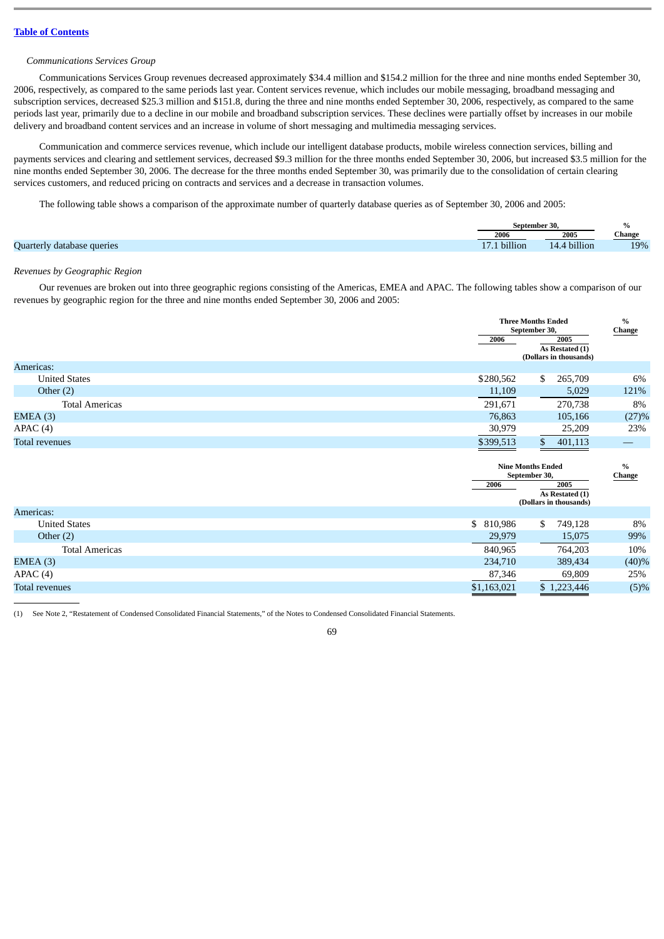### *Communications Services Group*

Communications Services Group revenues decreased approximately \$34.4 million and \$154.2 million for the three and nine months ended September 30, 2006, respectively, as compared to the same periods last year. Content services revenue, which includes our mobile messaging, broadband messaging and subscription services, decreased \$25.3 million and \$151.8, during the three and nine months ended September 30, 2006, respectively, as compared to the same periods last year, primarily due to a decline in our mobile and broadband subscription services. These declines were partially offset by increases in our mobile delivery and broadband content services and an increase in volume of short messaging and multimedia messaging services.

Communication and commerce services revenue, which include our intelligent database products, mobile wireless connection services, billing and payments services and clearing and settlement services, decreased \$9.3 million for the three months ended September 30, 2006, but increased \$3.5 million for the nine months ended September 30, 2006. The decrease for the three months ended September 30, was primarily due to the consolidation of certain clearing services customers, and reduced pricing on contracts and services and a decrease in transaction volumes.

The following table shows a comparison of the approximate number of quarterly database queries as of September 30, 2006 and 2005:

|                            | September 30.   |                           | $\%$          |
|----------------------------|-----------------|---------------------------|---------------|
|                            | 2006            | 2005                      | <b>Change</b> |
| Quarterly database queries | billion<br>17.L | billion<br>$\overline{A}$ | 19%           |

#### *Revenues by Geographic Region*

Our revenues are broken out into three geographic regions consisting of the Americas, EMEA and APAC. The following tables show a comparison of our revenues by geographic region for the three and nine months ended September 30, 2006 and 2005:

|                       | <b>Three Months Ended</b><br>September 30, | $\%$<br>Change                                    |
|-----------------------|--------------------------------------------|---------------------------------------------------|
|                       | 2006                                       | 2005<br>As Restated (1)<br>(Dollars in thousands) |
| Americas:             |                                            |                                                   |
| <b>United States</b>  | \$280,562<br>S.                            | 265,709<br>6%                                     |
| Other $(2)$           | 11,109                                     | 121%<br>5,029                                     |
| <b>Total Americas</b> | 291,671                                    | 8%<br>270,738                                     |
| EMEA(3)               | 76,863                                     | (27)%<br>105,166                                  |
| APAC(4)               | 30,979                                     | 23%<br>25,209                                     |
| <b>Total revenues</b> | \$399,513                                  | 401,113                                           |

|                       | <b>Nine Months Ended</b><br>September 30, |    |                                                   | $\%$<br><b>Change</b> |
|-----------------------|-------------------------------------------|----|---------------------------------------------------|-----------------------|
|                       | 2006                                      |    | 2005<br>As Restated (1)<br>(Dollars in thousands) |                       |
| Americas:             |                                           |    |                                                   |                       |
| <b>United States</b>  | \$ 810,986                                | \$ | 749,128                                           | 8%                    |
| Other $(2)$           | 29,979                                    |    | 15,075                                            | 99%                   |
| <b>Total Americas</b> | 840,965                                   |    | 764,203                                           | 10%                   |
| EMEA(3)               | 234,710                                   |    | 389,434                                           | (40)%                 |
| APAC(4)               | 87,346                                    |    | 69,809                                            | 25%                   |
| Total revenues        | \$1,163,021                               |    | \$1,223,446                                       | (5)%                  |

(1) See Note 2, "Restatement of Condensed Consolidated Financial Statements," of the Notes to Condensed Consolidated Financial Statements.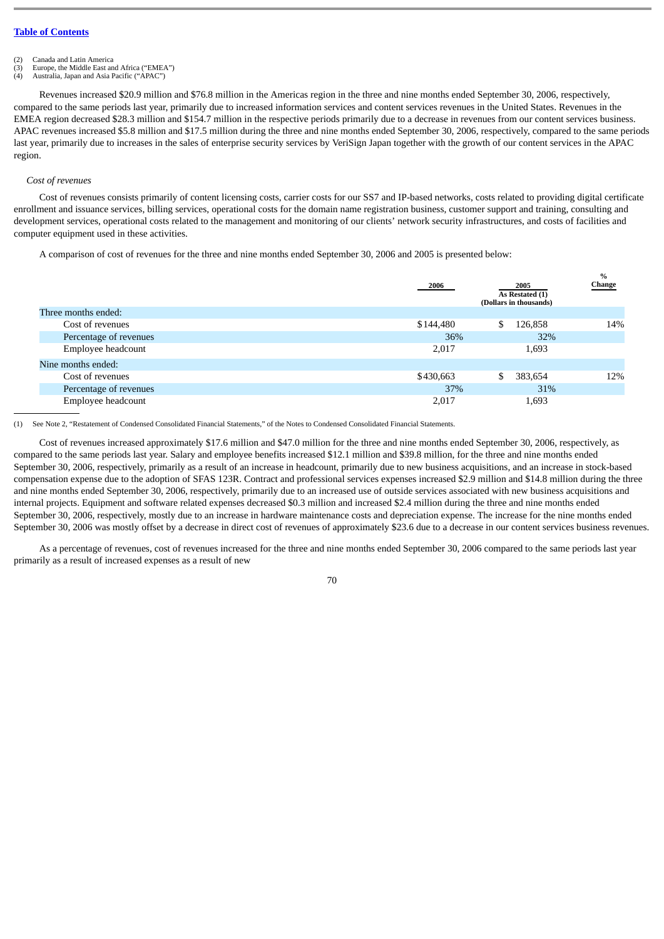- 
- (2) Canada and Latin America<br>(3) Europe, the Middle East are Europe, the Middle East and Africa ("EMEA")

(4) Australia, Japan and Asia Pacific ("APAC")

Revenues increased \$20.9 million and \$76.8 million in the Americas region in the three and nine months ended September 30, 2006, respectively, compared to the same periods last year, primarily due to increased information services and content services revenues in the United States. Revenues in the EMEA region decreased \$28.3 million and \$154.7 million in the respective periods primarily due to a decrease in revenues from our content services business. APAC revenues increased \$5.8 million and \$17.5 million during the three and nine months ended September 30, 2006, respectively, compared to the same periods last year, primarily due to increases in the sales of enterprise security services by VeriSign Japan together with the growth of our content services in the APAC region.

#### *Cost of revenues*

Cost of revenues consists primarily of content licensing costs, carrier costs for our SS7 and IP-based networks, costs related to providing digital certificate enrollment and issuance services, billing services, operational costs for the domain name registration business, customer support and training, consulting and development services, operational costs related to the management and monitoring of our clients' network security infrastructures, and costs of facilities and computer equipment used in these activities.

A comparison of cost of revenues for the three and nine months ended September 30, 2006 and 2005 is presented below:

|                        | 2006      | 2005<br>As Restated (1)<br>(Dollars in thousands) | $\%$<br><b>Change</b> |
|------------------------|-----------|---------------------------------------------------|-----------------------|
| Three months ended:    |           |                                                   |                       |
| Cost of revenues       | \$144,480 | 126,858<br>\$                                     | 14%                   |
| Percentage of revenues | 36%       | 32%                                               |                       |
| Employee headcount     | 2,017     | 1,693                                             |                       |
| Nine months ended:     |           |                                                   |                       |
| Cost of revenues       | \$430,663 | 383,654<br>\$                                     | 12%                   |
| Percentage of revenues | 37%       | 31%                                               |                       |
| Employee headcount     | 2,017     | 1,693                                             |                       |

(1) See Note 2, "Restatement of Condensed Consolidated Financial Statements," of the Notes to Condensed Consolidated Financial Statements.

Cost of revenues increased approximately \$17.6 million and \$47.0 million for the three and nine months ended September 30, 2006, respectively, as compared to the same periods last year. Salary and employee benefits increased \$12.1 million and \$39.8 million, for the three and nine months ended September 30, 2006, respectively, primarily as a result of an increase in headcount, primarily due to new business acquisitions, and an increase in stock-based compensation expense due to the adoption of SFAS 123R. Contract and professional services expenses increased \$2.9 million and \$14.8 million during the three and nine months ended September 30, 2006, respectively, primarily due to an increased use of outside services associated with new business acquisitions and internal projects. Equipment and software related expenses decreased \$0.3 million and increased \$2.4 million during the three and nine months ended September 30, 2006, respectively, mostly due to an increase in hardware maintenance costs and depreciation expense. The increase for the nine months ended September 30, 2006 was mostly offset by a decrease in direct cost of revenues of approximately \$23.6 due to a decrease in our content services business revenues.

As a percentage of revenues, cost of revenues increased for the three and nine months ended September 30, 2006 compared to the same periods last year primarily as a result of increased expenses as a result of new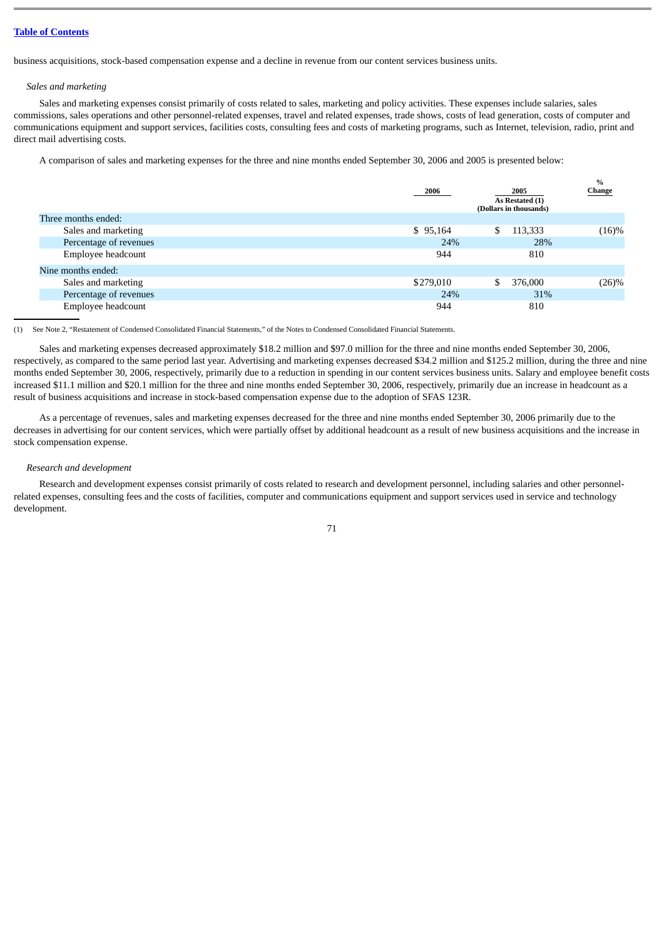business acquisitions, stock-based compensation expense and a decline in revenue from our content services business units.

### *Sales and marketing*

Sales and marketing expenses consist primarily of costs related to sales, marketing and policy activities. These expenses include salaries, sales commissions, sales operations and other personnel-related expenses, travel and related expenses, trade shows, costs of lead generation, costs of computer and communications equipment and support services, facilities costs, consulting fees and costs of marketing programs, such as Internet, television, radio, print and direct mail advertising costs.

A comparison of sales and marketing expenses for the three and nine months ended September 30, 2006 and 2005 is presented below:

|                        | 2006      | 2005<br>As Restated (1)<br>(Dollars in thousands) | $\%$<br>Change |
|------------------------|-----------|---------------------------------------------------|----------------|
| Three months ended:    |           |                                                   |                |
| Sales and marketing    | \$95,164  | 113,333<br>\$                                     | (16)%          |
| Percentage of revenues | 24%       | 28%                                               |                |
| Employee headcount     | 944       | 810                                               |                |
| Nine months ended:     |           |                                                   |                |
| Sales and marketing    | \$279,010 | \$<br>376,000                                     | $(26)\%$       |
| Percentage of revenues | 24%       | 31%                                               |                |
| Employee headcount     | 944       | 810                                               |                |

(1) See Note 2, "Restatement of Condensed Consolidated Financial Statements," of the Notes to Condensed Consolidated Financial Statements.

Sales and marketing expenses decreased approximately \$18.2 million and \$97.0 million for the three and nine months ended September 30, 2006, respectively, as compared to the same period last year. Advertising and marketing expenses decreased \$34.2 million and \$125.2 million, during the three and nine months ended September 30, 2006, respectively, primarily due to a reduction in spending in our content services business units. Salary and employee benefit costs increased \$11.1 million and \$20.1 million for the three and nine months ended September 30, 2006, respectively, primarily due an increase in headcount as a result of business acquisitions and increase in stock-based compensation expense due to the adoption of SFAS 123R.

As a percentage of revenues, sales and marketing expenses decreased for the three and nine months ended September 30, 2006 primarily due to the decreases in advertising for our content services, which were partially offset by additional headcount as a result of new business acquisitions and the increase in stock compensation expense.

### *Research and development*

Research and development expenses consist primarily of costs related to research and development personnel, including salaries and other personnelrelated expenses, consulting fees and the costs of facilities, computer and communications equipment and support services used in service and technology development.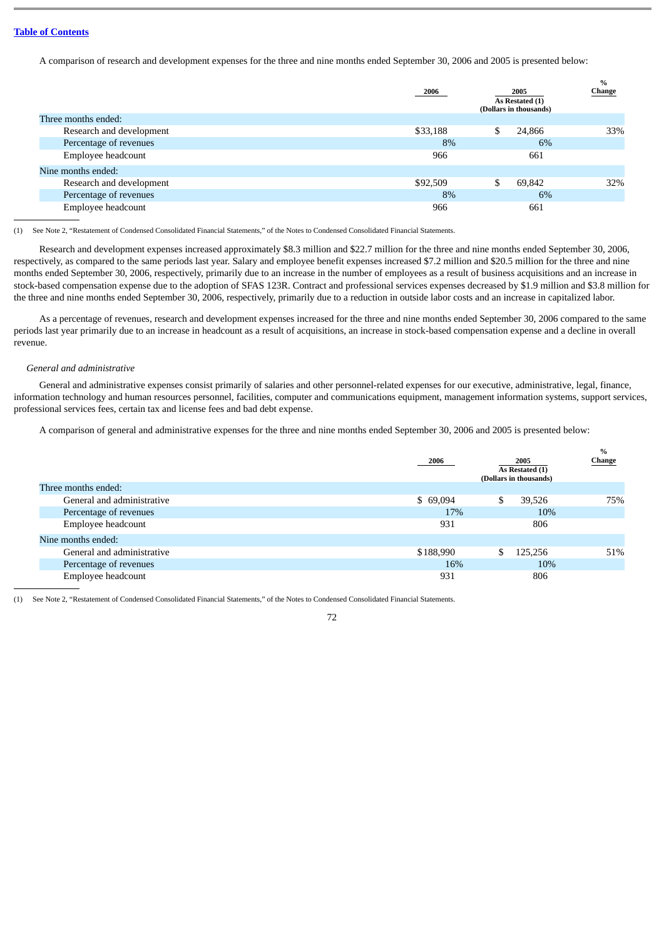A comparison of research and development expenses for the three and nine months ended September 30, 2006 and 2005 is presented below:

|                          | 2006     | 2005<br>As Restated (1)<br>(Dollars in thousands) | $\%$<br>Change |
|--------------------------|----------|---------------------------------------------------|----------------|
| Three months ended:      |          |                                                   |                |
| Research and development | \$33,188 | \$<br>24,866                                      | 33%            |
| Percentage of revenues   | 8%       | 6%                                                |                |
| Employee headcount       | 966      | 661                                               |                |
| Nine months ended:       |          |                                                   |                |
| Research and development | \$92,509 | \$<br>69.842                                      | 32%            |
| Percentage of revenues   | 8%       | 6%                                                |                |
| Employee headcount       | 966      | 661                                               |                |

(1) See Note 2, "Restatement of Condensed Consolidated Financial Statements," of the Notes to Condensed Consolidated Financial Statements.

Research and development expenses increased approximately \$8.3 million and \$22.7 million for the three and nine months ended September 30, 2006, respectively, as compared to the same periods last year. Salary and employee benefit expenses increased \$7.2 million and \$20.5 million for the three and nine months ended September 30, 2006, respectively, primarily due to an increase in the number of employees as a result of business acquisitions and an increase in stock-based compensation expense due to the adoption of SFAS 123R. Contract and professional services expenses decreased by \$1.9 million and \$3.8 million for the three and nine months ended September 30, 2006, respectively, primarily due to a reduction in outside labor costs and an increase in capitalized labor.

As a percentage of revenues, research and development expenses increased for the three and nine months ended September 30, 2006 compared to the same periods last year primarily due to an increase in headcount as a result of acquisitions, an increase in stock-based compensation expense and a decline in overall revenue.

#### *General and administrative*

General and administrative expenses consist primarily of salaries and other personnel-related expenses for our executive, administrative, legal, finance, information technology and human resources personnel, facilities, computer and communications equipment, management information systems, support services, professional services fees, certain tax and license fees and bad debt expense.

A comparison of general and administrative expenses for the three and nine months ended September 30, 2006 and 2005 is presented below:

|                            | 2006      | 2005<br>As Restated (1)<br>(Dollars in thousands) | %<br>Change |
|----------------------------|-----------|---------------------------------------------------|-------------|
| Three months ended:        |           |                                                   |             |
| General and administrative | \$69,094  | \$<br>39,526                                      | 75%         |
| Percentage of revenues     | 17%       | 10%                                               |             |
| Employee headcount         | 931       | 806                                               |             |
| Nine months ended:         |           |                                                   |             |
| General and administrative | \$188,990 | 125,256<br>\$                                     | 51%         |
| Percentage of revenues     | 16%       | 10%                                               |             |
| Employee headcount         | 931       | 806                                               |             |

(1) See Note 2, "Restatement of Condensed Consolidated Financial Statements," of the Notes to Condensed Consolidated Financial Statements.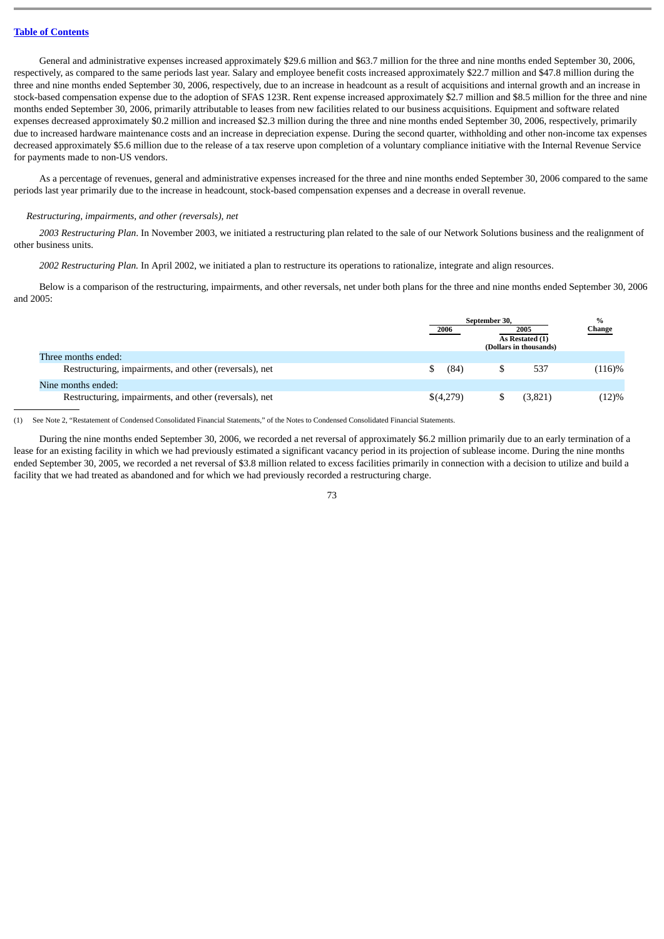General and administrative expenses increased approximately \$29.6 million and \$63.7 million for the three and nine months ended September 30, 2006, respectively, as compared to the same periods last year. Salary and employee benefit costs increased approximately \$22.7 million and \$47.8 million during the three and nine months ended September 30, 2006, respectively, due to an increase in headcount as a result of acquisitions and internal growth and an increase in stock-based compensation expense due to the adoption of SFAS 123R. Rent expense increased approximately \$2.7 million and \$8.5 million for the three and nine months ended September 30, 2006, primarily attributable to leases from new facilities related to our business acquisitions. Equipment and software related expenses decreased approximately \$0.2 million and increased \$2.3 million during the three and nine months ended September 30, 2006, respectively, primarily due to increased hardware maintenance costs and an increase in depreciation expense. During the second quarter, withholding and other non-income tax expenses decreased approximately \$5.6 million due to the release of a tax reserve upon completion of a voluntary compliance initiative with the Internal Revenue Service for payments made to non-US vendors.

As a percentage of revenues, general and administrative expenses increased for the three and nine months ended September 30, 2006 compared to the same periods last year primarily due to the increase in headcount, stock-based compensation expenses and a decrease in overall revenue.

### *Restructuring, impairments, and other (reversals), net*

*2003 Restructuring Plan*. In November 2003, we initiated a restructuring plan related to the sale of our Network Solutions business and the realignment of other business units.

*2002 Restructuring Plan.* In April 2002, we initiated a plan to restructure its operations to rationalize, integrate and align resources.

Below is a comparison of the restructuring, impairments, and other reversals, net under both plans for the three and nine months ended September 30, 2006 and 2005:

|                                                        | September 30, |                                           | $\frac{0}{0}$ |
|--------------------------------------------------------|---------------|-------------------------------------------|---------------|
|                                                        | 2006          | 2005                                      | Change        |
|                                                        |               | As Restated (1)<br>(Dollars in thousands) |               |
| Three months ended:                                    |               |                                           |               |
| Restructuring, impairments, and other (reversals), net | (84)<br>S     | 537                                       | (116)%        |
| Nine months ended:                                     |               |                                           |               |
| Restructuring, impairments, and other (reversals), net | \$(4,279)     | (3,821)                                   | (12)%         |

(1) See Note 2, "Restatement of Condensed Consolidated Financial Statements," of the Notes to Condensed Consolidated Financial Statements.

During the nine months ended September 30, 2006, we recorded a net reversal of approximately \$6.2 million primarily due to an early termination of a lease for an existing facility in which we had previously estimated a significant vacancy period in its projection of sublease income. During the nine months ended September 30, 2005, we recorded a net reversal of \$3.8 million related to excess facilities primarily in connection with a decision to utilize and build a facility that we had treated as abandoned and for which we had previously recorded a restructuring charge.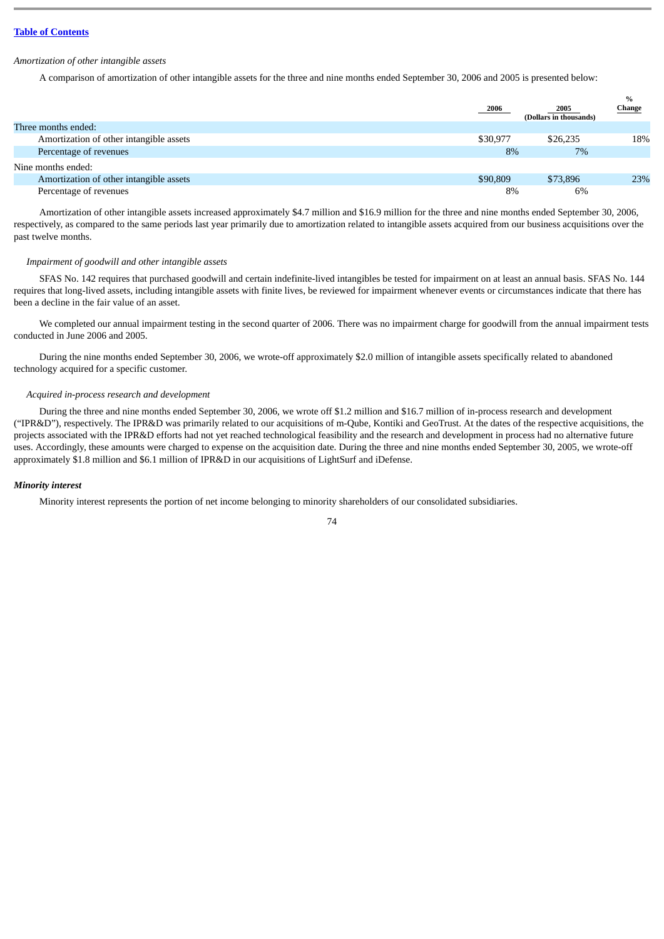#### *Amortization of other intangible assets*

A comparison of amortization of other intangible assets for the three and nine months ended September 30, 2006 and 2005 is presented below:

|                                         | 2006     | 2005<br>(Dollars in thousands) | $\frac{9}{6}$<br><b>Change</b> |
|-----------------------------------------|----------|--------------------------------|--------------------------------|
| Three months ended:                     |          |                                |                                |
| Amortization of other intangible assets | \$30,977 | \$26,235                       | 18%                            |
| Percentage of revenues                  | 8%       | 7%                             |                                |
| Nine months ended:                      |          |                                |                                |
| Amortization of other intangible assets | \$90,809 | \$73,896                       | 23%                            |
| Percentage of revenues                  | 8%       | 6%                             |                                |

Amortization of other intangible assets increased approximately \$4.7 million and \$16.9 million for the three and nine months ended September 30, 2006, respectively, as compared to the same periods last year primarily due to amortization related to intangible assets acquired from our business acquisitions over the past twelve months.

### *Impairment of goodwill and other intangible assets*

SFAS No. 142 requires that purchased goodwill and certain indefinite-lived intangibles be tested for impairment on at least an annual basis. SFAS No. 144 requires that long-lived assets, including intangible assets with finite lives, be reviewed for impairment whenever events or circumstances indicate that there has been a decline in the fair value of an asset.

We completed our annual impairment testing in the second quarter of 2006. There was no impairment charge for goodwill from the annual impairment tests conducted in June 2006 and 2005.

During the nine months ended September 30, 2006, we wrote-off approximately \$2.0 million of intangible assets specifically related to abandoned technology acquired for a specific customer.

### *Acquired in-process research and development*

During the three and nine months ended September 30, 2006, we wrote off \$1.2 million and \$16.7 million of in-process research and development ("IPR&D"), respectively. The IPR&D was primarily related to our acquisitions of m-Qube, Kontiki and GeoTrust. At the dates of the respective acquisitions, the projects associated with the IPR&D efforts had not yet reached technological feasibility and the research and development in process had no alternative future uses. Accordingly, these amounts were charged to expense on the acquisition date. During the three and nine months ended September 30, 2005, we wrote-off approximately \$1.8 million and \$6.1 million of IPR&D in our acquisitions of LightSurf and iDefense.

## *Minority interest*

Minority interest represents the portion of net income belonging to minority shareholders of our consolidated subsidiaries.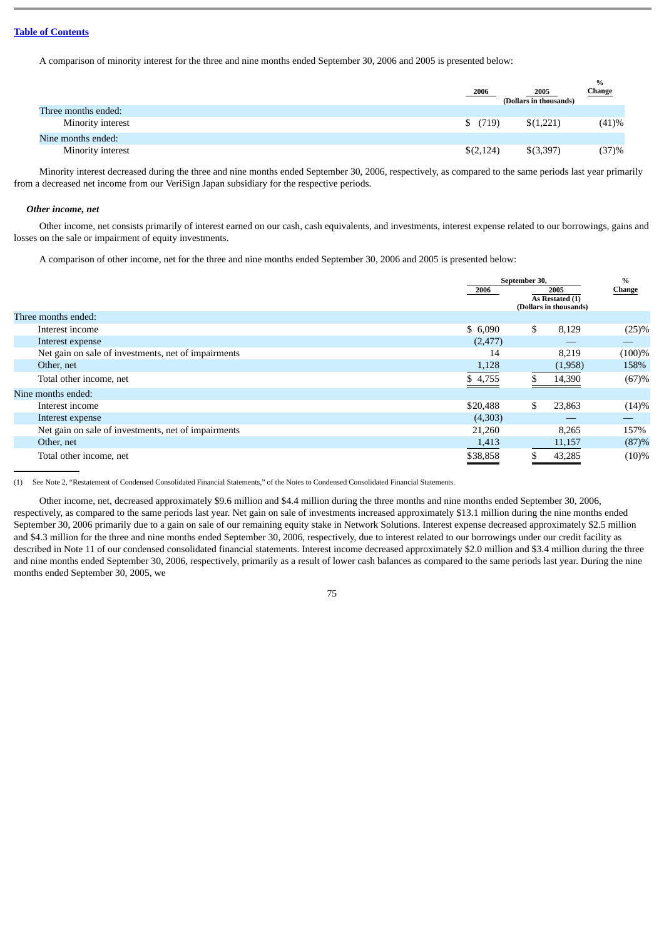A comparison of minority interest for the three and nine months ended September 30, 2006 and 2005 is presented below:

|                     | 2006      | $\%$<br>Change<br>2005<br>(Dollars in thousands) |
|---------------------|-----------|--------------------------------------------------|
| Three months ended: |           |                                                  |
| Minority interest   | \$(719)   | \$(1,221)<br>(41)%                               |
| Nine months ended:  |           |                                                  |
| Minority interest   | \$(2,124) | (37)%<br>\$(3,397)                               |

Minority interest decreased during the three and nine months ended September 30, 2006, respectively, as compared to the same periods last year primarily from a decreased net income from our VeriSign Japan subsidiary for the respective periods.

#### *Other income, net*

Other income, net consists primarily of interest earned on our cash, cash equivalents, and investments, interest expense related to our borrowings, gains and losses on the sale or impairment of equity investments.

A comparison of other income, net for the three and nine months ended September 30, 2006 and 2005 is presented below:

|                                                     | September 30, |    |                                                   | $\frac{0}{0}$ |
|-----------------------------------------------------|---------------|----|---------------------------------------------------|---------------|
|                                                     | 2006          |    | 2005<br>As Restated (1)<br>(Dollars in thousands) | <b>Change</b> |
| Three months ended:                                 |               |    |                                                   |               |
| Interest income                                     | \$6,090       | \$ | 8,129                                             | (25)%         |
| Interest expense                                    | (2, 477)      |    |                                                   |               |
| Net gain on sale of investments, net of impairments | 14            |    | 8,219                                             | $(100)\%$     |
| Other, net                                          | 1,128         |    | (1,958)                                           | 158%          |
| Total other income, net                             | \$4,755       |    | 14,390                                            | (67)%         |
| Nine months ended:                                  |               |    |                                                   |               |
| Interest income                                     | \$20,488      | \$ | 23,863                                            | (14)%         |
| Interest expense                                    | (4,303)       |    |                                                   |               |
| Net gain on sale of investments, net of impairments | 21,260        |    | 8,265                                             | 157%          |
| Other, net                                          | 1,413         |    | 11,157                                            | (87)%         |
| Total other income, net                             | \$38,858      |    | 43,285                                            | $(10)\%$      |

(1) See Note 2, "Restatement of Condensed Consolidated Financial Statements," of the Notes to Condensed Consolidated Financial Statements.

Other income, net, decreased approximately \$9.6 million and \$4.4 million during the three months and nine months ended September 30, 2006, respectively, as compared to the same periods last year. Net gain on sale of investments increased approximately \$13.1 million during the nine months ended September 30, 2006 primarily due to a gain on sale of our remaining equity stake in Network Solutions. Interest expense decreased approximately \$2.5 million and \$4.3 million for the three and nine months ended September 30, 2006, respectively, due to interest related to our borrowings under our credit facility as described in Note 11 of our condensed consolidated financial statements. Interest income decreased approximately \$2.0 million and \$3.4 million during the three and nine months ended September 30, 2006, respectively, primarily as a result of lower cash balances as compared to the same periods last year. During the nine months ended September 30, 2005, we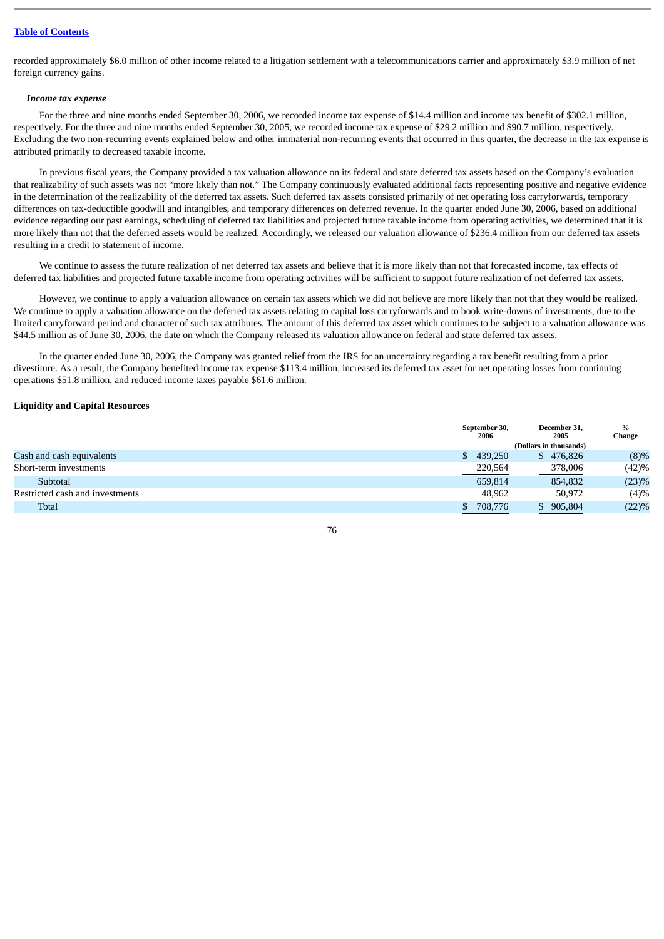recorded approximately \$6.0 million of other income related to a litigation settlement with a telecommunications carrier and approximately \$3.9 million of net foreign currency gains.

#### *Income tax expense*

For the three and nine months ended September 30, 2006, we recorded income tax expense of \$14.4 million and income tax benefit of \$302.1 million, respectively. For the three and nine months ended September 30, 2005, we recorded income tax expense of \$29.2 million and \$90.7 million, respectively. Excluding the two non-recurring events explained below and other immaterial non-recurring events that occurred in this quarter, the decrease in the tax expense is attributed primarily to decreased taxable income.

In previous fiscal years, the Company provided a tax valuation allowance on its federal and state deferred tax assets based on the Company's evaluation that realizability of such assets was not "more likely than not." The Company continuously evaluated additional facts representing positive and negative evidence in the determination of the realizability of the deferred tax assets. Such deferred tax assets consisted primarily of net operating loss carryforwards, temporary differences on tax-deductible goodwill and intangibles, and temporary differences on deferred revenue. In the quarter ended June 30, 2006, based on additional evidence regarding our past earnings, scheduling of deferred tax liabilities and projected future taxable income from operating activities, we determined that it is more likely than not that the deferred assets would be realized. Accordingly, we released our valuation allowance of \$236.4 million from our deferred tax assets resulting in a credit to statement of income.

We continue to assess the future realization of net deferred tax assets and believe that it is more likely than not that forecasted income, tax effects of deferred tax liabilities and projected future taxable income from operating activities will be sufficient to support future realization of net deferred tax assets.

However, we continue to apply a valuation allowance on certain tax assets which we did not believe are more likely than not that they would be realized. We continue to apply a valuation allowance on the deferred tax assets relating to capital loss carryforwards and to book write-downs of investments, due to the limited carryforward period and character of such tax attributes. The amount of this deferred tax asset which continues to be subject to a valuation allowance was \$44.5 million as of June 30, 2006, the date on which the Company released its valuation allowance on federal and state deferred tax assets.

In the quarter ended June 30, 2006, the Company was granted relief from the IRS for an uncertainty regarding a tax benefit resulting from a prior divestiture. As a result, the Company benefited income tax expense \$113.4 million, increased its deferred tax asset for net operating losses from continuing operations \$51.8 million, and reduced income taxes payable \$61.6 million.

### **Liquidity and Capital Resources**

| <u>Change</u> |
|---------------|
|               |
| (8)%          |
| (42)%         |
| (23)%         |
| (4)%          |
| (22)%         |
|               |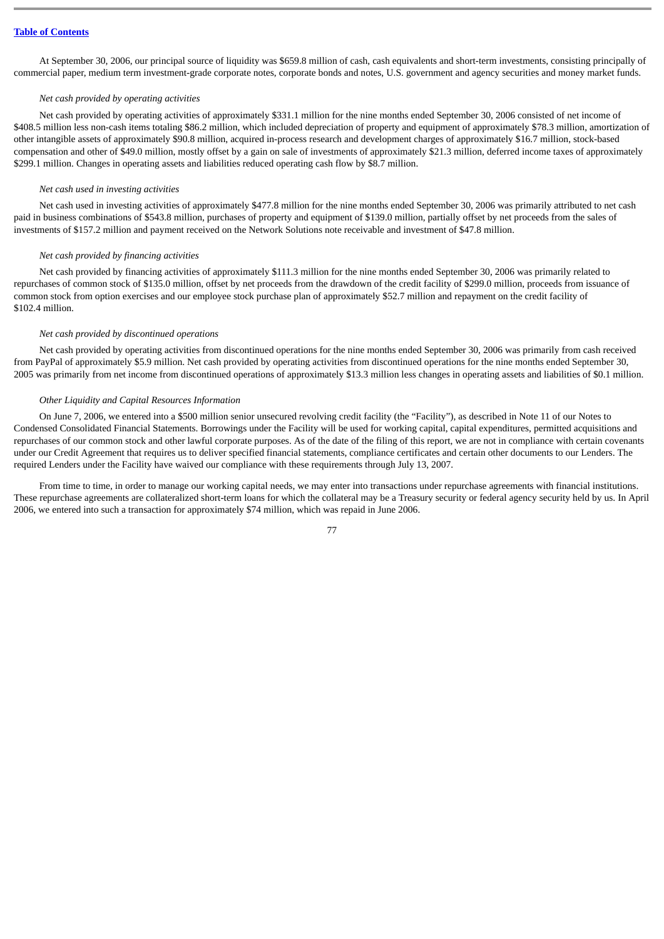At September 30, 2006, our principal source of liquidity was \$659.8 million of cash, cash equivalents and short-term investments, consisting principally of commercial paper, medium term investment-grade corporate notes, corporate bonds and notes, U.S. government and agency securities and money market funds.

#### *Net cash provided by operating activities*

Net cash provided by operating activities of approximately \$331.1 million for the nine months ended September 30, 2006 consisted of net income of \$408.5 million less non-cash items totaling \$86.2 million, which included depreciation of property and equipment of approximately \$78.3 million, amortization of other intangible assets of approximately \$90.8 million, acquired in-process research and development charges of approximately \$16.7 million, stock-based compensation and other of \$49.0 million, mostly offset by a gain on sale of investments of approximately \$21.3 million, deferred income taxes of approximately \$299.1 million. Changes in operating assets and liabilities reduced operating cash flow by \$8.7 million.

#### *Net cash used in investing activities*

Net cash used in investing activities of approximately \$477.8 million for the nine months ended September 30, 2006 was primarily attributed to net cash paid in business combinations of \$543.8 million, purchases of property and equipment of \$139.0 million, partially offset by net proceeds from the sales of investments of \$157.2 million and payment received on the Network Solutions note receivable and investment of \$47.8 million.

#### *Net cash provided by financing activities*

Net cash provided by financing activities of approximately \$111.3 million for the nine months ended September 30, 2006 was primarily related to repurchases of common stock of \$135.0 million, offset by net proceeds from the drawdown of the credit facility of \$299.0 million, proceeds from issuance of common stock from option exercises and our employee stock purchase plan of approximately \$52.7 million and repayment on the credit facility of \$102.4 million.

#### *Net cash provided by discontinued operations*

Net cash provided by operating activities from discontinued operations for the nine months ended September 30, 2006 was primarily from cash received from PayPal of approximately \$5.9 million. Net cash provided by operating activities from discontinued operations for the nine months ended September 30, 2005 was primarily from net income from discontinued operations of approximately \$13.3 million less changes in operating assets and liabilities of \$0.1 million.

#### *Other Liquidity and Capital Resources Information*

On June 7, 2006, we entered into a \$500 million senior unsecured revolving credit facility (the "Facility"), as described in Note 11 of our Notes to Condensed Consolidated Financial Statements. Borrowings under the Facility will be used for working capital, capital expenditures, permitted acquisitions and repurchases of our common stock and other lawful corporate purposes. As of the date of the filing of this report, we are not in compliance with certain covenants under our Credit Agreement that requires us to deliver specified financial statements, compliance certificates and certain other documents to our Lenders. The required Lenders under the Facility have waived our compliance with these requirements through July 13, 2007.

From time to time, in order to manage our working capital needs, we may enter into transactions under repurchase agreements with financial institutions. These repurchase agreements are collateralized short-term loans for which the collateral may be a Treasury security or federal agency security held by us. In April 2006, we entered into such a transaction for approximately \$74 million, which was repaid in June 2006.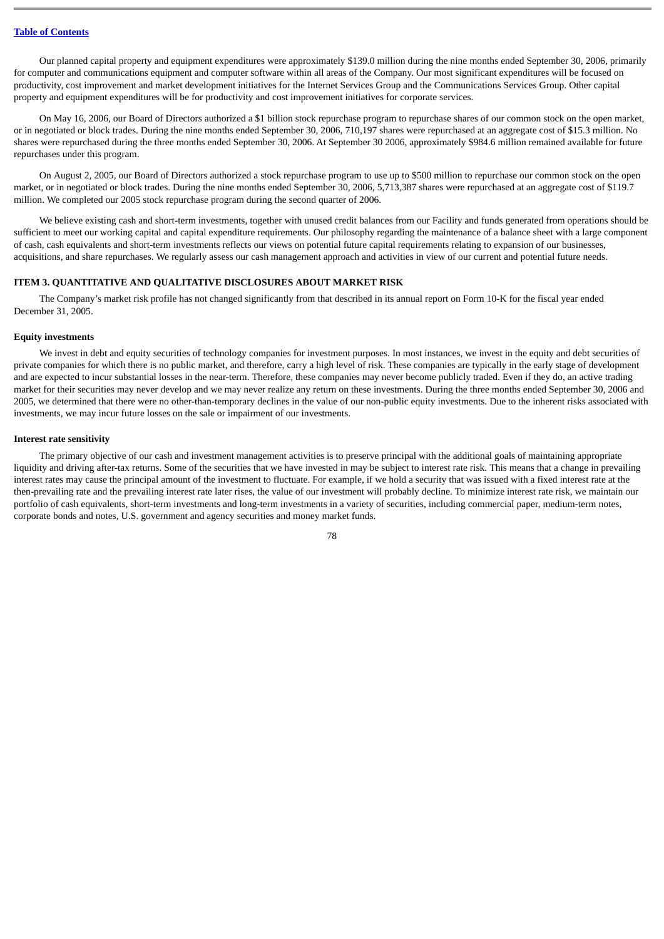Our planned capital property and equipment expenditures were approximately \$139.0 million during the nine months ended September 30, 2006, primarily for computer and communications equipment and computer software within all areas of the Company. Our most significant expenditures will be focused on productivity, cost improvement and market development initiatives for the Internet Services Group and the Communications Services Group. Other capital property and equipment expenditures will be for productivity and cost improvement initiatives for corporate services.

On May 16, 2006, our Board of Directors authorized a \$1 billion stock repurchase program to repurchase shares of our common stock on the open market, or in negotiated or block trades. During the nine months ended September 30, 2006, 710,197 shares were repurchased at an aggregate cost of \$15.3 million. No shares were repurchased during the three months ended September 30, 2006. At September 30 2006, approximately \$984.6 million remained available for future repurchases under this program.

On August 2, 2005, our Board of Directors authorized a stock repurchase program to use up to \$500 million to repurchase our common stock on the open market, or in negotiated or block trades. During the nine months ended September 30, 2006, 5,713,387 shares were repurchased at an aggregate cost of \$119.7 million. We completed our 2005 stock repurchase program during the second quarter of 2006.

We believe existing cash and short-term investments, together with unused credit balances from our Facility and funds generated from operations should be sufficient to meet our working capital and capital expenditure requirements. Our philosophy regarding the maintenance of a balance sheet with a large component of cash, cash equivalents and short-term investments reflects our views on potential future capital requirements relating to expansion of our businesses, acquisitions, and share repurchases. We regularly assess our cash management approach and activities in view of our current and potential future needs.

### **ITEM 3. QUANTITATIVE AND QUALITATIVE DISCLOSURES ABOUT MARKET RISK**

The Company's market risk profile has not changed significantly from that described in its annual report on Form 10-K for the fiscal year ended December 31, 2005.

#### **Equity investments**

We invest in debt and equity securities of technology companies for investment purposes. In most instances, we invest in the equity and debt securities of private companies for which there is no public market, and therefore, carry a high level of risk. These companies are typically in the early stage of development and are expected to incur substantial losses in the near-term. Therefore, these companies may never become publicly traded. Even if they do, an active trading market for their securities may never develop and we may never realize any return on these investments. During the three months ended September 30, 2006 and 2005, we determined that there were no other-than-temporary declines in the value of our non-public equity investments. Due to the inherent risks associated with investments, we may incur future losses on the sale or impairment of our investments.

#### **Interest rate sensitivity**

The primary objective of our cash and investment management activities is to preserve principal with the additional goals of maintaining appropriate liquidity and driving after-tax returns. Some of the securities that we have invested in may be subject to interest rate risk. This means that a change in prevailing interest rates may cause the principal amount of the investment to fluctuate. For example, if we hold a security that was issued with a fixed interest rate at the then-prevailing rate and the prevailing interest rate later rises, the value of our investment will probably decline. To minimize interest rate risk, we maintain our portfolio of cash equivalents, short-term investments and long-term investments in a variety of securities, including commercial paper, medium-term notes, corporate bonds and notes, U.S. government and agency securities and money market funds.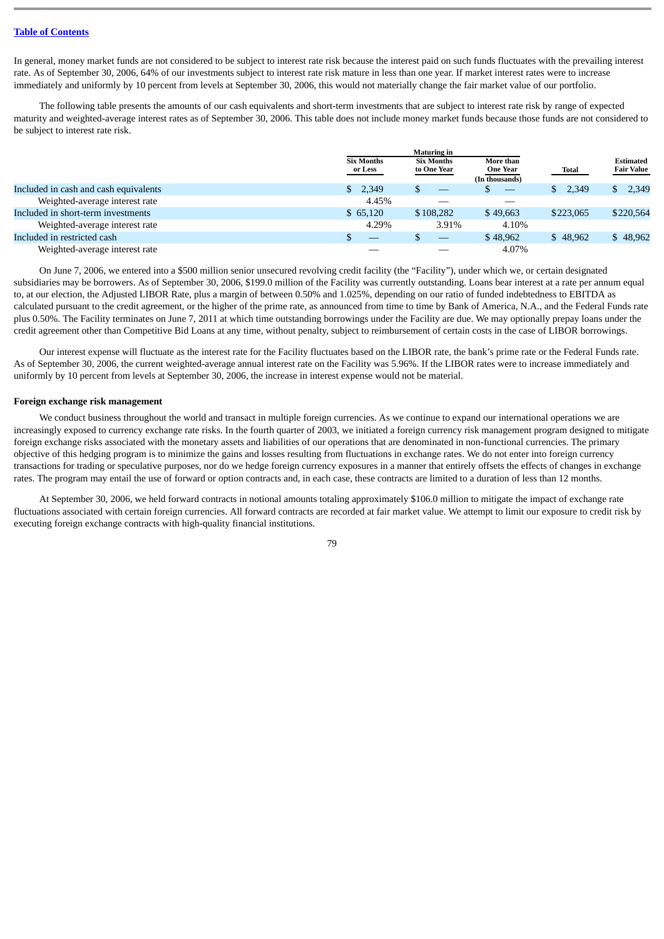In general, money market funds are not considered to be subject to interest rate risk because the interest paid on such funds fluctuates with the prevailing interest rate. As of September 30, 2006, 64% of our investments subject to interest rate risk mature in less than one year. If market interest rates were to increase immediately and uniformly by 10 percent from levels at September 30, 2006, this would not materially change the fair market value of our portfolio.

The following table presents the amounts of our cash equivalents and short-term investments that are subject to interest rate risk by range of expected maturity and weighted-average interest rates as of September 30, 2006. This table does not include money market funds because those funds are not considered to be subject to interest rate risk.

|                                       | <b>Maturing in</b>           |                                  |                                                |           |                                |
|---------------------------------------|------------------------------|----------------------------------|------------------------------------------------|-----------|--------------------------------|
|                                       | <b>Six Months</b><br>or Less | <b>Six Months</b><br>to One Year | More than<br><b>One Year</b><br>(In thousands) | Total     | Estimated<br><b>Fair Value</b> |
| Included in cash and cash equivalents | 2.349<br>S.                  |                                  | $\overline{\phantom{m}}$                       | 2,349     | 2,349                          |
| Weighted-average interest rate        | 4.45%                        |                                  |                                                |           |                                |
| Included in short-term investments    | \$65,120                     | \$108.282                        | \$49,663                                       | \$223,065 | \$220,564                      |
| Weighted-average interest rate        | 4.29%                        | 3.91%                            | 4.10%                                          |           |                                |
| Included in restricted cash           | $\overline{\phantom{a}}$     | $\overline{\phantom{m}}$         | \$48,962                                       | \$48.962  | \$48,962                       |
| Weighted-average interest rate        |                              |                                  | 4.07%                                          |           |                                |

On June 7, 2006, we entered into a \$500 million senior unsecured revolving credit facility (the "Facility"), under which we, or certain designated subsidiaries may be borrowers. As of September 30, 2006, \$199.0 million of the Facility was currently outstanding. Loans bear interest at a rate per annum equal to, at our election, the Adjusted LIBOR Rate, plus a margin of between 0.50% and 1.025%, depending on our ratio of funded indebtedness to EBITDA as calculated pursuant to the credit agreement, or the higher of the prime rate, as announced from time to time by Bank of America, N.A., and the Federal Funds rate plus 0.50%. The Facility terminates on June 7, 2011 at which time outstanding borrowings under the Facility are due. We may optionally prepay loans under the credit agreement other than Competitive Bid Loans at any time, without penalty, subject to reimbursement of certain costs in the case of LIBOR borrowings.

Our interest expense will fluctuate as the interest rate for the Facility fluctuates based on the LIBOR rate, the bank's prime rate or the Federal Funds rate. As of September 30, 2006, the current weighted-average annual interest rate on the Facility was 5.96%. If the LIBOR rates were to increase immediately and uniformly by 10 percent from levels at September 30, 2006, the increase in interest expense would not be material.

#### **Foreign exchange risk management**

We conduct business throughout the world and transact in multiple foreign currencies. As we continue to expand our international operations we are increasingly exposed to currency exchange rate risks. In the fourth quarter of 2003, we initiated a foreign currency risk management program designed to mitigate foreign exchange risks associated with the monetary assets and liabilities of our operations that are denominated in non-functional currencies. The primary objective of this hedging program is to minimize the gains and losses resulting from fluctuations in exchange rates. We do not enter into foreign currency transactions for trading or speculative purposes, nor do we hedge foreign currency exposures in a manner that entirely offsets the effects of changes in exchange rates. The program may entail the use of forward or option contracts and, in each case, these contracts are limited to a duration of less than 12 months.

At September 30, 2006, we held forward contracts in notional amounts totaling approximately \$106.0 million to mitigate the impact of exchange rate fluctuations associated with certain foreign currencies. All forward contracts are recorded at fair market value. We attempt to limit our exposure to credit risk by executing foreign exchange contracts with high-quality financial institutions.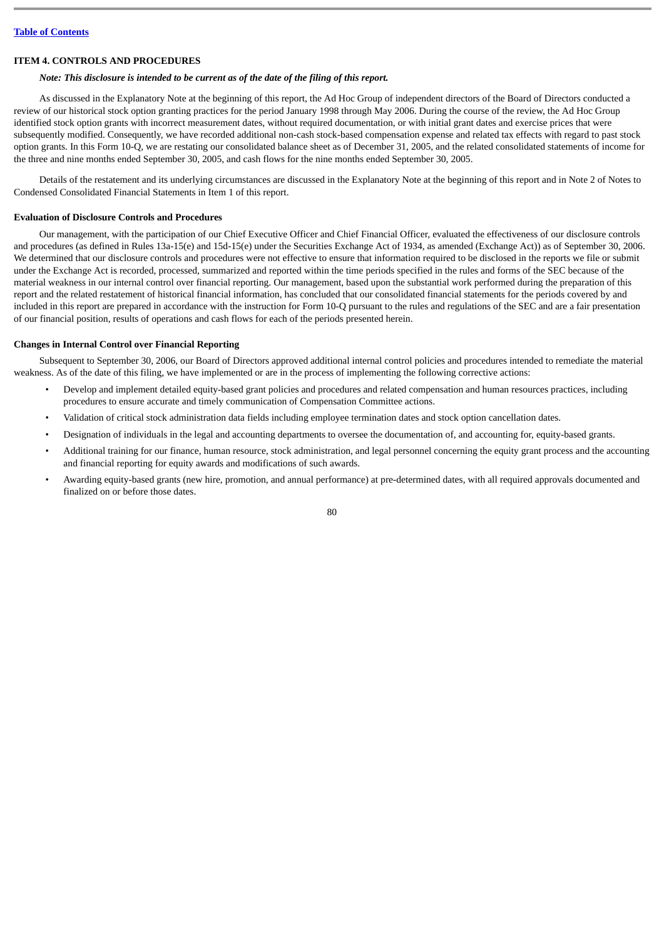# **ITEM 4. CONTROLS AND PROCEDURES**

# *Note: This disclosure is intended to be current as of the date of the filing of this report.*

As discussed in the Explanatory Note at the beginning of this report, the Ad Hoc Group of independent directors of the Board of Directors conducted a review of our historical stock option granting practices for the period January 1998 through May 2006. During the course of the review, the Ad Hoc Group identified stock option grants with incorrect measurement dates, without required documentation, or with initial grant dates and exercise prices that were subsequently modified. Consequently, we have recorded additional non-cash stock-based compensation expense and related tax effects with regard to past stock option grants. In this Form 10-Q, we are restating our consolidated balance sheet as of December 31, 2005, and the related consolidated statements of income for the three and nine months ended September 30, 2005, and cash flows for the nine months ended September 30, 2005.

Details of the restatement and its underlying circumstances are discussed in the Explanatory Note at the beginning of this report and in Note 2 of Notes to Condensed Consolidated Financial Statements in Item 1 of this report.

# **Evaluation of Disclosure Controls and Procedures**

Our management, with the participation of our Chief Executive Officer and Chief Financial Officer, evaluated the effectiveness of our disclosure controls and procedures (as defined in Rules 13a-15(e) and 15d-15(e) under the Securities Exchange Act of 1934, as amended (Exchange Act)) as of September 30, 2006. We determined that our disclosure controls and procedures were not effective to ensure that information required to be disclosed in the reports we file or submit under the Exchange Act is recorded, processed, summarized and reported within the time periods specified in the rules and forms of the SEC because of the material weakness in our internal control over financial reporting. Our management, based upon the substantial work performed during the preparation of this report and the related restatement of historical financial information, has concluded that our consolidated financial statements for the periods covered by and included in this report are prepared in accordance with the instruction for Form 10-Q pursuant to the rules and regulations of the SEC and are a fair presentation of our financial position, results of operations and cash flows for each of the periods presented herein.

# **Changes in Internal Control over Financial Reporting**

Subsequent to September 30, 2006, our Board of Directors approved additional internal control policies and procedures intended to remediate the material weakness. As of the date of this filing, we have implemented or are in the process of implementing the following corrective actions:

- Develop and implement detailed equity-based grant policies and procedures and related compensation and human resources practices, including procedures to ensure accurate and timely communication of Compensation Committee actions.
- Validation of critical stock administration data fields including employee termination dates and stock option cancellation dates.
- Designation of individuals in the legal and accounting departments to oversee the documentation of, and accounting for, equity-based grants.
- Additional training for our finance, human resource, stock administration, and legal personnel concerning the equity grant process and the accounting and financial reporting for equity awards and modifications of such awards.
- Awarding equity-based grants (new hire, promotion, and annual performance) at pre-determined dates, with all required approvals documented and finalized on or before those dates.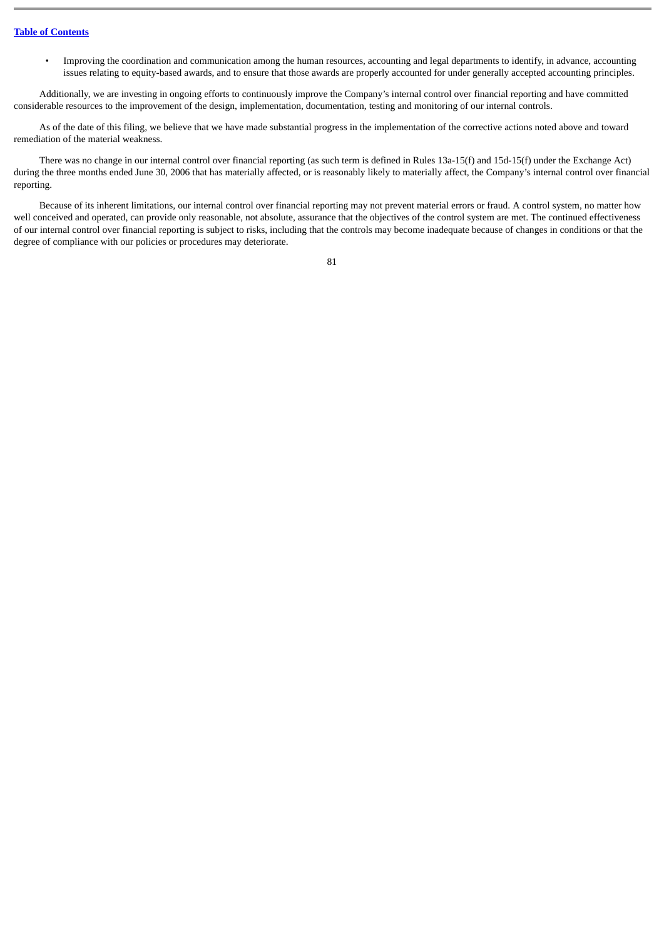• Improving the coordination and communication among the human resources, accounting and legal departments to identify, in advance, accounting issues relating to equity-based awards, and to ensure that those awards are properly accounted for under generally accepted accounting principles.

Additionally, we are investing in ongoing efforts to continuously improve the Company's internal control over financial reporting and have committed considerable resources to the improvement of the design, implementation, documentation, testing and monitoring of our internal controls.

As of the date of this filing, we believe that we have made substantial progress in the implementation of the corrective actions noted above and toward remediation of the material weakness.

There was no change in our internal control over financial reporting (as such term is defined in Rules 13a-15(f) and 15d-15(f) under the Exchange Act) during the three months ended June 30, 2006 that has materially affected, or is reasonably likely to materially affect, the Company's internal control over financial reporting.

Because of its inherent limitations, our internal control over financial reporting may not prevent material errors or fraud. A control system, no matter how well conceived and operated, can provide only reasonable, not absolute, assurance that the objectives of the control system are met. The continued effectiveness of our internal control over financial reporting is subject to risks, including that the controls may become inadequate because of changes in conditions or that the degree of compliance with our policies or procedures may deteriorate.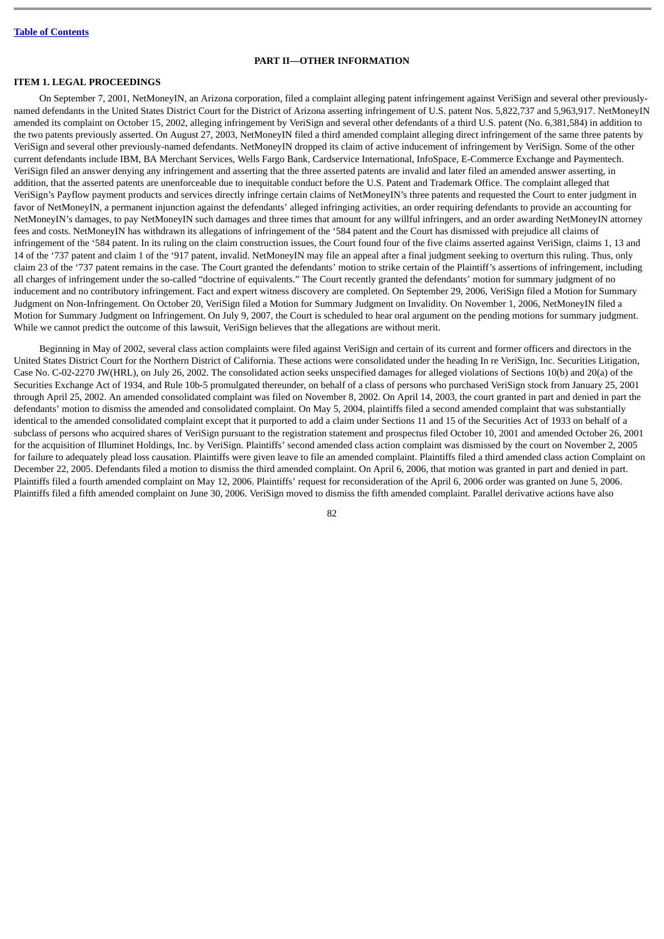#### **PART II—OTHER INFORMATION**

# **ITEM 1. LEGAL PROCEEDINGS**

On September 7, 2001, NetMoneyIN, an Arizona corporation, filed a complaint alleging patent infringement against VeriSign and several other previouslynamed defendants in the United States District Court for the District of Arizona asserting infringement of U.S. patent Nos. 5,822,737 and 5,963,917. NetMoneyIN amended its complaint on October 15, 2002, alleging infringement by VeriSign and several other defendants of a third U.S. patent (No. 6,381,584) in addition to the two patents previously asserted. On August 27, 2003, NetMoneyIN filed a third amended complaint alleging direct infringement of the same three patents by VeriSign and several other previously-named defendants. NetMoneyIN dropped its claim of active inducement of infringement by VeriSign. Some of the other current defendants include IBM, BA Merchant Services, Wells Fargo Bank, Cardservice International, InfoSpace, E-Commerce Exchange and Paymentech. VeriSign filed an answer denying any infringement and asserting that the three asserted patents are invalid and later filed an amended answer asserting, in addition, that the asserted patents are unenforceable due to inequitable conduct before the U.S. Patent and Trademark Office. The complaint alleged that VeriSign's Payflow payment products and services directly infringe certain claims of NetMoneyIN's three patents and requested the Court to enter judgment in favor of NetMoneyIN, a permanent injunction against the defendants' alleged infringing activities, an order requiring defendants to provide an accounting for NetMoneyIN's damages, to pay NetMoneyIN such damages and three times that amount for any willful infringers, and an order awarding NetMoneyIN attorney fees and costs. NetMoneyIN has withdrawn its allegations of infringement of the '584 patent and the Court has dismissed with prejudice all claims of infringement of the '584 patent. In its ruling on the claim construction issues, the Court found four of the five claims asserted against VeriSign, claims 1, 13 and 14 of the '737 patent and claim 1 of the '917 patent, invalid. NetMoneyIN may file an appeal after a final judgment seeking to overturn this ruling. Thus, only claim 23 of the '737 patent remains in the case. The Court granted the defendants' motion to strike certain of the Plaintiff's assertions of infringement, including all charges of infringement under the so-called "doctrine of equivalents." The Court recently granted the defendants' motion for summary judgment of no inducement and no contributory infringement. Fact and expert witness discovery are completed. On September 29, 2006, VeriSign filed a Motion for Summary Judgment on Non-Infringement. On October 20, VeriSign filed a Motion for Summary Judgment on Invalidity. On November 1, 2006, NetMoneyIN filed a Motion for Summary Judgment on Infringement. On July 9, 2007, the Court is scheduled to hear oral argument on the pending motions for summary judgment. While we cannot predict the outcome of this lawsuit, VeriSign believes that the allegations are without merit.

Beginning in May of 2002, several class action complaints were filed against VeriSign and certain of its current and former officers and directors in the United States District Court for the Northern District of California. These actions were consolidated under the heading In re VeriSign, Inc. Securities Litigation, Case No. C-02-2270 JW(HRL), on July 26, 2002. The consolidated action seeks unspecified damages for alleged violations of Sections 10(b) and 20(a) of the Securities Exchange Act of 1934, and Rule 10b-5 promulgated thereunder, on behalf of a class of persons who purchased VeriSign stock from January 25, 2001 through April 25, 2002. An amended consolidated complaint was filed on November 8, 2002. On April 14, 2003, the court granted in part and denied in part the defendants' motion to dismiss the amended and consolidated complaint. On May 5, 2004, plaintiffs filed a second amended complaint that was substantially identical to the amended consolidated complaint except that it purported to add a claim under Sections 11 and 15 of the Securities Act of 1933 on behalf of a subclass of persons who acquired shares of VeriSign pursuant to the registration statement and prospectus filed October 10, 2001 and amended October 26, 2001 for the acquisition of Illuminet Holdings, Inc. by VeriSign. Plaintiffs' second amended class action complaint was dismissed by the court on November 2, 2005 for failure to adequately plead loss causation. Plaintiffs were given leave to file an amended complaint. Plaintiffs filed a third amended class action Complaint on December 22, 2005. Defendants filed a motion to dismiss the third amended complaint. On April 6, 2006, that motion was granted in part and denied in part. Plaintiffs filed a fourth amended complaint on May 12, 2006. Plaintiffs' request for reconsideration of the April 6, 2006 order was granted on June 5, 2006. Plaintiffs filed a fifth amended complaint on June 30, 2006. VeriSign moved to dismiss the fifth amended complaint. Parallel derivative actions have also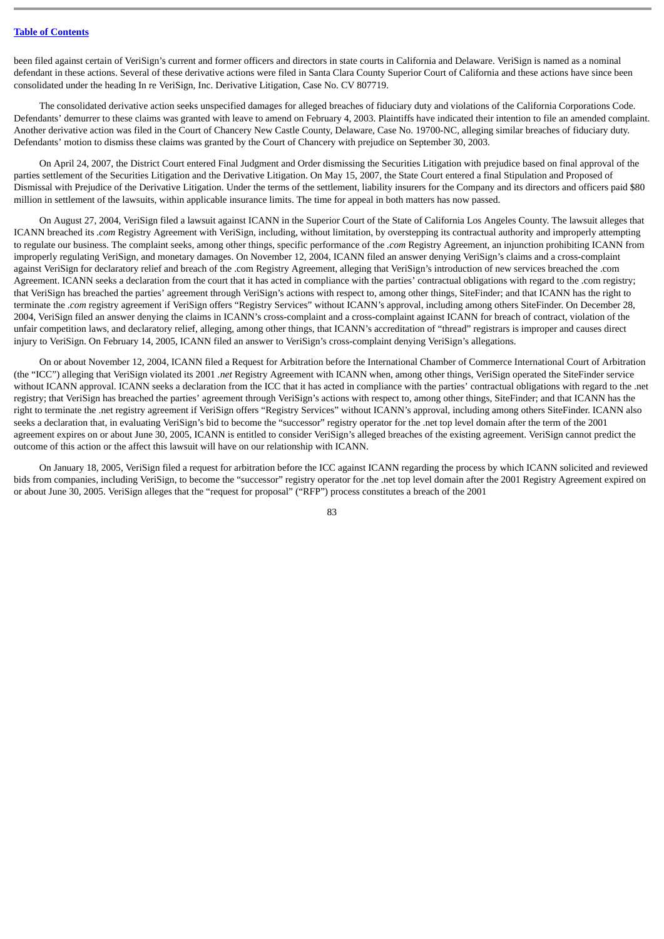been filed against certain of VeriSign's current and former officers and directors in state courts in California and Delaware. VeriSign is named as a nominal defendant in these actions. Several of these derivative actions were filed in Santa Clara County Superior Court of California and these actions have since been consolidated under the heading In re VeriSign, Inc. Derivative Litigation, Case No. CV 807719.

The consolidated derivative action seeks unspecified damages for alleged breaches of fiduciary duty and violations of the California Corporations Code. Defendants' demurrer to these claims was granted with leave to amend on February 4, 2003. Plaintiffs have indicated their intention to file an amended complaint. Another derivative action was filed in the Court of Chancery New Castle County, Delaware, Case No. 19700-NC, alleging similar breaches of fiduciary duty. Defendants' motion to dismiss these claims was granted by the Court of Chancery with prejudice on September 30, 2003.

On April 24, 2007, the District Court entered Final Judgment and Order dismissing the Securities Litigation with prejudice based on final approval of the parties settlement of the Securities Litigation and the Derivative Litigation. On May 15, 2007, the State Court entered a final Stipulation and Proposed of Dismissal with Prejudice of the Derivative Litigation. Under the terms of the settlement, liability insurers for the Company and its directors and officers paid \$80 million in settlement of the lawsuits, within applicable insurance limits. The time for appeal in both matters has now passed.

On August 27, 2004, VeriSign filed a lawsuit against ICANN in the Superior Court of the State of California Los Angeles County. The lawsuit alleges that ICANN breached its *.com* Registry Agreement with VeriSign, including, without limitation, by overstepping its contractual authority and improperly attempting to regulate our business. The complaint seeks, among other things, specific performance of the *.com* Registry Agreement, an injunction prohibiting ICANN from improperly regulating VeriSign, and monetary damages. On November 12, 2004, ICANN filed an answer denying VeriSign's claims and a cross-complaint against VeriSign for declaratory relief and breach of the .com Registry Agreement, alleging that VeriSign's introduction of new services breached the .com Agreement. ICANN seeks a declaration from the court that it has acted in compliance with the parties' contractual obligations with regard to the .com registry; that VeriSign has breached the parties' agreement through VeriSign's actions with respect to, among other things, SiteFinder; and that ICANN has the right to terminate the *.com* registry agreement if VeriSign offers "Registry Services" without ICANN's approval, including among others SiteFinder. On December 28, 2004, VeriSign filed an answer denying the claims in ICANN's cross-complaint and a cross-complaint against ICANN for breach of contract, violation of the unfair competition laws, and declaratory relief, alleging, among other things, that ICANN's accreditation of "thread" registrars is improper and causes direct injury to VeriSign. On February 14, 2005, ICANN filed an answer to VeriSign's cross-complaint denying VeriSign's allegations.

On or about November 12, 2004, ICANN filed a Request for Arbitration before the International Chamber of Commerce International Court of Arbitration (the "ICC") alleging that VeriSign violated its 2001 *.net* Registry Agreement with ICANN when, among other things, VeriSign operated the SiteFinder service without ICANN approval. ICANN seeks a declaration from the ICC that it has acted in compliance with the parties' contractual obligations with regard to the .net registry; that VeriSign has breached the parties' agreement through VeriSign's actions with respect to, among other things, SiteFinder; and that ICANN has the right to terminate the .net registry agreement if VeriSign offers "Registry Services" without ICANN's approval, including among others SiteFinder. ICANN also seeks a declaration that, in evaluating VeriSign's bid to become the "successor" registry operator for the .net top level domain after the term of the 2001 agreement expires on or about June 30, 2005, ICANN is entitled to consider VeriSign's alleged breaches of the existing agreement. VeriSign cannot predict the outcome of this action or the affect this lawsuit will have on our relationship with ICANN.

On January 18, 2005, VeriSign filed a request for arbitration before the ICC against ICANN regarding the process by which ICANN solicited and reviewed bids from companies, including VeriSign, to become the "successor" registry operator for the .net top level domain after the 2001 Registry Agreement expired on or about June 30, 2005. VeriSign alleges that the "request for proposal" ("RFP") process constitutes a breach of the 2001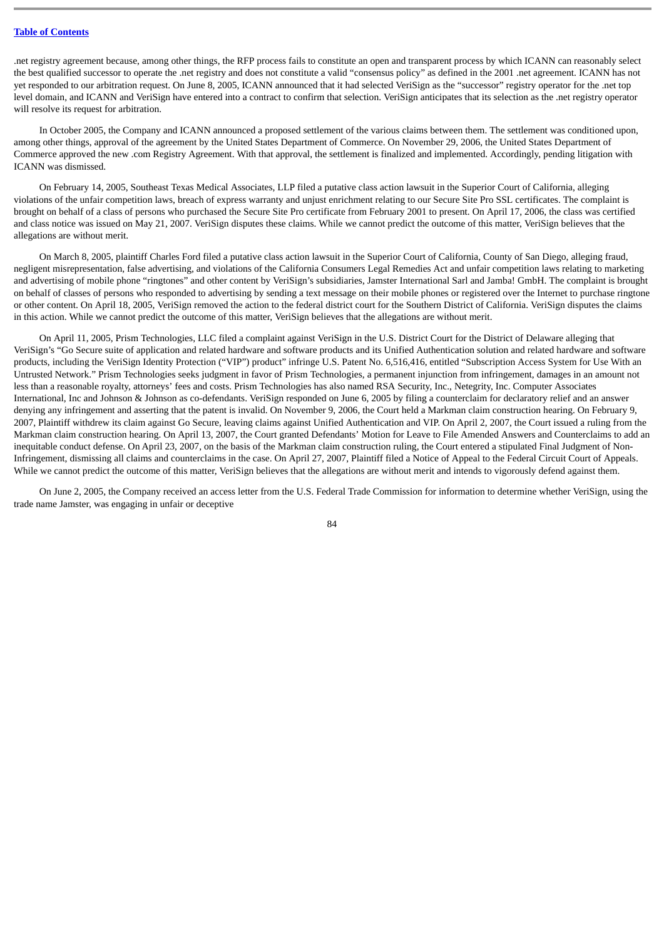.net registry agreement because, among other things, the RFP process fails to constitute an open and transparent process by which ICANN can reasonably select the best qualified successor to operate the .net registry and does not constitute a valid "consensus policy" as defined in the 2001 .net agreement. ICANN has not yet responded to our arbitration request. On June 8, 2005, ICANN announced that it had selected VeriSign as the "successor" registry operator for the .net top level domain, and ICANN and VeriSign have entered into a contract to confirm that selection. VeriSign anticipates that its selection as the .net registry operator will resolve its request for arbitration.

In October 2005, the Company and ICANN announced a proposed settlement of the various claims between them. The settlement was conditioned upon, among other things, approval of the agreement by the United States Department of Commerce. On November 29, 2006, the United States Department of Commerce approved the new .com Registry Agreement. With that approval, the settlement is finalized and implemented. Accordingly, pending litigation with ICANN was dismissed.

On February 14, 2005, Southeast Texas Medical Associates, LLP filed a putative class action lawsuit in the Superior Court of California, alleging violations of the unfair competition laws, breach of express warranty and unjust enrichment relating to our Secure Site Pro SSL certificates. The complaint is brought on behalf of a class of persons who purchased the Secure Site Pro certificate from February 2001 to present. On April 17, 2006, the class was certified and class notice was issued on May 21, 2007. VeriSign disputes these claims. While we cannot predict the outcome of this matter, VeriSign believes that the allegations are without merit.

On March 8, 2005, plaintiff Charles Ford filed a putative class action lawsuit in the Superior Court of California, County of San Diego, alleging fraud, negligent misrepresentation, false advertising, and violations of the California Consumers Legal Remedies Act and unfair competition laws relating to marketing and advertising of mobile phone "ringtones" and other content by VeriSign's subsidiaries, Jamster International Sarl and Jamba! GmbH. The complaint is brought on behalf of classes of persons who responded to advertising by sending a text message on their mobile phones or registered over the Internet to purchase ringtone or other content. On April 18, 2005, VeriSign removed the action to the federal district court for the Southern District of California. VeriSign disputes the claims in this action. While we cannot predict the outcome of this matter, VeriSign believes that the allegations are without merit.

On April 11, 2005, Prism Technologies, LLC filed a complaint against VeriSign in the U.S. District Court for the District of Delaware alleging that VeriSign's "Go Secure suite of application and related hardware and software products and its Unified Authentication solution and related hardware and software products, including the VeriSign Identity Protection ("VIP") product" infringe U.S. Patent No. 6,516,416, entitled "Subscription Access System for Use With an Untrusted Network." Prism Technologies seeks judgment in favor of Prism Technologies, a permanent injunction from infringement, damages in an amount not less than a reasonable royalty, attorneys' fees and costs. Prism Technologies has also named RSA Security, Inc., Netegrity, Inc. Computer Associates International, Inc and Johnson & Johnson as co-defendants. VeriSign responded on June 6, 2005 by filing a counterclaim for declaratory relief and an answer denying any infringement and asserting that the patent is invalid. On November 9, 2006, the Court held a Markman claim construction hearing. On February 9, 2007, Plaintiff withdrew its claim against Go Secure, leaving claims against Unified Authentication and VIP. On April 2, 2007, the Court issued a ruling from the Markman claim construction hearing. On April 13, 2007, the Court granted Defendants' Motion for Leave to File Amended Answers and Counterclaims to add an inequitable conduct defense. On April 23, 2007, on the basis of the Markman claim construction ruling, the Court entered a stipulated Final Judgment of Non-Infringement, dismissing all claims and counterclaims in the case. On April 27, 2007, Plaintiff filed a Notice of Appeal to the Federal Circuit Court of Appeals. While we cannot predict the outcome of this matter, VeriSign believes that the allegations are without merit and intends to vigorously defend against them.

On June 2, 2005, the Company received an access letter from the U.S. Federal Trade Commission for information to determine whether VeriSign, using the trade name Jamster, was engaging in unfair or deceptive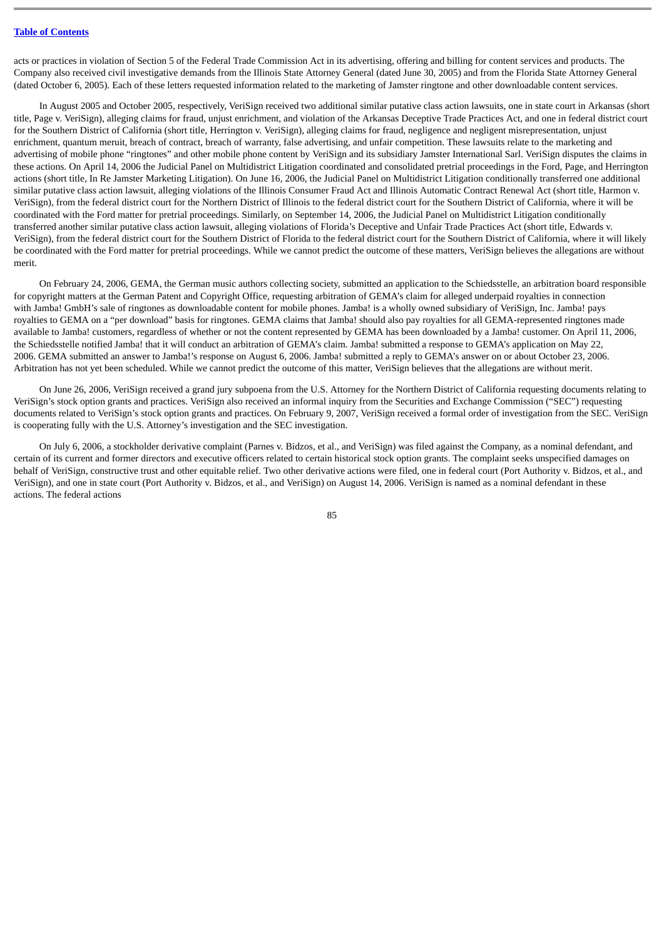acts or practices in violation of Section 5 of the Federal Trade Commission Act in its advertising, offering and billing for content services and products. The Company also received civil investigative demands from the Illinois State Attorney General (dated June 30, 2005) and from the Florida State Attorney General (dated October 6, 2005). Each of these letters requested information related to the marketing of Jamster ringtone and other downloadable content services.

In August 2005 and October 2005, respectively, VeriSign received two additional similar putative class action lawsuits, one in state court in Arkansas (short title, Page v. VeriSign), alleging claims for fraud, unjust enrichment, and violation of the Arkansas Deceptive Trade Practices Act, and one in federal district court for the Southern District of California (short title, Herrington v. VeriSign), alleging claims for fraud, negligence and negligent misrepresentation, unjust enrichment, quantum meruit, breach of contract, breach of warranty, false advertising, and unfair competition. These lawsuits relate to the marketing and advertising of mobile phone "ringtones" and other mobile phone content by VeriSign and its subsidiary Jamster International Sarl. VeriSign disputes the claims in these actions. On April 14, 2006 the Judicial Panel on Multidistrict Litigation coordinated and consolidated pretrial proceedings in the Ford, Page, and Herrington actions (short title, In Re Jamster Marketing Litigation). On June 16, 2006, the Judicial Panel on Multidistrict Litigation conditionally transferred one additional similar putative class action lawsuit, alleging violations of the Illinois Consumer Fraud Act and Illinois Automatic Contract Renewal Act (short title, Harmon v. VeriSign), from the federal district court for the Northern District of Illinois to the federal district court for the Southern District of California, where it will be coordinated with the Ford matter for pretrial proceedings. Similarly, on September 14, 2006, the Judicial Panel on Multidistrict Litigation conditionally transferred another similar putative class action lawsuit, alleging violations of Florida's Deceptive and Unfair Trade Practices Act (short title, Edwards v. VeriSign), from the federal district court for the Southern District of Florida to the federal district court for the Southern District of California, where it will likely be coordinated with the Ford matter for pretrial proceedings. While we cannot predict the outcome of these matters, VeriSign believes the allegations are without merit.

On February 24, 2006, GEMA, the German music authors collecting society, submitted an application to the Schiedsstelle, an arbitration board responsible for copyright matters at the German Patent and Copyright Office, requesting arbitration of GEMA's claim for alleged underpaid royalties in connection with Jamba! GmbH's sale of ringtones as downloadable content for mobile phones. Jamba! is a wholly owned subsidiary of VeriSign, Inc. Jamba! pays royalties to GEMA on a "per download" basis for ringtones. GEMA claims that Jamba! should also pay royalties for all GEMA-represented ringtones made available to Jamba! customers, regardless of whether or not the content represented by GEMA has been downloaded by a Jamba! customer. On April 11, 2006, the Schiedsstelle notified Jamba! that it will conduct an arbitration of GEMA's claim. Jamba! submitted a response to GEMA's application on May 22, 2006. GEMA submitted an answer to Jamba!'s response on August 6, 2006. Jamba! submitted a reply to GEMA's answer on or about October 23, 2006. Arbitration has not yet been scheduled. While we cannot predict the outcome of this matter, VeriSign believes that the allegations are without merit.

On June 26, 2006, VeriSign received a grand jury subpoena from the U.S. Attorney for the Northern District of California requesting documents relating to VeriSign's stock option grants and practices. VeriSign also received an informal inquiry from the Securities and Exchange Commission ("SEC") requesting documents related to VeriSign's stock option grants and practices. On February 9, 2007, VeriSign received a formal order of investigation from the SEC. VeriSign is cooperating fully with the U.S. Attorney's investigation and the SEC investigation.

On July 6, 2006, a stockholder derivative complaint (Parnes v. Bidzos, et al., and VeriSign) was filed against the Company, as a nominal defendant, and certain of its current and former directors and executive officers related to certain historical stock option grants. The complaint seeks unspecified damages on behalf of VeriSign, constructive trust and other equitable relief. Two other derivative actions were filed, one in federal court (Port Authority v. Bidzos, et al., and VeriSign), and one in state court (Port Authority v. Bidzos, et al., and VeriSign) on August 14, 2006. VeriSign is named as a nominal defendant in these actions. The federal actions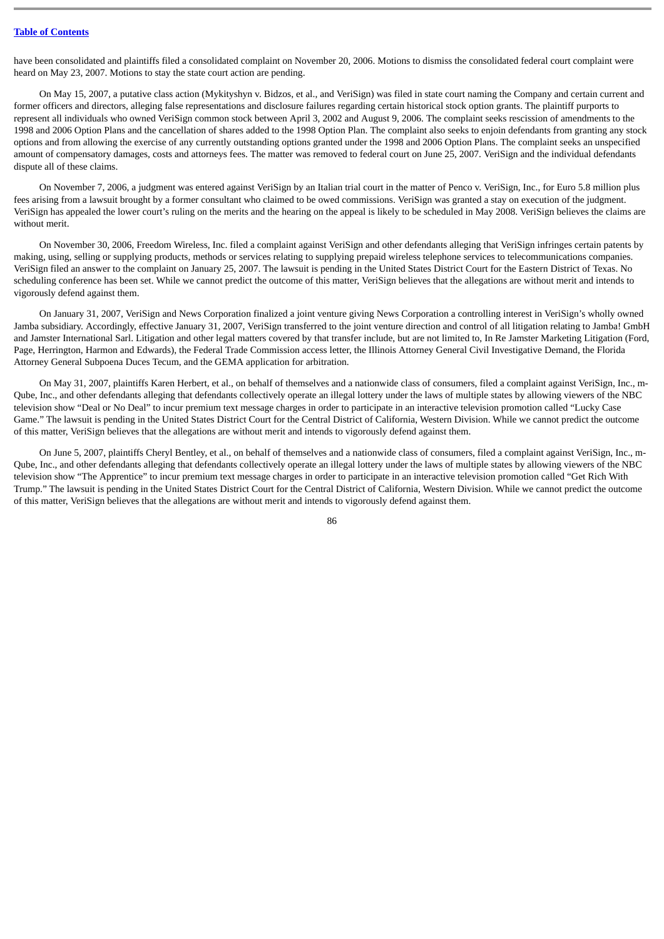have been consolidated and plaintiffs filed a consolidated complaint on November 20, 2006. Motions to dismiss the consolidated federal court complaint were heard on May 23, 2007. Motions to stay the state court action are pending.

On May 15, 2007, a putative class action (Mykityshyn v. Bidzos, et al., and VeriSign) was filed in state court naming the Company and certain current and former officers and directors, alleging false representations and disclosure failures regarding certain historical stock option grants. The plaintiff purports to represent all individuals who owned VeriSign common stock between April 3, 2002 and August 9, 2006. The complaint seeks rescission of amendments to the 1998 and 2006 Option Plans and the cancellation of shares added to the 1998 Option Plan. The complaint also seeks to enjoin defendants from granting any stock options and from allowing the exercise of any currently outstanding options granted under the 1998 and 2006 Option Plans. The complaint seeks an unspecified amount of compensatory damages, costs and attorneys fees. The matter was removed to federal court on June 25, 2007. VeriSign and the individual defendants dispute all of these claims.

On November 7, 2006, a judgment was entered against VeriSign by an Italian trial court in the matter of Penco v. VeriSign, Inc., for Euro 5.8 million plus fees arising from a lawsuit brought by a former consultant who claimed to be owed commissions. VeriSign was granted a stay on execution of the judgment. VeriSign has appealed the lower court's ruling on the merits and the hearing on the appeal is likely to be scheduled in May 2008. VeriSign believes the claims are without merit.

On November 30, 2006, Freedom Wireless, Inc. filed a complaint against VeriSign and other defendants alleging that VeriSign infringes certain patents by making, using, selling or supplying products, methods or services relating to supplying prepaid wireless telephone services to telecommunications companies. VeriSign filed an answer to the complaint on January 25, 2007. The lawsuit is pending in the United States District Court for the Eastern District of Texas. No scheduling conference has been set. While we cannot predict the outcome of this matter, VeriSign believes that the allegations are without merit and intends to vigorously defend against them.

On January 31, 2007, VeriSign and News Corporation finalized a joint venture giving News Corporation a controlling interest in VeriSign's wholly owned Jamba subsidiary. Accordingly, effective January 31, 2007, VeriSign transferred to the joint venture direction and control of all litigation relating to Jamba! GmbH and Jamster International Sarl. Litigation and other legal matters covered by that transfer include, but are not limited to, In Re Jamster Marketing Litigation (Ford, Page, Herrington, Harmon and Edwards), the Federal Trade Commission access letter, the Illinois Attorney General Civil Investigative Demand, the Florida Attorney General Subpoena Duces Tecum, and the GEMA application for arbitration.

On May 31, 2007, plaintiffs Karen Herbert, et al., on behalf of themselves and a nationwide class of consumers, filed a complaint against VeriSign, Inc., m-Qube, Inc., and other defendants alleging that defendants collectively operate an illegal lottery under the laws of multiple states by allowing viewers of the NBC television show "Deal or No Deal" to incur premium text message charges in order to participate in an interactive television promotion called "Lucky Case Game." The lawsuit is pending in the United States District Court for the Central District of California, Western Division. While we cannot predict the outcome of this matter, VeriSign believes that the allegations are without merit and intends to vigorously defend against them.

On June 5, 2007, plaintiffs Cheryl Bentley, et al., on behalf of themselves and a nationwide class of consumers, filed a complaint against VeriSign, Inc., m-Qube, Inc., and other defendants alleging that defendants collectively operate an illegal lottery under the laws of multiple states by allowing viewers of the NBC television show "The Apprentice" to incur premium text message charges in order to participate in an interactive television promotion called "Get Rich With Trump." The lawsuit is pending in the United States District Court for the Central District of California, Western Division. While we cannot predict the outcome of this matter, VeriSign believes that the allegations are without merit and intends to vigorously defend against them.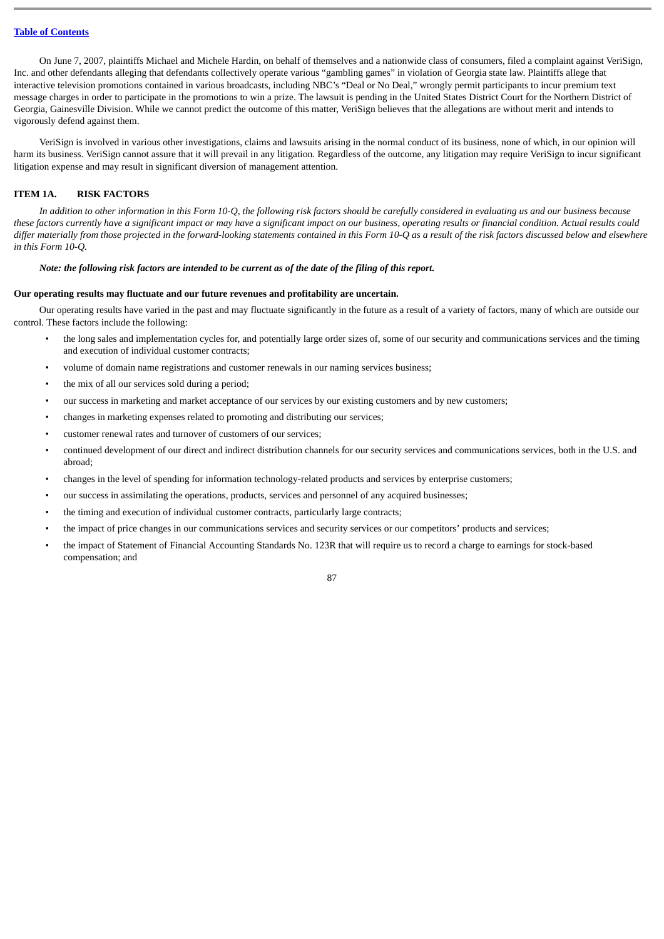On June 7, 2007, plaintiffs Michael and Michele Hardin, on behalf of themselves and a nationwide class of consumers, filed a complaint against VeriSign, Inc. and other defendants alleging that defendants collectively operate various "gambling games" in violation of Georgia state law. Plaintiffs allege that interactive television promotions contained in various broadcasts, including NBC's "Deal or No Deal," wrongly permit participants to incur premium text message charges in order to participate in the promotions to win a prize. The lawsuit is pending in the United States District Court for the Northern District of Georgia, Gainesville Division. While we cannot predict the outcome of this matter, VeriSign believes that the allegations are without merit and intends to vigorously defend against them.

VeriSign is involved in various other investigations, claims and lawsuits arising in the normal conduct of its business, none of which, in our opinion will harm its business. VeriSign cannot assure that it will prevail in any litigation. Regardless of the outcome, any litigation may require VeriSign to incur significant litigation expense and may result in significant diversion of management attention.

### **ITEM 1A. RISK FACTORS**

*In addition to other information in this Form 10-Q, the following risk factors should be carefully considered in evaluating us and our business because these factors currently have a significant impact or may have a significant impact on our business, operating results or financial condition. Actual results could differ materially from those projected in the forward-looking statements contained in this Form 10-Q as a result of the risk factors discussed below and elsewhere in this Form 10-Q.*

#### *Note: the following risk factors are intended to be current as of the date of the filing of this report.*

#### **Our operating results may fluctuate and our future revenues and profitability are uncertain.**

Our operating results have varied in the past and may fluctuate significantly in the future as a result of a variety of factors, many of which are outside our control. These factors include the following:

- the long sales and implementation cycles for, and potentially large order sizes of, some of our security and communications services and the timing and execution of individual customer contracts;
- volume of domain name registrations and customer renewals in our naming services business;
- the mix of all our services sold during a period;
- our success in marketing and market acceptance of our services by our existing customers and by new customers;
- changes in marketing expenses related to promoting and distributing our services;
- customer renewal rates and turnover of customers of our services;
- continued development of our direct and indirect distribution channels for our security services and communications services, both in the U.S. and abroad;
- changes in the level of spending for information technology-related products and services by enterprise customers;
- our success in assimilating the operations, products, services and personnel of any acquired businesses;
- the timing and execution of individual customer contracts, particularly large contracts;
- the impact of price changes in our communications services and security services or our competitors' products and services;
- the impact of Statement of Financial Accounting Standards No. 123R that will require us to record a charge to earnings for stock-based compensation; and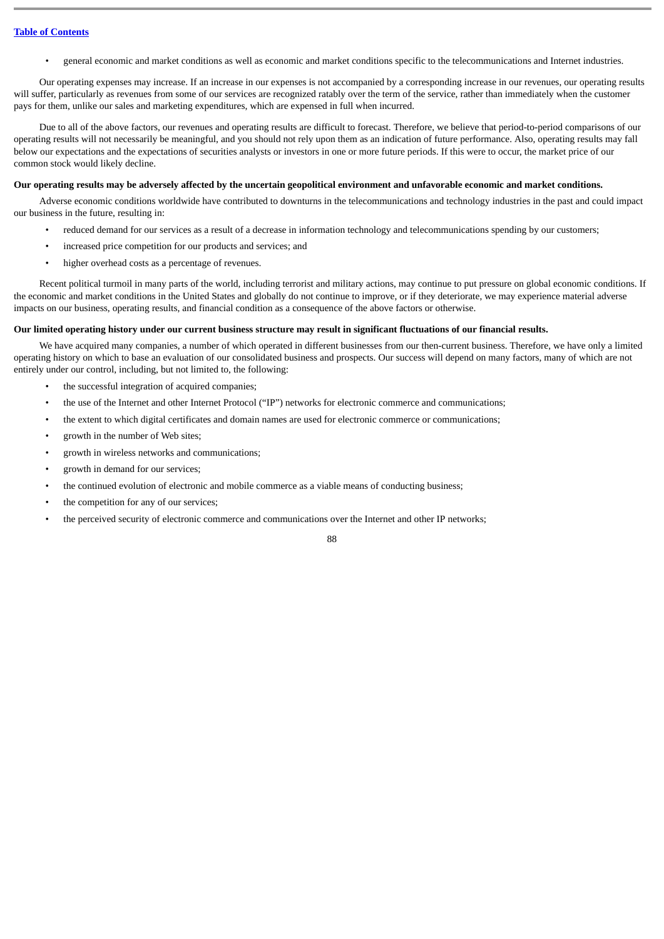• general economic and market conditions as well as economic and market conditions specific to the telecommunications and Internet industries.

Our operating expenses may increase. If an increase in our expenses is not accompanied by a corresponding increase in our revenues, our operating results will suffer, particularly as revenues from some of our services are recognized ratably over the term of the service, rather than immediately when the customer pays for them, unlike our sales and marketing expenditures, which are expensed in full when incurred.

Due to all of the above factors, our revenues and operating results are difficult to forecast. Therefore, we believe that period-to-period comparisons of our operating results will not necessarily be meaningful, and you should not rely upon them as an indication of future performance. Also, operating results may fall below our expectations and the expectations of securities analysts or investors in one or more future periods. If this were to occur, the market price of our common stock would likely decline.

#### **Our operating results may be adversely affected by the uncertain geopolitical environment and unfavorable economic and market conditions.**

Adverse economic conditions worldwide have contributed to downturns in the telecommunications and technology industries in the past and could impact our business in the future, resulting in:

- reduced demand for our services as a result of a decrease in information technology and telecommunications spending by our customers;
- increased price competition for our products and services; and
- higher overhead costs as a percentage of revenues.

Recent political turmoil in many parts of the world, including terrorist and military actions, may continue to put pressure on global economic conditions. If the economic and market conditions in the United States and globally do not continue to improve, or if they deteriorate, we may experience material adverse impacts on our business, operating results, and financial condition as a consequence of the above factors or otherwise.

#### **Our limited operating history under our current business structure may result in significant fluctuations of our financial results.**

We have acquired many companies, a number of which operated in different businesses from our then-current business. Therefore, we have only a limited operating history on which to base an evaluation of our consolidated business and prospects. Our success will depend on many factors, many of which are not entirely under our control, including, but not limited to, the following:

- the successful integration of acquired companies;
- the use of the Internet and other Internet Protocol ("IP") networks for electronic commerce and communications;
- the extent to which digital certificates and domain names are used for electronic commerce or communications;
- growth in the number of Web sites;
- growth in wireless networks and communications;
- growth in demand for our services;
- the continued evolution of electronic and mobile commerce as a viable means of conducting business;
- the competition for any of our services;
- the perceived security of electronic commerce and communications over the Internet and other IP networks;

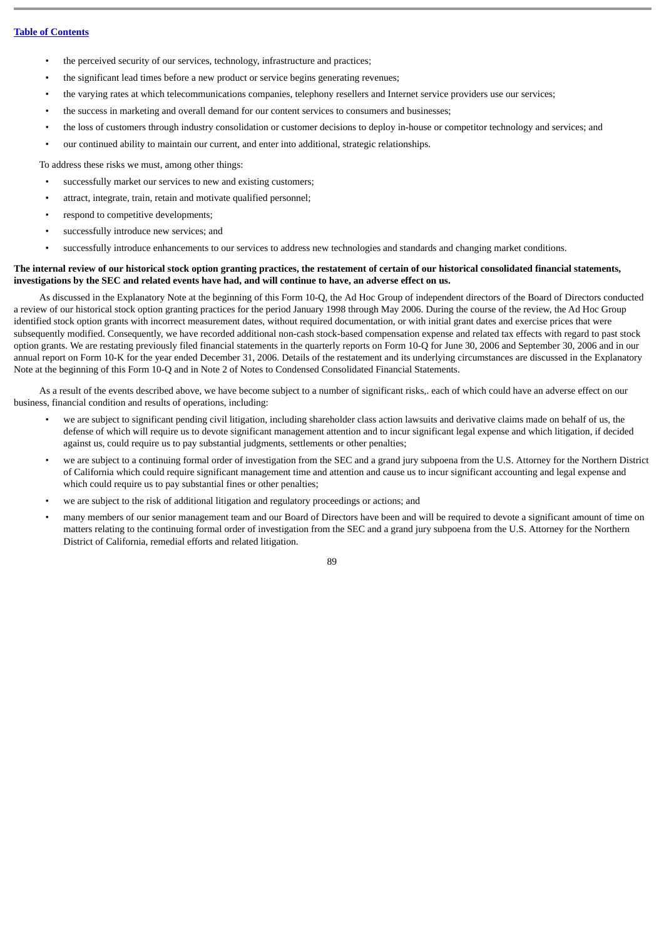- the perceived security of our services, technology, infrastructure and practices;
- the significant lead times before a new product or service begins generating revenues;
- the varying rates at which telecommunications companies, telephony resellers and Internet service providers use our services;
- the success in marketing and overall demand for our content services to consumers and businesses;
- the loss of customers through industry consolidation or customer decisions to deploy in-house or competitor technology and services; and
- our continued ability to maintain our current, and enter into additional, strategic relationships.

To address these risks we must, among other things:

- successfully market our services to new and existing customers;
- attract, integrate, train, retain and motivate qualified personnel;
- respond to competitive developments;
- successfully introduce new services; and
- successfully introduce enhancements to our services to address new technologies and standards and changing market conditions.

### **The internal review of our historical stock option granting practices, the restatement of certain of our historical consolidated financial statements, investigations by the SEC and related events have had, and will continue to have, an adverse effect on us.**

As discussed in the Explanatory Note at the beginning of this Form 10-Q, the Ad Hoc Group of independent directors of the Board of Directors conducted a review of our historical stock option granting practices for the period January 1998 through May 2006. During the course of the review, the Ad Hoc Group identified stock option grants with incorrect measurement dates, without required documentation, or with initial grant dates and exercise prices that were subsequently modified. Consequently, we have recorded additional non-cash stock-based compensation expense and related tax effects with regard to past stock option grants. We are restating previously filed financial statements in the quarterly reports on Form 10-Q for June 30, 2006 and September 30, 2006 and in our annual report on Form 10-K for the year ended December 31, 2006. Details of the restatement and its underlying circumstances are discussed in the Explanatory Note at the beginning of this Form 10-Q and in Note 2 of Notes to Condensed Consolidated Financial Statements.

As a result of the events described above, we have become subject to a number of significant risks,. each of which could have an adverse effect on our business, financial condition and results of operations, including:

- we are subject to significant pending civil litigation, including shareholder class action lawsuits and derivative claims made on behalf of us, the defense of which will require us to devote significant management attention and to incur significant legal expense and which litigation, if decided against us, could require us to pay substantial judgments, settlements or other penalties;
- we are subject to a continuing formal order of investigation from the SEC and a grand jury subpoena from the U.S. Attorney for the Northern District of California which could require significant management time and attention and cause us to incur significant accounting and legal expense and which could require us to pay substantial fines or other penalties;
- we are subject to the risk of additional litigation and regulatory proceedings or actions; and
- many members of our senior management team and our Board of Directors have been and will be required to devote a significant amount of time on matters relating to the continuing formal order of investigation from the SEC and a grand jury subpoena from the U.S. Attorney for the Northern District of California, remedial efforts and related litigation.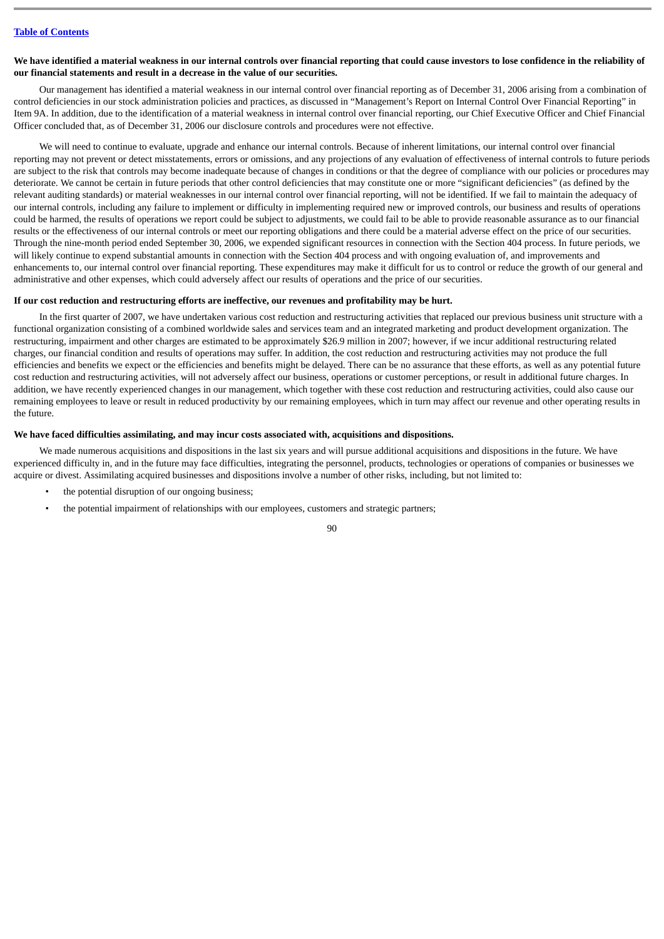#### **We have identified a material weakness in our internal controls over financial reporting that could cause investors to lose confidence in the reliability of our financial statements and result in a decrease in the value of our securities.**

Our management has identified a material weakness in our internal control over financial reporting as of December 31, 2006 arising from a combination of control deficiencies in our stock administration policies and practices, as discussed in "Management's Report on Internal Control Over Financial Reporting" in Item 9A. In addition, due to the identification of a material weakness in internal control over financial reporting, our Chief Executive Officer and Chief Financial Officer concluded that, as of December 31, 2006 our disclosure controls and procedures were not effective.

We will need to continue to evaluate, upgrade and enhance our internal controls. Because of inherent limitations, our internal control over financial reporting may not prevent or detect misstatements, errors or omissions, and any projections of any evaluation of effectiveness of internal controls to future periods are subject to the risk that controls may become inadequate because of changes in conditions or that the degree of compliance with our policies or procedures may deteriorate. We cannot be certain in future periods that other control deficiencies that may constitute one or more "significant deficiencies" (as defined by the relevant auditing standards) or material weaknesses in our internal control over financial reporting, will not be identified. If we fail to maintain the adequacy of our internal controls, including any failure to implement or difficulty in implementing required new or improved controls, our business and results of operations could be harmed, the results of operations we report could be subject to adjustments, we could fail to be able to provide reasonable assurance as to our financial results or the effectiveness of our internal controls or meet our reporting obligations and there could be a material adverse effect on the price of our securities. Through the nine-month period ended September 30, 2006, we expended significant resources in connection with the Section 404 process. In future periods, we will likely continue to expend substantial amounts in connection with the Section 404 process and with ongoing evaluation of, and improvements and enhancements to, our internal control over financial reporting. These expenditures may make it difficult for us to control or reduce the growth of our general and administrative and other expenses, which could adversely affect our results of operations and the price of our securities.

### **If our cost reduction and restructuring efforts are ineffective, our revenues and profitability may be hurt.**

In the first quarter of 2007, we have undertaken various cost reduction and restructuring activities that replaced our previous business unit structure with a functional organization consisting of a combined worldwide sales and services team and an integrated marketing and product development organization. The restructuring, impairment and other charges are estimated to be approximately \$26.9 million in 2007; however, if we incur additional restructuring related charges, our financial condition and results of operations may suffer. In addition, the cost reduction and restructuring activities may not produce the full efficiencies and benefits we expect or the efficiencies and benefits might be delayed. There can be no assurance that these efforts, as well as any potential future cost reduction and restructuring activities, will not adversely affect our business, operations or customer perceptions, or result in additional future charges. In addition, we have recently experienced changes in our management, which together with these cost reduction and restructuring activities, could also cause our remaining employees to leave or result in reduced productivity by our remaining employees, which in turn may affect our revenue and other operating results in the future.

#### **We have faced difficulties assimilating, and may incur costs associated with, acquisitions and dispositions.**

We made numerous acquisitions and dispositions in the last six years and will pursue additional acquisitions and dispositions in the future. We have experienced difficulty in, and in the future may face difficulties, integrating the personnel, products, technologies or operations of companies or businesses we acquire or divest. Assimilating acquired businesses and dispositions involve a number of other risks, including, but not limited to:

- the potential disruption of our ongoing business;
- the potential impairment of relationships with our employees, customers and strategic partners;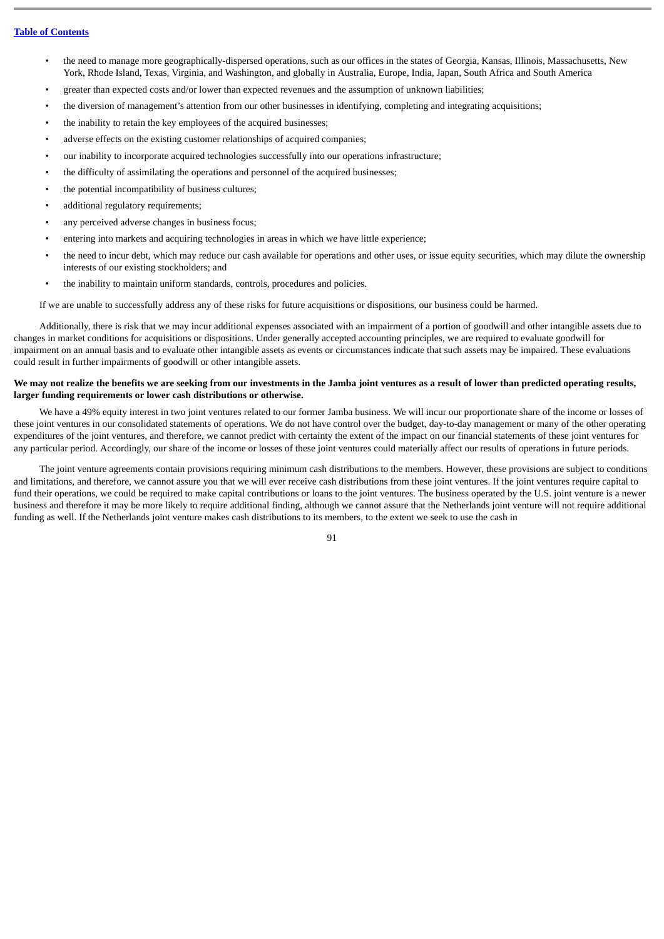- the need to manage more geographically-dispersed operations, such as our offices in the states of Georgia, Kansas, Illinois, Massachusetts, New York, Rhode Island, Texas, Virginia, and Washington, and globally in Australia, Europe, India, Japan, South Africa and South America
- greater than expected costs and/or lower than expected revenues and the assumption of unknown liabilities;
- the diversion of management's attention from our other businesses in identifying, completing and integrating acquisitions;
- the inability to retain the key employees of the acquired businesses;
- adverse effects on the existing customer relationships of acquired companies;
- our inability to incorporate acquired technologies successfully into our operations infrastructure;
- the difficulty of assimilating the operations and personnel of the acquired businesses;
- the potential incompatibility of business cultures;
- additional regulatory requirements;
- any perceived adverse changes in business focus;
- entering into markets and acquiring technologies in areas in which we have little experience;
- the need to incur debt, which may reduce our cash available for operations and other uses, or issue equity securities, which may dilute the ownership interests of our existing stockholders; and
- the inability to maintain uniform standards, controls, procedures and policies.

If we are unable to successfully address any of these risks for future acquisitions or dispositions, our business could be harmed.

Additionally, there is risk that we may incur additional expenses associated with an impairment of a portion of goodwill and other intangible assets due to changes in market conditions for acquisitions or dispositions. Under generally accepted accounting principles, we are required to evaluate goodwill for impairment on an annual basis and to evaluate other intangible assets as events or circumstances indicate that such assets may be impaired. These evaluations could result in further impairments of goodwill or other intangible assets.

# **We may not realize the benefits we are seeking from our investments in the Jamba joint ventures as a result of lower than predicted operating results, larger funding requirements or lower cash distributions or otherwise.**

We have a 49% equity interest in two joint ventures related to our former Jamba business. We will incur our proportionate share of the income or losses of these joint ventures in our consolidated statements of operations. We do not have control over the budget, day-to-day management or many of the other operating expenditures of the joint ventures, and therefore, we cannot predict with certainty the extent of the impact on our financial statements of these joint ventures for any particular period. Accordingly, our share of the income or losses of these joint ventures could materially affect our results of operations in future periods.

The joint venture agreements contain provisions requiring minimum cash distributions to the members. However, these provisions are subject to conditions and limitations, and therefore, we cannot assure you that we will ever receive cash distributions from these joint ventures. If the joint ventures require capital to fund their operations, we could be required to make capital contributions or loans to the joint ventures. The business operated by the U.S. joint venture is a newer business and therefore it may be more likely to require additional finding, although we cannot assure that the Netherlands joint venture will not require additional funding as well. If the Netherlands joint venture makes cash distributions to its members, to the extent we seek to use the cash in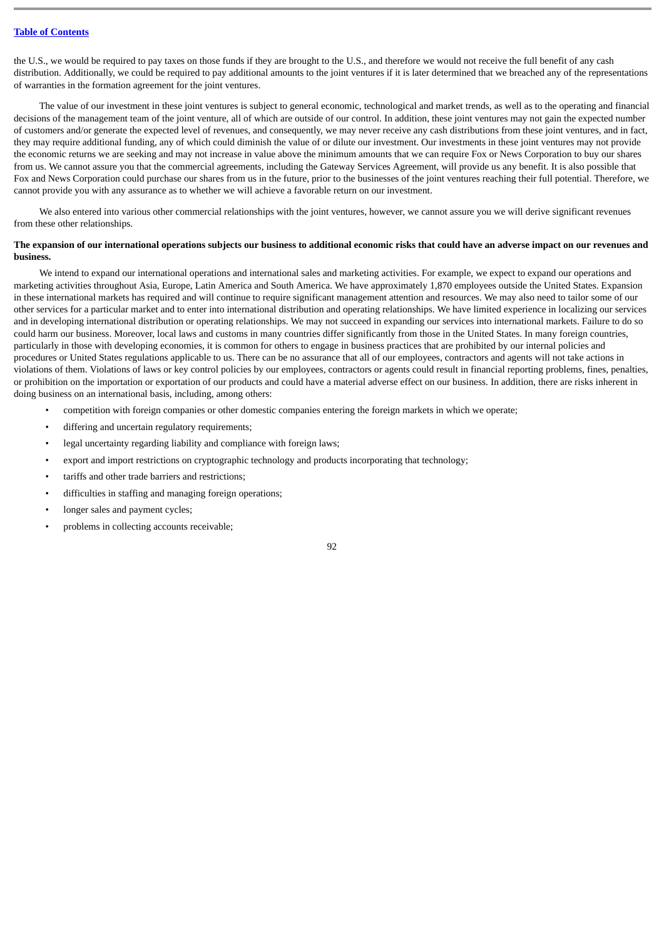the U.S., we would be required to pay taxes on those funds if they are brought to the U.S., and therefore we would not receive the full benefit of any cash distribution. Additionally, we could be required to pay additional amounts to the joint ventures if it is later determined that we breached any of the representations of warranties in the formation agreement for the joint ventures.

The value of our investment in these joint ventures is subject to general economic, technological and market trends, as well as to the operating and financial decisions of the management team of the joint venture, all of which are outside of our control. In addition, these joint ventures may not gain the expected number of customers and/or generate the expected level of revenues, and consequently, we may never receive any cash distributions from these joint ventures, and in fact, they may require additional funding, any of which could diminish the value of or dilute our investment. Our investments in these joint ventures may not provide the economic returns we are seeking and may not increase in value above the minimum amounts that we can require Fox or News Corporation to buy our shares from us. We cannot assure you that the commercial agreements, including the Gateway Services Agreement, will provide us any benefit. It is also possible that Fox and News Corporation could purchase our shares from us in the future, prior to the businesses of the joint ventures reaching their full potential. Therefore, we cannot provide you with any assurance as to whether we will achieve a favorable return on our investment.

We also entered into various other commercial relationships with the joint ventures, however, we cannot assure you we will derive significant revenues from these other relationships.

### **The expansion of our international operations subjects our business to additional economic risks that could have an adverse impact on our revenues and business.**

We intend to expand our international operations and international sales and marketing activities. For example, we expect to expand our operations and marketing activities throughout Asia, Europe, Latin America and South America. We have approximately 1,870 employees outside the United States. Expansion in these international markets has required and will continue to require significant management attention and resources. We may also need to tailor some of our other services for a particular market and to enter into international distribution and operating relationships. We have limited experience in localizing our services and in developing international distribution or operating relationships. We may not succeed in expanding our services into international markets. Failure to do so could harm our business. Moreover, local laws and customs in many countries differ significantly from those in the United States. In many foreign countries, particularly in those with developing economies, it is common for others to engage in business practices that are prohibited by our internal policies and procedures or United States regulations applicable to us. There can be no assurance that all of our employees, contractors and agents will not take actions in violations of them. Violations of laws or key control policies by our employees, contractors or agents could result in financial reporting problems, fines, penalties, or prohibition on the importation or exportation of our products and could have a material adverse effect on our business. In addition, there are risks inherent in doing business on an international basis, including, among others:

- competition with foreign companies or other domestic companies entering the foreign markets in which we operate;
- differing and uncertain regulatory requirements;
- legal uncertainty regarding liability and compliance with foreign laws;
- export and import restrictions on cryptographic technology and products incorporating that technology;
- tariffs and other trade barriers and restrictions;
- difficulties in staffing and managing foreign operations;
- longer sales and payment cycles;
- problems in collecting accounts receivable;

 $Q<sub>2</sub>$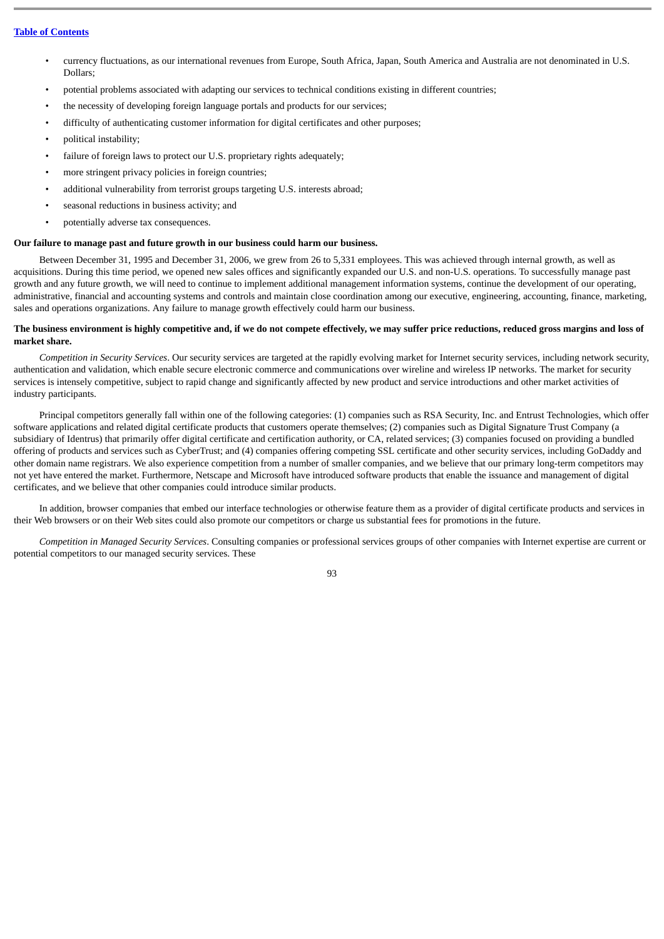- currency fluctuations, as our international revenues from Europe, South Africa, Japan, South America and Australia are not denominated in U.S. Dollars;
- potential problems associated with adapting our services to technical conditions existing in different countries;
- the necessity of developing foreign language portals and products for our services;
- difficulty of authenticating customer information for digital certificates and other purposes;
- political instability;
- failure of foreign laws to protect our U.S. proprietary rights adequately:
- more stringent privacy policies in foreign countries;
- additional vulnerability from terrorist groups targeting U.S. interests abroad;
- seasonal reductions in business activity; and
- potentially adverse tax consequences.

### **Our failure to manage past and future growth in our business could harm our business.**

Between December 31, 1995 and December 31, 2006, we grew from 26 to 5,331 employees. This was achieved through internal growth, as well as acquisitions. During this time period, we opened new sales offices and significantly expanded our U.S. and non-U.S. operations. To successfully manage past growth and any future growth, we will need to continue to implement additional management information systems, continue the development of our operating, administrative, financial and accounting systems and controls and maintain close coordination among our executive, engineering, accounting, finance, marketing, sales and operations organizations. Any failure to manage growth effectively could harm our business.

### **The business environment is highly competitive and, if we do not compete effectively, we may suffer price reductions, reduced gross margins and loss of market share.**

*Competition in Security Services*. Our security services are targeted at the rapidly evolving market for Internet security services, including network security, authentication and validation, which enable secure electronic commerce and communications over wireline and wireless IP networks. The market for security services is intensely competitive, subject to rapid change and significantly affected by new product and service introductions and other market activities of industry participants.

Principal competitors generally fall within one of the following categories: (1) companies such as RSA Security, Inc. and Entrust Technologies, which offer software applications and related digital certificate products that customers operate themselves; (2) companies such as Digital Signature Trust Company (a subsidiary of Identrus) that primarily offer digital certificate and certification authority, or CA, related services; (3) companies focused on providing a bundled offering of products and services such as CyberTrust; and (4) companies offering competing SSL certificate and other security services, including GoDaddy and other domain name registrars. We also experience competition from a number of smaller companies, and we believe that our primary long-term competitors may not yet have entered the market. Furthermore, Netscape and Microsoft have introduced software products that enable the issuance and management of digital certificates, and we believe that other companies could introduce similar products.

In addition, browser companies that embed our interface technologies or otherwise feature them as a provider of digital certificate products and services in their Web browsers or on their Web sites could also promote our competitors or charge us substantial fees for promotions in the future.

*Competition in Managed Security Services*. Consulting companies or professional services groups of other companies with Internet expertise are current or potential competitors to our managed security services. These

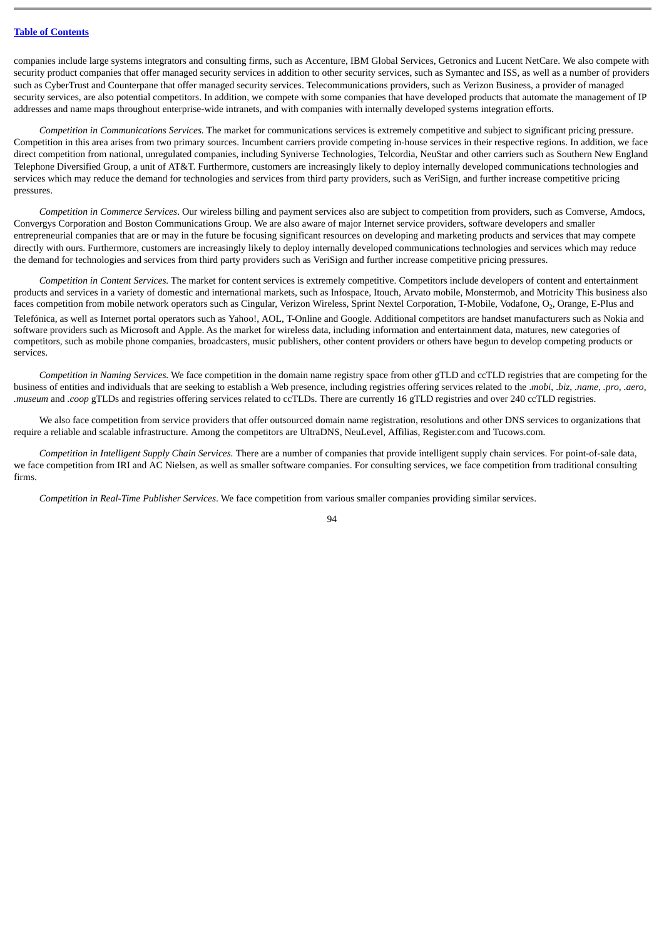companies include large systems integrators and consulting firms, such as Accenture, IBM Global Services, Getronics and Lucent NetCare. We also compete with security product companies that offer managed security services in addition to other security services, such as Symantec and ISS, as well as a number of providers such as CyberTrust and Counterpane that offer managed security services. Telecommunications providers, such as Verizon Business, a provider of managed security services, are also potential competitors. In addition, we compete with some companies that have developed products that automate the management of IP addresses and name maps throughout enterprise-wide intranets, and with companies with internally developed systems integration efforts.

*Competition in Communications Services.* The market for communications services is extremely competitive and subject to significant pricing pressure. Competition in this area arises from two primary sources. Incumbent carriers provide competing in-house services in their respective regions. In addition, we face direct competition from national, unregulated companies, including Syniverse Technologies, Telcordia, NeuStar and other carriers such as Southern New England Telephone Diversified Group, a unit of AT&T. Furthermore, customers are increasingly likely to deploy internally developed communications technologies and services which may reduce the demand for technologies and services from third party providers, such as VeriSign, and further increase competitive pricing pressures.

*Competition in Commerce Services*. Our wireless billing and payment services also are subject to competition from providers, such as Comverse, Amdocs, Convergys Corporation and Boston Communications Group. We are also aware of major Internet service providers, software developers and smaller entrepreneurial companies that are or may in the future be focusing significant resources on developing and marketing products and services that may compete directly with ours. Furthermore, customers are increasingly likely to deploy internally developed communications technologies and services which may reduce the demand for technologies and services from third party providers such as VeriSign and further increase competitive pricing pressures.

*Competition in Content Services.* The market for content services is extremely competitive. Competitors include developers of content and entertainment products and services in a variety of domestic and international markets, such as Infospace, Itouch, Arvato mobile, Monstermob, and Motricity This business also faces competition from mobile network operators such as Cingular, Verizon Wireless, Sprint Nextel Corporation, T-Mobile, Vodafone, O<sub>2</sub>, Orange, E-Plus and Telefónica, as well as Internet portal operators such as Yahoo!, AOL, T-Online and Google. Additional competitors are handset manufacturers such as Nokia and software providers such as Microsoft and Apple. As the market for wireless data, including information and entertainment data, matures, new categories of competitors, such as mobile phone companies, broadcasters, music publishers, other content providers or others have begun to develop competing products or services.

*Competition in Naming Services.* We face competition in the domain name registry space from other gTLD and ccTLD registries that are competing for the business of entities and individuals that are seeking to establish a Web presence, including registries offering services related to the .*mobi*, .*biz*, *.name, .pro, .aero, .museum* and *.coop* gTLDs and registries offering services related to ccTLDs. There are currently 16 gTLD registries and over 240 ccTLD registries.

We also face competition from service providers that offer outsourced domain name registration, resolutions and other DNS services to organizations that require a reliable and scalable infrastructure. Among the competitors are UltraDNS, NeuLevel, Affilias, Register.com and Tucows.com.

*Competition in Intelligent Supply Chain Services.* There are a number of companies that provide intelligent supply chain services. For point-of-sale data, we face competition from IRI and AC Nielsen, as well as smaller software companies. For consulting services, we face competition from traditional consulting firms.

*Competition in Real-Time Publisher Services*. We face competition from various smaller companies providing similar services.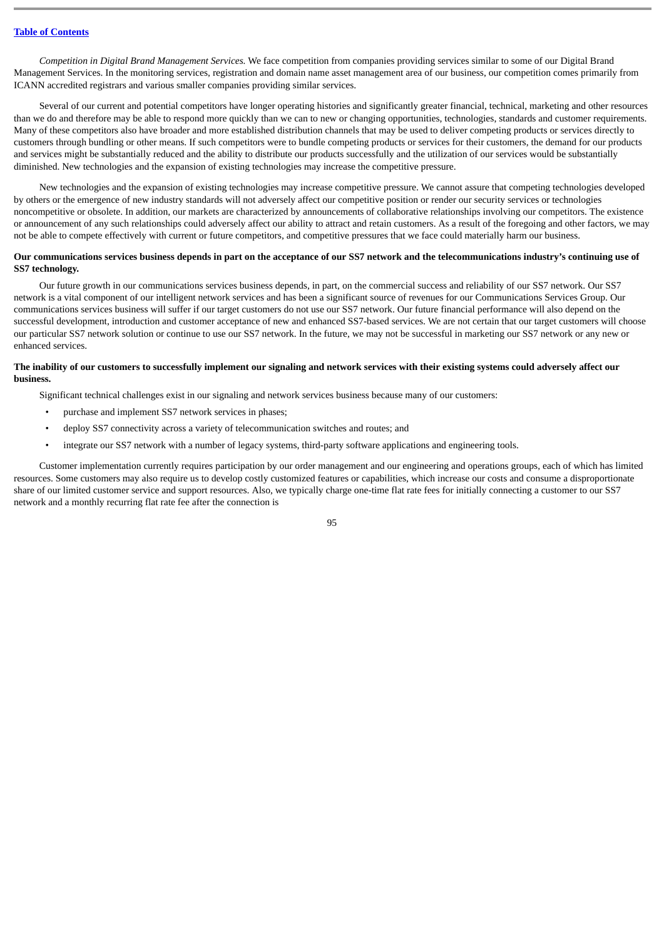*Competition in Digital Brand Management Services.* We face competition from companies providing services similar to some of our Digital Brand Management Services. In the monitoring services, registration and domain name asset management area of our business, our competition comes primarily from ICANN accredited registrars and various smaller companies providing similar services.

Several of our current and potential competitors have longer operating histories and significantly greater financial, technical, marketing and other resources than we do and therefore may be able to respond more quickly than we can to new or changing opportunities, technologies, standards and customer requirements. Many of these competitors also have broader and more established distribution channels that may be used to deliver competing products or services directly to customers through bundling or other means. If such competitors were to bundle competing products or services for their customers, the demand for our products and services might be substantially reduced and the ability to distribute our products successfully and the utilization of our services would be substantially diminished. New technologies and the expansion of existing technologies may increase the competitive pressure.

New technologies and the expansion of existing technologies may increase competitive pressure. We cannot assure that competing technologies developed by others or the emergence of new industry standards will not adversely affect our competitive position or render our security services or technologies noncompetitive or obsolete. In addition, our markets are characterized by announcements of collaborative relationships involving our competitors. The existence or announcement of any such relationships could adversely affect our ability to attract and retain customers. As a result of the foregoing and other factors, we may not be able to compete effectively with current or future competitors, and competitive pressures that we face could materially harm our business.

### **Our communications services business depends in part on the acceptance of our SS7 network and the telecommunications industry's continuing use of SS7 technology.**

Our future growth in our communications services business depends, in part, on the commercial success and reliability of our SS7 network. Our SS7 network is a vital component of our intelligent network services and has been a significant source of revenues for our Communications Services Group. Our communications services business will suffer if our target customers do not use our SS7 network. Our future financial performance will also depend on the successful development, introduction and customer acceptance of new and enhanced SS7-based services. We are not certain that our target customers will choose our particular SS7 network solution or continue to use our SS7 network. In the future, we may not be successful in marketing our SS7 network or any new or enhanced services.

#### **The inability of our customers to successfully implement our signaling and network services with their existing systems could adversely affect our business.**

Significant technical challenges exist in our signaling and network services business because many of our customers:

- purchase and implement SS7 network services in phases;
- deploy SS7 connectivity across a variety of telecommunication switches and routes; and
- integrate our SS7 network with a number of legacy systems, third-party software applications and engineering tools.

Customer implementation currently requires participation by our order management and our engineering and operations groups, each of which has limited resources. Some customers may also require us to develop costly customized features or capabilities, which increase our costs and consume a disproportionate share of our limited customer service and support resources. Also, we typically charge one-time flat rate fees for initially connecting a customer to our SS7 network and a monthly recurring flat rate fee after the connection is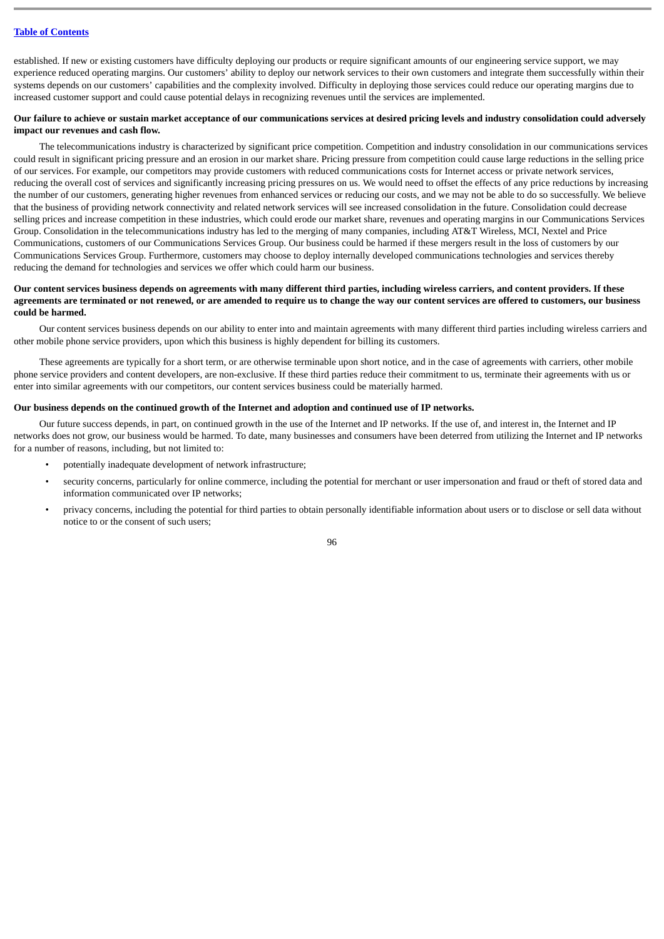established. If new or existing customers have difficulty deploying our products or require significant amounts of our engineering service support, we may experience reduced operating margins. Our customers' ability to deploy our network services to their own customers and integrate them successfully within their systems depends on our customers' capabilities and the complexity involved. Difficulty in deploying those services could reduce our operating margins due to increased customer support and could cause potential delays in recognizing revenues until the services are implemented.

### **Our failure to achieve or sustain market acceptance of our communications services at desired pricing levels and industry consolidation could adversely impact our revenues and cash flow.**

The telecommunications industry is characterized by significant price competition. Competition and industry consolidation in our communications services could result in significant pricing pressure and an erosion in our market share. Pricing pressure from competition could cause large reductions in the selling price of our services. For example, our competitors may provide customers with reduced communications costs for Internet access or private network services, reducing the overall cost of services and significantly increasing pricing pressures on us. We would need to offset the effects of any price reductions by increasing the number of our customers, generating higher revenues from enhanced services or reducing our costs, and we may not be able to do so successfully. We believe that the business of providing network connectivity and related network services will see increased consolidation in the future. Consolidation could decrease selling prices and increase competition in these industries, which could erode our market share, revenues and operating margins in our Communications Services Group. Consolidation in the telecommunications industry has led to the merging of many companies, including AT&T Wireless, MCI, Nextel and Price Communications, customers of our Communications Services Group. Our business could be harmed if these mergers result in the loss of customers by our Communications Services Group. Furthermore, customers may choose to deploy internally developed communications technologies and services thereby reducing the demand for technologies and services we offer which could harm our business.

### **Our content services business depends on agreements with many different third parties, including wireless carriers, and content providers. If these agreements are terminated or not renewed, or are amended to require us to change the way our content services are offered to customers, our business could be harmed.**

Our content services business depends on our ability to enter into and maintain agreements with many different third parties including wireless carriers and other mobile phone service providers, upon which this business is highly dependent for billing its customers.

These agreements are typically for a short term, or are otherwise terminable upon short notice, and in the case of agreements with carriers, other mobile phone service providers and content developers, are non-exclusive. If these third parties reduce their commitment to us, terminate their agreements with us or enter into similar agreements with our competitors, our content services business could be materially harmed.

### **Our business depends on the continued growth of the Internet and adoption and continued use of IP networks.**

Our future success depends, in part, on continued growth in the use of the Internet and IP networks. If the use of, and interest in, the Internet and IP networks does not grow, our business would be harmed. To date, many businesses and consumers have been deterred from utilizing the Internet and IP networks for a number of reasons, including, but not limited to:

- potentially inadequate development of network infrastructure;
	- security concerns, particularly for online commerce, including the potential for merchant or user impersonation and fraud or theft of stored data and information communicated over IP networks;
	- privacy concerns, including the potential for third parties to obtain personally identifiable information about users or to disclose or sell data without notice to or the consent of such users;

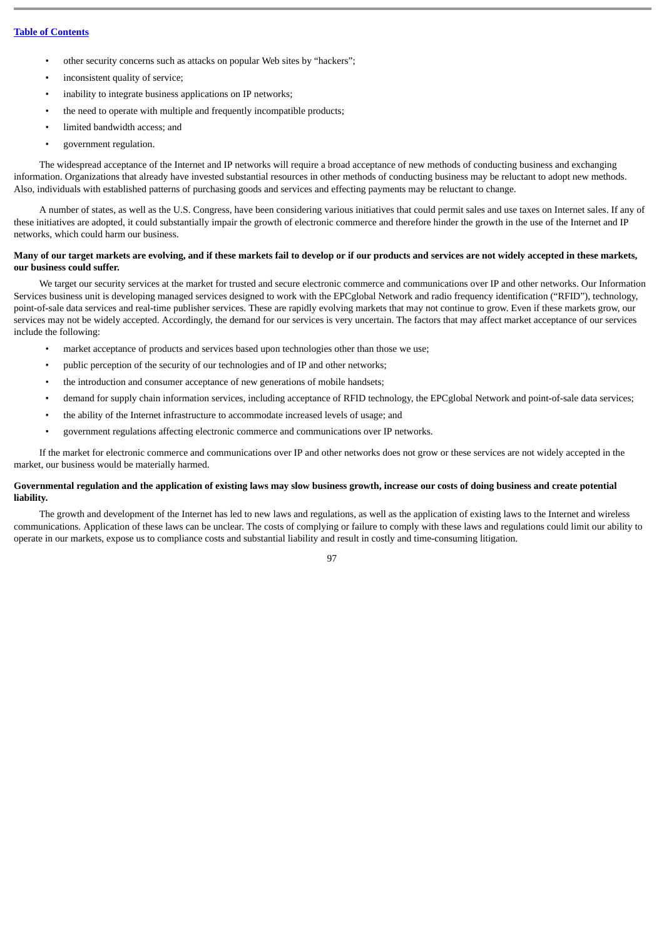- other security concerns such as attacks on popular Web sites by "hackers";
- inconsistent quality of service;
- inability to integrate business applications on IP networks;
- the need to operate with multiple and frequently incompatible products;
- limited bandwidth access; and
- government regulation.

The widespread acceptance of the Internet and IP networks will require a broad acceptance of new methods of conducting business and exchanging information. Organizations that already have invested substantial resources in other methods of conducting business may be reluctant to adopt new methods. Also, individuals with established patterns of purchasing goods and services and effecting payments may be reluctant to change.

A number of states, as well as the U.S. Congress, have been considering various initiatives that could permit sales and use taxes on Internet sales. If any of these initiatives are adopted, it could substantially impair the growth of electronic commerce and therefore hinder the growth in the use of the Internet and IP networks, which could harm our business.

### **Many of our target markets are evolving, and if these markets fail to develop or if our products and services are not widely accepted in these markets, our business could suffer.**

We target our security services at the market for trusted and secure electronic commerce and communications over IP and other networks. Our Information Services business unit is developing managed services designed to work with the EPCglobal Network and radio frequency identification ("RFID"), technology, point-of-sale data services and real-time publisher services. These are rapidly evolving markets that may not continue to grow. Even if these markets grow, our services may not be widely accepted. Accordingly, the demand for our services is very uncertain. The factors that may affect market acceptance of our services include the following:

- market acceptance of products and services based upon technologies other than those we use;
- public perception of the security of our technologies and of IP and other networks;
- the introduction and consumer acceptance of new generations of mobile handsets;
- demand for supply chain information services, including acceptance of RFID technology, the EPCglobal Network and point-of-sale data services;
- the ability of the Internet infrastructure to accommodate increased levels of usage; and
- government regulations affecting electronic commerce and communications over IP networks.

If the market for electronic commerce and communications over IP and other networks does not grow or these services are not widely accepted in the market, our business would be materially harmed.

### **Governmental regulation and the application of existing laws may slow business growth, increase our costs of doing business and create potential liability.**

The growth and development of the Internet has led to new laws and regulations, as well as the application of existing laws to the Internet and wireless communications. Application of these laws can be unclear. The costs of complying or failure to comply with these laws and regulations could limit our ability to operate in our markets, expose us to compliance costs and substantial liability and result in costly and time-consuming litigation.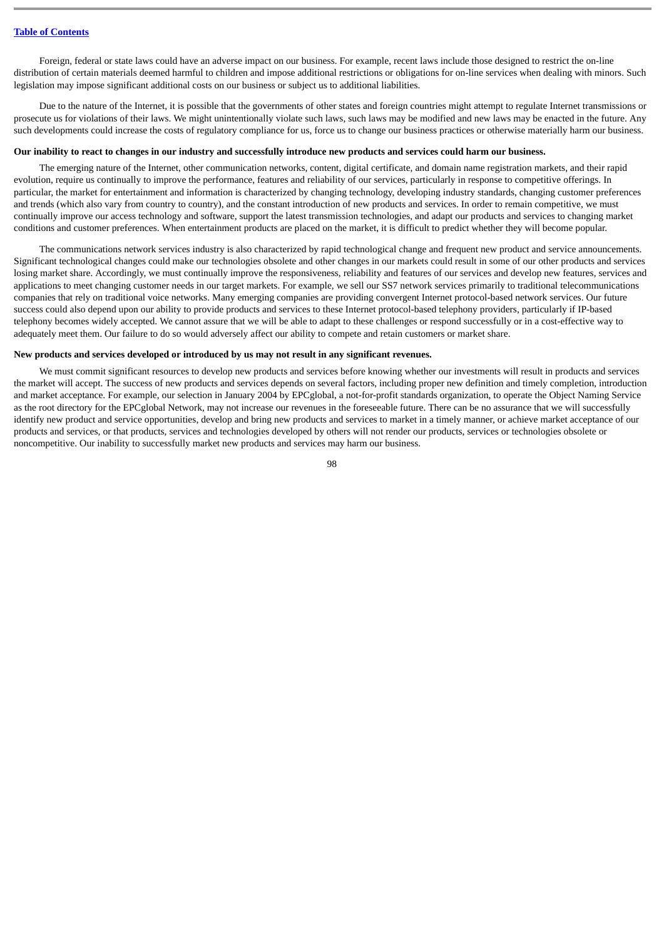Foreign, federal or state laws could have an adverse impact on our business. For example, recent laws include those designed to restrict the on-line distribution of certain materials deemed harmful to children and impose additional restrictions or obligations for on-line services when dealing with minors. Such legislation may impose significant additional costs on our business or subject us to additional liabilities.

Due to the nature of the Internet, it is possible that the governments of other states and foreign countries might attempt to regulate Internet transmissions or prosecute us for violations of their laws. We might unintentionally violate such laws, such laws may be modified and new laws may be enacted in the future. Any such developments could increase the costs of regulatory compliance for us, force us to change our business practices or otherwise materially harm our business.

#### **Our inability to react to changes in our industry and successfully introduce new products and services could harm our business.**

The emerging nature of the Internet, other communication networks, content, digital certificate, and domain name registration markets, and their rapid evolution, require us continually to improve the performance, features and reliability of our services, particularly in response to competitive offerings. In particular, the market for entertainment and information is characterized by changing technology, developing industry standards, changing customer preferences and trends (which also vary from country to country), and the constant introduction of new products and services. In order to remain competitive, we must continually improve our access technology and software, support the latest transmission technologies, and adapt our products and services to changing market conditions and customer preferences. When entertainment products are placed on the market, it is difficult to predict whether they will become popular.

The communications network services industry is also characterized by rapid technological change and frequent new product and service announcements. Significant technological changes could make our technologies obsolete and other changes in our markets could result in some of our other products and services losing market share. Accordingly, we must continually improve the responsiveness, reliability and features of our services and develop new features, services and applications to meet changing customer needs in our target markets. For example, we sell our SS7 network services primarily to traditional telecommunications companies that rely on traditional voice networks. Many emerging companies are providing convergent Internet protocol-based network services. Our future success could also depend upon our ability to provide products and services to these Internet protocol-based telephony providers, particularly if IP-based telephony becomes widely accepted. We cannot assure that we will be able to adapt to these challenges or respond successfully or in a cost-effective way to adequately meet them. Our failure to do so would adversely affect our ability to compete and retain customers or market share.

#### **New products and services developed or introduced by us may not result in any significant revenues.**

We must commit significant resources to develop new products and services before knowing whether our investments will result in products and services the market will accept. The success of new products and services depends on several factors, including proper new definition and timely completion, introduction and market acceptance. For example, our selection in January 2004 by EPCglobal, a not-for-profit standards organization, to operate the Object Naming Service as the root directory for the EPCglobal Network, may not increase our revenues in the foreseeable future. There can be no assurance that we will successfully identify new product and service opportunities, develop and bring new products and services to market in a timely manner, or achieve market acceptance of our products and services, or that products, services and technologies developed by others will not render our products, services or technologies obsolete or noncompetitive. Our inability to successfully market new products and services may harm our business.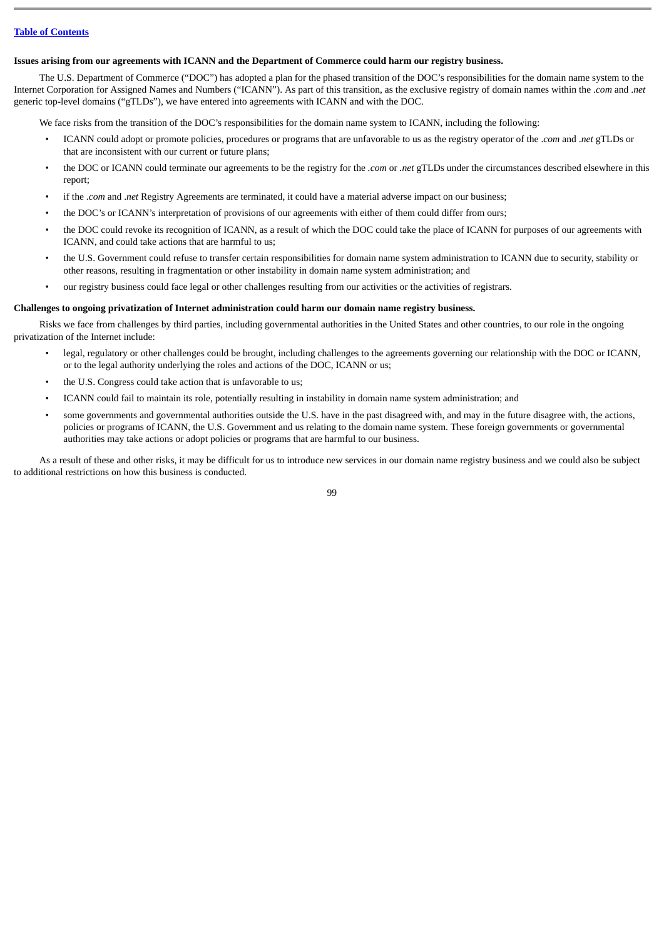### **Issues arising from our agreements with ICANN and the Department of Commerce could harm our registry business.**

The U.S. Department of Commerce ("DOC") has adopted a plan for the phased transition of the DOC's responsibilities for the domain name system to the Internet Corporation for Assigned Names and Numbers ("ICANN"). As part of this transition, as the exclusive registry of domain names within the .*com* and .*net* generic top-level domains ("gTLDs"), we have entered into agreements with ICANN and with the DOC.

We face risks from the transition of the DOC's responsibilities for the domain name system to ICANN, including the following:

- ICANN could adopt or promote policies, procedures or programs that are unfavorable to us as the registry operator of the .*com* and .*net* gTLDs or that are inconsistent with our current or future plans;
- the DOC or ICANN could terminate our agreements to be the registry for the *.com* or *.net* gTLDs under the circumstances described elsewhere in this report;
- if the .*com* and .*net* Registry Agreements are terminated, it could have a material adverse impact on our business;
- the DOC's or ICANN's interpretation of provisions of our agreements with either of them could differ from ours;
- the DOC could revoke its recognition of ICANN, as a result of which the DOC could take the place of ICANN for purposes of our agreements with ICANN, and could take actions that are harmful to us;
- the U.S. Government could refuse to transfer certain responsibilities for domain name system administration to ICANN due to security, stability or other reasons, resulting in fragmentation or other instability in domain name system administration; and
- our registry business could face legal or other challenges resulting from our activities or the activities of registrars.

### **Challenges to ongoing privatization of Internet administration could harm our domain name registry business.**

Risks we face from challenges by third parties, including governmental authorities in the United States and other countries, to our role in the ongoing privatization of the Internet include:

- legal, regulatory or other challenges could be brought, including challenges to the agreements governing our relationship with the DOC or ICANN, or to the legal authority underlying the roles and actions of the DOC, ICANN or us;
- the U.S. Congress could take action that is unfavorable to us;
- ICANN could fail to maintain its role, potentially resulting in instability in domain name system administration; and
- some governments and governmental authorities outside the U.S. have in the past disagreed with, and may in the future disagree with, the actions, policies or programs of ICANN, the U.S. Government and us relating to the domain name system. These foreign governments or governmental authorities may take actions or adopt policies or programs that are harmful to our business.

As a result of these and other risks, it may be difficult for us to introduce new services in our domain name registry business and we could also be subject to additional restrictions on how this business is conducted.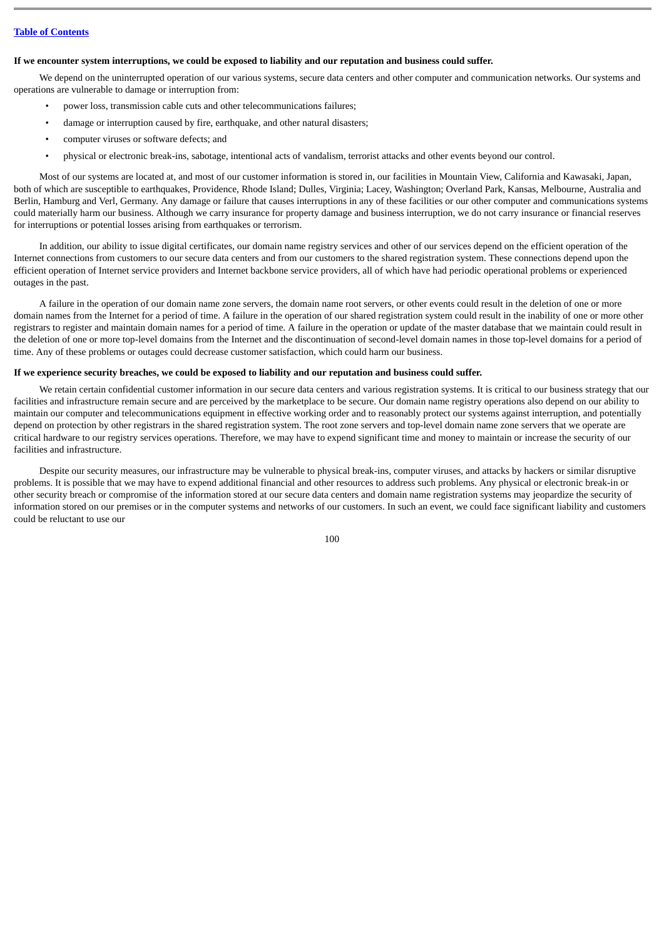#### **If we encounter system interruptions, we could be exposed to liability and our reputation and business could suffer.**

We depend on the uninterrupted operation of our various systems, secure data centers and other computer and communication networks. Our systems and operations are vulnerable to damage or interruption from:

- power loss, transmission cable cuts and other telecommunications failures;
- damage or interruption caused by fire, earthquake, and other natural disasters;
- computer viruses or software defects; and
- physical or electronic break-ins, sabotage, intentional acts of vandalism, terrorist attacks and other events beyond our control.

Most of our systems are located at, and most of our customer information is stored in, our facilities in Mountain View, California and Kawasaki, Japan, both of which are susceptible to earthquakes, Providence, Rhode Island; Dulles, Virginia; Lacey, Washington; Overland Park, Kansas, Melbourne, Australia and Berlin, Hamburg and Verl, Germany. Any damage or failure that causes interruptions in any of these facilities or our other computer and communications systems could materially harm our business. Although we carry insurance for property damage and business interruption, we do not carry insurance or financial reserves for interruptions or potential losses arising from earthquakes or terrorism.

In addition, our ability to issue digital certificates, our domain name registry services and other of our services depend on the efficient operation of the Internet connections from customers to our secure data centers and from our customers to the shared registration system. These connections depend upon the efficient operation of Internet service providers and Internet backbone service providers, all of which have had periodic operational problems or experienced outages in the past.

A failure in the operation of our domain name zone servers, the domain name root servers, or other events could result in the deletion of one or more domain names from the Internet for a period of time. A failure in the operation of our shared registration system could result in the inability of one or more other registrars to register and maintain domain names for a period of time. A failure in the operation or update of the master database that we maintain could result in the deletion of one or more top-level domains from the Internet and the discontinuation of second-level domain names in those top-level domains for a period of time. Any of these problems or outages could decrease customer satisfaction, which could harm our business.

### **If we experience security breaches, we could be exposed to liability and our reputation and business could suffer.**

We retain certain confidential customer information in our secure data centers and various registration systems. It is critical to our business strategy that our facilities and infrastructure remain secure and are perceived by the marketplace to be secure. Our domain name registry operations also depend on our ability to maintain our computer and telecommunications equipment in effective working order and to reasonably protect our systems against interruption, and potentially depend on protection by other registrars in the shared registration system. The root zone servers and top-level domain name zone servers that we operate are critical hardware to our registry services operations. Therefore, we may have to expend significant time and money to maintain or increase the security of our facilities and infrastructure.

Despite our security measures, our infrastructure may be vulnerable to physical break-ins, computer viruses, and attacks by hackers or similar disruptive problems. It is possible that we may have to expend additional financial and other resources to address such problems. Any physical or electronic break-in or other security breach or compromise of the information stored at our secure data centers and domain name registration systems may jeopardize the security of information stored on our premises or in the computer systems and networks of our customers. In such an event, we could face significant liability and customers could be reluctant to use our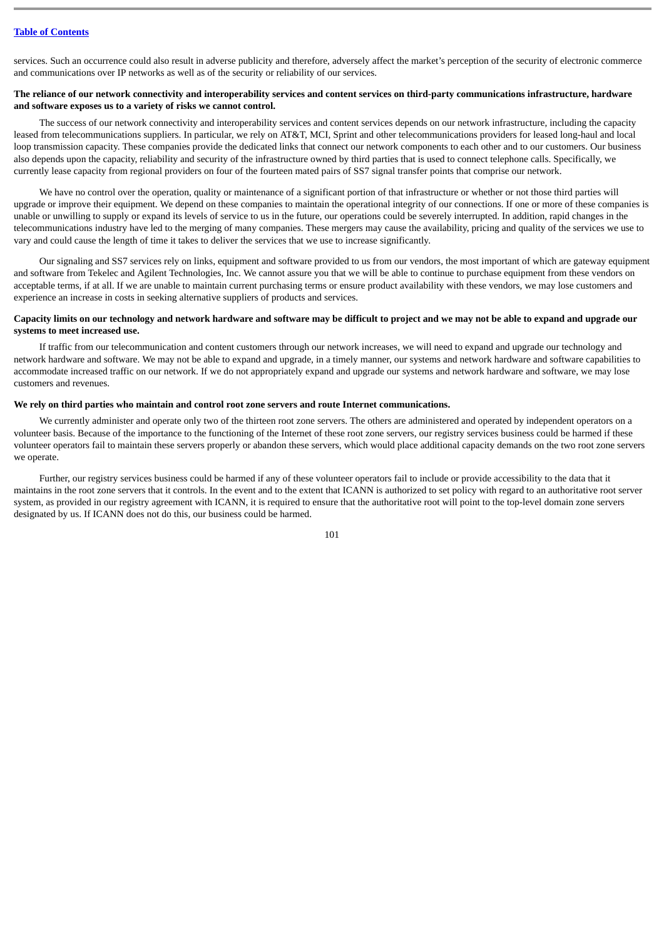services. Such an occurrence could also result in adverse publicity and therefore, adversely affect the market's perception of the security of electronic commerce and communications over IP networks as well as of the security or reliability of our services.

### **The reliance of our network connectivity and interoperability services and content services on third-party communications infrastructure, hardware and software exposes us to a variety of risks we cannot control.**

The success of our network connectivity and interoperability services and content services depends on our network infrastructure, including the capacity leased from telecommunications suppliers. In particular, we rely on AT&T, MCI, Sprint and other telecommunications providers for leased long-haul and local loop transmission capacity. These companies provide the dedicated links that connect our network components to each other and to our customers. Our business also depends upon the capacity, reliability and security of the infrastructure owned by third parties that is used to connect telephone calls. Specifically, we currently lease capacity from regional providers on four of the fourteen mated pairs of SS7 signal transfer points that comprise our network.

We have no control over the operation, quality or maintenance of a significant portion of that infrastructure or whether or not those third parties will upgrade or improve their equipment. We depend on these companies to maintain the operational integrity of our connections. If one or more of these companies is unable or unwilling to supply or expand its levels of service to us in the future, our operations could be severely interrupted. In addition, rapid changes in the telecommunications industry have led to the merging of many companies. These mergers may cause the availability, pricing and quality of the services we use to vary and could cause the length of time it takes to deliver the services that we use to increase significantly.

Our signaling and SS7 services rely on links, equipment and software provided to us from our vendors, the most important of which are gateway equipment and software from Tekelec and Agilent Technologies, Inc. We cannot assure you that we will be able to continue to purchase equipment from these vendors on acceptable terms, if at all. If we are unable to maintain current purchasing terms or ensure product availability with these vendors, we may lose customers and experience an increase in costs in seeking alternative suppliers of products and services.

### **Capacity limits on our technology and network hardware and software may be difficult to project and we may not be able to expand and upgrade our systems to meet increased use.**

If traffic from our telecommunication and content customers through our network increases, we will need to expand and upgrade our technology and network hardware and software. We may not be able to expand and upgrade, in a timely manner, our systems and network hardware and software capabilities to accommodate increased traffic on our network. If we do not appropriately expand and upgrade our systems and network hardware and software, we may lose customers and revenues.

#### **We rely on third parties who maintain and control root zone servers and route Internet communications.**

We currently administer and operate only two of the thirteen root zone servers. The others are administered and operated by independent operators on a volunteer basis. Because of the importance to the functioning of the Internet of these root zone servers, our registry services business could be harmed if these volunteer operators fail to maintain these servers properly or abandon these servers, which would place additional capacity demands on the two root zone servers we operate.

Further, our registry services business could be harmed if any of these volunteer operators fail to include or provide accessibility to the data that it maintains in the root zone servers that it controls. In the event and to the extent that ICANN is authorized to set policy with regard to an authoritative root server system, as provided in our registry agreement with ICANN, it is required to ensure that the authoritative root will point to the top-level domain zone servers designated by us. If ICANN does not do this, our business could be harmed.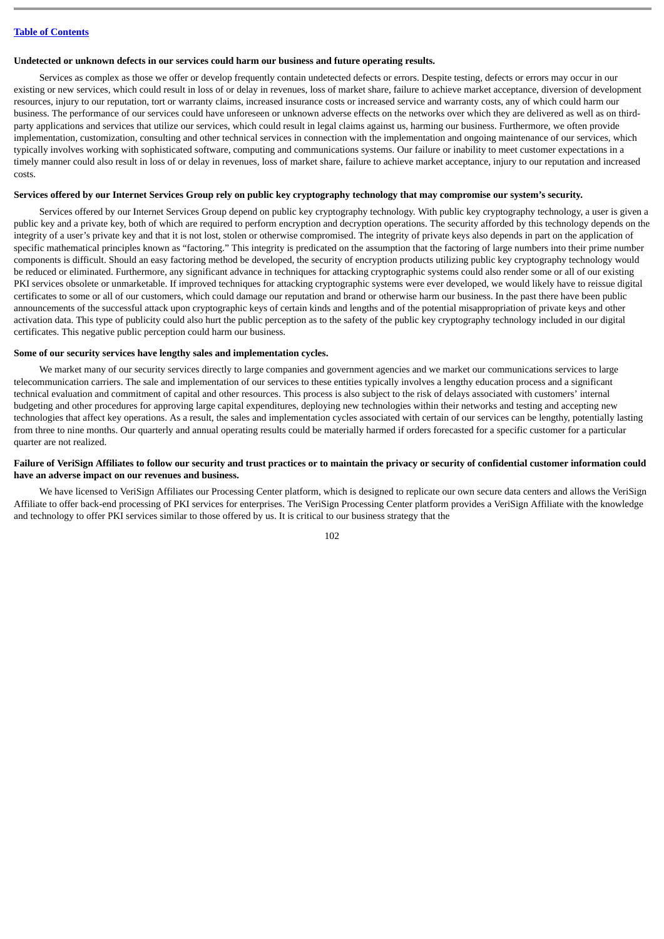### **Undetected or unknown defects in our services could harm our business and future operating results.**

Services as complex as those we offer or develop frequently contain undetected defects or errors. Despite testing, defects or errors may occur in our existing or new services, which could result in loss of or delay in revenues, loss of market share, failure to achieve market acceptance, diversion of development resources, injury to our reputation, tort or warranty claims, increased insurance costs or increased service and warranty costs, any of which could harm our business. The performance of our services could have unforeseen or unknown adverse effects on the networks over which they are delivered as well as on thirdparty applications and services that utilize our services, which could result in legal claims against us, harming our business. Furthermore, we often provide implementation, customization, consulting and other technical services in connection with the implementation and ongoing maintenance of our services, which typically involves working with sophisticated software, computing and communications systems. Our failure or inability to meet customer expectations in a timely manner could also result in loss of or delay in revenues, loss of market share, failure to achieve market acceptance, injury to our reputation and increased costs.

### **Services offered by our Internet Services Group rely on public key cryptography technology that may compromise our system's security.**

Services offered by our Internet Services Group depend on public key cryptography technology. With public key cryptography technology, a user is given a public key and a private key, both of which are required to perform encryption and decryption operations. The security afforded by this technology depends on the integrity of a user's private key and that it is not lost, stolen or otherwise compromised. The integrity of private keys also depends in part on the application of specific mathematical principles known as "factoring." This integrity is predicated on the assumption that the factoring of large numbers into their prime number components is difficult. Should an easy factoring method be developed, the security of encryption products utilizing public key cryptography technology would be reduced or eliminated. Furthermore, any significant advance in techniques for attacking cryptographic systems could also render some or all of our existing PKI services obsolete or unmarketable. If improved techniques for attacking cryptographic systems were ever developed, we would likely have to reissue digital certificates to some or all of our customers, which could damage our reputation and brand or otherwise harm our business. In the past there have been public announcements of the successful attack upon cryptographic keys of certain kinds and lengths and of the potential misappropriation of private keys and other activation data. This type of publicity could also hurt the public perception as to the safety of the public key cryptography technology included in our digital certificates. This negative public perception could harm our business.

#### **Some of our security services have lengthy sales and implementation cycles.**

We market many of our security services directly to large companies and government agencies and we market our communications services to large telecommunication carriers. The sale and implementation of our services to these entities typically involves a lengthy education process and a significant technical evaluation and commitment of capital and other resources. This process is also subject to the risk of delays associated with customers' internal budgeting and other procedures for approving large capital expenditures, deploying new technologies within their networks and testing and accepting new technologies that affect key operations. As a result, the sales and implementation cycles associated with certain of our services can be lengthy, potentially lasting from three to nine months. Our quarterly and annual operating results could be materially harmed if orders forecasted for a specific customer for a particular quarter are not realized.

### **Failure of VeriSign Affiliates to follow our security and trust practices or to maintain the privacy or security of confidential customer information could have an adverse impact on our revenues and business.**

We have licensed to VeriSign Affiliates our Processing Center platform, which is designed to replicate our own secure data centers and allows the VeriSign Affiliate to offer back-end processing of PKI services for enterprises. The VeriSign Processing Center platform provides a VeriSign Affiliate with the knowledge and technology to offer PKI services similar to those offered by us. It is critical to our business strategy that the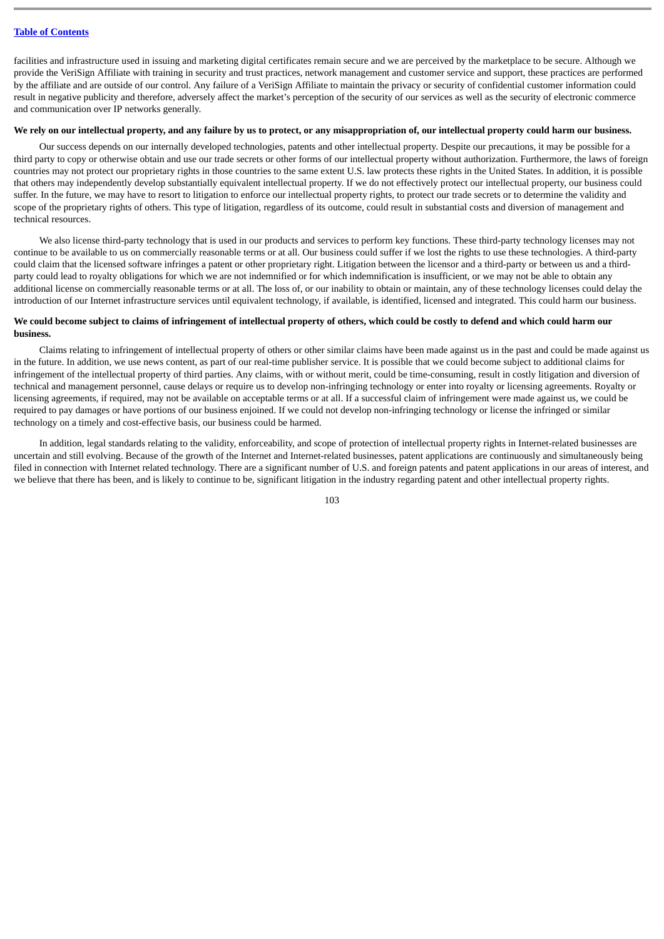facilities and infrastructure used in issuing and marketing digital certificates remain secure and we are perceived by the marketplace to be secure. Although we provide the VeriSign Affiliate with training in security and trust practices, network management and customer service and support, these practices are performed by the affiliate and are outside of our control. Any failure of a VeriSign Affiliate to maintain the privacy or security of confidential customer information could result in negative publicity and therefore, adversely affect the market's perception of the security of our services as well as the security of electronic commerce and communication over IP networks generally.

#### **We rely on our intellectual property, and any failure by us to protect, or any misappropriation of, our intellectual property could harm our business.**

Our success depends on our internally developed technologies, patents and other intellectual property. Despite our precautions, it may be possible for a third party to copy or otherwise obtain and use our trade secrets or other forms of our intellectual property without authorization. Furthermore, the laws of foreign countries may not protect our proprietary rights in those countries to the same extent U.S. law protects these rights in the United States. In addition, it is possible that others may independently develop substantially equivalent intellectual property. If we do not effectively protect our intellectual property, our business could suffer. In the future, we may have to resort to litigation to enforce our intellectual property rights, to protect our trade secrets or to determine the validity and scope of the proprietary rights of others. This type of litigation, regardless of its outcome, could result in substantial costs and diversion of management and technical resources.

We also license third-party technology that is used in our products and services to perform key functions. These third-party technology licenses may not continue to be available to us on commercially reasonable terms or at all. Our business could suffer if we lost the rights to use these technologies. A third-party could claim that the licensed software infringes a patent or other proprietary right. Litigation between the licensor and a third-party or between us and a thirdparty could lead to royalty obligations for which we are not indemnified or for which indemnification is insufficient, or we may not be able to obtain any additional license on commercially reasonable terms or at all. The loss of, or our inability to obtain or maintain, any of these technology licenses could delay the introduction of our Internet infrastructure services until equivalent technology, if available, is identified, licensed and integrated. This could harm our business.

### **We could become subject to claims of infringement of intellectual property of others, which could be costly to defend and which could harm our business.**

Claims relating to infringement of intellectual property of others or other similar claims have been made against us in the past and could be made against us in the future. In addition, we use news content, as part of our real-time publisher service. It is possible that we could become subject to additional claims for infringement of the intellectual property of third parties. Any claims, with or without merit, could be time-consuming, result in costly litigation and diversion of technical and management personnel, cause delays or require us to develop non-infringing technology or enter into royalty or licensing agreements. Royalty or licensing agreements, if required, may not be available on acceptable terms or at all. If a successful claim of infringement were made against us, we could be required to pay damages or have portions of our business enjoined. If we could not develop non-infringing technology or license the infringed or similar technology on a timely and cost-effective basis, our business could be harmed.

In addition, legal standards relating to the validity, enforceability, and scope of protection of intellectual property rights in Internet-related businesses are uncertain and still evolving. Because of the growth of the Internet and Internet-related businesses, patent applications are continuously and simultaneously being filed in connection with Internet related technology. There are a significant number of U.S. and foreign patents and patent applications in our areas of interest, and we believe that there has been, and is likely to continue to be, significant litigation in the industry regarding patent and other intellectual property rights.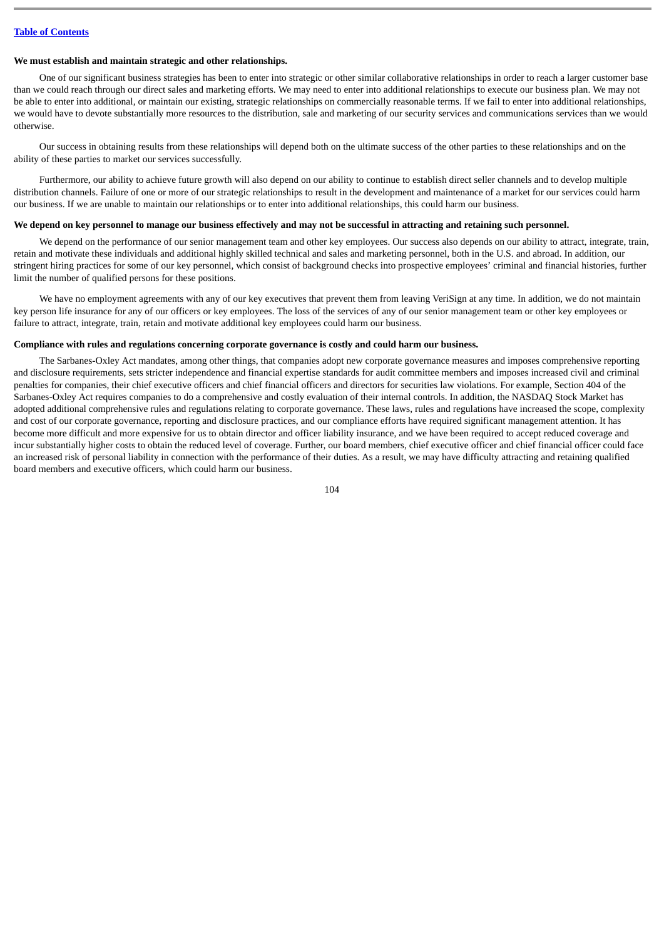#### **We must establish and maintain strategic and other relationships.**

One of our significant business strategies has been to enter into strategic or other similar collaborative relationships in order to reach a larger customer base than we could reach through our direct sales and marketing efforts. We may need to enter into additional relationships to execute our business plan. We may not be able to enter into additional, or maintain our existing, strategic relationships on commercially reasonable terms. If we fail to enter into additional relationships, we would have to devote substantially more resources to the distribution, sale and marketing of our security services and communications services than we would otherwise.

Our success in obtaining results from these relationships will depend both on the ultimate success of the other parties to these relationships and on the ability of these parties to market our services successfully.

Furthermore, our ability to achieve future growth will also depend on our ability to continue to establish direct seller channels and to develop multiple distribution channels. Failure of one or more of our strategic relationships to result in the development and maintenance of a market for our services could harm our business. If we are unable to maintain our relationships or to enter into additional relationships, this could harm our business.

### **We depend on key personnel to manage our business effectively and may not be successful in attracting and retaining such personnel.**

We depend on the performance of our senior management team and other key employees. Our success also depends on our ability to attract, integrate, train, retain and motivate these individuals and additional highly skilled technical and sales and marketing personnel, both in the U.S. and abroad. In addition, our stringent hiring practices for some of our key personnel, which consist of background checks into prospective employees' criminal and financial histories, further limit the number of qualified persons for these positions.

We have no employment agreements with any of our key executives that prevent them from leaving VeriSign at any time. In addition, we do not maintain key person life insurance for any of our officers or key employees. The loss of the services of any of our senior management team or other key employees or failure to attract, integrate, train, retain and motivate additional key employees could harm our business.

#### **Compliance with rules and regulations concerning corporate governance is costly and could harm our business.**

The Sarbanes-Oxley Act mandates, among other things, that companies adopt new corporate governance measures and imposes comprehensive reporting and disclosure requirements, sets stricter independence and financial expertise standards for audit committee members and imposes increased civil and criminal penalties for companies, their chief executive officers and chief financial officers and directors for securities law violations. For example, Section 404 of the Sarbanes-Oxley Act requires companies to do a comprehensive and costly evaluation of their internal controls. In addition, the NASDAQ Stock Market has adopted additional comprehensive rules and regulations relating to corporate governance. These laws, rules and regulations have increased the scope, complexity and cost of our corporate governance, reporting and disclosure practices, and our compliance efforts have required significant management attention. It has become more difficult and more expensive for us to obtain director and officer liability insurance, and we have been required to accept reduced coverage and incur substantially higher costs to obtain the reduced level of coverage. Further, our board members, chief executive officer and chief financial officer could face an increased risk of personal liability in connection with the performance of their duties. As a result, we may have difficulty attracting and retaining qualified board members and executive officers, which could harm our business.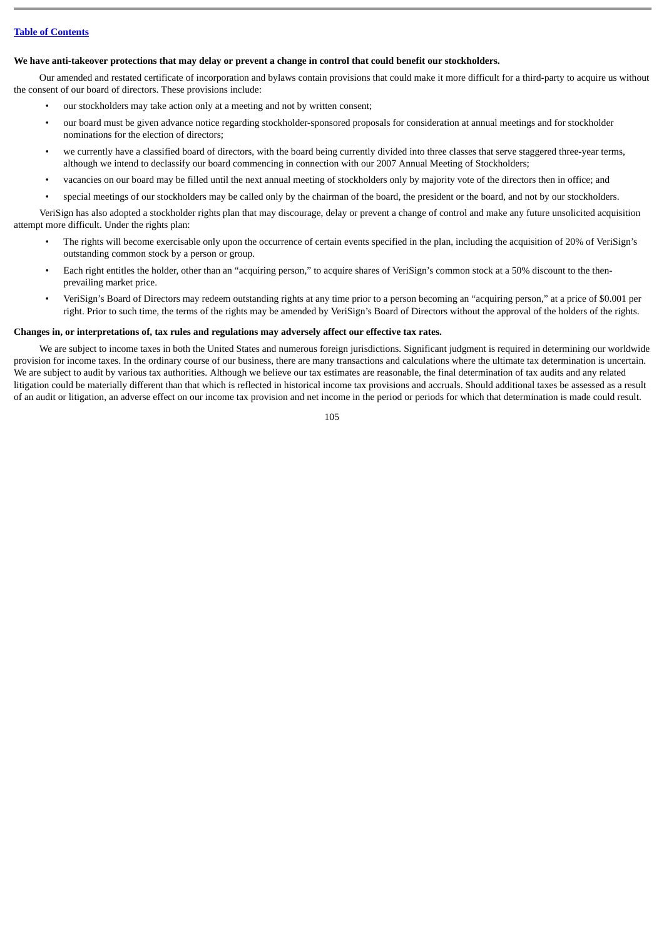#### **We have anti-takeover protections that may delay or prevent a change in control that could benefit our stockholders.**

Our amended and restated certificate of incorporation and bylaws contain provisions that could make it more difficult for a third-party to acquire us without the consent of our board of directors. These provisions include:

- our stockholders may take action only at a meeting and not by written consent;
- our board must be given advance notice regarding stockholder-sponsored proposals for consideration at annual meetings and for stockholder nominations for the election of directors;
- we currently have a classified board of directors, with the board being currently divided into three classes that serve staggered three-year terms, although we intend to declassify our board commencing in connection with our 2007 Annual Meeting of Stockholders;
- vacancies on our board may be filled until the next annual meeting of stockholders only by majority vote of the directors then in office; and
- special meetings of our stockholders may be called only by the chairman of the board, the president or the board, and not by our stockholders.

VeriSign has also adopted a stockholder rights plan that may discourage, delay or prevent a change of control and make any future unsolicited acquisition attempt more difficult. Under the rights plan:

- The rights will become exercisable only upon the occurrence of certain events specified in the plan, including the acquisition of 20% of VeriSign's outstanding common stock by a person or group.
- Each right entitles the holder, other than an "acquiring person," to acquire shares of VeriSign's common stock at a 50% discount to the thenprevailing market price.
- VeriSign's Board of Directors may redeem outstanding rights at any time prior to a person becoming an "acquiring person," at a price of \$0.001 per right. Prior to such time, the terms of the rights may be amended by VeriSign's Board of Directors without the approval of the holders of the rights.

#### **Changes in, or interpretations of, tax rules and regulations may adversely affect our effective tax rates.**

We are subject to income taxes in both the United States and numerous foreign jurisdictions. Significant judgment is required in determining our worldwide provision for income taxes. In the ordinary course of our business, there are many transactions and calculations where the ultimate tax determination is uncertain. We are subject to audit by various tax authorities. Although we believe our tax estimates are reasonable, the final determination of tax audits and any related litigation could be materially different than that which is reflected in historical income tax provisions and accruals. Should additional taxes be assessed as a result of an audit or litigation, an adverse effect on our income tax provision and net income in the period or periods for which that determination is made could result.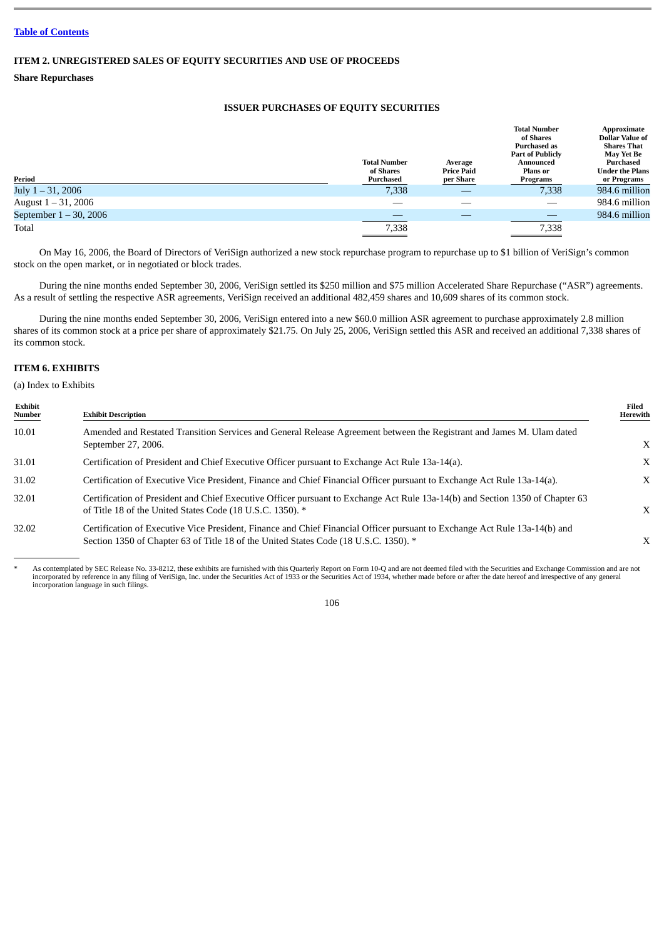# **ITEM 2. UNREGISTERED SALES OF EQUITY SECURITIES AND USE OF PROCEEDS**

**Share Repurchases**

# **ISSUER PURCHASES OF EQUITY SECURITIES**

|                           | <b>Total Number</b><br>of Shares | Average<br><b>Price Paid</b> | <b>Total Number</b><br>of Shares<br><b>Purchased as</b><br><b>Part of Publicly</b><br>Announced<br>Plans or | Approximate<br><b>Dollar Value of</b><br><b>Shares That</b><br>May Yet Be<br>Purchased<br><b>Under the Plans</b> |
|---------------------------|----------------------------------|------------------------------|-------------------------------------------------------------------------------------------------------------|------------------------------------------------------------------------------------------------------------------|
| Period                    | Purchased                        | per Share                    | Programs                                                                                                    | or Programs                                                                                                      |
| July 1 – 31, 2006         | 7,338                            |                              | 7,338                                                                                                       | 984.6 million                                                                                                    |
| August $1 - 31$ , 2006    |                                  |                              |                                                                                                             | 984.6 million                                                                                                    |
| September $1 - 30$ , 2006 |                                  |                              |                                                                                                             | 984.6 million                                                                                                    |
| Total                     | 7,338                            |                              | 7,338                                                                                                       |                                                                                                                  |

On May 16, 2006, the Board of Directors of VeriSign authorized a new stock repurchase program to repurchase up to \$1 billion of VeriSign's common stock on the open market, or in negotiated or block trades.

During the nine months ended September 30, 2006, VeriSign settled its \$250 million and \$75 million Accelerated Share Repurchase ("ASR") agreements. As a result of settling the respective ASR agreements, VeriSign received an additional 482,459 shares and 10,609 shares of its common stock.

During the nine months ended September 30, 2006, VeriSign entered into a new \$60.0 million ASR agreement to purchase approximately 2.8 million shares of its common stock at a price per share of approximately \$21.75. On July 25, 2006, VeriSign settled this ASR and received an additional 7,338 shares of its common stock.

# **ITEM 6. EXHIBITS**

(a) Index to Exhibits

| Exhibit<br>Number | <b>Exhibit Description</b>                                                                                                                                                                                         | Filed<br>Herewith |
|-------------------|--------------------------------------------------------------------------------------------------------------------------------------------------------------------------------------------------------------------|-------------------|
| 10.01             | Amended and Restated Transition Services and General Release Agreement between the Registrant and James M. Ulam dated<br>September 27, 2006.                                                                       | $\mathbf{X}$      |
| 31.01             | Certification of President and Chief Executive Officer pursuant to Exchange Act Rule 13a-14(a).                                                                                                                    | X                 |
| 31.02             | Certification of Executive Vice President, Finance and Chief Financial Officer pursuant to Exchange Act Rule 13a-14(a).                                                                                            | X                 |
| 32.01             | Certification of President and Chief Executive Officer pursuant to Exchange Act Rule 13a-14(b) and Section 1350 of Chapter 63<br>of Title 18 of the United States Code (18 U.S.C. 1350). *                         | $\mathbf{X}$      |
| 32.02             | Certification of Executive Vice President, Finance and Chief Financial Officer pursuant to Exchange Act Rule 13a-14(b) and<br>Section 1350 of Chapter 63 of Title 18 of the United States Code (18 U.S.C. 1350). * | X                 |

As contemplated by SEC Release No. 33-8212, these exhibits are furnished with this Quarterly Report on Form 10-Q and are not deemed filed with the Securities and Exchange Commission and are not incorporated by reference in incorporation language in such filings.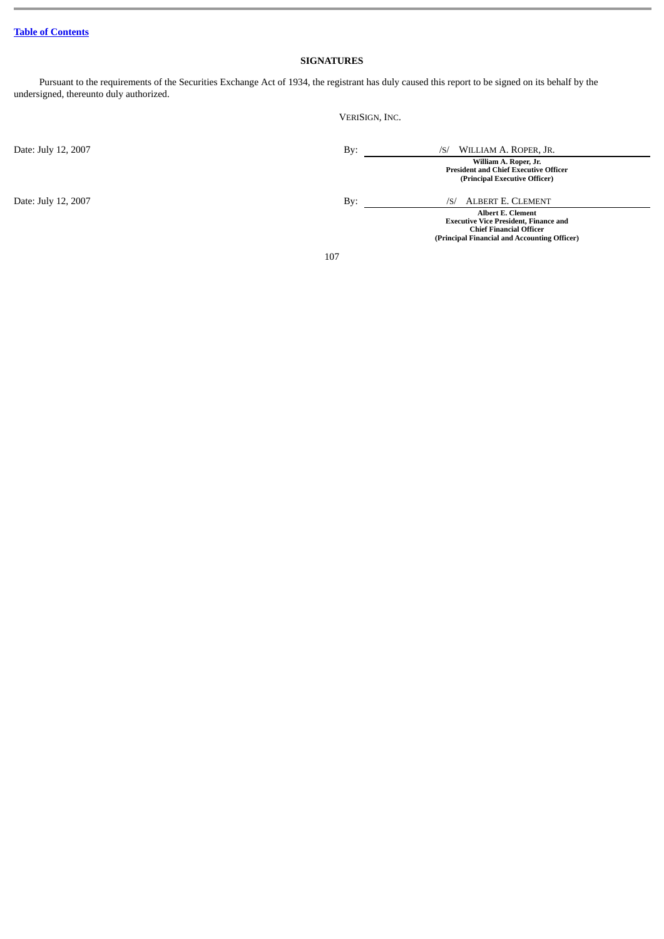# **SIGNATURES**

VERISIGN, INC.

Pursuant to the requirements of the Securities Exchange Act of 1934, the registrant has duly caused this report to be signed on its behalf by the undersigned, thereunto duly authorized.

| Date: July 12, 2007 | By: | WILLIAM A. ROPER, JR.<br>/S/                                                                                                                               |
|---------------------|-----|------------------------------------------------------------------------------------------------------------------------------------------------------------|
|                     |     | William A. Roper, Jr.<br><b>President and Chief Executive Officer</b><br>(Principal Executive Officer)                                                     |
| Date: July 12, 2007 | By: | ALBERT E. CLEMENT<br>/S/                                                                                                                                   |
|                     |     | <b>Albert E. Clement</b><br><b>Executive Vice President, Finance and</b><br><b>Chief Financial Officer</b><br>(Principal Financial and Accounting Officer) |
|                     | 107 |                                                                                                                                                            |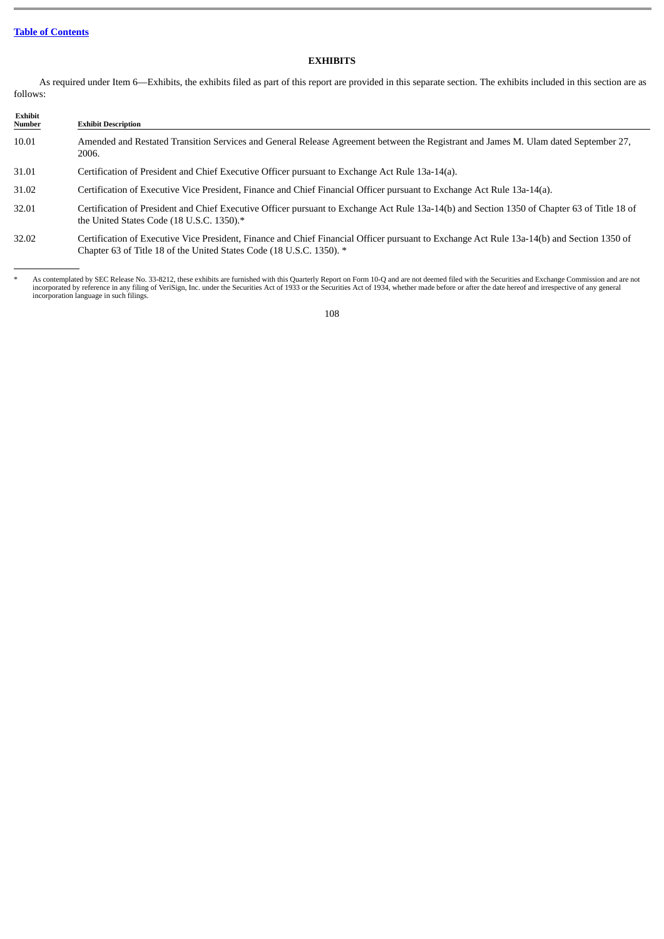# **EXHIBITS**

As required under Item 6—Exhibits, the exhibits filed as part of this report are provided in this separate section. The exhibits included in this section are as follows:

### **Exhibit Exhibit Description** 10.01 Amended and Restated Transition Services and General Release Agreement between the Registrant and James M. Ulam dated September 27, 2006. 31.01 Certification of President and Chief Executive Officer pursuant to Exchange Act Rule 13a-14(a). 31.02 Certification of Executive Vice President, Finance and Chief Financial Officer pursuant to Exchange Act Rule 13a-14(a). 32.01 Certification of President and Chief Executive Officer pursuant to Exchange Act Rule 13a-14(b) and Section 1350 of Chapter 63 of Title 18 of the United States Code (18 U.S.C. 1350).\* 32.02 Certification of Executive Vice President, Finance and Chief Financial Officer pursuant to Exchange Act Rule 13a-14(b) and Section 1350 of

As contemplated by SEC Release No. 33-8212, these exhibits are furnished with this Quarterly Report on Form 10-Q and are not deemed filed with the Securities and Exchange Commission and are not incorporated by reference in any filing of VeriSign, Inc. under the Securities Act of 1933 or the Securities Act of 1934, whether made before or after the date hereof and irrespective of any general incorporation language in such filings.

Chapter 63 of Title 18 of the United States Code (18 U.S.C. 1350). \*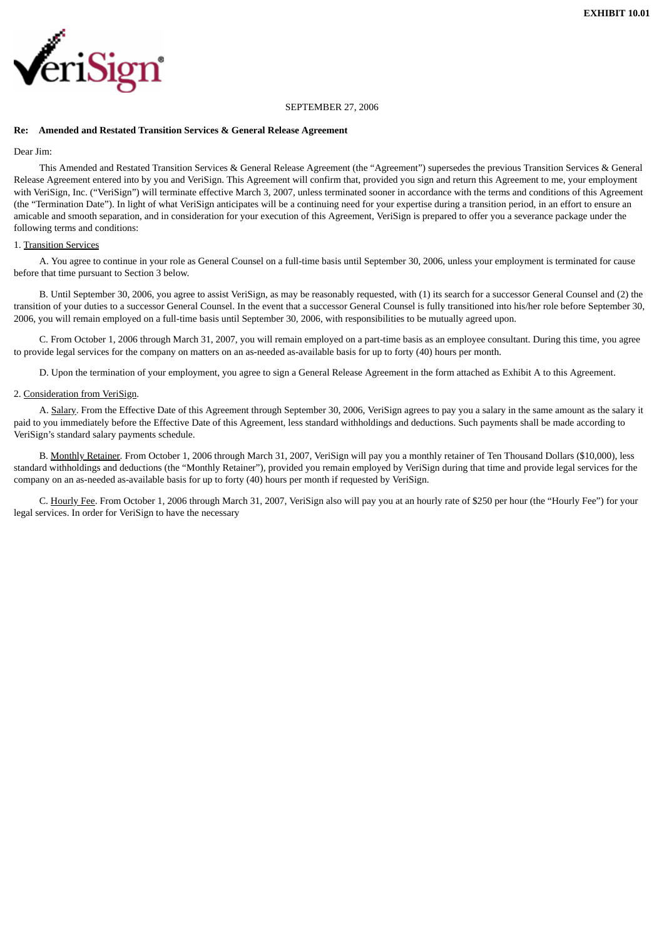

#### SEPTEMBER 27, 2006

### **Re: Amended and Restated Transition Services & General Release Agreement**

## Dear Jim<sup>.</sup>

This Amended and Restated Transition Services & General Release Agreement (the "Agreement") supersedes the previous Transition Services & General Release Agreement entered into by you and VeriSign. This Agreement will confirm that, provided you sign and return this Agreement to me, your employment with VeriSign, Inc. ("VeriSign") will terminate effective March 3, 2007, unless terminated sooner in accordance with the terms and conditions of this Agreement (the "Termination Date"). In light of what VeriSign anticipates will be a continuing need for your expertise during a transition period, in an effort to ensure an amicable and smooth separation, and in consideration for your execution of this Agreement, VeriSign is prepared to offer you a severance package under the following terms and conditions:

## 1. Transition Services

A. You agree to continue in your role as General Counsel on a full-time basis until September 30, 2006, unless your employment is terminated for cause before that time pursuant to Section 3 below.

B. Until September 30, 2006, you agree to assist VeriSign, as may be reasonably requested, with (1) its search for a successor General Counsel and (2) the transition of your duties to a successor General Counsel. In the event that a successor General Counsel is fully transitioned into his/her role before September 30, 2006, you will remain employed on a full-time basis until September 30, 2006, with responsibilities to be mutually agreed upon.

C. From October 1, 2006 through March 31, 2007, you will remain employed on a part-time basis as an employee consultant. During this time, you agree to provide legal services for the company on matters on an as-needed as-available basis for up to forty (40) hours per month.

D. Upon the termination of your employment, you agree to sign a General Release Agreement in the form attached as Exhibit A to this Agreement.

## 2. Consideration from VeriSign.

A. Salary. From the Effective Date of this Agreement through September 30, 2006, VeriSign agrees to pay you a salary in the same amount as the salary it paid to you immediately before the Effective Date of this Agreement, less standard withholdings and deductions. Such payments shall be made according to VeriSign's standard salary payments schedule.

B. Monthly Retainer. From October 1, 2006 through March 31, 2007, VeriSign will pay you a monthly retainer of Ten Thousand Dollars (\$10,000), less standard withholdings and deductions (the "Monthly Retainer"), provided you remain employed by VeriSign during that time and provide legal services for the company on an as-needed as-available basis for up to forty (40) hours per month if requested by VeriSign.

C. Hourly Fee. From October 1, 2006 through March 31, 2007, VeriSign also will pay you at an hourly rate of \$250 per hour (the "Hourly Fee") for your legal services. In order for VeriSign to have the necessary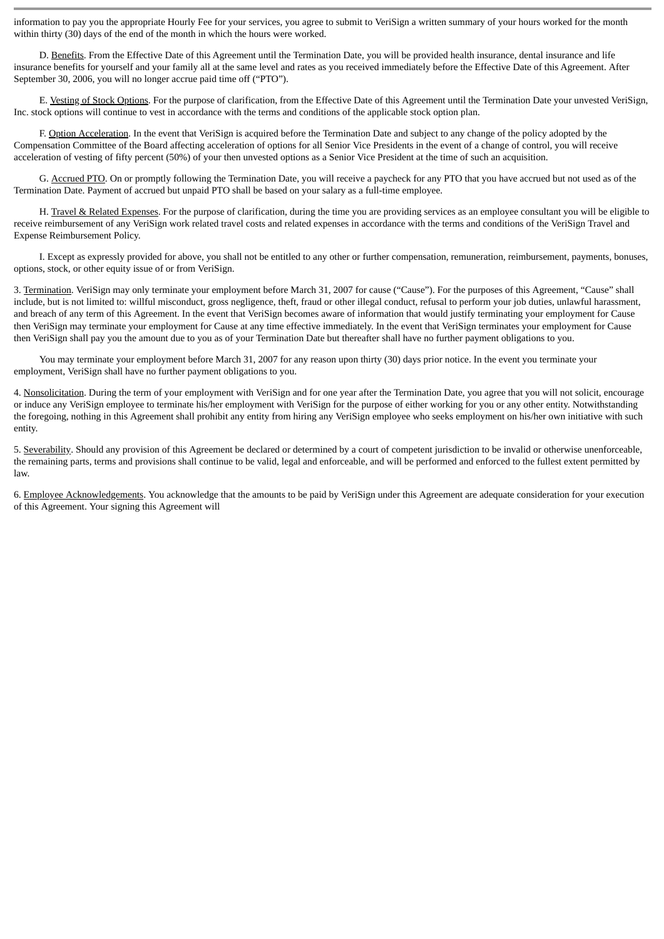information to pay you the appropriate Hourly Fee for your services, you agree to submit to VeriSign a written summary of your hours worked for the month within thirty (30) days of the end of the month in which the hours were worked.

D. Benefits. From the Effective Date of this Agreement until the Termination Date, you will be provided health insurance, dental insurance and life insurance benefits for yourself and your family all at the same level and rates as you received immediately before the Effective Date of this Agreement. After September 30, 2006, you will no longer accrue paid time off ("PTO").

E. Vesting of Stock Options. For the purpose of clarification, from the Effective Date of this Agreement until the Termination Date your unvested VeriSign, Inc. stock options will continue to vest in accordance with the terms and conditions of the applicable stock option plan.

F. Option Acceleration. In the event that VeriSign is acquired before the Termination Date and subject to any change of the policy adopted by the Compensation Committee of the Board affecting acceleration of options for all Senior Vice Presidents in the event of a change of control, you will receive acceleration of vesting of fifty percent (50%) of your then unvested options as a Senior Vice President at the time of such an acquisition.

G. Accrued PTO. On or promptly following the Termination Date, you will receive a paycheck for any PTO that you have accrued but not used as of the Termination Date. Payment of accrued but unpaid PTO shall be based on your salary as a full-time employee.

H. Travel & Related Expenses. For the purpose of clarification, during the time you are providing services as an employee consultant you will be eligible to receive reimbursement of any VeriSign work related travel costs and related expenses in accordance with the terms and conditions of the VeriSign Travel and Expense Reimbursement Policy.

I. Except as expressly provided for above, you shall not be entitled to any other or further compensation, remuneration, reimbursement, payments, bonuses, options, stock, or other equity issue of or from VeriSign.

3. Termination. VeriSign may only terminate your employment before March 31, 2007 for cause ("Cause"). For the purposes of this Agreement, "Cause" shall include, but is not limited to: willful misconduct, gross negligence, theft, fraud or other illegal conduct, refusal to perform your job duties, unlawful harassment, and breach of any term of this Agreement. In the event that VeriSign becomes aware of information that would justify terminating your employment for Cause then VeriSign may terminate your employment for Cause at any time effective immediately. In the event that VeriSign terminates your employment for Cause then VeriSign shall pay you the amount due to you as of your Termination Date but thereafter shall have no further payment obligations to you.

You may terminate your employment before March 31, 2007 for any reason upon thirty (30) days prior notice. In the event you terminate your employment, VeriSign shall have no further payment obligations to you.

4. Nonsolicitation. During the term of your employment with VeriSign and for one year after the Termination Date, you agree that you will not solicit, encourage or induce any VeriSign employee to terminate his/her employment with VeriSign for the purpose of either working for you or any other entity. Notwithstanding the foregoing, nothing in this Agreement shall prohibit any entity from hiring any VeriSign employee who seeks employment on his/her own initiative with such entity.

5. Severability. Should any provision of this Agreement be declared or determined by a court of competent jurisdiction to be invalid or otherwise unenforceable, the remaining parts, terms and provisions shall continue to be valid, legal and enforceable, and will be performed and enforced to the fullest extent permitted by law.

6. Employee Acknowledgements. You acknowledge that the amounts to be paid by VeriSign under this Agreement are adequate consideration for your execution of this Agreement. Your signing this Agreement will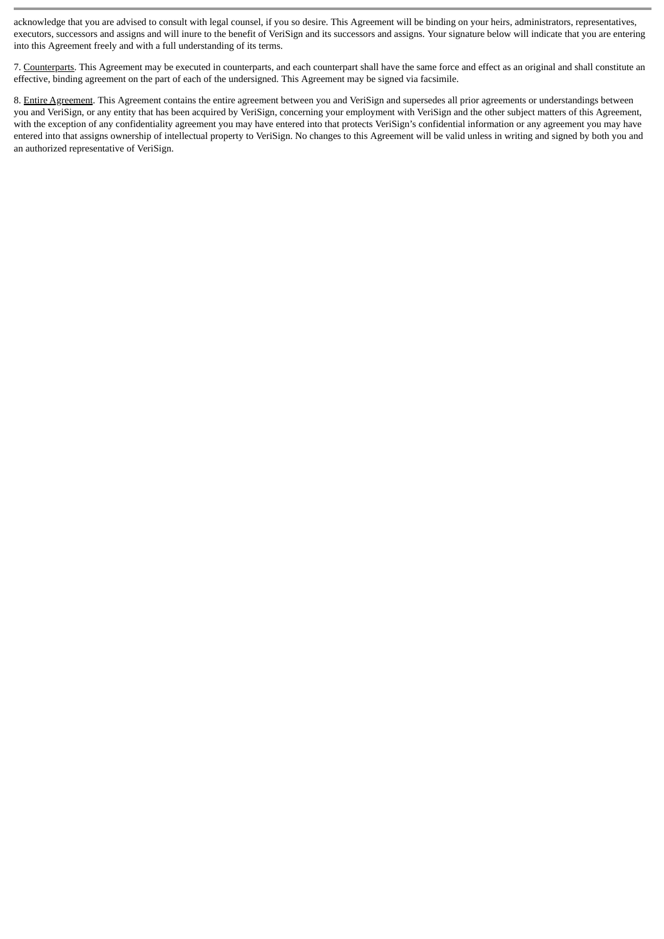acknowledge that you are advised to consult with legal counsel, if you so desire. This Agreement will be binding on your heirs, administrators, representatives, executors, successors and assigns and will inure to the benefit of VeriSign and its successors and assigns. Your signature below will indicate that you are entering into this Agreement freely and with a full understanding of its terms.

7. Counterparts. This Agreement may be executed in counterparts, and each counterpart shall have the same force and effect as an original and shall constitute an effective, binding agreement on the part of each of the undersigned. This Agreement may be signed via facsimile.

8. Entire Agreement. This Agreement contains the entire agreement between you and VeriSign and supersedes all prior agreements or understandings between you and VeriSign, or any entity that has been acquired by VeriSign, concerning your employment with VeriSign and the other subject matters of this Agreement, with the exception of any confidentiality agreement you may have entered into that protects VeriSign's confidential information or any agreement you may have entered into that assigns ownership of intellectual property to VeriSign. No changes to this Agreement will be valid unless in writing and signed by both you and an authorized representative of VeriSign.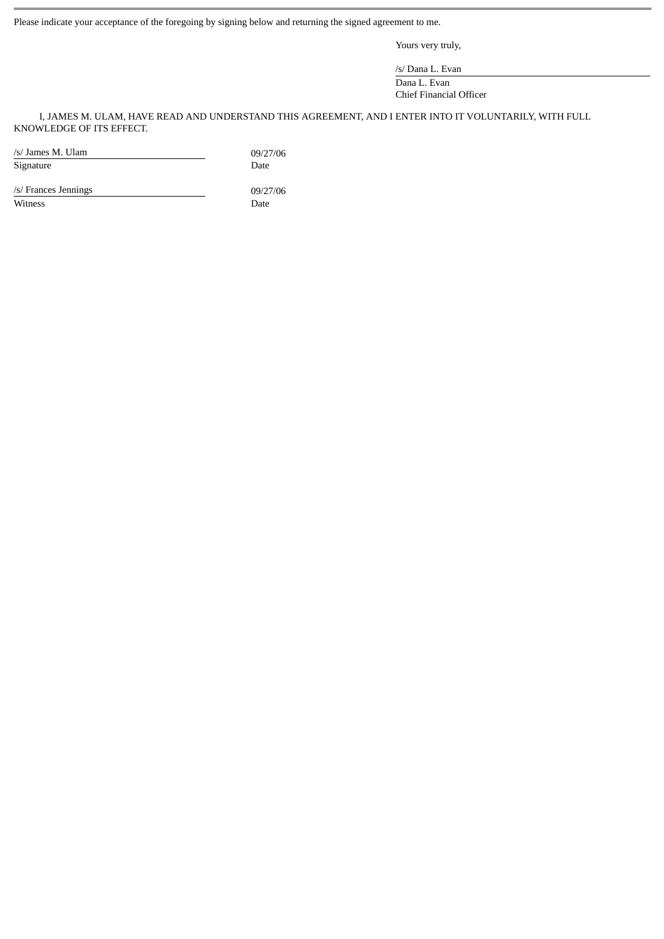Please indicate your acceptance of the foregoing by signing below and returning the signed agreement to me.

Yours very truly,

/s/ Dana L. Evan

Dana L. Evan Chief Financial Officer

I, JAMES M. ULAM, HAVE READ AND UNDERSTAND THIS AGREEMENT, AND I ENTER INTO IT VOLUNTARILY, WITH FULL KNOWLEDGE OF ITS EFFECT.

/s/ James M. Ulam 09/27/06<br>Signature Date Date Signature

/s/ Frances Jennings 09/27/06 Witness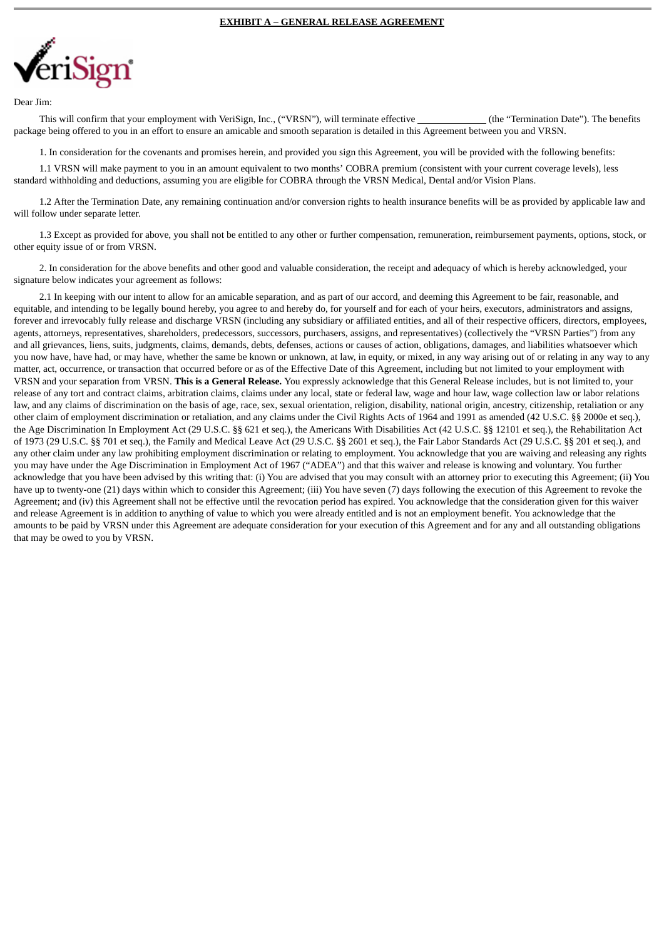

#### Dear Jim:

This will confirm that your employment with VeriSign, Inc., ("VRSN"), will terminate effective (the "Termination Date"). The benefits package being offered to you in an effort to ensure an amicable and smooth separation is detailed in this Agreement between you and VRSN.

1. In consideration for the covenants and promises herein, and provided you sign this Agreement, you will be provided with the following benefits:

1.1 VRSN will make payment to you in an amount equivalent to two months' COBRA premium (consistent with your current coverage levels), less standard withholding and deductions, assuming you are eligible for COBRA through the VRSN Medical, Dental and/or Vision Plans.

1.2 After the Termination Date, any remaining continuation and/or conversion rights to health insurance benefits will be as provided by applicable law and will follow under separate letter.

1.3 Except as provided for above, you shall not be entitled to any other or further compensation, remuneration, reimbursement payments, options, stock, or other equity issue of or from VRSN.

2. In consideration for the above benefits and other good and valuable consideration, the receipt and adequacy of which is hereby acknowledged, your signature below indicates your agreement as follows:

2.1 In keeping with our intent to allow for an amicable separation, and as part of our accord, and deeming this Agreement to be fair, reasonable, and equitable, and intending to be legally bound hereby, you agree to and hereby do, for yourself and for each of your heirs, executors, administrators and assigns, forever and irrevocably fully release and discharge VRSN (including any subsidiary or affiliated entities, and all of their respective officers, directors, employees, agents, attorneys, representatives, shareholders, predecessors, successors, purchasers, assigns, and representatives) (collectively the "VRSN Parties") from any and all grievances, liens, suits, judgments, claims, demands, debts, defenses, actions or causes of action, obligations, damages, and liabilities whatsoever which you now have, have had, or may have, whether the same be known or unknown, at law, in equity, or mixed, in any way arising out of or relating in any way to any matter, act, occurrence, or transaction that occurred before or as of the Effective Date of this Agreement, including but not limited to your employment with VRSN and your separation from VRSN. **This is a General Release.** You expressly acknowledge that this General Release includes, but is not limited to, your release of any tort and contract claims, arbitration claims, claims under any local, state or federal law, wage and hour law, wage collection law or labor relations law, and any claims of discrimination on the basis of age, race, sex, sexual orientation, religion, disability, national origin, ancestry, citizenship, retaliation or any other claim of employment discrimination or retaliation, and any claims under the Civil Rights Acts of 1964 and 1991 as amended (42 U.S.C. §§ 2000e et seq.), the Age Discrimination In Employment Act (29 U.S.C. §§ 621 et seq.), the Americans With Disabilities Act (42 U.S.C. §§ 12101 et seq.), the Rehabilitation Act of 1973 (29 U.S.C. §§ 701 et seq.), the Family and Medical Leave Act (29 U.S.C. §§ 2601 et seq.), the Fair Labor Standards Act (29 U.S.C. §§ 201 et seq.), and any other claim under any law prohibiting employment discrimination or relating to employment. You acknowledge that you are waiving and releasing any rights you may have under the Age Discrimination in Employment Act of 1967 ("ADEA") and that this waiver and release is knowing and voluntary. You further acknowledge that you have been advised by this writing that: (i) You are advised that you may consult with an attorney prior to executing this Agreement; (ii) You have up to twenty-one (21) days within which to consider this Agreement; (iii) You have seven (7) days following the execution of this Agreement to revoke the Agreement; and (iv) this Agreement shall not be effective until the revocation period has expired. You acknowledge that the consideration given for this waiver and release Agreement is in addition to anything of value to which you were already entitled and is not an employment benefit. You acknowledge that the amounts to be paid by VRSN under this Agreement are adequate consideration for your execution of this Agreement and for any and all outstanding obligations that may be owed to you by VRSN.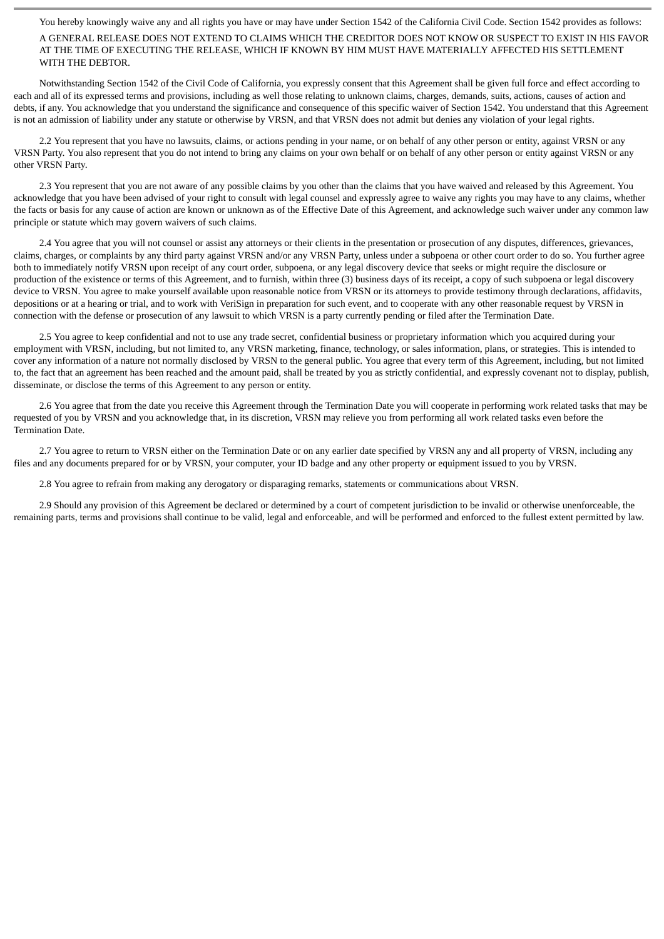You hereby knowingly waive any and all rights you have or may have under Section 1542 of the California Civil Code. Section 1542 provides as follows:

A GENERAL RELEASE DOES NOT EXTEND TO CLAIMS WHICH THE CREDITOR DOES NOT KNOW OR SUSPECT TO EXIST IN HIS FAVOR AT THE TIME OF EXECUTING THE RELEASE, WHICH IF KNOWN BY HIM MUST HAVE MATERIALLY AFFECTED HIS SETTLEMENT WITH THE DEBTOR.

Notwithstanding Section 1542 of the Civil Code of California, you expressly consent that this Agreement shall be given full force and effect according to each and all of its expressed terms and provisions, including as well those relating to unknown claims, charges, demands, suits, actions, causes of action and debts, if any. You acknowledge that you understand the significance and consequence of this specific waiver of Section 1542. You understand that this Agreement is not an admission of liability under any statute or otherwise by VRSN, and that VRSN does not admit but denies any violation of your legal rights.

2.2 You represent that you have no lawsuits, claims, or actions pending in your name, or on behalf of any other person or entity, against VRSN or any VRSN Party. You also represent that you do not intend to bring any claims on your own behalf or on behalf of any other person or entity against VRSN or any other VRSN Party.

2.3 You represent that you are not aware of any possible claims by you other than the claims that you have waived and released by this Agreement. You acknowledge that you have been advised of your right to consult with legal counsel and expressly agree to waive any rights you may have to any claims, whether the facts or basis for any cause of action are known or unknown as of the Effective Date of this Agreement, and acknowledge such waiver under any common law principle or statute which may govern waivers of such claims.

2.4 You agree that you will not counsel or assist any attorneys or their clients in the presentation or prosecution of any disputes, differences, grievances, claims, charges, or complaints by any third party against VRSN and/or any VRSN Party, unless under a subpoena or other court order to do so. You further agree both to immediately notify VRSN upon receipt of any court order, subpoena, or any legal discovery device that seeks or might require the disclosure or production of the existence or terms of this Agreement, and to furnish, within three (3) business days of its receipt, a copy of such subpoena or legal discovery device to VRSN. You agree to make yourself available upon reasonable notice from VRSN or its attorneys to provide testimony through declarations, affidavits, depositions or at a hearing or trial, and to work with VeriSign in preparation for such event, and to cooperate with any other reasonable request by VRSN in connection with the defense or prosecution of any lawsuit to which VRSN is a party currently pending or filed after the Termination Date.

2.5 You agree to keep confidential and not to use any trade secret, confidential business or proprietary information which you acquired during your employment with VRSN, including, but not limited to, any VRSN marketing, finance, technology, or sales information, plans, or strategies. This is intended to cover any information of a nature not normally disclosed by VRSN to the general public. You agree that every term of this Agreement, including, but not limited to, the fact that an agreement has been reached and the amount paid, shall be treated by you as strictly confidential, and expressly covenant not to display, publish, disseminate, or disclose the terms of this Agreement to any person or entity.

2.6 You agree that from the date you receive this Agreement through the Termination Date you will cooperate in performing work related tasks that may be requested of you by VRSN and you acknowledge that, in its discretion, VRSN may relieve you from performing all work related tasks even before the Termination Date.

2.7 You agree to return to VRSN either on the Termination Date or on any earlier date specified by VRSN any and all property of VRSN, including any files and any documents prepared for or by VRSN, your computer, your ID badge and any other property or equipment issued to you by VRSN.

2.8 You agree to refrain from making any derogatory or disparaging remarks, statements or communications about VRSN.

2.9 Should any provision of this Agreement be declared or determined by a court of competent jurisdiction to be invalid or otherwise unenforceable, the remaining parts, terms and provisions shall continue to be valid, legal and enforceable, and will be performed and enforced to the fullest extent permitted by law.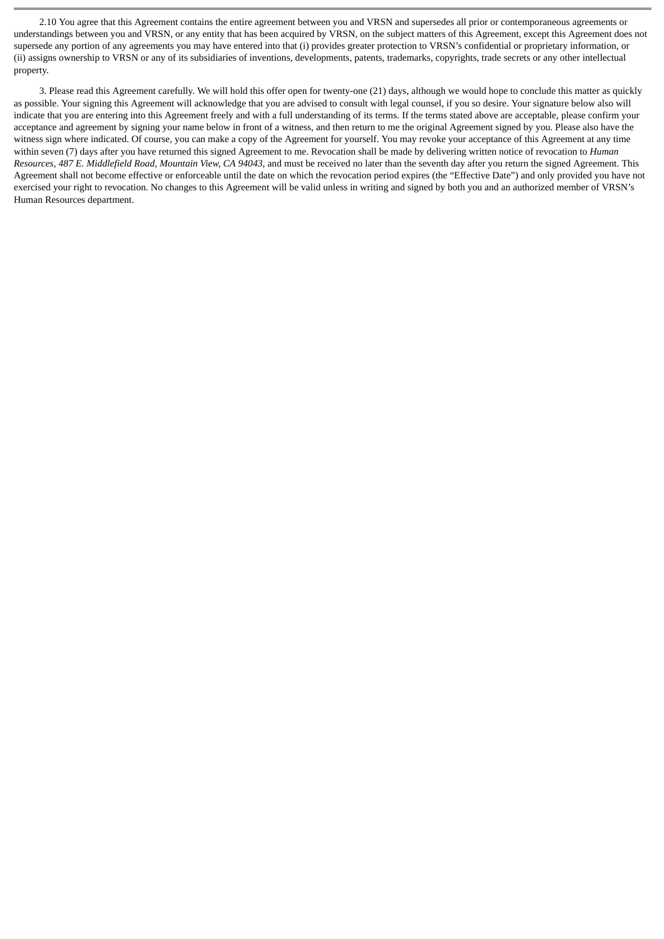2.10 You agree that this Agreement contains the entire agreement between you and VRSN and supersedes all prior or contemporaneous agreements or understandings between you and VRSN, or any entity that has been acquired by VRSN, on the subject matters of this Agreement, except this Agreement does not supersede any portion of any agreements you may have entered into that (i) provides greater protection to VRSN's confidential or proprietary information, or (ii) assigns ownership to VRSN or any of its subsidiaries of inventions, developments, patents, trademarks, copyrights, trade secrets or any other intellectual property.

3. Please read this Agreement carefully. We will hold this offer open for twenty-one (21) days, although we would hope to conclude this matter as quickly as possible. Your signing this Agreement will acknowledge that you are advised to consult with legal counsel, if you so desire. Your signature below also will indicate that you are entering into this Agreement freely and with a full understanding of its terms. If the terms stated above are acceptable, please confirm your acceptance and agreement by signing your name below in front of a witness, and then return to me the original Agreement signed by you. Please also have the witness sign where indicated. Of course, you can make a copy of the Agreement for yourself. You may revoke your acceptance of this Agreement at any time within seven (7) days after you have returned this signed Agreement to me. Revocation shall be made by delivering written notice of revocation to *Human Resources, 487 E. Middlefield Road, Mountain View, CA 94043*, and must be received no later than the seventh day after you return the signed Agreement. This Agreement shall not become effective or enforceable until the date on which the revocation period expires (the "Effective Date") and only provided you have not exercised your right to revocation. No changes to this Agreement will be valid unless in writing and signed by both you and an authorized member of VRSN's Human Resources department.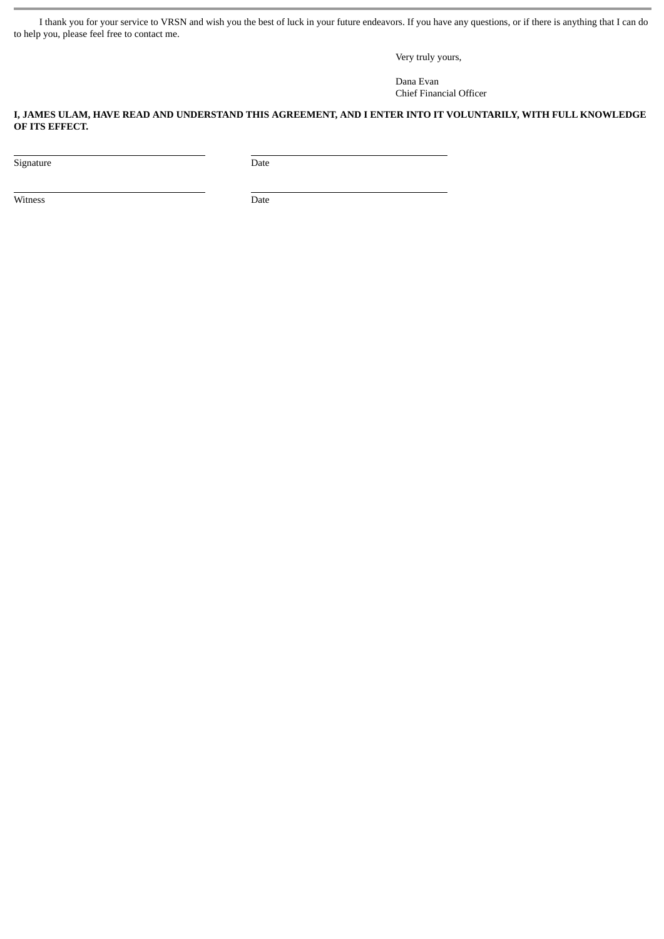I thank you for your service to VRSN and wish you the best of luck in your future endeavors. If you have any questions, or if there is anything that I can do to help you, please feel free to contact me.

Very truly yours,

Dana Evan Chief Financial Officer

# **I, JAMES ULAM, HAVE READ AND UNDERSTAND THIS AGREEMENT, AND I ENTER INTO IT VOLUNTARILY, WITH FULL KNOWLEDGE OF ITS EFFECT.**

Signature Date

Witness Date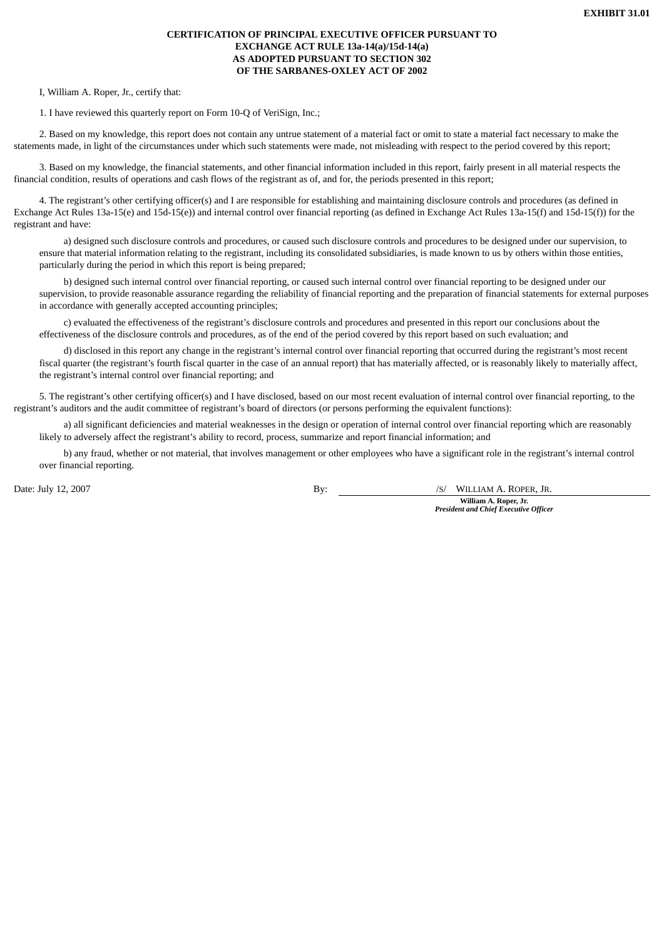# **CERTIFICATION OF PRINCIPAL EXECUTIVE OFFICER PURSUANT TO EXCHANGE ACT RULE 13a-14(a)/15d-14(a) AS ADOPTED PURSUANT TO SECTION 302 OF THE SARBANES-OXLEY ACT OF 2002**

I, William A. Roper, Jr., certify that:

1. I have reviewed this quarterly report on Form 10-Q of VeriSign, Inc.;

2. Based on my knowledge, this report does not contain any untrue statement of a material fact or omit to state a material fact necessary to make the statements made, in light of the circumstances under which such statements were made, not misleading with respect to the period covered by this report;

3. Based on my knowledge, the financial statements, and other financial information included in this report, fairly present in all material respects the financial condition, results of operations and cash flows of the registrant as of, and for, the periods presented in this report;

4. The registrant's other certifying officer(s) and I are responsible for establishing and maintaining disclosure controls and procedures (as defined in Exchange Act Rules 13a-15(e) and 15d-15(e)) and internal control over financial reporting (as defined in Exchange Act Rules 13a-15(f) and 15d-15(f)) for the registrant and have:

a) designed such disclosure controls and procedures, or caused such disclosure controls and procedures to be designed under our supervision, to ensure that material information relating to the registrant, including its consolidated subsidiaries, is made known to us by others within those entities, particularly during the period in which this report is being prepared;

b) designed such internal control over financial reporting, or caused such internal control over financial reporting to be designed under our supervision, to provide reasonable assurance regarding the reliability of financial reporting and the preparation of financial statements for external purposes in accordance with generally accepted accounting principles;

c) evaluated the effectiveness of the registrant's disclosure controls and procedures and presented in this report our conclusions about the effectiveness of the disclosure controls and procedures, as of the end of the period covered by this report based on such evaluation; and

d) disclosed in this report any change in the registrant's internal control over financial reporting that occurred during the registrant's most recent fiscal quarter (the registrant's fourth fiscal quarter in the case of an annual report) that has materially affected, or is reasonably likely to materially affect, the registrant's internal control over financial reporting; and

5. The registrant's other certifying officer(s) and I have disclosed, based on our most recent evaluation of internal control over financial reporting, to the registrant's auditors and the audit committee of registrant's board of directors (or persons performing the equivalent functions):

a) all significant deficiencies and material weaknesses in the design or operation of internal control over financial reporting which are reasonably likely to adversely affect the registrant's ability to record, process, summarize and report financial information; and

b) any fraud, whether or not material, that involves management or other employees who have a significant role in the registrant's internal control over financial reporting.

Date: July 12, 2007 By: /S/ WILLIAM A. ROPER, JR.

**William A. Roper, Jr.** *President and Chief Executive Officer*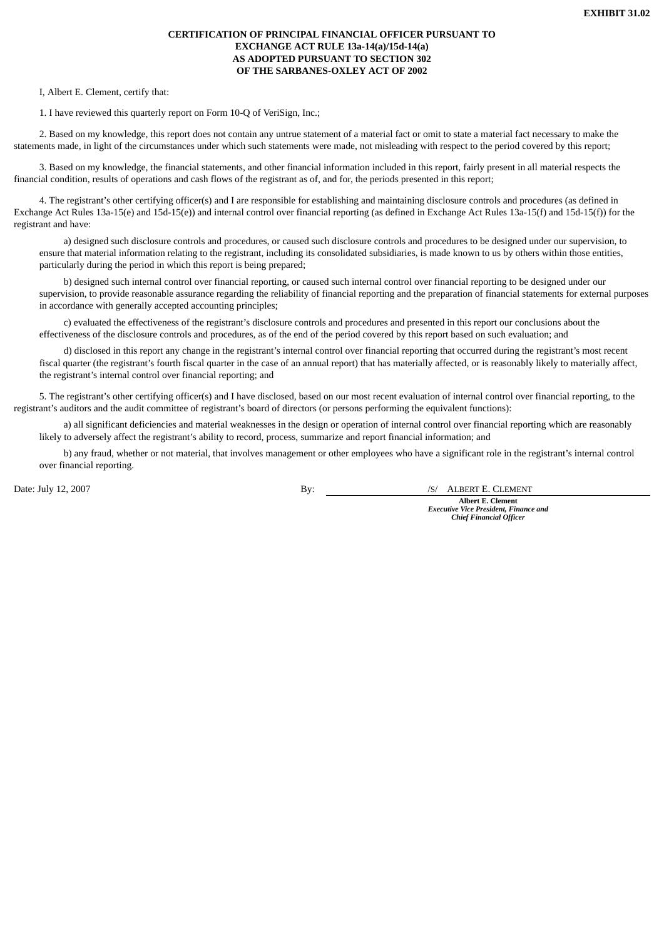# **CERTIFICATION OF PRINCIPAL FINANCIAL OFFICER PURSUANT TO EXCHANGE ACT RULE 13a-14(a)/15d-14(a) AS ADOPTED PURSUANT TO SECTION 302 OF THE SARBANES-OXLEY ACT OF 2002**

I, Albert E. Clement, certify that:

1. I have reviewed this quarterly report on Form 10-Q of VeriSign, Inc.;

2. Based on my knowledge, this report does not contain any untrue statement of a material fact or omit to state a material fact necessary to make the statements made, in light of the circumstances under which such statements were made, not misleading with respect to the period covered by this report;

3. Based on my knowledge, the financial statements, and other financial information included in this report, fairly present in all material respects the financial condition, results of operations and cash flows of the registrant as of, and for, the periods presented in this report;

4. The registrant's other certifying officer(s) and I are responsible for establishing and maintaining disclosure controls and procedures (as defined in Exchange Act Rules 13a-15(e) and 15d-15(e)) and internal control over financial reporting (as defined in Exchange Act Rules 13a-15(f) and 15d-15(f)) for the registrant and have:

a) designed such disclosure controls and procedures, or caused such disclosure controls and procedures to be designed under our supervision, to ensure that material information relating to the registrant, including its consolidated subsidiaries, is made known to us by others within those entities, particularly during the period in which this report is being prepared;

b) designed such internal control over financial reporting, or caused such internal control over financial reporting to be designed under our supervision, to provide reasonable assurance regarding the reliability of financial reporting and the preparation of financial statements for external purposes in accordance with generally accepted accounting principles;

c) evaluated the effectiveness of the registrant's disclosure controls and procedures and presented in this report our conclusions about the effectiveness of the disclosure controls and procedures, as of the end of the period covered by this report based on such evaluation; and

d) disclosed in this report any change in the registrant's internal control over financial reporting that occurred during the registrant's most recent fiscal quarter (the registrant's fourth fiscal quarter in the case of an annual report) that has materially affected, or is reasonably likely to materially affect, the registrant's internal control over financial reporting; and

5. The registrant's other certifying officer(s) and I have disclosed, based on our most recent evaluation of internal control over financial reporting, to the registrant's auditors and the audit committee of registrant's board of directors (or persons performing the equivalent functions):

a) all significant deficiencies and material weaknesses in the design or operation of internal control over financial reporting which are reasonably likely to adversely affect the registrant's ability to record, process, summarize and report financial information; and

b) any fraud, whether or not material, that involves management or other employees who have a significant role in the registrant's internal control over financial reporting.

Date: July 12, 2007 By:

/S/ ALBERT E. CLEMENT

**Albert E. Clement** *Executive Vice President, Finance and Chief Financial Officer*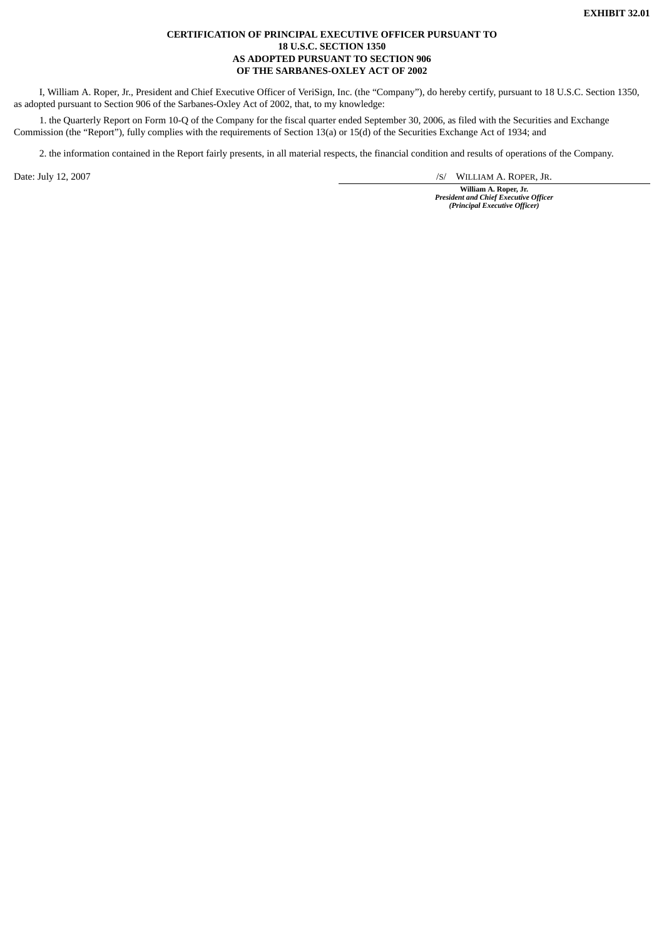## **CERTIFICATION OF PRINCIPAL EXECUTIVE OFFICER PURSUANT TO 18 U.S.C. SECTION 1350 AS ADOPTED PURSUANT TO SECTION 906 OF THE SARBANES-OXLEY ACT OF 2002**

I, William A. Roper, Jr., President and Chief Executive Officer of VeriSign, Inc. (the "Company"), do hereby certify, pursuant to 18 U.S.C. Section 1350, as adopted pursuant to Section 906 of the Sarbanes-Oxley Act of 2002, that, to my knowledge:

1. the Quarterly Report on Form 10-Q of the Company for the fiscal quarter ended September 30, 2006, as filed with the Securities and Exchange Commission (the "Report"), fully complies with the requirements of Section 13(a) or 15(d) of the Securities Exchange Act of 1934; and

2. the information contained in the Report fairly presents, in all material respects, the financial condition and results of operations of the Company.

Date: July 12, 2007 /S/ WILLIAM A. ROPER, JR.

**William A. Roper, Jr.** *President and Chief Executive Officer (Principal Executive Officer)*